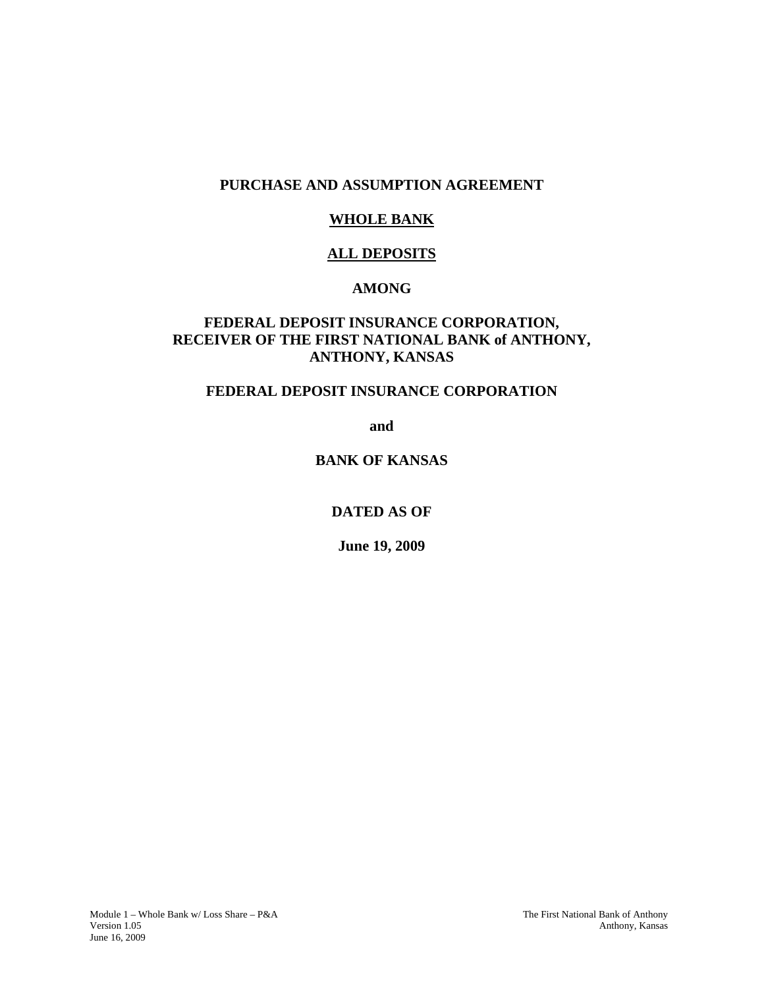#### **PURCHASE AND ASSUMPTION AGREEMENT**

### **WHOLE BANK**

## **ALL DEPOSITS**

## **AMONG**

## **FEDERAL DEPOSIT INSURANCE CORPORATION, RECEIVER OF THE FIRST NATIONAL BANK of ANTHONY, ANTHONY, KANSAS**

#### **FEDERAL DEPOSIT INSURANCE CORPORATION**

**and** 

**BANK OF KANSAS** 

**DATED AS OF**

**June 19, 2009**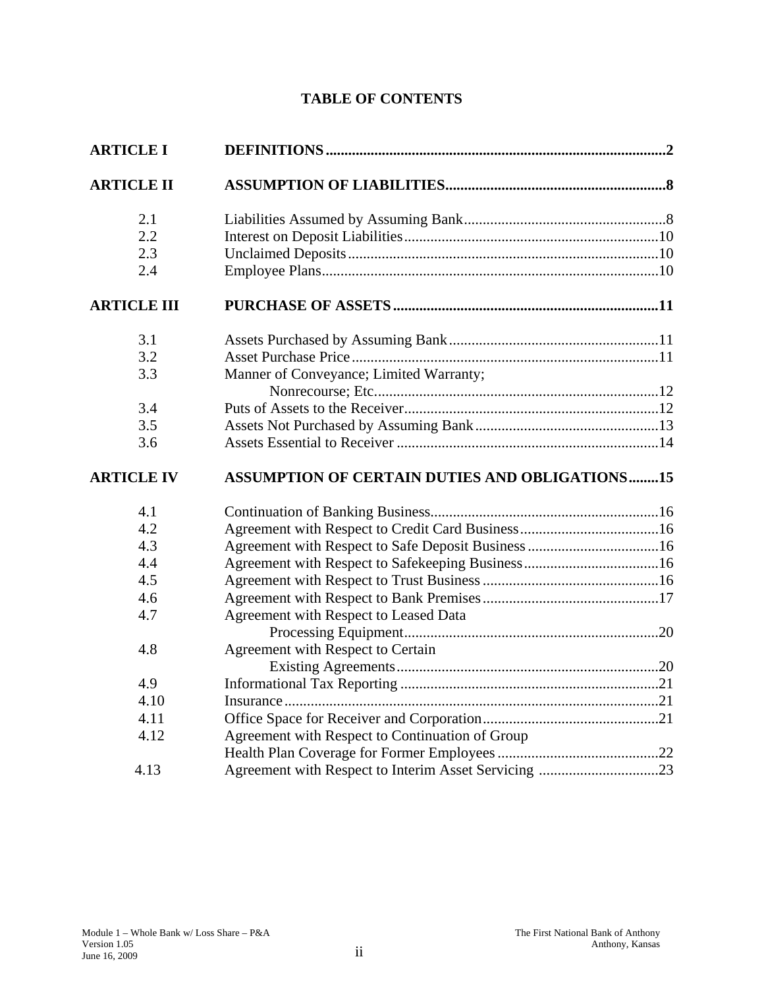# **TABLE OF CONTENTS**

| <b>ARTICLE I</b>   |                                                       |  |
|--------------------|-------------------------------------------------------|--|
| <b>ARTICLE II</b>  |                                                       |  |
| 2.1                |                                                       |  |
| 2.2                |                                                       |  |
| 2.3                |                                                       |  |
| 2.4                |                                                       |  |
| <b>ARTICLE III</b> |                                                       |  |
| 3.1                |                                                       |  |
| 3.2                |                                                       |  |
| 3.3                | Manner of Conveyance; Limited Warranty;               |  |
|                    |                                                       |  |
| 3.4                |                                                       |  |
| 3.5                |                                                       |  |
| 3.6                |                                                       |  |
| <b>ARTICLE IV</b>  | <b>ASSUMPTION OF CERTAIN DUTIES AND OBLIGATIONS15</b> |  |
| 4.1                |                                                       |  |
| 4.2                |                                                       |  |
| 4.3                |                                                       |  |
| 4.4                |                                                       |  |
| 4.5                |                                                       |  |
| 4.6                |                                                       |  |
| 4.7                | Agreement with Respect to Leased Data                 |  |
|                    |                                                       |  |
| 4.8                | Agreement with Respect to Certain                     |  |
|                    |                                                       |  |
| 4.9                |                                                       |  |
| 4.10               |                                                       |  |
| 4.11               |                                                       |  |
| 4.12               | Agreement with Respect to Continuation of Group       |  |
|                    |                                                       |  |
| 4.13               | Agreement with Respect to Interim Asset Servicing 23  |  |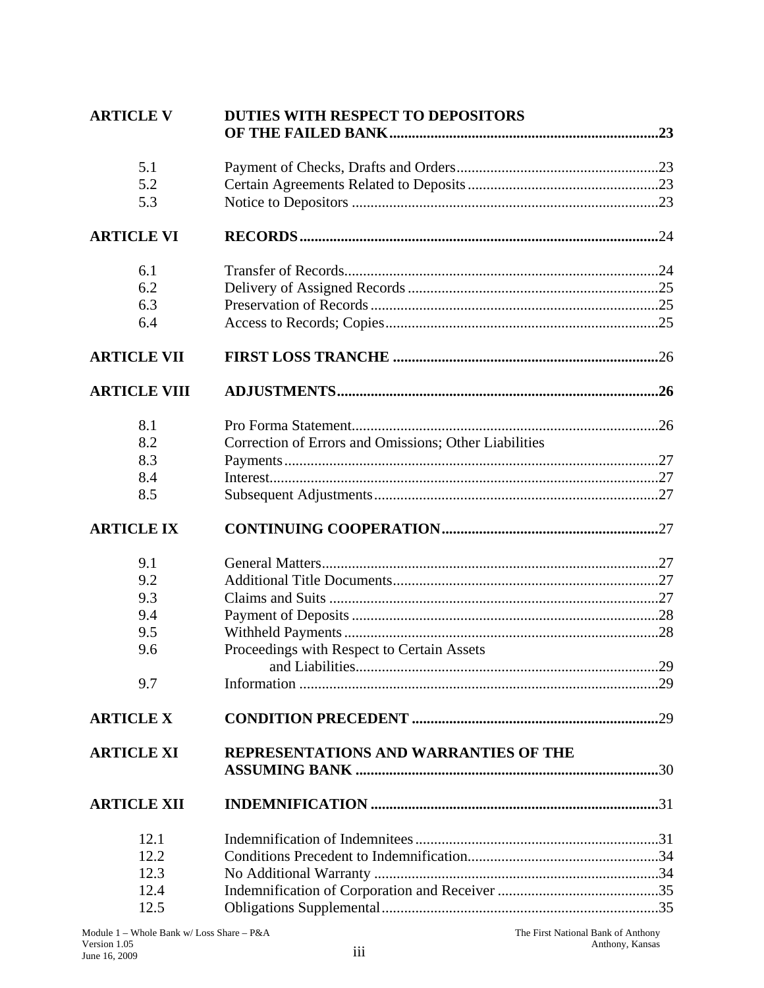| <b>ARTICLE V</b>    | <b>DUTIES WITH RESPECT TO DEPOSITORS</b>              |  |
|---------------------|-------------------------------------------------------|--|
|                     |                                                       |  |
| 5.1                 |                                                       |  |
| 5.2                 |                                                       |  |
| 5.3                 |                                                       |  |
| <b>ARTICLE VI</b>   |                                                       |  |
| 6.1                 |                                                       |  |
| 6.2                 |                                                       |  |
| 6.3                 |                                                       |  |
| 6.4                 |                                                       |  |
| <b>ARTICLE VII</b>  |                                                       |  |
| <b>ARTICLE VIII</b> |                                                       |  |
| 8.1                 |                                                       |  |
| 8.2                 | Correction of Errors and Omissions; Other Liabilities |  |
| 8.3                 |                                                       |  |
| 8.4                 |                                                       |  |
| 8.5                 |                                                       |  |
| <b>ARTICLE IX</b>   |                                                       |  |
| 9.1                 |                                                       |  |
| 9.2                 |                                                       |  |
| 9.3                 |                                                       |  |
| 9.4                 |                                                       |  |
| 9.5                 |                                                       |  |
| 9.6                 | Proceedings with Respect to Certain Assets            |  |
|                     |                                                       |  |
| 9.7                 |                                                       |  |
| <b>ARTICLE X</b>    |                                                       |  |
| <b>ARTICLE XI</b>   | <b>REPRESENTATIONS AND WARRANTIES OF THE</b>          |  |
| <b>ARTICLE XII</b>  |                                                       |  |
| 12.1                |                                                       |  |
| 12.2                |                                                       |  |
| 12.3                |                                                       |  |
| 12.4                |                                                       |  |
| 12.5                |                                                       |  |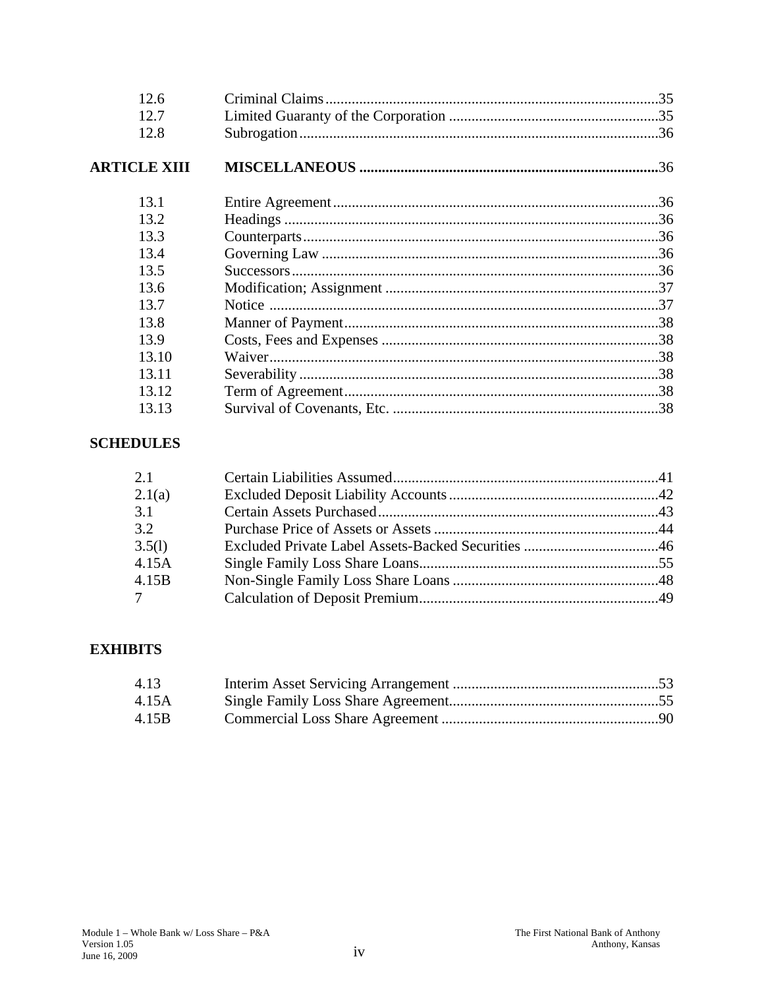| 12.6                |  |
|---------------------|--|
| 12.7                |  |
| 12.8                |  |
| <b>ARTICLE XIII</b> |  |
| 13.1                |  |
| 13.2                |  |
| 13.3                |  |
| 13.4                |  |
| 13.5                |  |
| 13.6                |  |
| 13.7                |  |
| 13.8                |  |
| 13.9                |  |
| 13.10               |  |
| 13.11               |  |
| 13.12               |  |
| 13.13               |  |
|                     |  |

## **SCHEDULES**

# **EXHIBITS**

| 4.13  |  |
|-------|--|
| 4.15A |  |
| 4.15B |  |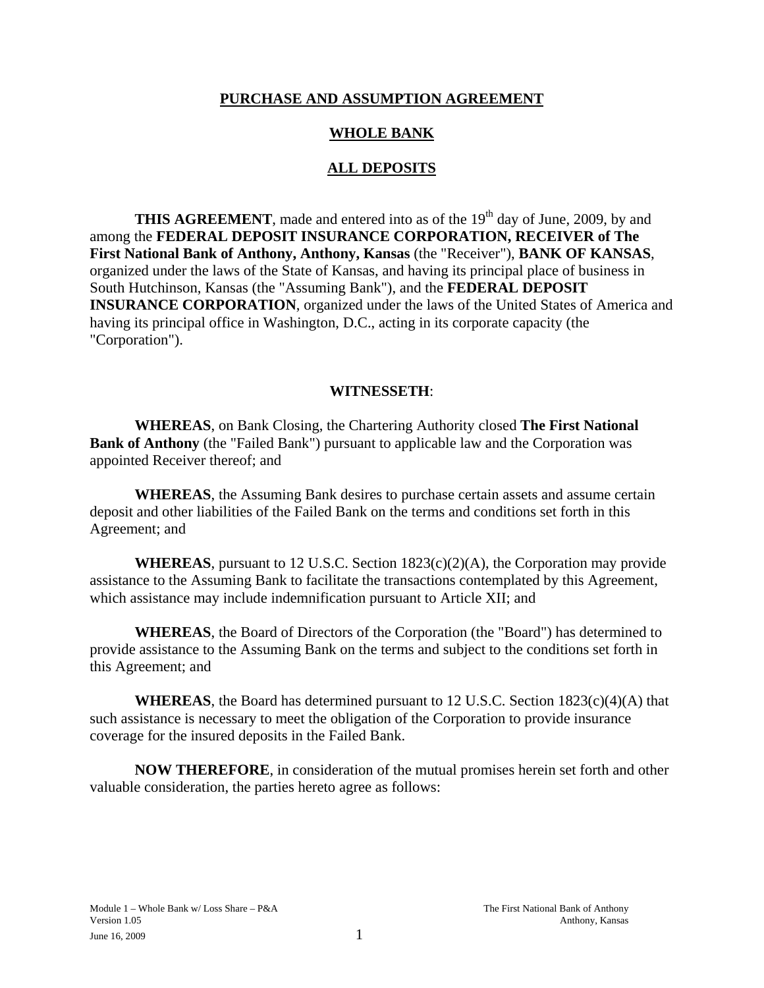#### **PURCHASE AND ASSUMPTION AGREEMENT**

## **WHOLE BANK**

## **ALL DEPOSITS**

**THIS AGREEMENT**, made and entered into as of the 19<sup>th</sup> day of June, 2009, by and among the **FEDERAL DEPOSIT INSURANCE CORPORATION, RECEIVER of The First National Bank of Anthony, Anthony, Kansas** (the "Receiver"), **BANK OF KANSAS**, organized under the laws of the State of Kansas, and having its principal place of business in South Hutchinson, Kansas (the "Assuming Bank"), and the **FEDERAL DEPOSIT INSURANCE CORPORATION**, organized under the laws of the United States of America and having its principal office in Washington, D.C., acting in its corporate capacity (the "Corporation").

#### **WITNESSETH**:

**WHEREAS**, on Bank Closing, the Chartering Authority closed **The First National Bank of Anthony** (the "Failed Bank") pursuant to applicable law and the Corporation was appointed Receiver thereof; and

**WHEREAS**, the Assuming Bank desires to purchase certain assets and assume certain deposit and other liabilities of the Failed Bank on the terms and conditions set forth in this Agreement; and

**WHEREAS**, pursuant to 12 U.S.C. Section 1823(c)(2)(A), the Corporation may provide assistance to the Assuming Bank to facilitate the transactions contemplated by this Agreement, which assistance may include indemnification pursuant to Article XII; and

**WHEREAS**, the Board of Directors of the Corporation (the "Board") has determined to provide assistance to the Assuming Bank on the terms and subject to the conditions set forth in this Agreement; and

**WHEREAS**, the Board has determined pursuant to 12 U.S.C. Section  $1823(c)(4)(A)$  that such assistance is necessary to meet the obligation of the Corporation to provide insurance coverage for the insured deposits in the Failed Bank.

 **NOW THEREFORE**, in consideration of the mutual promises herein set forth and other valuable consideration, the parties hereto agree as follows: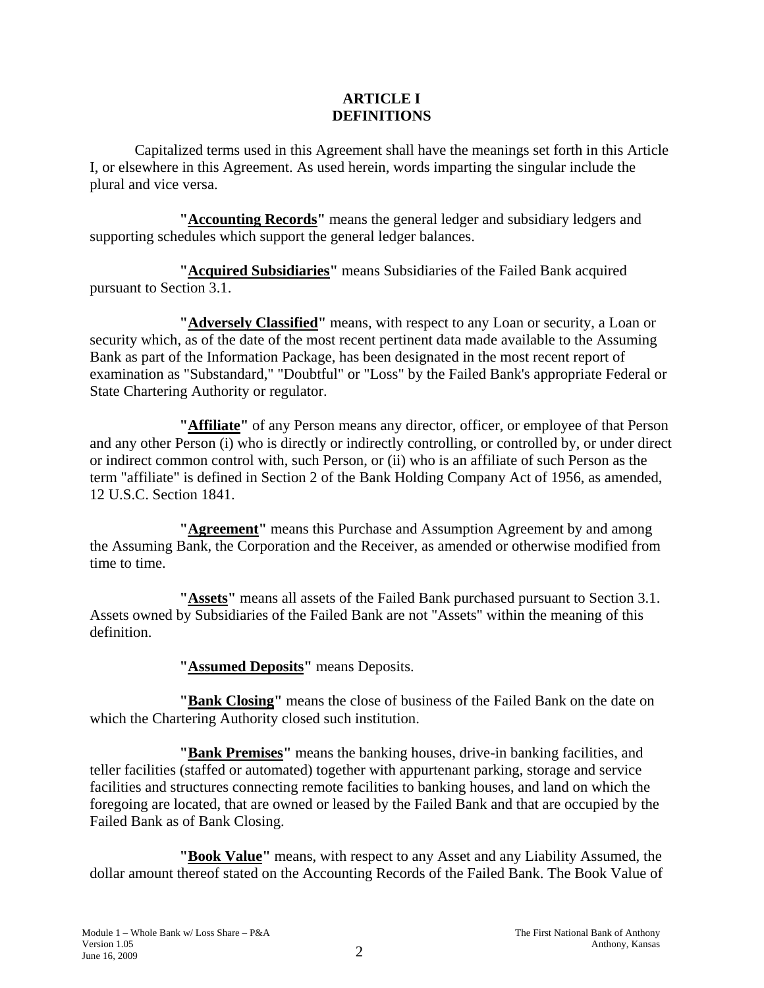#### **ARTICLE I DEFINITIONS**

<span id="page-5-1"></span><span id="page-5-0"></span>Capitalized terms used in this Agreement shall have the meanings set forth in this Article I, or elsewhere in this Agreement. As used herein, words imparting the singular include the plural and vice versa.

**"Accounting Records"** means the general ledger and subsidiary ledgers and supporting schedules which support the general ledger balances.

**"Acquired Subsidiaries"** means Subsidiaries of the Failed Bank acquired pursuant to Section 3.1.

**"Adversely Classified"** means, with respect to any Loan or security, a Loan or security which, as of the date of the most recent pertinent data made available to the Assuming Bank as part of the Information Package, has been designated in the most recent report of examination as "Substandard," "Doubtful" or "Loss" by the Failed Bank's appropriate Federal or State Chartering Authority or regulator.

**"Affiliate"** of any Person means any director, officer, or employee of that Person and any other Person (i) who is directly or indirectly controlling, or controlled by, or under direct or indirect common control with, such Person, or (ii) who is an affiliate of such Person as the term "affiliate" is defined in Section 2 of the Bank Holding Company Act of 1956, as amended, 12 U.S.C. Section 1841.

**"Agreement"** means this Purchase and Assumption Agreement by and among the Assuming Bank, the Corporation and the Receiver, as amended or otherwise modified from time to time.

**"Assets"** means all assets of the Failed Bank purchased pursuant to Section 3.1. Assets owned by Subsidiaries of the Failed Bank are not "Assets" within the meaning of this definition.

**"Assumed Deposits"** means Deposits.

**"Bank Closing"** means the close of business of the Failed Bank on the date on which the Chartering Authority closed such institution.

**"Bank Premises"** means the banking houses, drive-in banking facilities, and teller facilities (staffed or automated) together with appurtenant parking, storage and service facilities and structures connecting remote facilities to banking houses, and land on which the foregoing are located, that are owned or leased by the Failed Bank and that are occupied by the Failed Bank as of Bank Closing.

**"Book Value"** means, with respect to any Asset and any Liability Assumed, the dollar amount thereof stated on the Accounting Records of the Failed Bank. The Book Value of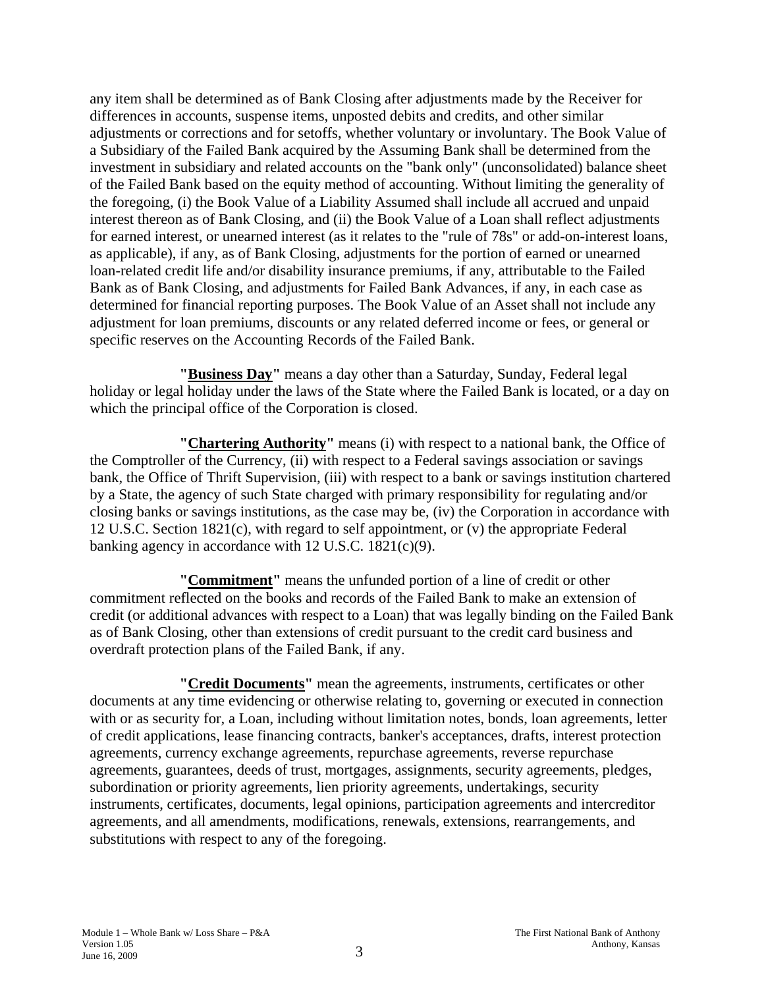<span id="page-6-0"></span>any item shall be determined as of Bank Closing after adjustments made by the Receiver for differences in accounts, suspense items, unposted debits and credits, and other similar adjustments or corrections and for setoffs, whether voluntary or involuntary. The Book Value of a Subsidiary of the Failed Bank acquired by the Assuming Bank shall be determined from the investment in subsidiary and related accounts on the "bank only" (unconsolidated) balance sheet of the Failed Bank based on the equity method of accounting. Without limiting the generality of the foregoing, (i) the Book Value of a Liability Assumed shall include all accrued and unpaid interest thereon as of Bank Closing, and (ii) the Book Value of a Loan shall reflect adjustments for earned interest, or unearned interest (as it relates to the "rule of 78s" or add-on-interest loans, as applicable), if any, as of Bank Closing, adjustments for the portion of earned or unearned loan-related credit life and/or disability insurance premiums, if any, attributable to the Failed Bank as of Bank Closing, and adjustments for Failed Bank Advances, if any, in each case as determined for financial reporting purposes. The Book Value of an Asset shall not include any adjustment for loan premiums, discounts or any related deferred income or fees, or general or specific reserves on the Accounting Records of the Failed Bank.

**"Business Day"** means a day other than a Saturday, Sunday, Federal legal holiday or legal holiday under the laws of the State where the Failed Bank is located, or a day on which the principal office of the Corporation is closed.

**"Chartering Authority"** means (i) with respect to a national bank, the Office of the Comptroller of the Currency, (ii) with respect to a Federal savings association or savings bank, the Office of Thrift Supervision, (iii) with respect to a bank or savings institution chartered by a State, the agency of such State charged with primary responsibility for regulating and/or closing banks or savings institutions, as the case may be, (iv) the Corporation in accordance with 12 U.S.C. Section 1821(c), with regard to self appointment, or (v) the appropriate Federal banking agency in accordance with 12 U.S.C. 1821(c)(9).

**"Commitment"** means the unfunded portion of a line of credit or other commitment reflected on the books and records of the Failed Bank to make an extension of credit (or additional advances with respect to a Loan) that was legally binding on the Failed Bank as of Bank Closing, other than extensions of credit pursuant to the credit card business and overdraft protection plans of the Failed Bank, if any.

**"Credit Documents"** mean the agreements, instruments, certificates or other documents at any time evidencing or otherwise relating to, governing or executed in connection with or as security for, a Loan, including without limitation notes, bonds, loan agreements, letter of credit applications, lease financing contracts, banker's acceptances, drafts, interest protection agreements, currency exchange agreements, repurchase agreements, reverse repurchase agreements, guarantees, deeds of trust, mortgages, assignments, security agreements, pledges, subordination or priority agreements, lien priority agreements, undertakings, security instruments, certificates, documents, legal opinions, participation agreements and intercreditor agreements, and all amendments, modifications, renewals, extensions, rearrangements, and substitutions with respect to any of the foregoing.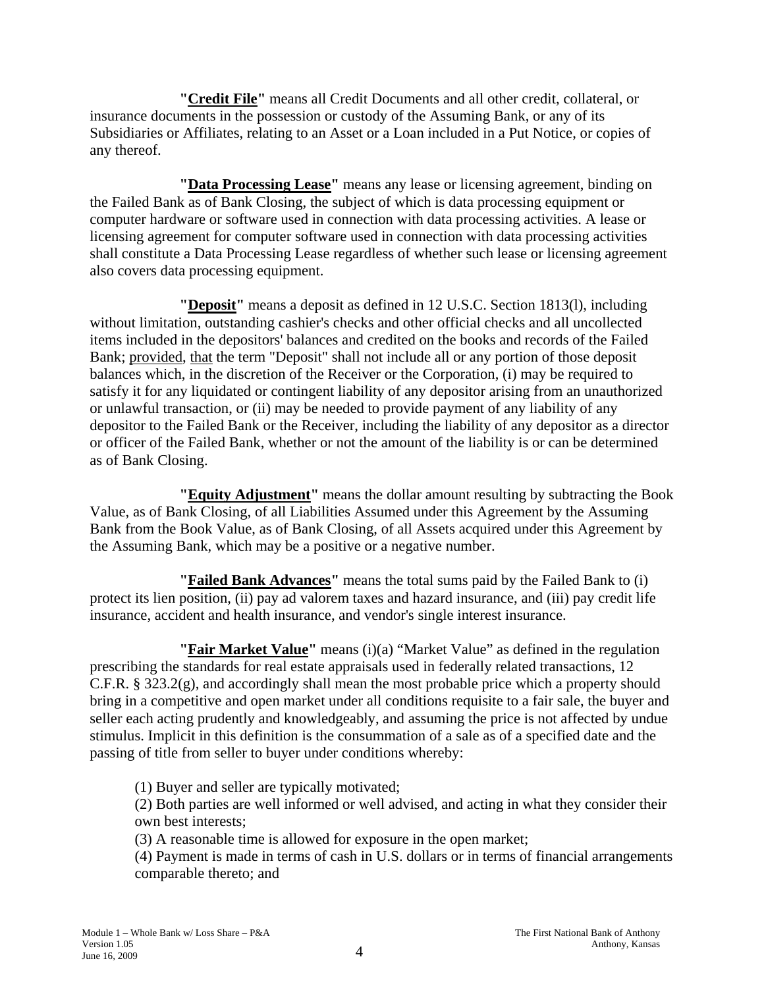**"Credit File"** means all Credit Documents and all other credit, collateral, or insurance documents in the possession or custody of the Assuming Bank, or any of its Subsidiaries or Affiliates, relating to an Asset or a Loan included in a Put Notice, or copies of any thereof.

**"Data Processing Lease"** means any lease or licensing agreement, binding on the Failed Bank as of Bank Closing, the subject of which is data processing equipment or computer hardware or software used in connection with data processing activities. A lease or licensing agreement for computer software used in connection with data processing activities shall constitute a Data Processing Lease regardless of whether such lease or licensing agreement also covers data processing equipment.

**"Deposit"** means a deposit as defined in 12 U.S.C. Section 1813(l), including without limitation, outstanding cashier's checks and other official checks and all uncollected items included in the depositors' balances and credited on the books and records of the Failed Bank; provided, that the term "Deposit" shall not include all or any portion of those deposit balances which, in the discretion of the Receiver or the Corporation, (i) may be required to satisfy it for any liquidated or contingent liability of any depositor arising from an unauthorized or unlawful transaction, or (ii) may be needed to provide payment of any liability of any depositor to the Failed Bank or the Receiver, including the liability of any depositor as a director or officer of the Failed Bank, whether or not the amount of the liability is or can be determined as of Bank Closing.

**"Equity Adjustment"** means the dollar amount resulting by subtracting the Book Value, as of Bank Closing, of all Liabilities Assumed under this Agreement by the Assuming Bank from the Book Value, as of Bank Closing, of all Assets acquired under this Agreement by the Assuming Bank, which may be a positive or a negative number.

**"Failed Bank Advances"** means the total sums paid by the Failed Bank to (i) protect its lien position, (ii) pay ad valorem taxes and hazard insurance, and (iii) pay credit life insurance, accident and health insurance, and vendor's single interest insurance.

**"Fair Market Value"** means (i)(a) "Market Value" as defined in the regulation prescribing the standards for real estate appraisals used in federally related transactions, 12 C.F.R. § 323.2(g), and accordingly shall mean the most probable price which a property should bring in a competitive and open market under all conditions requisite to a fair sale, the buyer and seller each acting prudently and knowledgeably, and assuming the price is not affected by undue stimulus. Implicit in this definition is the consummation of a sale as of a specified date and the passing of title from seller to buyer under conditions whereby:

(1) Buyer and seller are typically motivated;

(2) Both parties are well informed or well advised, and acting in what they consider their own best interests;

(3) A reasonable time is allowed for exposure in the open market;

(4) Payment is made in terms of cash in U.S. dollars or in terms of financial arrangements comparable thereto; and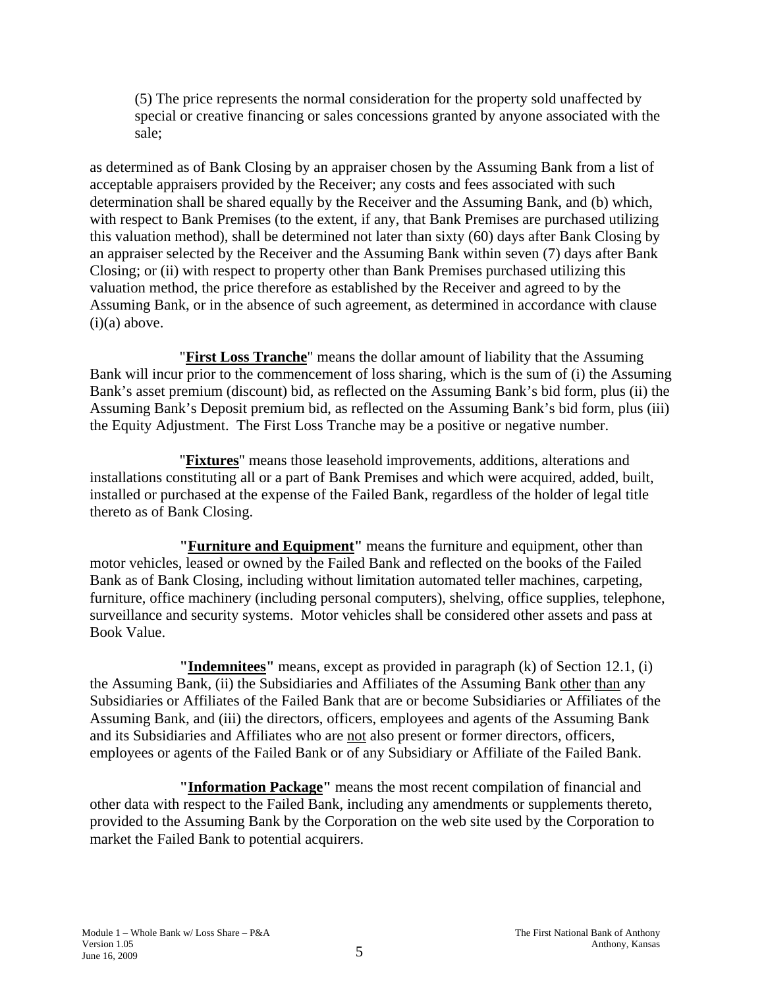(5) The price represents the normal consideration for the property sold unaffected by special or creative financing or sales concessions granted by anyone associated with the sale;

as determined as of Bank Closing by an appraiser chosen by the Assuming Bank from a list of acceptable appraisers provided by the Receiver; any costs and fees associated with such determination shall be shared equally by the Receiver and the Assuming Bank, and (b) which, with respect to Bank Premises (to the extent, if any, that Bank Premises are purchased utilizing this valuation method), shall be determined not later than sixty (60) days after Bank Closing by an appraiser selected by the Receiver and the Assuming Bank within seven (7) days after Bank Closing; or (ii) with respect to property other than Bank Premises purchased utilizing this valuation method, the price therefore as established by the Receiver and agreed to by the Assuming Bank, or in the absence of such agreement, as determined in accordance with clause  $(i)(a)$  above.

"**First Loss Tranche**" means the dollar amount of liability that the Assuming Bank will incur prior to the commencement of loss sharing, which is the sum of (i) the Assuming Bank's asset premium (discount) bid, as reflected on the Assuming Bank's bid form, plus (ii) the Assuming Bank's Deposit premium bid, as reflected on the Assuming Bank's bid form, plus (iii) the Equity Adjustment. The First Loss Tranche may be a positive or negative number.

"**Fixtures**" means those leasehold improvements, additions, alterations and installations constituting all or a part of Bank Premises and which were acquired, added, built, installed or purchased at the expense of the Failed Bank, regardless of the holder of legal title thereto as of Bank Closing.

**"Furniture and Equipment"** means the furniture and equipment, other than motor vehicles, leased or owned by the Failed Bank and reflected on the books of the Failed Bank as of Bank Closing, including without limitation automated teller machines, carpeting, furniture, office machinery (including personal computers), shelving, office supplies, telephone, surveillance and security systems. Motor vehicles shall be considered other assets and pass at Book Value.

**"Indemnitees"** means, except as provided in paragraph (k) of Section 12.1, (i) the Assuming Bank, (ii) the Subsidiaries and Affiliates of the Assuming Bank other than any Subsidiaries or Affiliates of the Failed Bank that are or become Subsidiaries or Affiliates of the Assuming Bank, and (iii) the directors, officers, employees and agents of the Assuming Bank and its Subsidiaries and Affiliates who are not also present or former directors, officers, employees or agents of the Failed Bank or of any Subsidiary or Affiliate of the Failed Bank.

**"Information Package"** means the most recent compilation of financial and other data with respect to the Failed Bank, including any amendments or supplements thereto, provided to the Assuming Bank by the Corporation on the web site used by the Corporation to market the Failed Bank to potential acquirers.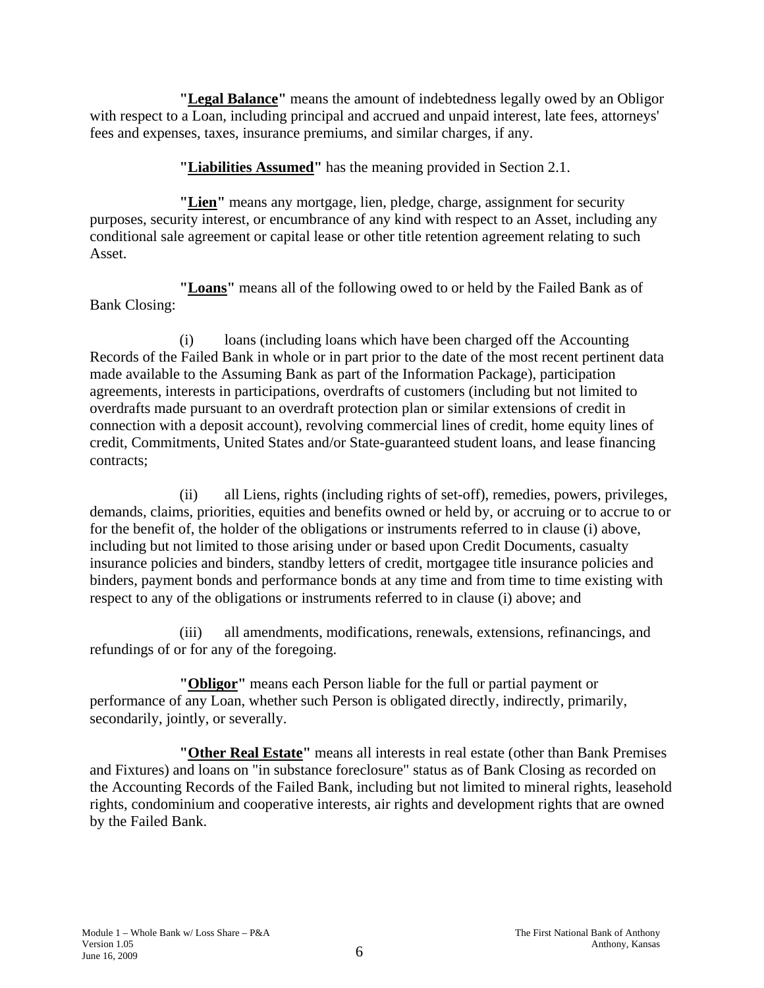**"Legal Balance"** means the amount of indebtedness legally owed by an Obligor with respect to a Loan, including principal and accrued and unpaid interest, late fees, attorneys' fees and expenses, taxes, insurance premiums, and similar charges, if any.

**"Liabilities Assumed"** has the meaning provided in Section 2.1.

**"Lien"** means any mortgage, lien, pledge, charge, assignment for security purposes, security interest, or encumbrance of any kind with respect to an Asset, including any conditional sale agreement or capital lease or other title retention agreement relating to such Asset.

**"Loans"** means all of the following owed to or held by the Failed Bank as of Bank Closing:

(i) loans (including loans which have been charged off the Accounting Records of the Failed Bank in whole or in part prior to the date of the most recent pertinent data made available to the Assuming Bank as part of the Information Package), participation agreements, interests in participations, overdrafts of customers (including but not limited to overdrafts made pursuant to an overdraft protection plan or similar extensions of credit in connection with a deposit account), revolving commercial lines of credit, home equity lines of credit, Commitments, United States and/or State-guaranteed student loans, and lease financing contracts;

(ii) all Liens, rights (including rights of set-off), remedies, powers, privileges, demands, claims, priorities, equities and benefits owned or held by, or accruing or to accrue to or for the benefit of, the holder of the obligations or instruments referred to in clause (i) above, including but not limited to those arising under or based upon Credit Documents, casualty insurance policies and binders, standby letters of credit, mortgagee title insurance policies and binders, payment bonds and performance bonds at any time and from time to time existing with respect to any of the obligations or instruments referred to in clause (i) above; and

(iii) all amendments, modifications, renewals, extensions, refinancings, and refundings of or for any of the foregoing.

**"Obligor"** means each Person liable for the full or partial payment or performance of any Loan, whether such Person is obligated directly, indirectly, primarily, secondarily, jointly, or severally.

**"Other Real Estate"** means all interests in real estate (other than Bank Premises and Fixtures) and loans on "in substance foreclosure" status as of Bank Closing as recorded on the Accounting Records of the Failed Bank, including but not limited to mineral rights, leasehold rights, condominium and cooperative interests, air rights and development rights that are owned by the Failed Bank.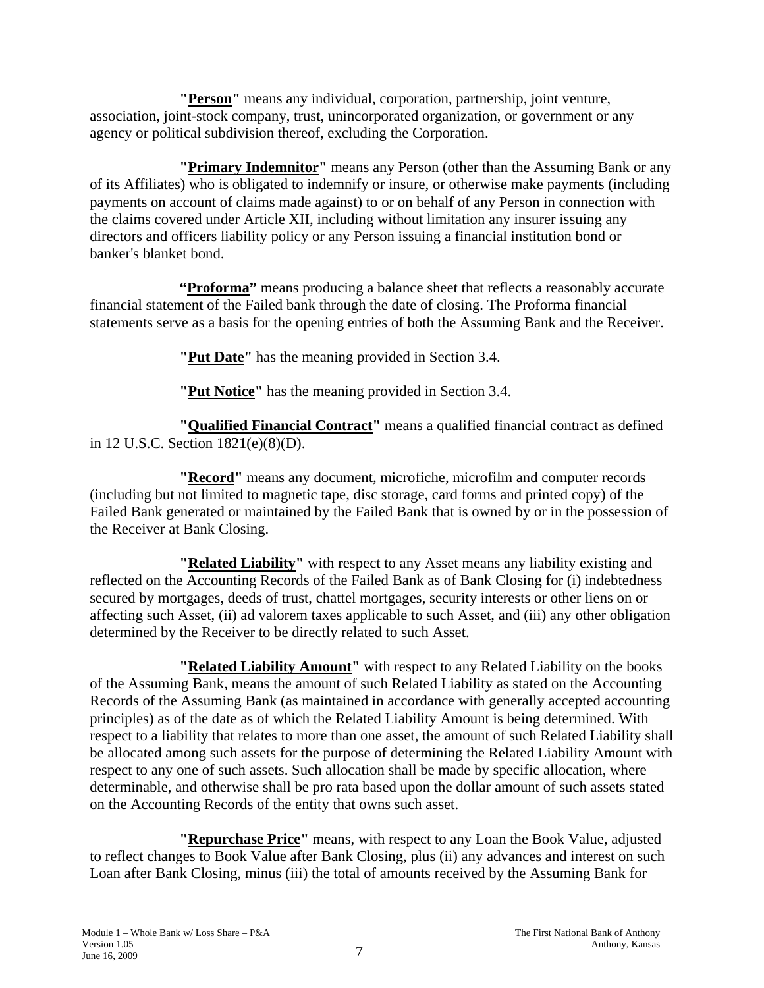**"Person"** means any individual, corporation, partnership, joint venture, association, joint-stock company, trust, unincorporated organization, or government or any agency or political subdivision thereof, excluding the Corporation.

**"Primary Indemnitor"** means any Person (other than the Assuming Bank or any of its Affiliates) who is obligated to indemnify or insure, or otherwise make payments (including payments on account of claims made against) to or on behalf of any Person in connection with the claims covered under Article XII, including without limitation any insurer issuing any directors and officers liability policy or any Person issuing a financial institution bond or banker's blanket bond.

**"Proforma"** means producing a balance sheet that reflects a reasonably accurate financial statement of the Failed bank through the date of closing. The Proforma financial statements serve as a basis for the opening entries of both the Assuming Bank and the Receiver.

**"Put Date"** has the meaning provided in Section 3.4.

**"Put Notice"** has the meaning provided in Section 3.4.

**"Qualified Financial Contract"** means a qualified financial contract as defined in 12 U.S.C. Section 1821(e)(8)(D).

**"Record"** means any document, microfiche, microfilm and computer records (including but not limited to magnetic tape, disc storage, card forms and printed copy) of the Failed Bank generated or maintained by the Failed Bank that is owned by or in the possession of the Receiver at Bank Closing.

**"Related Liability"** with respect to any Asset means any liability existing and reflected on the Accounting Records of the Failed Bank as of Bank Closing for (i) indebtedness secured by mortgages, deeds of trust, chattel mortgages, security interests or other liens on or affecting such Asset, (ii) ad valorem taxes applicable to such Asset, and (iii) any other obligation determined by the Receiver to be directly related to such Asset.

**"Related Liability Amount"** with respect to any Related Liability on the books of the Assuming Bank, means the amount of such Related Liability as stated on the Accounting Records of the Assuming Bank (as maintained in accordance with generally accepted accounting principles) as of the date as of which the Related Liability Amount is being determined. With respect to a liability that relates to more than one asset, the amount of such Related Liability shall be allocated among such assets for the purpose of determining the Related Liability Amount with respect to any one of such assets. Such allocation shall be made by specific allocation, where determinable, and otherwise shall be pro rata based upon the dollar amount of such assets stated on the Accounting Records of the entity that owns such asset.

 **"Repurchase Price"** means, with respect to any Loan the Book Value, adjusted to reflect changes to Book Value after Bank Closing, plus (ii) any advances and interest on such Loan after Bank Closing, minus (iii) the total of amounts received by the Assuming Bank for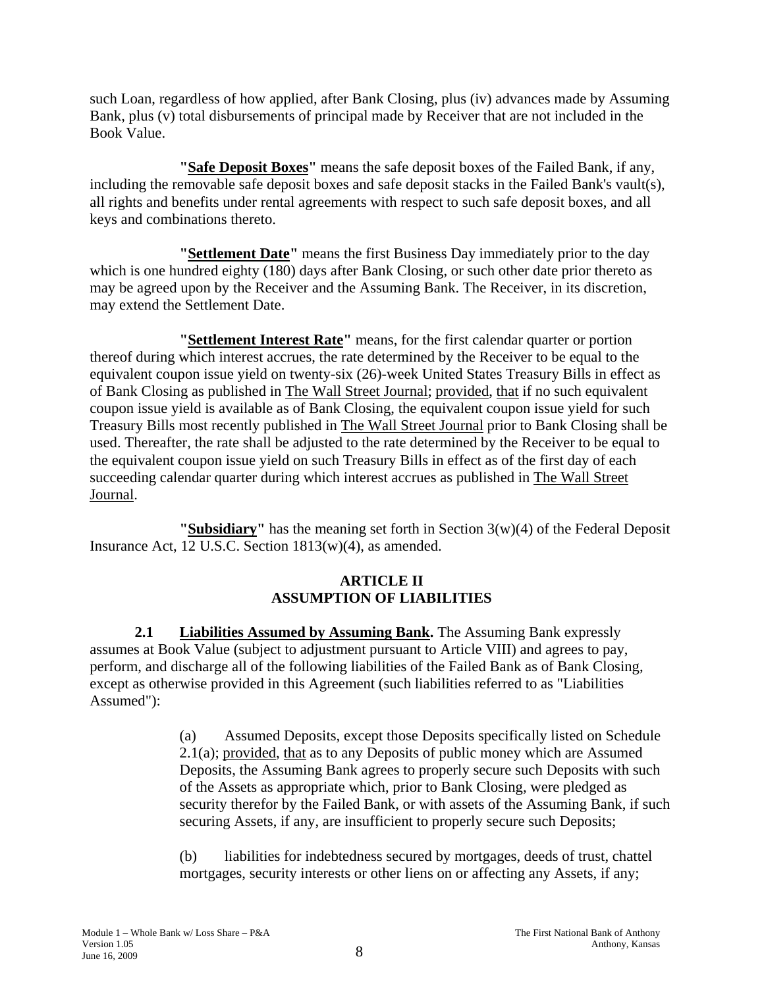such Loan, regardless of how applied, after Bank Closing, plus (iv) advances made by Assuming Bank, plus (v) total disbursements of principal made by Receiver that are not included in the Book Value.

**"Safe Deposit Boxes"** means the safe deposit boxes of the Failed Bank, if any, including the removable safe deposit boxes and safe deposit stacks in the Failed Bank's vault(s), all rights and benefits under rental agreements with respect to such safe deposit boxes, and all keys and combinations thereto.

**"Settlement Date"** means the first Business Day immediately prior to the day which is one hundred eighty (180) days after Bank Closing, or such other date prior thereto as may be agreed upon by the Receiver and the Assuming Bank. The Receiver, in its discretion, may extend the Settlement Date.

**"Settlement Interest Rate"** means, for the first calendar quarter or portion thereof during which interest accrues, the rate determined by the Receiver to be equal to the equivalent coupon issue yield on twenty-six (26)-week United States Treasury Bills in effect as of Bank Closing as published in The Wall Street Journal; provided, that if no such equivalent coupon issue yield is available as of Bank Closing, the equivalent coupon issue yield for such Treasury Bills most recently published in The Wall Street Journal prior to Bank Closing shall be used. Thereafter, the rate shall be adjusted to the rate determined by the Receiver to be equal to the equivalent coupon issue yield on such Treasury Bills in effect as of the first day of each succeeding calendar quarter during which interest accrues as published in The Wall Street Journal.

**"Subsidiary"** has the meaning set forth in Section 3(w)(4) of the Federal Deposit Insurance Act, 12 U.S.C. Section 1813(w)(4), as amended.

### **ARTICLE II ASSUMPTION OF LIABILITIES**

<span id="page-11-1"></span><span id="page-11-0"></span> **2.1 Liabilities Assumed by Assuming Bank.** The Assuming Bank expressly assumes at Book Value (subject to adjustment pursuant to Article VIII) and agrees to pay, perform, and discharge all of the following liabilities of the Failed Bank as of Bank Closing, except as otherwise provided in this Agreement (such liabilities referred to as "Liabilities Assumed"):

> (a) Assumed Deposits, except those Deposits specifically listed on Schedule 2.1(a); provided, that as to any Deposits of public money which are Assumed Deposits, the Assuming Bank agrees to properly secure such Deposits with such of the Assets as appropriate which, prior to Bank Closing, were pledged as security therefor by the Failed Bank, or with assets of the Assuming Bank, if such securing Assets, if any, are insufficient to properly secure such Deposits;

(b) liabilities for indebtedness secured by mortgages, deeds of trust, chattel mortgages, security interests or other liens on or affecting any Assets, if any;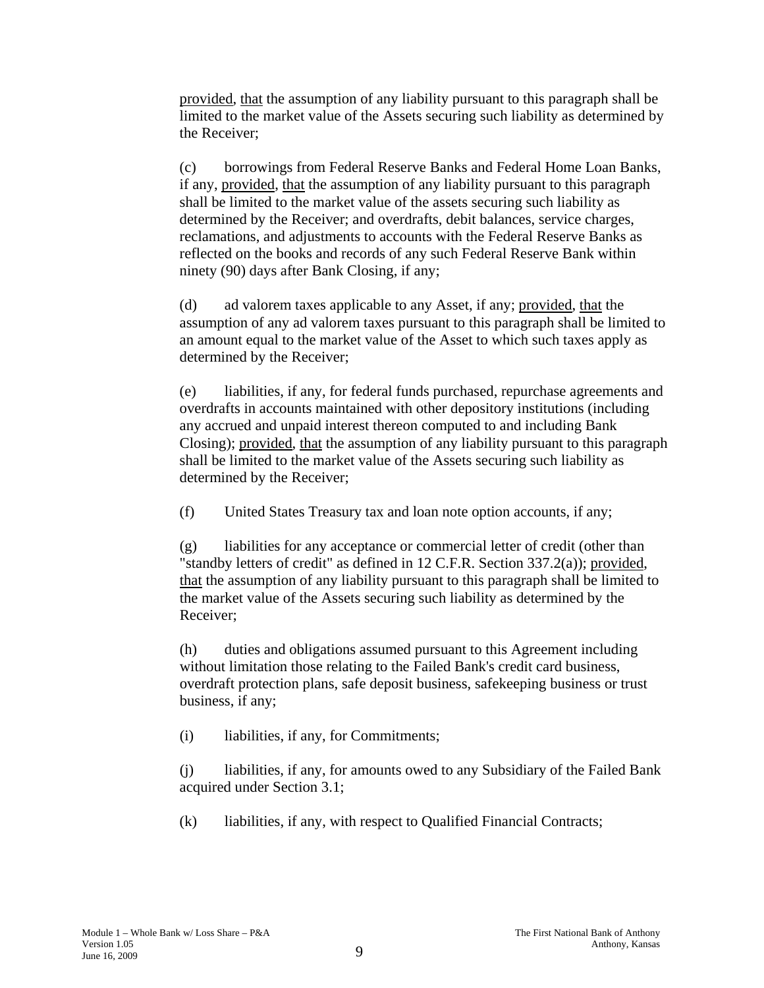provided, that the assumption of any liability pursuant to this paragraph shall be limited to the market value of the Assets securing such liability as determined by the Receiver;

(c) borrowings from Federal Reserve Banks and Federal Home Loan Banks, if any, provided, that the assumption of any liability pursuant to this paragraph shall be limited to the market value of the assets securing such liability as determined by the Receiver; and overdrafts, debit balances, service charges, reclamations, and adjustments to accounts with the Federal Reserve Banks as reflected on the books and records of any such Federal Reserve Bank within ninety (90) days after Bank Closing, if any;

(d) ad valorem taxes applicable to any Asset, if any; provided, that the assumption of any ad valorem taxes pursuant to this paragraph shall be limited to an amount equal to the market value of the Asset to which such taxes apply as determined by the Receiver;

(e) liabilities, if any, for federal funds purchased, repurchase agreements and overdrafts in accounts maintained with other depository institutions (including any accrued and unpaid interest thereon computed to and including Bank Closing); provided, that the assumption of any liability pursuant to this paragraph shall be limited to the market value of the Assets securing such liability as determined by the Receiver;

(f) United States Treasury tax and loan note option accounts, if any;

(g) liabilities for any acceptance or commercial letter of credit (other than "standby letters of credit" as defined in 12 C.F.R. Section 337.2(a)); provided, that the assumption of any liability pursuant to this paragraph shall be limited to the market value of the Assets securing such liability as determined by the Receiver;

(h) duties and obligations assumed pursuant to this Agreement including without limitation those relating to the Failed Bank's credit card business, overdraft protection plans, safe deposit business, safekeeping business or trust business, if any;

(i) liabilities, if any, for Commitments;

(j) liabilities, if any, for amounts owed to any Subsidiary of the Failed Bank acquired under Section 3.1;

(k) liabilities, if any, with respect to Qualified Financial Contracts;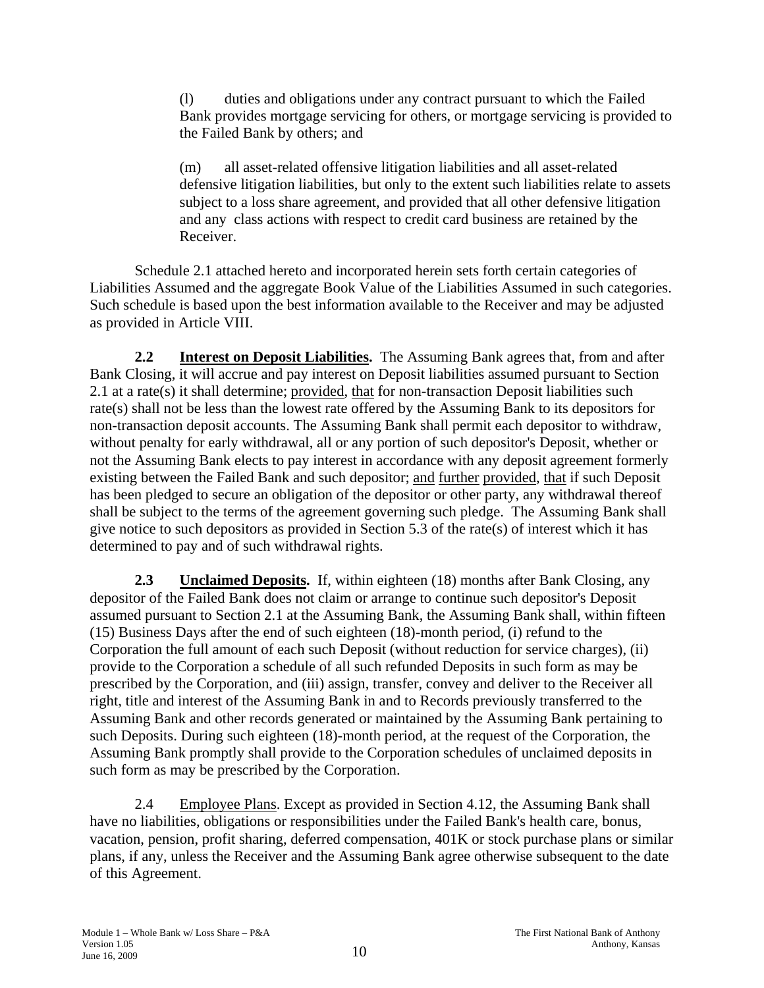(l) duties and obligations under any contract pursuant to which the Failed Bank provides mortgage servicing for others, or mortgage servicing is provided to the Failed Bank by others; and

Receiver. (m) all asset-related offensive litigation liabilities and all asset-related defensive litigation liabilities, but only to the extent such liabilities relate to assets subject to a loss share agreement, and provided that all other defensive litigation and any class actions with respect to credit card business are retained by the

Schedule 2.1 attached hereto and incorporated herein sets forth certain categories of Liabilities Assumed and the aggregate Book Value of the Liabilities Assumed in such categories. Such schedule is based upon the best information available to the Receiver and may be adjusted as provided in Article VIII.

<span id="page-13-0"></span>**2.2 Interest on Deposit Liabilities.** The Assuming Bank agrees that, from and after Bank Closing, it will accrue and pay interest on Deposit liabilities assumed pursuant to Section 2.1 at a rate(s) it shall determine; provided, that for non-transaction Deposit liabilities such rate(s) shall not be less than the lowest rate offered by the Assuming Bank to its depositors for non-transaction deposit accounts. The Assuming Bank shall permit each depositor to withdraw, without penalty for early withdrawal, all or any portion of such depositor's Deposit, whether or not the Assuming Bank elects to pay interest in accordance with any deposit agreement formerly existing between the Failed Bank and such depositor; and further provided, that if such Deposit has been pledged to secure an obligation of the depositor or other party, any withdrawal thereof shall be subject to the terms of the agreement governing such pledge. The Assuming Bank shall give notice to such depositors as provided in Section 5.3 of the rate(s) of interest which it has determined to pay and of such withdrawal rights.

<span id="page-13-1"></span>**2.3 Unclaimed Deposits.** If, within eighteen (18) months after Bank Closing, any depositor of the Failed Bank does not claim or arrange to continue such depositor's Deposit assumed pursuant to Section 2.1 at the Assuming Bank, the Assuming Bank shall, within fifteen (15) Business Days after the end of such eighteen (18)-month period, (i) refund to the Corporation the full amount of each such Deposit (without reduction for service charges), (ii) provide to the Corporation a schedule of all such refunded Deposits in such form as may be prescribed by the Corporation, and (iii) assign, transfer, convey and deliver to the Receiver all right, title and interest of the Assuming Bank in and to Records previously transferred to the Assuming Bank and other records generated or maintained by the Assuming Bank pertaining to such Deposits. During such eighteen (18)-month period, at the request of the Corporation, the Assuming Bank promptly shall provide to the Corporation schedules of unclaimed deposits in such form as may be prescribed by the Corporation.

<span id="page-13-2"></span>2.4 Employee Plans. Except as provided in Section 4.12, the Assuming Bank shall have no liabilities, obligations or responsibilities under the Failed Bank's health care, bonus, vacation, pension, profit sharing, deferred compensation, 401K or stock purchase plans or similar plans, if any, unless the Receiver and the Assuming Bank agree otherwise subsequent to the date of this Agreement.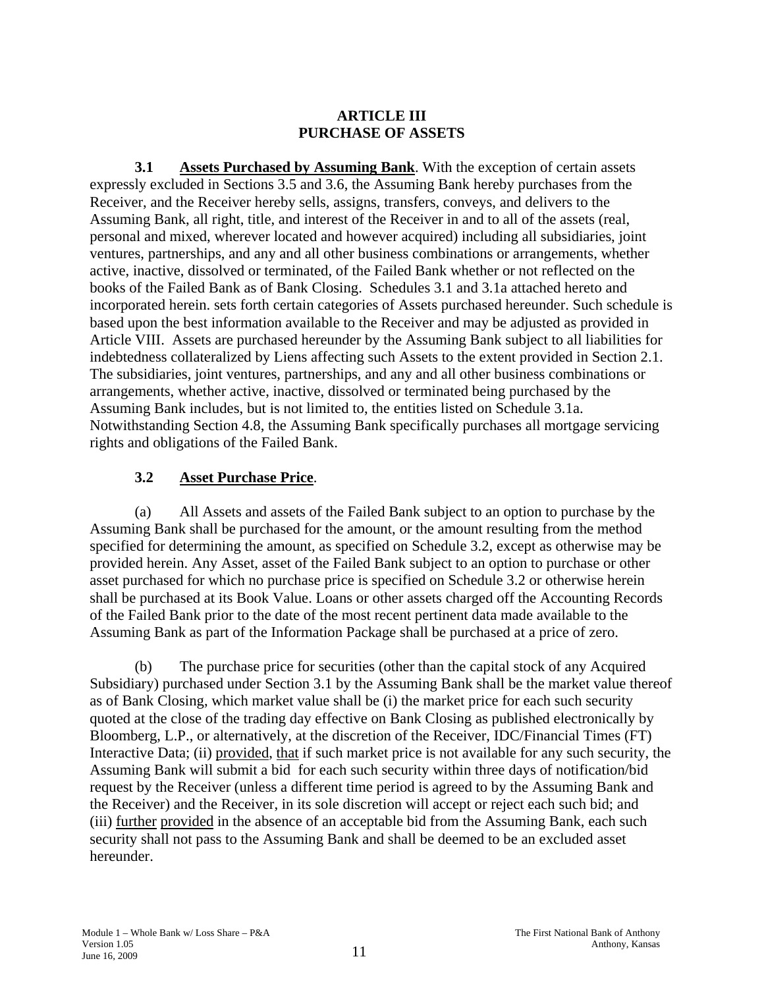### **ARTICLE III PURCHASE OF ASSETS**

<span id="page-14-1"></span><span id="page-14-0"></span>Assuming Bank includes, but is not limited to, the entities listed on Schedule 3.1a.  **3.1 Assets Purchased by Assuming Bank**. With the exception of certain assets expressly excluded in Sections 3.5 and 3.6, the Assuming Bank hereby purchases from the Receiver, and the Receiver hereby sells, assigns, transfers, conveys, and delivers to the Assuming Bank, all right, title, and interest of the Receiver in and to all of the assets (real, personal and mixed, wherever located and however acquired) including all subsidiaries, joint ventures, partnerships, and any and all other business combinations or arrangements, whether active, inactive, dissolved or terminated, of the Failed Bank whether or not reflected on the books of the Failed Bank as of Bank Closing. Schedules 3.1 and 3.1a attached hereto and incorporated herein. sets forth certain categories of Assets purchased hereunder. Such schedule is based upon the best information available to the Receiver and may be adjusted as provided in Article VIII. Assets are purchased hereunder by the Assuming Bank subject to all liabilities for indebtedness collateralized by Liens affecting such Assets to the extent provided in Section 2.1. The subsidiaries, joint ventures, partnerships, and any and all other business combinations or arrangements, whether active, inactive, dissolved or terminated being purchased by the Notwithstanding Section 4.8, the Assuming Bank specifically purchases all mortgage servicing rights and obligations of the Failed Bank.

## **3.2 Asset Purchase Price**.

<span id="page-14-2"></span>(a) All Assets and assets of the Failed Bank subject to an option to purchase by the Assuming Bank shall be purchased for the amount, or the amount resulting from the method specified for determining the amount, as specified on Schedule 3.2, except as otherwise may be provided herein. Any Asset, asset of the Failed Bank subject to an option to purchase or other asset purchased for which no purchase price is specified on Schedule 3.2 or otherwise herein shall be purchased at its Book Value. Loans or other assets charged off the Accounting Records of the Failed Bank prior to the date of the most recent pertinent data made available to the Assuming Bank as part of the Information Package shall be purchased at a price of zero.

(b) The purchase price for securities (other than the capital stock of any Acquired Subsidiary) purchased under Section 3.1 by the Assuming Bank shall be the market value thereof as of Bank Closing, which market value shall be (i) the market price for each such security quoted at the close of the trading day effective on Bank Closing as published electronically by Bloomberg, L.P., or alternatively, at the discretion of the Receiver, IDC/Financial Times (FT) Interactive Data; (ii) provided, that if such market price is not available for any such security, the Assuming Bank will submit a bid for each such security within three days of notification/bid request by the Receiver (unless a different time period is agreed to by the Assuming Bank and the Receiver) and the Receiver, in its sole discretion will accept or reject each such bid; and (iii) further provided in the absence of an acceptable bid from the Assuming Bank, each such security shall not pass to the Assuming Bank and shall be deemed to be an excluded asset hereunder.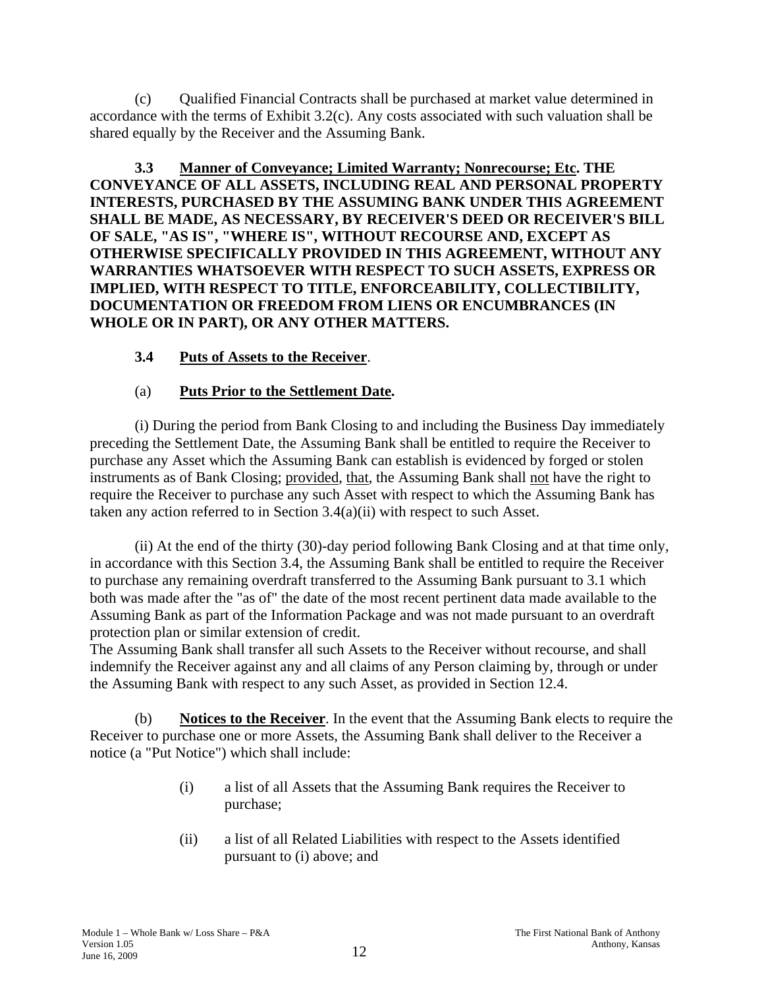(c) Qualified Financial Contracts shall be purchased at market value determined in accordance with the terms of Exhibit 3.2(c). Any costs associated with such valuation shall be shared equally by the Receiver and the Assuming Bank.

<span id="page-15-0"></span>**3.3 Manner of Conveyance; Limited Warranty; Nonrecourse; Etc. THE CONVEYANCE OF ALL ASSETS, INCLUDING REAL AND PERSONAL PROPERTY INTERESTS, PURCHASED BY THE ASSUMING BANK UNDER THIS AGREEMENT SHALL BE MADE, AS NECESSARY, BY RECEIVER'S DEED OR RECEIVER'S BILL OF SALE, "AS IS", "WHERE IS", WITHOUT RECOURSE AND, EXCEPT AS OTHERWISE SPECIFICALLY PROVIDED IN THIS AGREEMENT, WITHOUT ANY WARRANTIES WHATSOEVER WITH RESPECT TO SUCH ASSETS, EXPRESS OR IMPLIED, WITH RESPECT TO TITLE, ENFORCEABILITY, COLLECTIBILITY, DOCUMENTATION OR FREEDOM FROM LIENS OR ENCUMBRANCES (IN WHOLE OR IN PART), OR ANY OTHER MATTERS.** 

## **3.4 Puts of Assets to the Receiver**.

## (a) **Puts Prior to the Settlement Date.**

<span id="page-15-1"></span>(i) During the period from Bank Closing to and including the Business Day immediately preceding the Settlement Date, the Assuming Bank shall be entitled to require the Receiver to purchase any Asset which the Assuming Bank can establish is evidenced by forged or stolen instruments as of Bank Closing; provided, that, the Assuming Bank shall not have the right to require the Receiver to purchase any such Asset with respect to which the Assuming Bank has taken any action referred to in Section 3.4(a)(ii) with respect to such Asset.

(ii) At the end of the thirty (30)-day period following Bank Closing and at that time only, in accordance with this Section 3.4, the Assuming Bank shall be entitled to require the Receiver to purchase any remaining overdraft transferred to the Assuming Bank pursuant to 3.1 which both was made after the "as of" the date of the most recent pertinent data made available to the Assuming Bank as part of the Information Package and was not made pursuant to an overdraft protection plan or similar extension of credit.

The Assuming Bank shall transfer all such Assets to the Receiver without recourse, and shall indemnify the Receiver against any and all claims of any Person claiming by, through or under the Assuming Bank with respect to any such Asset, as provided in Section 12.4.

(b) **Notices to the Receiver**. In the event that the Assuming Bank elects to require the Receiver to purchase one or more Assets, the Assuming Bank shall deliver to the Receiver a notice (a "Put Notice") which shall include:

- (i) a list of all Assets that the Assuming Bank requires the Receiver to purchase;
- (ii) a list of all Related Liabilities with respect to the Assets identified pursuant to (i) above; and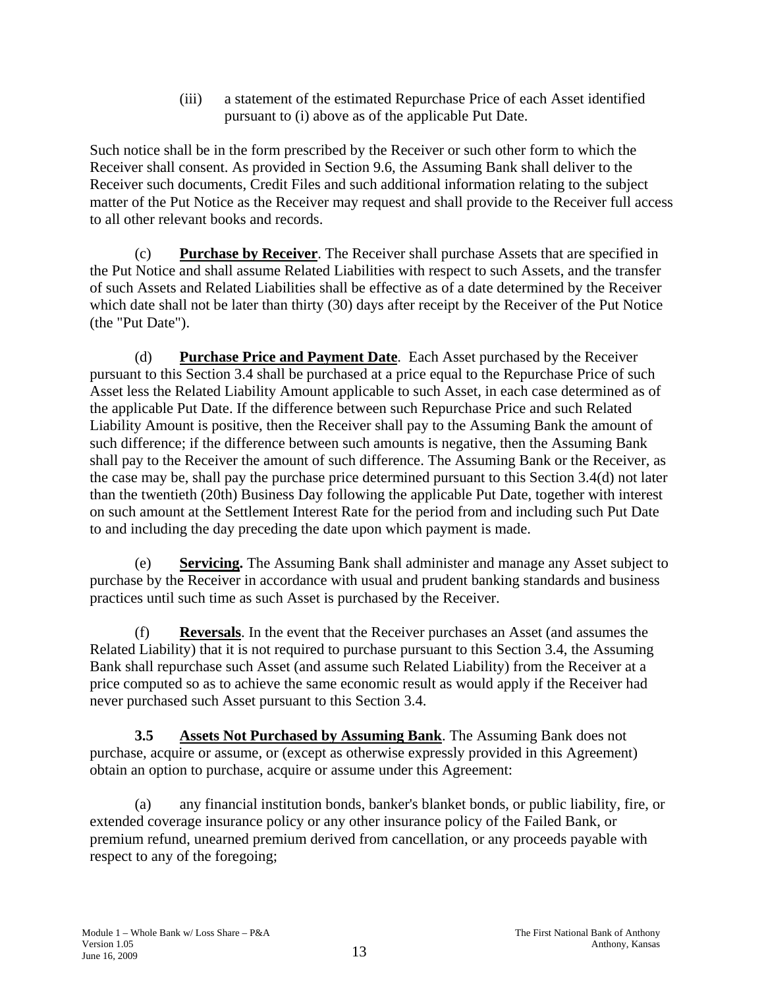(iii) a statement of the estimated Repurchase Price of each Asset identified pursuant to (i) above as of the applicable Put Date.

Such notice shall be in the form prescribed by the Receiver or such other form to which the Receiver shall consent. As provided in Section 9.6, the Assuming Bank shall deliver to the Receiver such documents, Credit Files and such additional information relating to the subject matter of the Put Notice as the Receiver may request and shall provide to the Receiver full access to all other relevant books and records.

(c) **Purchase by Receiver**. The Receiver shall purchase Assets that are specified in the Put Notice and shall assume Related Liabilities with respect to such Assets, and the transfer of such Assets and Related Liabilities shall be effective as of a date determined by the Receiver which date shall not be later than thirty (30) days after receipt by the Receiver of the Put Notice (the "Put Date").

(d) **Purchase Price and Payment Date**. Each Asset purchased by the Receiver pursuant to this Section 3.4 shall be purchased at a price equal to the Repurchase Price of such Asset less the Related Liability Amount applicable to such Asset, in each case determined as of the applicable Put Date. If the difference between such Repurchase Price and such Related Liability Amount is positive, then the Receiver shall pay to the Assuming Bank the amount of such difference; if the difference between such amounts is negative, then the Assuming Bank shall pay to the Receiver the amount of such difference. The Assuming Bank or the Receiver, as the case may be, shall pay the purchase price determined pursuant to this Section 3.4(d) not later than the twentieth (20th) Business Day following the applicable Put Date, together with interest on such amount at the Settlement Interest Rate for the period from and including such Put Date to and including the day preceding the date upon which payment is made.

(e) **Servicing.** The Assuming Bank shall administer and manage any Asset subject to purchase by the Receiver in accordance with usual and prudent banking standards and business practices until such time as such Asset is purchased by the Receiver.

(f) **Reversals**. In the event that the Receiver purchases an Asset (and assumes the Related Liability) that it is not required to purchase pursuant to this Section 3.4, the Assuming Bank shall repurchase such Asset (and assume such Related Liability) from the Receiver at a price computed so as to achieve the same economic result as would apply if the Receiver had never purchased such Asset pursuant to this Section 3.4.

<span id="page-16-0"></span>**3.5 Assets Not Purchased by Assuming Bank**. The Assuming Bank does not purchase, acquire or assume, or (except as otherwise expressly provided in this Agreement) obtain an option to purchase, acquire or assume under this Agreement:

(a) any financial institution bonds, banker's blanket bonds, or public liability, fire, or extended coverage insurance policy or any other insurance policy of the Failed Bank, or premium refund, unearned premium derived from cancellation, or any proceeds payable with respect to any of the foregoing;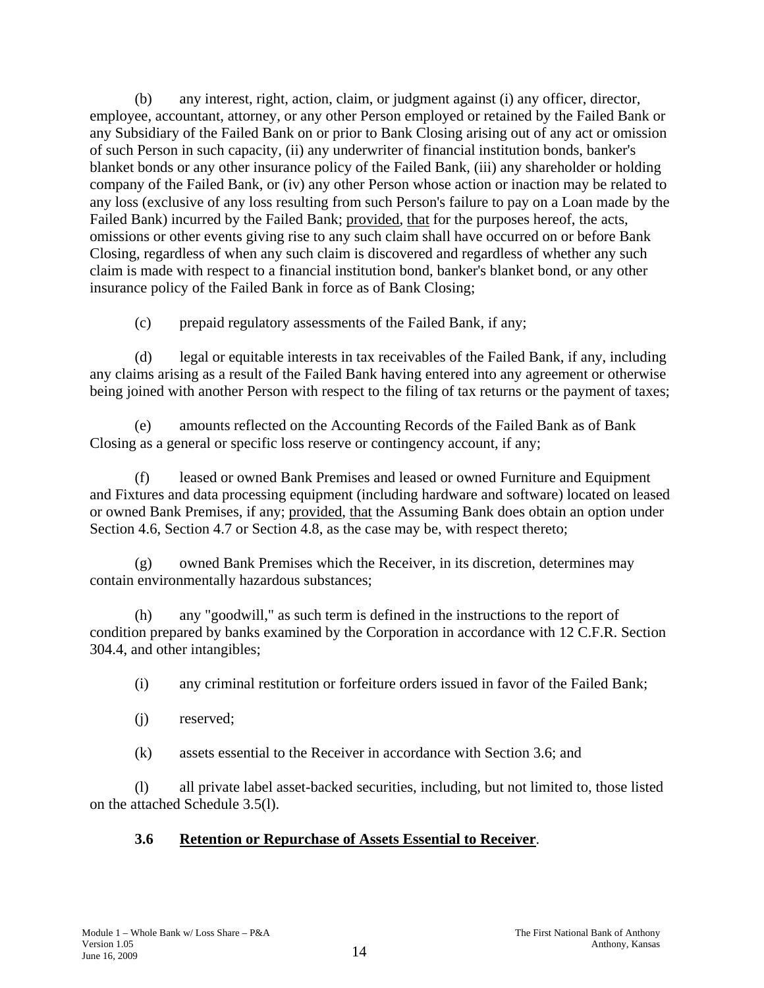(b) any interest, right, action, claim, or judgment against (i) any officer, director, employee, accountant, attorney, or any other Person employed or retained by the Failed Bank or any Subsidiary of the Failed Bank on or prior to Bank Closing arising out of any act or omission of such Person in such capacity, (ii) any underwriter of financial institution bonds, banker's blanket bonds or any other insurance policy of the Failed Bank, (iii) any shareholder or holding company of the Failed Bank, or (iv) any other Person whose action or inaction may be related to any loss (exclusive of any loss resulting from such Person's failure to pay on a Loan made by the Failed Bank) incurred by the Failed Bank; provided, that for the purposes hereof, the acts, omissions or other events giving rise to any such claim shall have occurred on or before Bank Closing, regardless of when any such claim is discovered and regardless of whether any such claim is made with respect to a financial institution bond, banker's blanket bond, or any other insurance policy of the Failed Bank in force as of Bank Closing;

(c) prepaid regulatory assessments of the Failed Bank, if any;

(d) legal or equitable interests in tax receivables of the Failed Bank, if any, including any claims arising as a result of the Failed Bank having entered into any agreement or otherwise being joined with another Person with respect to the filing of tax returns or the payment of taxes;

(e) amounts reflected on the Accounting Records of the Failed Bank as of Bank Closing as a general or specific loss reserve or contingency account, if any;

(f) leased or owned Bank Premises and leased or owned Furniture and Equipment and Fixtures and data processing equipment (including hardware and software) located on leased or owned Bank Premises, if any; provided, that the Assuming Bank does obtain an option under Section 4.6, Section 4.7 or Section 4.8, as the case may be, with respect thereto;

(g) owned Bank Premises which the Receiver, in its discretion, determines may contain environmentally hazardous substances;

(h) any "goodwill," as such term is defined in the instructions to the report of condition prepared by banks examined by the Corporation in accordance with 12 C.F.R. Section 304.4, and other intangibles;

(i) any criminal restitution or forfeiture orders issued in favor of the Failed Bank;

(j) reserved;

(k) assets essential to the Receiver in accordance with Section 3.6; and

<span id="page-17-0"></span>(l) all private label asset-backed securities, including, but not limited to, those listed on the attached Schedule 3.5(l).

## **3.6 Retention or Repurchase of Assets Essential to Receiver**.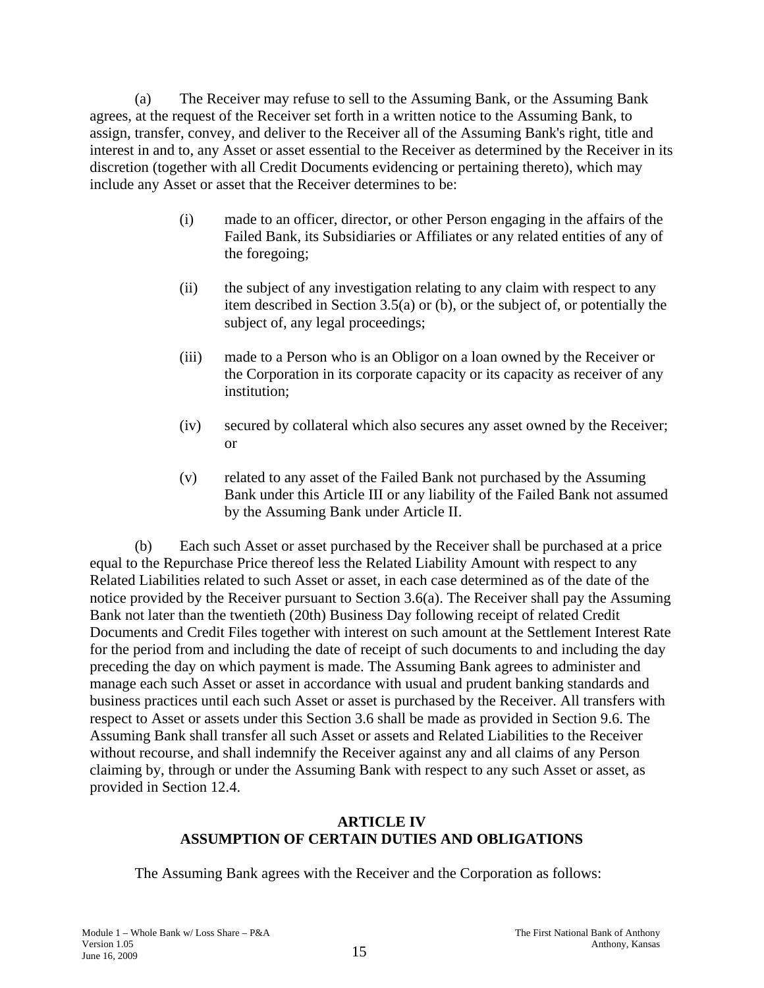(a) The Receiver may refuse to sell to the Assuming Bank, or the Assuming Bank agrees, at the request of the Receiver set forth in a written notice to the Assuming Bank, to assign, transfer, convey, and deliver to the Receiver all of the Assuming Bank's right, title and interest in and to, any Asset or asset essential to the Receiver as determined by the Receiver in its discretion (together with all Credit Documents evidencing or pertaining thereto), which may include any Asset or asset that the Receiver determines to be:

- (i) made to an officer, director, or other Person engaging in the affairs of the Failed Bank, its Subsidiaries or Affiliates or any related entities of any of the foregoing;
- (ii) the subject of any investigation relating to any claim with respect to any item described in Section 3.5(a) or (b), or the subject of, or potentially the subject of, any legal proceedings;
- (iii) made to a Person who is an Obligor on a loan owned by the Receiver or the Corporation in its corporate capacity or its capacity as receiver of any institution;
- (iv) secured by collateral which also secures any asset owned by the Receiver; or
- (v) related to any asset of the Failed Bank not purchased by the Assuming Bank under this Article III or any liability of the Failed Bank not assumed by the Assuming Bank under Article II.

(b) Each such Asset or asset purchased by the Receiver shall be purchased at a price equal to the Repurchase Price thereof less the Related Liability Amount with respect to any Related Liabilities related to such Asset or asset, in each case determined as of the date of the notice provided by the Receiver pursuant to Section 3.6(a). The Receiver shall pay the Assuming Bank not later than the twentieth (20th) Business Day following receipt of related Credit Documents and Credit Files together with interest on such amount at the Settlement Interest Rate for the period from and including the date of receipt of such documents to and including the day preceding the day on which payment is made. The Assuming Bank agrees to administer and manage each such Asset or asset in accordance with usual and prudent banking standards and business practices until each such Asset or asset is purchased by the Receiver. All transfers with respect to Asset or assets under this Section 3.6 shall be made as provided in Section 9.6. The Assuming Bank shall transfer all such Asset or assets and Related Liabilities to the Receiver without recourse, and shall indemnify the Receiver against any and all claims of any Person claiming by, through or under the Assuming Bank with respect to any such Asset or asset, as provided in Section 12.4.

#### **ARTICLE IV ASSUMPTION OF CERTAIN DUTIES AND OBLIGATIONS**

<span id="page-18-0"></span>The Assuming Bank agrees with the Receiver and the Corporation as follows: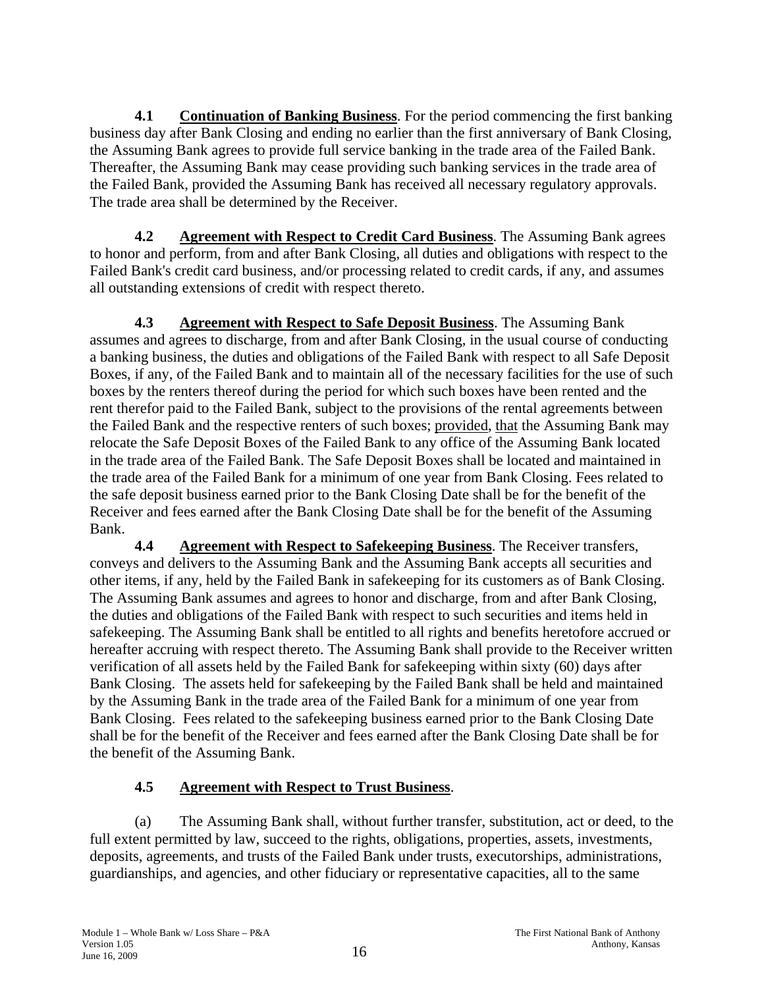<span id="page-19-0"></span>**4.1** Continuation of Banking Business. For the period commencing the first banking business day after Bank Closing and ending no earlier than the first anniversary of Bank Closing, the Assuming Bank agrees to provide full service banking in the trade area of the Failed Bank. Thereafter, the Assuming Bank may cease providing such banking services in the trade area of the Failed Bank, provided the Assuming Bank has received all necessary regulatory approvals. The trade area shall be determined by the Receiver.

<span id="page-19-1"></span>**4.2 Agreement with Respect to Credit Card Business**. The Assuming Bank agrees to honor and perform, from and after Bank Closing, all duties and obligations with respect to the Failed Bank's credit card business, and/or processing related to credit cards, if any, and assumes all outstanding extensions of credit with respect thereto.

**4.3 Agreement with Respect to Safe Deposit Business**. The Assuming Bank assumes and agrees to discharge, from and after Bank Closing, in the usual course of conducting a banking business, the duties and obligations of the Failed Bank with respect to all Safe Deposit Boxes, if any, of the Failed Bank and to maintain all of the necessary facilities for the use of such boxes by the renters thereof during the period for which such boxes have been rented and the rent therefor paid to the Failed Bank, subject to the provisions of the rental agreements between the Failed Bank and the respective renters of such boxes; provided, that the Assuming Bank may relocate the Safe Deposit Boxes of the Failed Bank to any office of the Assuming Bank located in the trade area of the Failed Bank. The Safe Deposit Boxes shall be located and maintained in the trade area of the Failed Bank for a minimum of one year from Bank Closing. Fees related to the safe deposit business earned prior to the Bank Closing Date shall be for the benefit of the Receiver and fees earned after the Bank Closing Date shall be for the benefit of the Assuming Bank.

<span id="page-19-2"></span>**4.4 Agreement with Respect to Safekeeping Business**. The Receiver transfers, conveys and delivers to the Assuming Bank and the Assuming Bank accepts all securities and other items, if any, held by the Failed Bank in safekeeping for its customers as of Bank Closing. The Assuming Bank assumes and agrees to honor and discharge, from and after Bank Closing, the duties and obligations of the Failed Bank with respect to such securities and items held in safekeeping. The Assuming Bank shall be entitled to all rights and benefits heretofore accrued or hereafter accruing with respect thereto. The Assuming Bank shall provide to the Receiver written verification of all assets held by the Failed Bank for safekeeping within sixty (60) days after Bank Closing. The assets held for safekeeping by the Failed Bank shall be held and maintained by the Assuming Bank in the trade area of the Failed Bank for a minimum of one year from Bank Closing. Fees related to the safekeeping business earned prior to the Bank Closing Date shall be for the benefit of the Receiver and fees earned after the Bank Closing Date shall be for the benefit of the Assuming Bank.

# **4.5 Agreement with Respect to Trust Business**.

<span id="page-19-3"></span>(a) The Assuming Bank shall, without further transfer, substitution, act or deed, to the full extent permitted by law, succeed to the rights, obligations, properties, assets, investments, deposits, agreements, and trusts of the Failed Bank under trusts, executorships, administrations, guardianships, and agencies, and other fiduciary or representative capacities, all to the same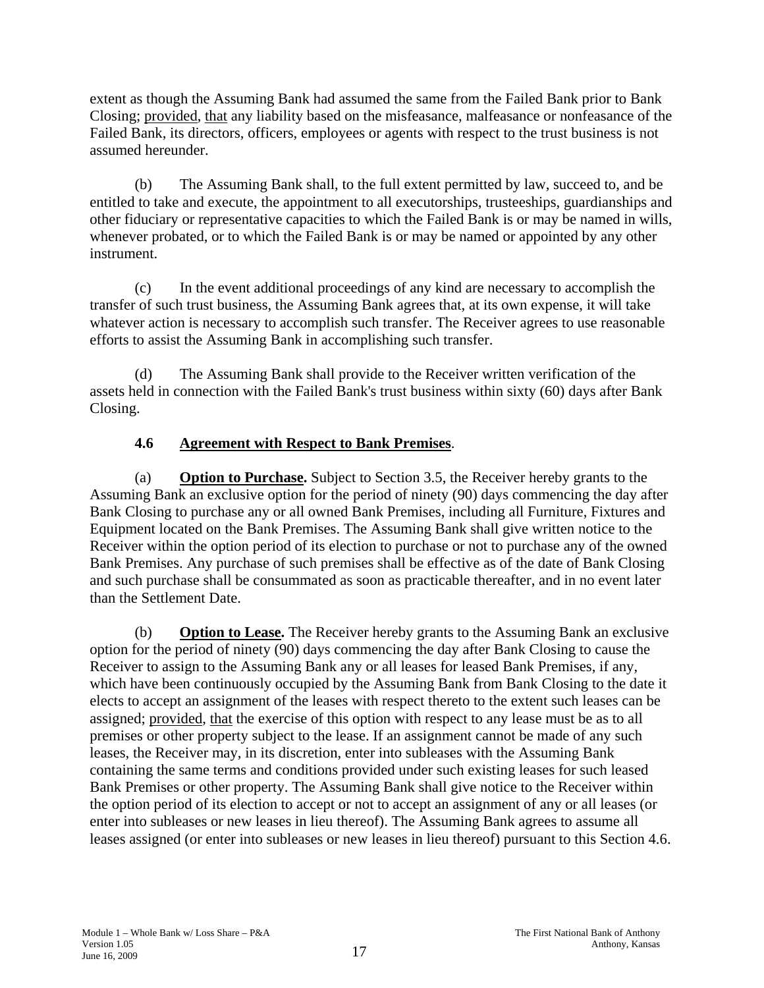extent as though the Assuming Bank had assumed the same from the Failed Bank prior to Bank Closing; provided, that any liability based on the misfeasance, malfeasance or nonfeasance of the Failed Bank, its directors, officers, employees or agents with respect to the trust business is not assumed hereunder.

(b) The Assuming Bank shall, to the full extent permitted by law, succeed to, and be entitled to take and execute, the appointment to all executorships, trusteeships, guardianships and other fiduciary or representative capacities to which the Failed Bank is or may be named in wills, whenever probated, or to which the Failed Bank is or may be named or appointed by any other instrument.

(c) In the event additional proceedings of any kind are necessary to accomplish the transfer of such trust business, the Assuming Bank agrees that, at its own expense, it will take whatever action is necessary to accomplish such transfer. The Receiver agrees to use reasonable efforts to assist the Assuming Bank in accomplishing such transfer.

(d) The Assuming Bank shall provide to the Receiver written verification of the assets held in connection with the Failed Bank's trust business within sixty (60) days after Bank Closing.

## **4.6 Agreement with Respect to Bank Premises**.

<span id="page-20-0"></span>(a) **Option to Purchase.** Subject to Section 3.5, the Receiver hereby grants to the Assuming Bank an exclusive option for the period of ninety (90) days commencing the day after Bank Closing to purchase any or all owned Bank Premises, including all Furniture, Fixtures and Equipment located on the Bank Premises. The Assuming Bank shall give written notice to the Receiver within the option period of its election to purchase or not to purchase any of the owned Bank Premises. Any purchase of such premises shall be effective as of the date of Bank Closing and such purchase shall be consummated as soon as practicable thereafter, and in no event later than the Settlement Date.

(b) **Option to Lease.** The Receiver hereby grants to the Assuming Bank an exclusive option for the period of ninety (90) days commencing the day after Bank Closing to cause the Receiver to assign to the Assuming Bank any or all leases for leased Bank Premises, if any, which have been continuously occupied by the Assuming Bank from Bank Closing to the date it elects to accept an assignment of the leases with respect thereto to the extent such leases can be assigned; provided, that the exercise of this option with respect to any lease must be as to all premises or other property subject to the lease. If an assignment cannot be made of any such leases, the Receiver may, in its discretion, enter into subleases with the Assuming Bank containing the same terms and conditions provided under such existing leases for such leased Bank Premises or other property. The Assuming Bank shall give notice to the Receiver within the option period of its election to accept or not to accept an assignment of any or all leases (or enter into subleases or new leases in lieu thereof). The Assuming Bank agrees to assume all leases assigned (or enter into subleases or new leases in lieu thereof) pursuant to this Section 4.6.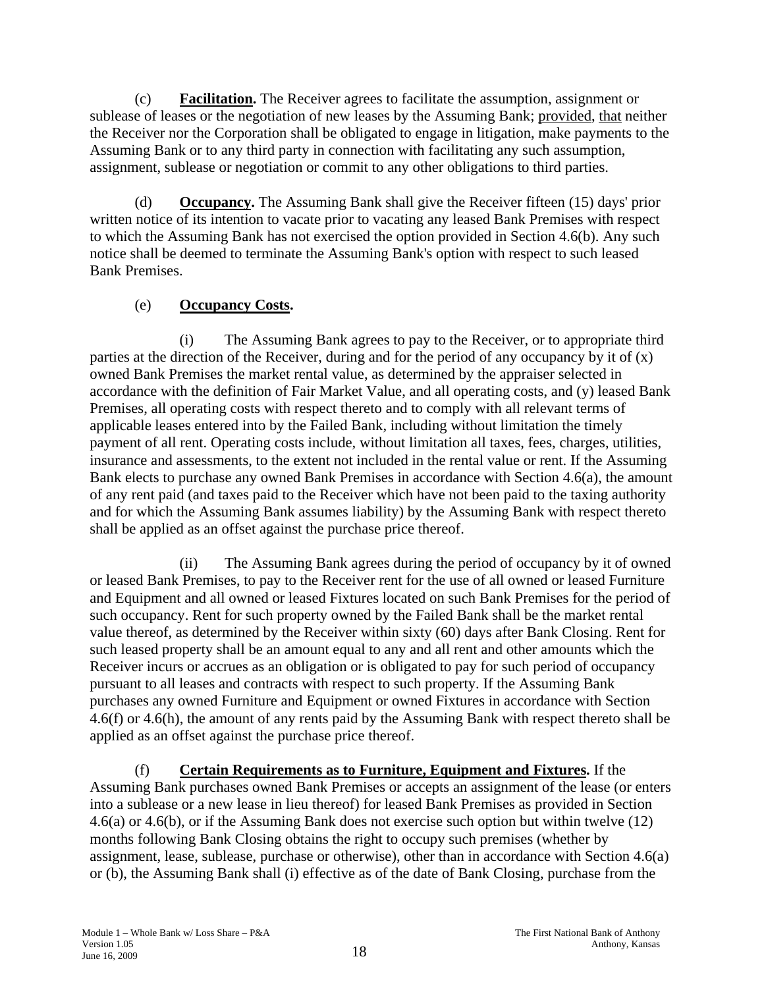(c) **Facilitation.** The Receiver agrees to facilitate the assumption, assignment or sublease of leases or the negotiation of new leases by the Assuming Bank; provided, that neither the Receiver nor the Corporation shall be obligated to engage in litigation, make payments to the Assuming Bank or to any third party in connection with facilitating any such assumption, assignment, sublease or negotiation or commit to any other obligations to third parties.

(d) **Occupancy.** The Assuming Bank shall give the Receiver fifteen (15) days' prior written notice of its intention to vacate prior to vacating any leased Bank Premises with respect to which the Assuming Bank has not exercised the option provided in Section 4.6(b). Any such notice shall be deemed to terminate the Assuming Bank's option with respect to such leased Bank Premises.

# (e) **Occupancy Costs.**

(i) The Assuming Bank agrees to pay to the Receiver, or to appropriate third parties at the direction of the Receiver, during and for the period of any occupancy by it of (x) owned Bank Premises the market rental value, as determined by the appraiser selected in accordance with the definition of Fair Market Value, and all operating costs, and (y) leased Bank Premises, all operating costs with respect thereto and to comply with all relevant terms of applicable leases entered into by the Failed Bank, including without limitation the timely payment of all rent. Operating costs include, without limitation all taxes, fees, charges, utilities, insurance and assessments, to the extent not included in the rental value or rent. If the Assuming Bank elects to purchase any owned Bank Premises in accordance with Section 4.6(a), the amount of any rent paid (and taxes paid to the Receiver which have not been paid to the taxing authority and for which the Assuming Bank assumes liability) by the Assuming Bank with respect thereto shall be applied as an offset against the purchase price thereof.

(ii) The Assuming Bank agrees during the period of occupancy by it of owned or leased Bank Premises, to pay to the Receiver rent for the use of all owned or leased Furniture and Equipment and all owned or leased Fixtures located on such Bank Premises for the period of such occupancy. Rent for such property owned by the Failed Bank shall be the market rental value thereof, as determined by the Receiver within sixty (60) days after Bank Closing. Rent for such leased property shall be an amount equal to any and all rent and other amounts which the Receiver incurs or accrues as an obligation or is obligated to pay for such period of occupancy pursuant to all leases and contracts with respect to such property. If the Assuming Bank purchases any owned Furniture and Equipment or owned Fixtures in accordance with Section 4.6(f) or 4.6(h), the amount of any rents paid by the Assuming Bank with respect thereto shall be applied as an offset against the purchase price thereof.

(f) **Certain Requirements as to Furniture, Equipment and Fixtures.** If the Assuming Bank purchases owned Bank Premises or accepts an assignment of the lease (or enters into a sublease or a new lease in lieu thereof) for leased Bank Premises as provided in Section 4.6(a) or 4.6(b), or if the Assuming Bank does not exercise such option but within twelve (12) months following Bank Closing obtains the right to occupy such premises (whether by assignment, lease, sublease, purchase or otherwise), other than in accordance with Section 4.6(a) or (b), the Assuming Bank shall (i) effective as of the date of Bank Closing, purchase from the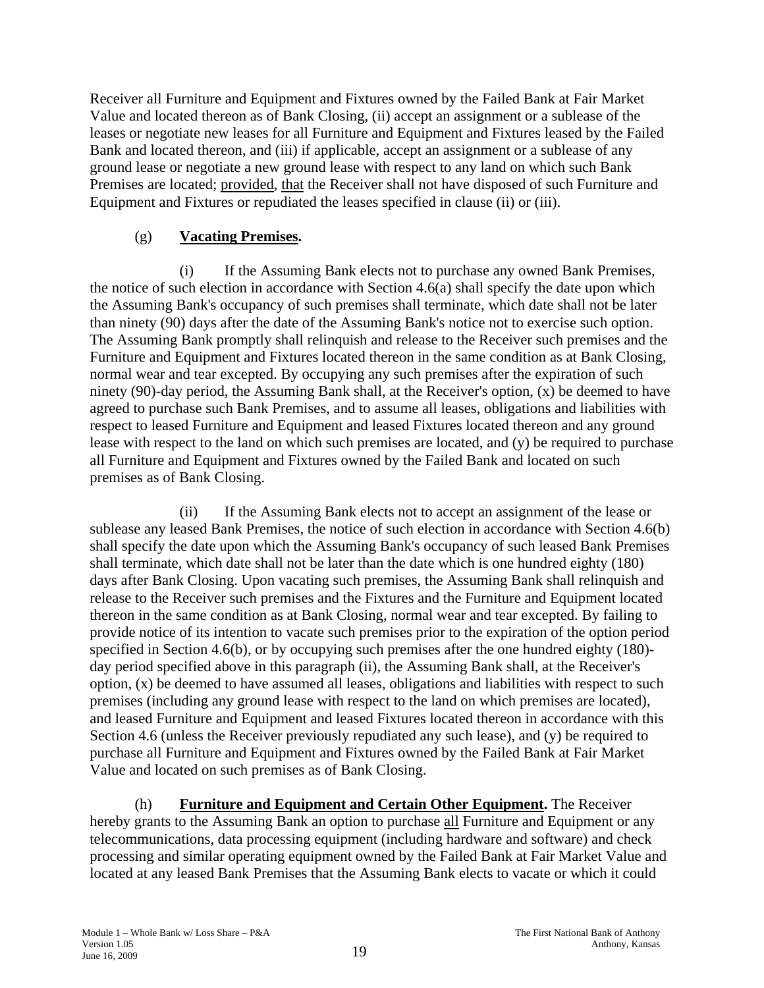Receiver all Furniture and Equipment and Fixtures owned by the Failed Bank at Fair Market Value and located thereon as of Bank Closing, (ii) accept an assignment or a sublease of the leases or negotiate new leases for all Furniture and Equipment and Fixtures leased by the Failed Bank and located thereon, and (iii) if applicable, accept an assignment or a sublease of any ground lease or negotiate a new ground lease with respect to any land on which such Bank Premises are located; provided, that the Receiver shall not have disposed of such Furniture and Equipment and Fixtures or repudiated the leases specified in clause (ii) or (iii).

## (g) **Vacating Premises.**

(i) If the Assuming Bank elects not to purchase any owned Bank Premises, the notice of such election in accordance with Section 4.6(a) shall specify the date upon which the Assuming Bank's occupancy of such premises shall terminate, which date shall not be later than ninety (90) days after the date of the Assuming Bank's notice not to exercise such option. The Assuming Bank promptly shall relinquish and release to the Receiver such premises and the Furniture and Equipment and Fixtures located thereon in the same condition as at Bank Closing, normal wear and tear excepted. By occupying any such premises after the expiration of such ninety (90)-day period, the Assuming Bank shall, at the Receiver's option, (x) be deemed to have agreed to purchase such Bank Premises, and to assume all leases, obligations and liabilities with respect to leased Furniture and Equipment and leased Fixtures located thereon and any ground lease with respect to the land on which such premises are located, and (y) be required to purchase all Furniture and Equipment and Fixtures owned by the Failed Bank and located on such premises as of Bank Closing.

(ii) If the Assuming Bank elects not to accept an assignment of the lease or sublease any leased Bank Premises, the notice of such election in accordance with Section 4.6(b) shall specify the date upon which the Assuming Bank's occupancy of such leased Bank Premises shall terminate, which date shall not be later than the date which is one hundred eighty (180) days after Bank Closing. Upon vacating such premises, the Assuming Bank shall relinquish and release to the Receiver such premises and the Fixtures and the Furniture and Equipment located thereon in the same condition as at Bank Closing, normal wear and tear excepted. By failing to provide notice of its intention to vacate such premises prior to the expiration of the option period specified in Section 4.6(b), or by occupying such premises after the one hundred eighty (180) day period specified above in this paragraph (ii), the Assuming Bank shall, at the Receiver's option, (x) be deemed to have assumed all leases, obligations and liabilities with respect to such premises (including any ground lease with respect to the land on which premises are located), and leased Furniture and Equipment and leased Fixtures located thereon in accordance with this Section 4.6 (unless the Receiver previously repudiated any such lease), and (y) be required to purchase all Furniture and Equipment and Fixtures owned by the Failed Bank at Fair Market Value and located on such premises as of Bank Closing.

(h) **Furniture and Equipment and Certain Other Equipment.** The Receiver hereby grants to the Assuming Bank an option to purchase all Furniture and Equipment or any telecommunications, data processing equipment (including hardware and software) and check processing and similar operating equipment owned by the Failed Bank at Fair Market Value and located at any leased Bank Premises that the Assuming Bank elects to vacate or which it could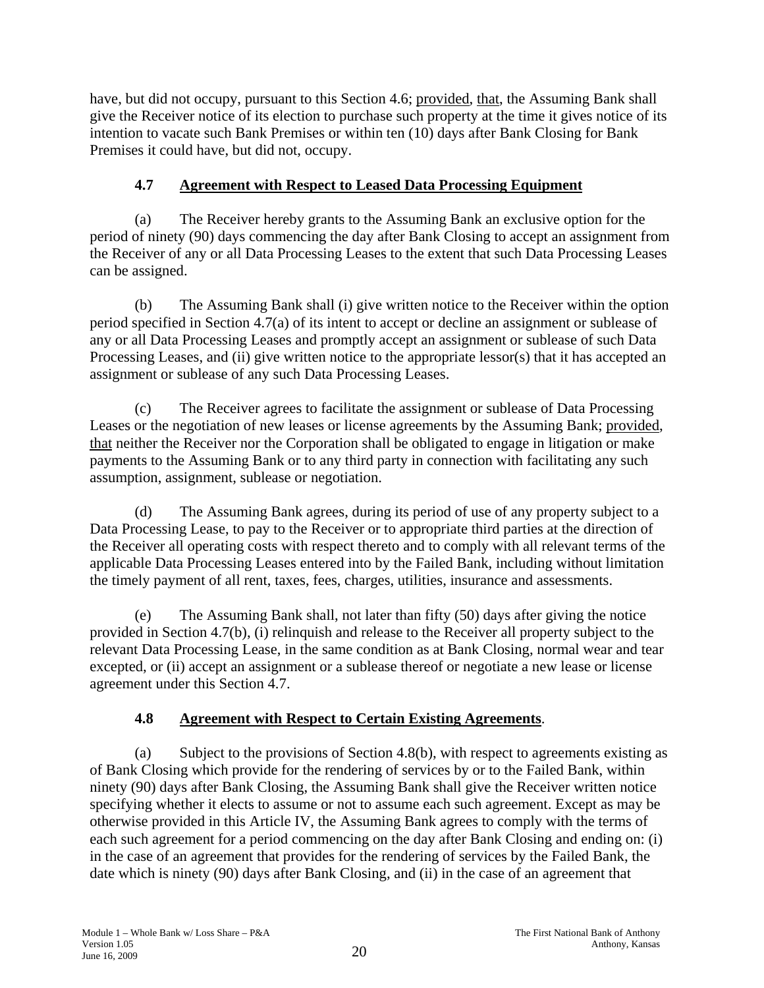have, but did not occupy, pursuant to this Section 4.6; provided, that, the Assuming Bank shall give the Receiver notice of its election to purchase such property at the time it gives notice of its intention to vacate such Bank Premises or within ten (10) days after Bank Closing for Bank Premises it could have, but did not, occupy.

# **4.7 Agreement with Respect to Leased Data Processing Equipment**

<span id="page-23-0"></span>(a) The Receiver hereby grants to the Assuming Bank an exclusive option for the period of ninety (90) days commencing the day after Bank Closing to accept an assignment from the Receiver of any or all Data Processing Leases to the extent that such Data Processing Leases can be assigned.

(b) The Assuming Bank shall (i) give written notice to the Receiver within the option period specified in Section 4.7(a) of its intent to accept or decline an assignment or sublease of any or all Data Processing Leases and promptly accept an assignment or sublease of such Data Processing Leases, and (ii) give written notice to the appropriate lessor(s) that it has accepted an assignment or sublease of any such Data Processing Leases.

(c) The Receiver agrees to facilitate the assignment or sublease of Data Processing Leases or the negotiation of new leases or license agreements by the Assuming Bank; provided, that neither the Receiver nor the Corporation shall be obligated to engage in litigation or make payments to the Assuming Bank or to any third party in connection with facilitating any such assumption, assignment, sublease or negotiation.

(d) The Assuming Bank agrees, during its period of use of any property subject to a Data Processing Lease, to pay to the Receiver or to appropriate third parties at the direction of the Receiver all operating costs with respect thereto and to comply with all relevant terms of the applicable Data Processing Leases entered into by the Failed Bank, including without limitation the timely payment of all rent, taxes, fees, charges, utilities, insurance and assessments.

(e) The Assuming Bank shall, not later than fifty (50) days after giving the notice provided in Section 4.7(b), (i) relinquish and release to the Receiver all property subject to the relevant Data Processing Lease, in the same condition as at Bank Closing, normal wear and tear excepted, or (ii) accept an assignment or a sublease thereof or negotiate a new lease or license agreement under this Section 4.7.

# **4.8 Agreement with Respect to Certain Existing Agreements**.

<span id="page-23-1"></span>(a) Subject to the provisions of Section 4.8(b), with respect to agreements existing as of Bank Closing which provide for the rendering of services by or to the Failed Bank, within ninety (90) days after Bank Closing, the Assuming Bank shall give the Receiver written notice specifying whether it elects to assume or not to assume each such agreement. Except as may be otherwise provided in this Article IV, the Assuming Bank agrees to comply with the terms of each such agreement for a period commencing on the day after Bank Closing and ending on: (i) in the case of an agreement that provides for the rendering of services by the Failed Bank, the date which is ninety (90) days after Bank Closing, and (ii) in the case of an agreement that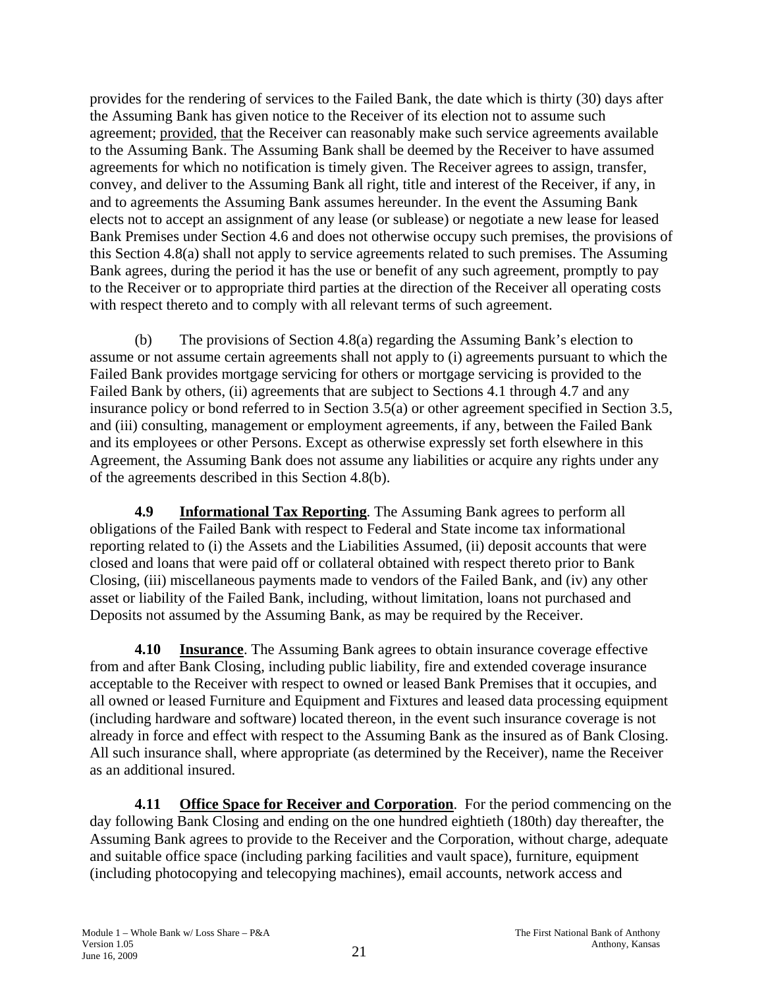provides for the rendering of services to the Failed Bank, the date which is thirty (30) days after the Assuming Bank has given notice to the Receiver of its election not to assume such agreement; provided, that the Receiver can reasonably make such service agreements available to the Assuming Bank. The Assuming Bank shall be deemed by the Receiver to have assumed agreements for which no notification is timely given. The Receiver agrees to assign, transfer, convey, and deliver to the Assuming Bank all right, title and interest of the Receiver, if any, in and to agreements the Assuming Bank assumes hereunder. In the event the Assuming Bank elects not to accept an assignment of any lease (or sublease) or negotiate a new lease for leased Bank Premises under Section 4.6 and does not otherwise occupy such premises, the provisions of this Section 4.8(a) shall not apply to service agreements related to such premises. The Assuming Bank agrees, during the period it has the use or benefit of any such agreement, promptly to pay to the Receiver or to appropriate third parties at the direction of the Receiver all operating costs with respect thereto and to comply with all relevant terms of such agreement.

(b) The provisions of Section 4.8(a) regarding the Assuming Bank's election to assume or not assume certain agreements shall not apply to (i) agreements pursuant to which the Failed Bank provides mortgage servicing for others or mortgage servicing is provided to the Failed Bank by others, (ii) agreements that are subject to Sections 4.1 through 4.7 and any insurance policy or bond referred to in Section 3.5(a) or other agreement specified in Section 3.5, and (iii) consulting, management or employment agreements, if any, between the Failed Bank and its employees or other Persons. Except as otherwise expressly set forth elsewhere in this Agreement, the Assuming Bank does not assume any liabilities or acquire any rights under any of the agreements described in this Section 4.8(b).

<span id="page-24-0"></span>**4.9 Informational Tax Reporting**. The Assuming Bank agrees to perform all obligations of the Failed Bank with respect to Federal and State income tax informational reporting related to (i) the Assets and the Liabilities Assumed, (ii) deposit accounts that were closed and loans that were paid off or collateral obtained with respect thereto prior to Bank Closing, (iii) miscellaneous payments made to vendors of the Failed Bank, and (iv) any other asset or liability of the Failed Bank, including, without limitation, loans not purchased and Deposits not assumed by the Assuming Bank, as may be required by the Receiver.

<span id="page-24-1"></span>**4.10 Insurance**. The Assuming Bank agrees to obtain insurance coverage effective from and after Bank Closing, including public liability, fire and extended coverage insurance acceptable to the Receiver with respect to owned or leased Bank Premises that it occupies, and all owned or leased Furniture and Equipment and Fixtures and leased data processing equipment (including hardware and software) located thereon, in the event such insurance coverage is not already in force and effect with respect to the Assuming Bank as the insured as of Bank Closing. All such insurance shall, where appropriate (as determined by the Receiver), name the Receiver as an additional insured.

<span id="page-24-2"></span>**4.11 Office Space for Receiver and Corporation**. For the period commencing on the day following Bank Closing and ending on the one hundred eightieth (180th) day thereafter, the Assuming Bank agrees to provide to the Receiver and the Corporation, without charge, adequate and suitable office space (including parking facilities and vault space), furniture, equipment (including photocopying and telecopying machines), email accounts, network access and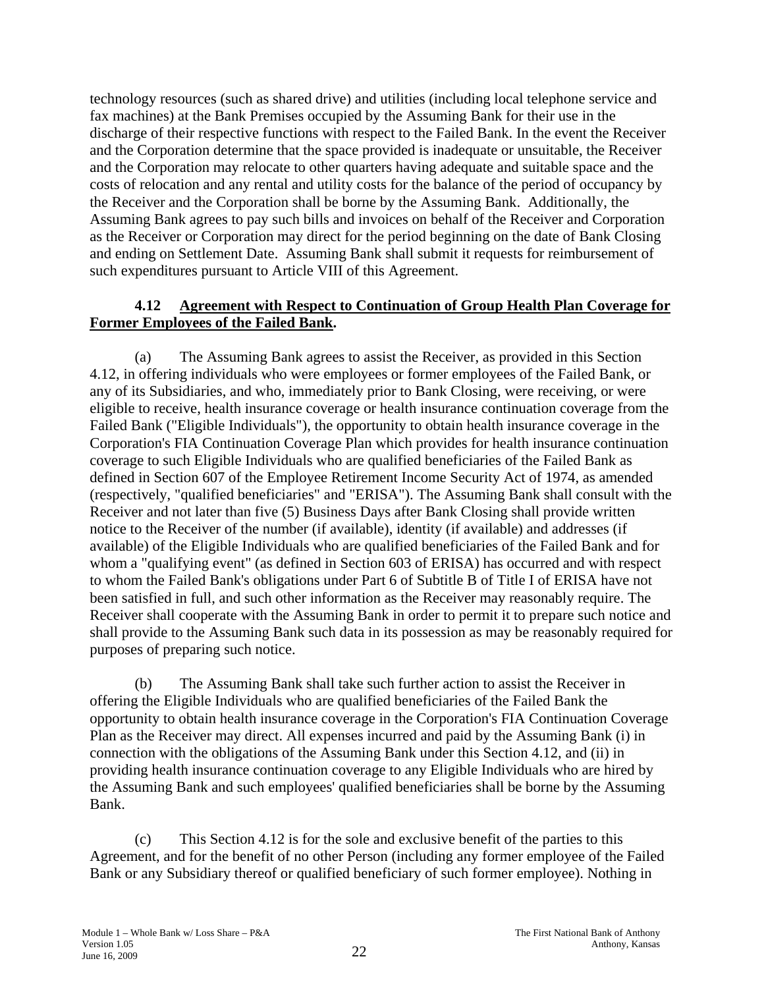technology resources (such as shared drive) and utilities (including local telephone service and fax machines) at the Bank Premises occupied by the Assuming Bank for their use in the discharge of their respective functions with respect to the Failed Bank. In the event the Receiver and the Corporation determine that the space provided is inadequate or unsuitable, the Receiver and the Corporation may relocate to other quarters having adequate and suitable space and the costs of relocation and any rental and utility costs for the balance of the period of occupancy by the Receiver and the Corporation shall be borne by the Assuming Bank. Additionally, the Assuming Bank agrees to pay such bills and invoices on behalf of the Receiver and Corporation as the Receiver or Corporation may direct for the period beginning on the date of Bank Closing and ending on Settlement Date. Assuming Bank shall submit it requests for reimbursement of such expenditures pursuant to Article VIII of this Agreement.

## <span id="page-25-0"></span>**4.12 Agreement with Respect to Continuation of Group Health Plan Coverage for Former Employees of the Failed Bank.**

(a) The Assuming Bank agrees to assist the Receiver, as provided in this Section 4.12, in offering individuals who were employees or former employees of the Failed Bank, or any of its Subsidiaries, and who, immediately prior to Bank Closing, were receiving, or were eligible to receive, health insurance coverage or health insurance continuation coverage from the Failed Bank ("Eligible Individuals"), the opportunity to obtain health insurance coverage in the Corporation's FIA Continuation Coverage Plan which provides for health insurance continuation coverage to such Eligible Individuals who are qualified beneficiaries of the Failed Bank as defined in Section 607 of the Employee Retirement Income Security Act of 1974, as amended (respectively, "qualified beneficiaries" and "ERISA"). The Assuming Bank shall consult with the Receiver and not later than five (5) Business Days after Bank Closing shall provide written notice to the Receiver of the number (if available), identity (if available) and addresses (if available) of the Eligible Individuals who are qualified beneficiaries of the Failed Bank and for whom a "qualifying event" (as defined in Section 603 of ERISA) has occurred and with respect to whom the Failed Bank's obligations under Part 6 of Subtitle B of Title I of ERISA have not been satisfied in full, and such other information as the Receiver may reasonably require. The Receiver shall cooperate with the Assuming Bank in order to permit it to prepare such notice and shall provide to the Assuming Bank such data in its possession as may be reasonably required for purposes of preparing such notice.

(b) The Assuming Bank shall take such further action to assist the Receiver in offering the Eligible Individuals who are qualified beneficiaries of the Failed Bank the opportunity to obtain health insurance coverage in the Corporation's FIA Continuation Coverage Plan as the Receiver may direct. All expenses incurred and paid by the Assuming Bank (i) in connection with the obligations of the Assuming Bank under this Section 4.12, and (ii) in providing health insurance continuation coverage to any Eligible Individuals who are hired by the Assuming Bank and such employees' qualified beneficiaries shall be borne by the Assuming Bank.

(c) This Section 4.12 is for the sole and exclusive benefit of the parties to this Agreement, and for the benefit of no other Person (including any former employee of the Failed Bank or any Subsidiary thereof or qualified beneficiary of such former employee). Nothing in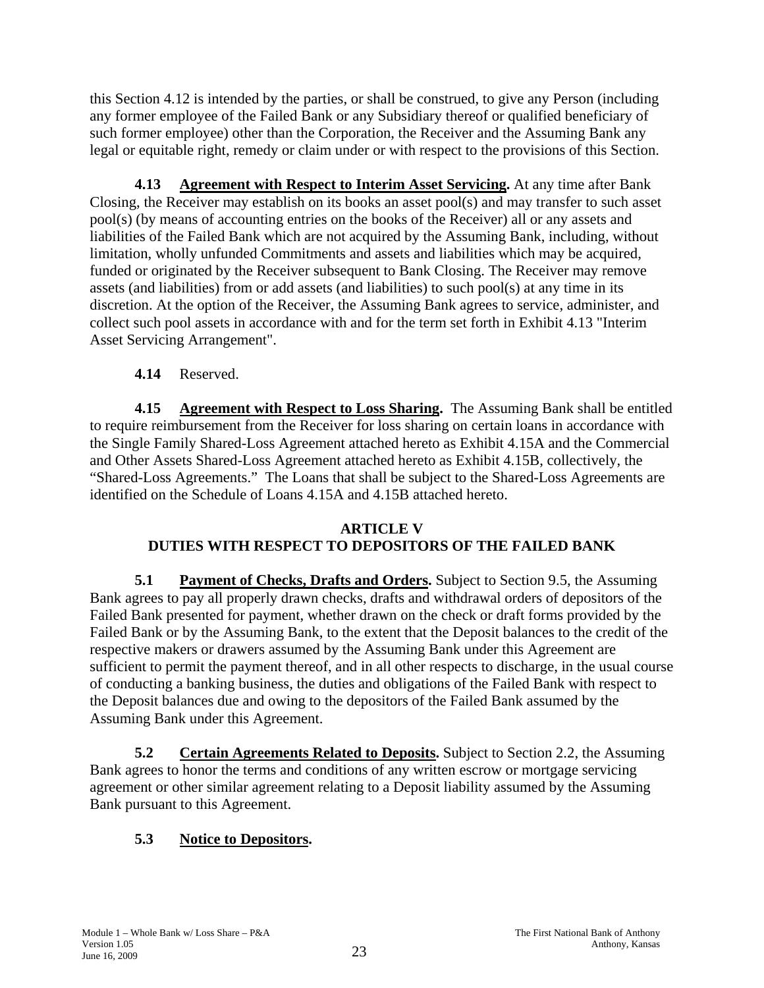this Section 4.12 is intended by the parties, or shall be construed, to give any Person (including any former employee of the Failed Bank or any Subsidiary thereof or qualified beneficiary of such former employee) other than the Corporation, the Receiver and the Assuming Bank any legal or equitable right, remedy or claim under or with respect to the provisions of this Section.

<span id="page-26-0"></span>**4.13** Agreement with Respect to Interim Asset Servicing. At any time after Bank Closing, the Receiver may establish on its books an asset pool(s) and may transfer to such asset pool(s) (by means of accounting entries on the books of the Receiver) all or any assets and liabilities of the Failed Bank which are not acquired by the Assuming Bank, including, without limitation, wholly unfunded Commitments and assets and liabilities which may be acquired, funded or originated by the Receiver subsequent to Bank Closing. The Receiver may remove assets (and liabilities) from or add assets (and liabilities) to such pool(s) at any time in its discretion. At the option of the Receiver, the Assuming Bank agrees to service, administer, and collect such pool assets in accordance with and for the term set forth in Exhibit 4.13 "Interim Asset Servicing Arrangement".

# **4.14** Reserved.

**4.15 Agreement with Respect to Loss Sharing.** The Assuming Bank shall be entitled to require reimbursement from the Receiver for loss sharing on certain loans in accordance with the Single Family Shared-Loss Agreement attached hereto as Exhibit 4.15A and the Commercial and Other Assets Shared-Loss Agreement attached hereto as Exhibit 4.15B, collectively, the "Shared-Loss Agreements." The Loans that shall be subject to the Shared-Loss Agreements are identified on the Schedule of Loans 4.15A and 4.15B attached hereto.

### **ARTICLE V DUTIES WITH RESPECT TO DEPOSITORS OF THE FAILED BANK**

<span id="page-26-2"></span><span id="page-26-1"></span>**5.1 Payment of Checks, Drafts and Orders.** Subject to Section 9.5, the Assuming Bank agrees to pay all properly drawn checks, drafts and withdrawal orders of depositors of the Failed Bank presented for payment, whether drawn on the check or draft forms provided by the Failed Bank or by the Assuming Bank, to the extent that the Deposit balances to the credit of the respective makers or drawers assumed by the Assuming Bank under this Agreement are sufficient to permit the payment thereof, and in all other respects to discharge, in the usual course of conducting a banking business, the duties and obligations of the Failed Bank with respect to the Deposit balances due and owing to the depositors of the Failed Bank assumed by the Assuming Bank under this Agreement.

<span id="page-26-4"></span><span id="page-26-3"></span>**5.2 Certain Agreements Related to Deposits.** Subject to Section 2.2, the Assuming Bank agrees to honor the terms and conditions of any written escrow or mortgage servicing agreement or other similar agreement relating to a Deposit liability assumed by the Assuming Bank pursuant to this Agreement.

## **5.3 Notice to Depositors.**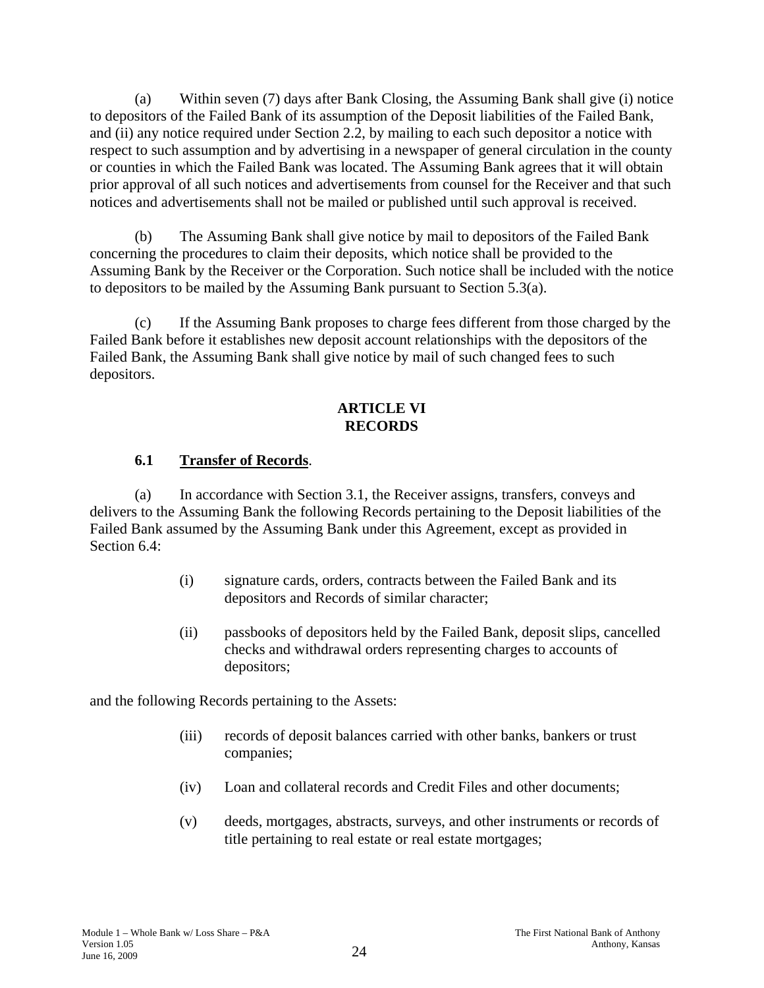(a) Within seven (7) days after Bank Closing, the Assuming Bank shall give (i) notice to depositors of the Failed Bank of its assumption of the Deposit liabilities of the Failed Bank, and (ii) any notice required under Section 2.2, by mailing to each such depositor a notice with respect to such assumption and by advertising in a newspaper of general circulation in the county or counties in which the Failed Bank was located. The Assuming Bank agrees that it will obtain prior approval of all such notices and advertisements from counsel for the Receiver and that such notices and advertisements shall not be mailed or published until such approval is received.

(b) The Assuming Bank shall give notice by mail to depositors of the Failed Bank concerning the procedures to claim their deposits, which notice shall be provided to the Assuming Bank by the Receiver or the Corporation. Such notice shall be included with the notice to depositors to be mailed by the Assuming Bank pursuant to Section 5.3(a).

(c) If the Assuming Bank proposes to charge fees different from those charged by the Failed Bank before it establishes new deposit account relationships with the depositors of the Failed Bank, the Assuming Bank shall give notice by mail of such changed fees to such depositors.

### **ARTICLE VI RECORDS**

## **6.1 Transfer of Records**.

<span id="page-27-1"></span><span id="page-27-0"></span>(a) In accordance with Section 3.1, the Receiver assigns, transfers, conveys and delivers to the Assuming Bank the following Records pertaining to the Deposit liabilities of the Failed Bank assumed by the Assuming Bank under this Agreement, except as provided in Section 6.4:

- (i) signature cards, orders, contracts between the Failed Bank and its depositors and Records of similar character;
- (ii) passbooks of depositors held by the Failed Bank, deposit slips, cancelled checks and withdrawal orders representing charges to accounts of depositors;

and the following Records pertaining to the Assets:

- (iii) records of deposit balances carried with other banks, bankers or trust companies;
- (iv) Loan and collateral records and Credit Files and other documents;
- (v) deeds, mortgages, abstracts, surveys, and other instruments or records of title pertaining to real estate or real estate mortgages;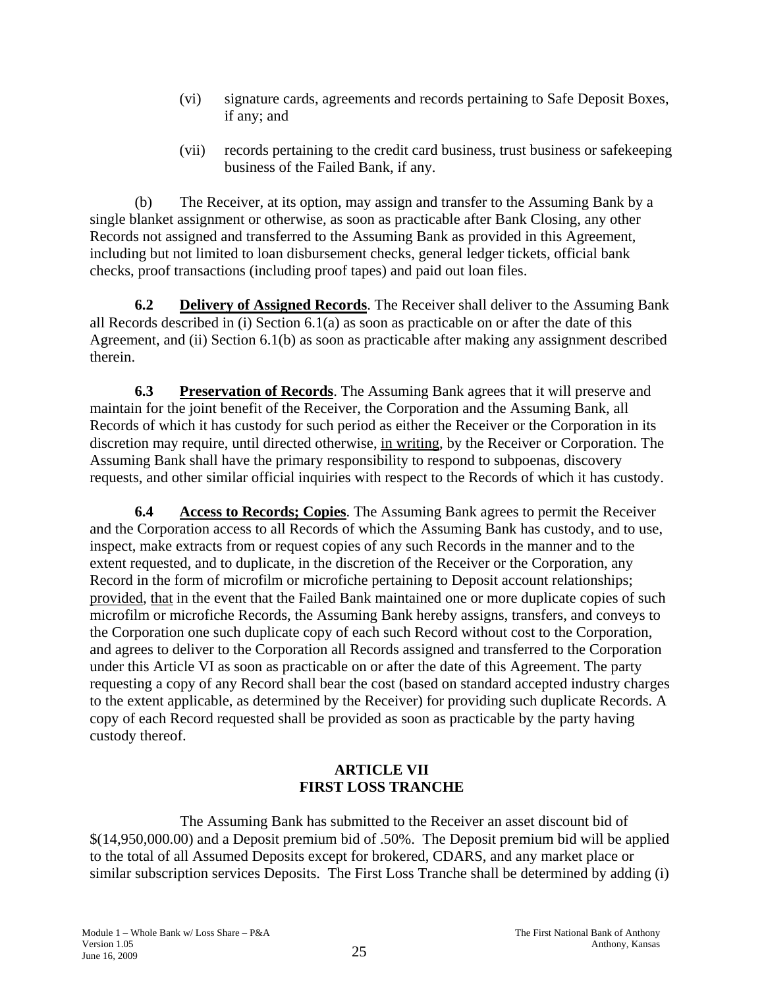- (vi) signature cards, agreements and records pertaining to Safe Deposit Boxes, if any; and
- (vii) records pertaining to the credit card business, trust business or safekeeping business of the Failed Bank, if any.

(b) The Receiver, at its option, may assign and transfer to the Assuming Bank by a single blanket assignment or otherwise, as soon as practicable after Bank Closing, any other Records not assigned and transferred to the Assuming Bank as provided in this Agreement, including but not limited to loan disbursement checks, general ledger tickets, official bank checks, proof transactions (including proof tapes) and paid out loan files.

<span id="page-28-0"></span>**6.2 Delivery of Assigned Records**. The Receiver shall deliver to the Assuming Bank all Records described in (i) Section 6.1(a) as soon as practicable on or after the date of this Agreement, and (ii) Section 6.1(b) as soon as practicable after making any assignment described therein.

<span id="page-28-1"></span>**6.3 Preservation of Records**. The Assuming Bank agrees that it will preserve and maintain for the joint benefit of the Receiver, the Corporation and the Assuming Bank, all Records of which it has custody for such period as either the Receiver or the Corporation in its discretion may require, until directed otherwise, in writing, by the Receiver or Corporation. The Assuming Bank shall have the primary responsibility to respond to subpoenas, discovery requests, and other similar official inquiries with respect to the Records of which it has custody.

**6.4 Access to Records; Copies**. The Assuming Bank agrees to permit the Receiver and the Corporation access to all Records of which the Assuming Bank has custody, and to use, inspect, make extracts from or request copies of any such Records in the manner and to the extent requested, and to duplicate, in the discretion of the Receiver or the Corporation, any Record in the form of microfilm or microfiche pertaining to Deposit account relationships; provided, that in the event that the Failed Bank maintained one or more duplicate copies of such microfilm or microfiche Records, the Assuming Bank hereby assigns, transfers, and conveys to the Corporation one such duplicate copy of each such Record without cost to the Corporation, and agrees to deliver to the Corporation all Records assigned and transferred to the Corporation under this Article VI as soon as practicable on or after the date of this Agreement. The party requesting a copy of any Record shall bear the cost (based on standard accepted industry charges to the extent applicable, as determined by the Receiver) for providing such duplicate Records. A copy of each Record requested shall be provided as soon as practicable by the party having custody thereof.

## **ARTICLE VII FIRST LOSS TRANCHE**

 The Assuming Bank has submitted to the Receiver an asset discount bid of \$(14,950,000.00) and a Deposit premium bid of .50%. The Deposit premium bid will be applied to the total of all Assumed Deposits except for brokered, CDARS, and any market place or similar subscription services Deposits. The First Loss Tranche shall be determined by adding (i)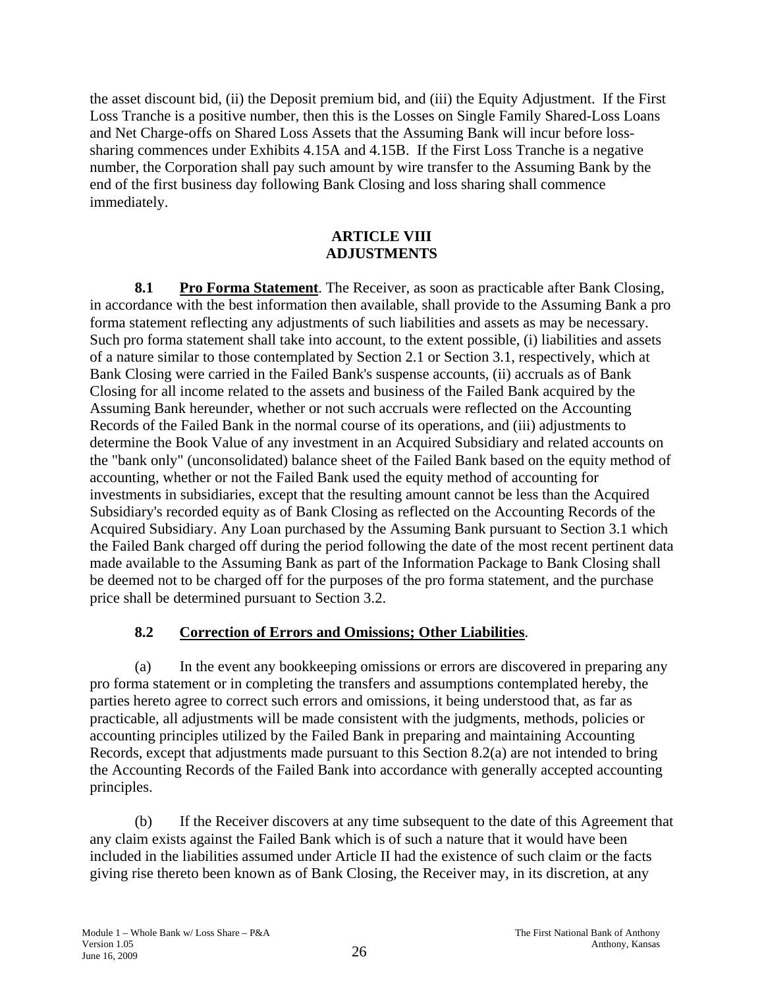the asset discount bid, (ii) the Deposit premium bid, and (iii) the Equity Adjustment. If the First Loss Tranche is a positive number, then this is the Losses on Single Family Shared-Loss Loans and Net Charge-offs on Shared Loss Assets that the Assuming Bank will incur before losssharing commences under Exhibits 4.15A and 4.15B. If the First Loss Tranche is a negative number, the Corporation shall pay such amount by wire transfer to the Assuming Bank by the end of the first business day following Bank Closing and loss sharing shall commence immediately.

### **ARTICLE VIII ADJUSTMENTS**

<span id="page-29-1"></span><span id="page-29-0"></span>**8.1** Pro Forma Statement. The Receiver, as soon as practicable after Bank Closing, in accordance with the best information then available, shall provide to the Assuming Bank a pro forma statement reflecting any adjustments of such liabilities and assets as may be necessary. Such pro forma statement shall take into account, to the extent possible, (i) liabilities and assets of a nature similar to those contemplated by Section 2.1 or Section 3.1, respectively, which at Bank Closing were carried in the Failed Bank's suspense accounts, (ii) accruals as of Bank Closing for all income related to the assets and business of the Failed Bank acquired by the Assuming Bank hereunder, whether or not such accruals were reflected on the Accounting Records of the Failed Bank in the normal course of its operations, and (iii) adjustments to determine the Book Value of any investment in an Acquired Subsidiary and related accounts on the "bank only" (unconsolidated) balance sheet of the Failed Bank based on the equity method of accounting, whether or not the Failed Bank used the equity method of accounting for investments in subsidiaries, except that the resulting amount cannot be less than the Acquired Subsidiary's recorded equity as of Bank Closing as reflected on the Accounting Records of the Acquired Subsidiary. Any Loan purchased by the Assuming Bank pursuant to Section 3.1 which the Failed Bank charged off during the period following the date of the most recent pertinent data made available to the Assuming Bank as part of the Information Package to Bank Closing shall be deemed not to be charged off for the purposes of the pro forma statement, and the purchase price shall be determined pursuant to Section 3.2.

# **8.2 Correction of Errors and Omissions; Other Liabilities**.

(a) In the event any bookkeeping omissions or errors are discovered in preparing any pro forma statement or in completing the transfers and assumptions contemplated hereby, the parties hereto agree to correct such errors and omissions, it being understood that, as far as practicable, all adjustments will be made consistent with the judgments, methods, policies or accounting principles utilized by the Failed Bank in preparing and maintaining Accounting Records, except that adjustments made pursuant to this Section 8.2(a) are not intended to bring the Accounting Records of the Failed Bank into accordance with generally accepted accounting principles.

(b) If the Receiver discovers at any time subsequent to the date of this Agreement that any claim exists against the Failed Bank which is of such a nature that it would have been included in the liabilities assumed under Article II had the existence of such claim or the facts giving rise thereto been known as of Bank Closing, the Receiver may, in its discretion, at any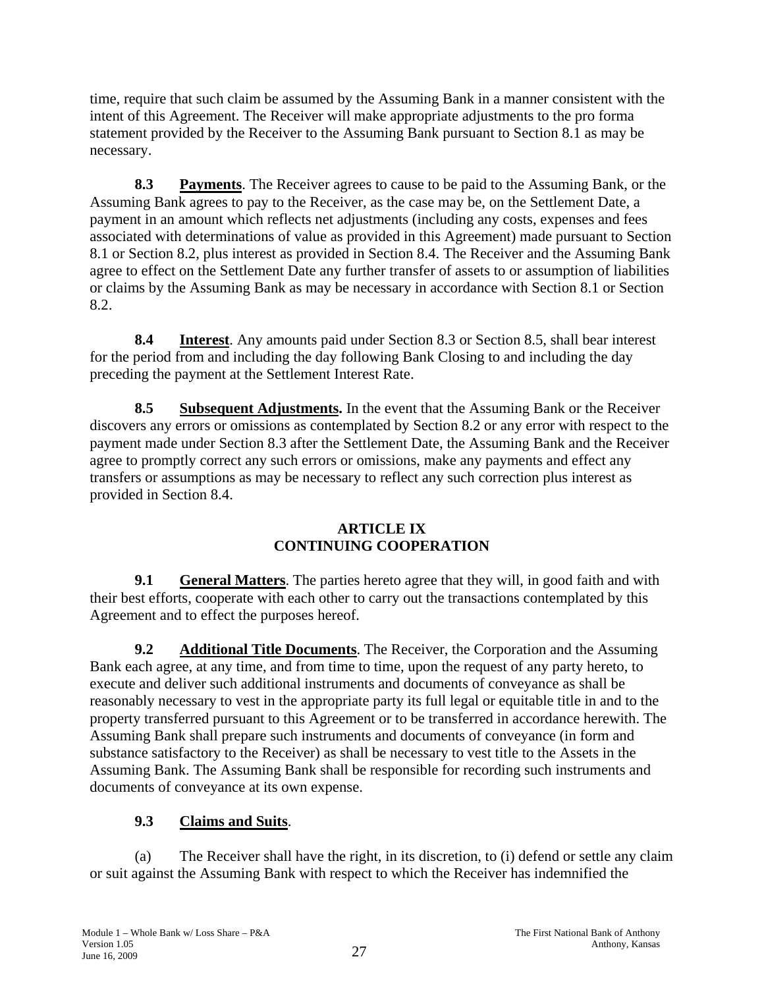time, require that such claim be assumed by the Assuming Bank in a manner consistent with the intent of this Agreement. The Receiver will make appropriate adjustments to the pro forma statement provided by the Receiver to the Assuming Bank pursuant to Section 8.1 as may be necessary.

<span id="page-30-0"></span>**8.3 Payments**. The Receiver agrees to cause to be paid to the Assuming Bank, or the Assuming Bank agrees to pay to the Receiver, as the case may be, on the Settlement Date, a payment in an amount which reflects net adjustments (including any costs, expenses and fees associated with determinations of value as provided in this Agreement) made pursuant to Section 8.1 or Section 8.2, plus interest as provided in Section 8.4. The Receiver and the Assuming Bank agree to effect on the Settlement Date any further transfer of assets to or assumption of liabilities or claims by the Assuming Bank as may be necessary in accordance with Section 8.1 or Section 8.2.

<span id="page-30-1"></span>**8.4 Interest**. Any amounts paid under Section 8.3 or Section 8.5, shall bear interest for the period from and including the day following Bank Closing to and including the day preceding the payment at the Settlement Interest Rate.

<span id="page-30-2"></span>**8.5 Subsequent Adjustments.** In the event that the Assuming Bank or the Receiver discovers any errors or omissions as contemplated by Section 8.2 or any error with respect to the payment made under Section 8.3 after the Settlement Date, the Assuming Bank and the Receiver agree to promptly correct any such errors or omissions, make any payments and effect any transfers or assumptions as may be necessary to reflect any such correction plus interest as provided in Section 8.4.

## **ARTICLE IX CONTINUING COOPERATION**

<span id="page-30-4"></span><span id="page-30-3"></span>**9.1** General Matters. The parties hereto agree that they will, in good faith and with their best efforts, cooperate with each other to carry out the transactions contemplated by this Agreement and to effect the purposes hereof.

<span id="page-30-5"></span>**9.2 Additional Title Documents**. The Receiver, the Corporation and the Assuming Bank each agree, at any time, and from time to time, upon the request of any party hereto, to execute and deliver such additional instruments and documents of conveyance as shall be reasonably necessary to vest in the appropriate party its full legal or equitable title in and to the property transferred pursuant to this Agreement or to be transferred in accordance herewith. The Assuming Bank shall prepare such instruments and documents of conveyance (in form and substance satisfactory to the Receiver) as shall be necessary to vest title to the Assets in the Assuming Bank. The Assuming Bank shall be responsible for recording such instruments and documents of conveyance at its own expense.

# **9.3 Claims and Suits**.

<span id="page-30-6"></span>(a) The Receiver shall have the right, in its discretion, to (i) defend or settle any claim or suit against the Assuming Bank with respect to which the Receiver has indemnified the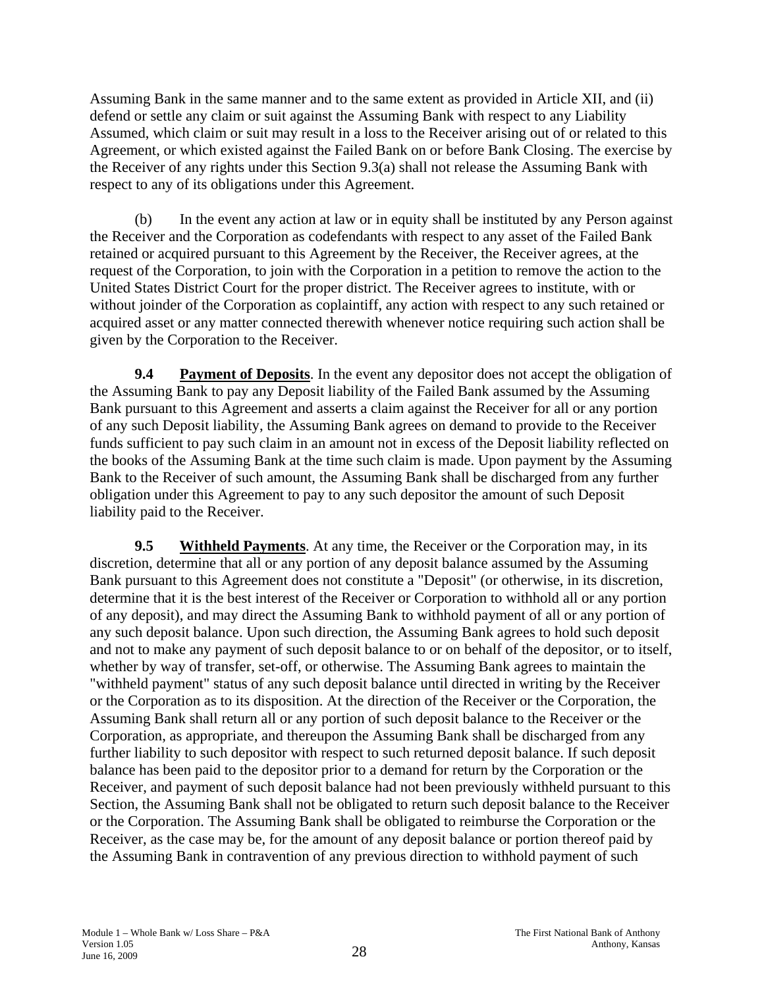Assuming Bank in the same manner and to the same extent as provided in Article XII, and (ii) defend or settle any claim or suit against the Assuming Bank with respect to any Liability Assumed, which claim or suit may result in a loss to the Receiver arising out of or related to this Agreement, or which existed against the Failed Bank on or before Bank Closing. The exercise by the Receiver of any rights under this Section 9.3(a) shall not release the Assuming Bank with respect to any of its obligations under this Agreement.

(b) In the event any action at law or in equity shall be instituted by any Person against the Receiver and the Corporation as codefendants with respect to any asset of the Failed Bank retained or acquired pursuant to this Agreement by the Receiver, the Receiver agrees, at the request of the Corporation, to join with the Corporation in a petition to remove the action to the United States District Court for the proper district. The Receiver agrees to institute, with or without joinder of the Corporation as coplaintiff, any action with respect to any such retained or acquired asset or any matter connected therewith whenever notice requiring such action shall be given by the Corporation to the Receiver.

<span id="page-31-0"></span>**9.4** Payment of Deposits. In the event any depositor does not accept the obligation of the Assuming Bank to pay any Deposit liability of the Failed Bank assumed by the Assuming Bank pursuant to this Agreement and asserts a claim against the Receiver for all or any portion of any such Deposit liability, the Assuming Bank agrees on demand to provide to the Receiver funds sufficient to pay such claim in an amount not in excess of the Deposit liability reflected on the books of the Assuming Bank at the time such claim is made. Upon payment by the Assuming Bank to the Receiver of such amount, the Assuming Bank shall be discharged from any further obligation under this Agreement to pay to any such depositor the amount of such Deposit liability paid to the Receiver.

<span id="page-31-1"></span>**9.5 Withheld Payments**. At any time, the Receiver or the Corporation may, in its discretion, determine that all or any portion of any deposit balance assumed by the Assuming Bank pursuant to this Agreement does not constitute a "Deposit" (or otherwise, in its discretion, determine that it is the best interest of the Receiver or Corporation to withhold all or any portion of any deposit), and may direct the Assuming Bank to withhold payment of all or any portion of any such deposit balance. Upon such direction, the Assuming Bank agrees to hold such deposit and not to make any payment of such deposit balance to or on behalf of the depositor, or to itself, whether by way of transfer, set-off, or otherwise. The Assuming Bank agrees to maintain the "withheld payment" status of any such deposit balance until directed in writing by the Receiver or the Corporation as to its disposition. At the direction of the Receiver or the Corporation, the Assuming Bank shall return all or any portion of such deposit balance to the Receiver or the Corporation, as appropriate, and thereupon the Assuming Bank shall be discharged from any further liability to such depositor with respect to such returned deposit balance. If such deposit balance has been paid to the depositor prior to a demand for return by the Corporation or the Receiver, and payment of such deposit balance had not been previously withheld pursuant to this Section, the Assuming Bank shall not be obligated to return such deposit balance to the Receiver or the Corporation. The Assuming Bank shall be obligated to reimburse the Corporation or the Receiver, as the case may be, for the amount of any deposit balance or portion thereof paid by the Assuming Bank in contravention of any previous direction to withhold payment of such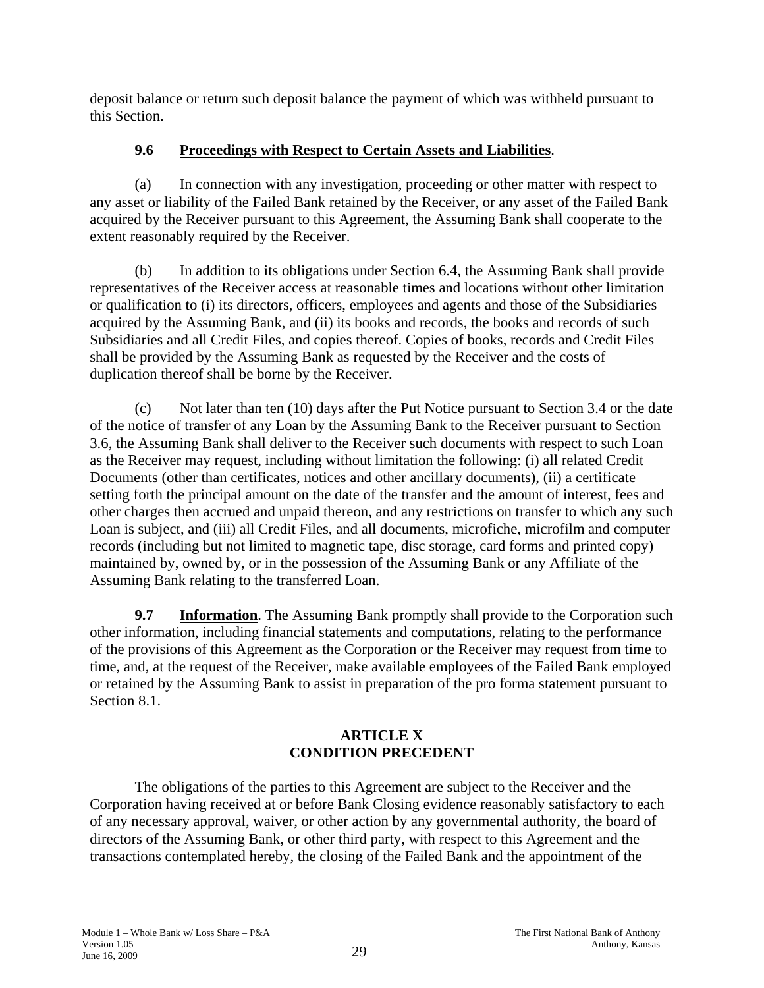deposit balance or return such deposit balance the payment of which was withheld pursuant to this Section.

# **9.6 Proceedings with Respect to Certain Assets and Liabilities**.

<span id="page-32-0"></span>(a) In connection with any investigation, proceeding or other matter with respect to any asset or liability of the Failed Bank retained by the Receiver, or any asset of the Failed Bank acquired by the Receiver pursuant to this Agreement, the Assuming Bank shall cooperate to the extent reasonably required by the Receiver.

(b) In addition to its obligations under Section 6.4, the Assuming Bank shall provide representatives of the Receiver access at reasonable times and locations without other limitation or qualification to (i) its directors, officers, employees and agents and those of the Subsidiaries acquired by the Assuming Bank, and (ii) its books and records, the books and records of such Subsidiaries and all Credit Files, and copies thereof. Copies of books, records and Credit Files shall be provided by the Assuming Bank as requested by the Receiver and the costs of duplication thereof shall be borne by the Receiver.

(c) Not later than ten (10) days after the Put Notice pursuant to Section 3.4 or the date of the notice of transfer of any Loan by the Assuming Bank to the Receiver pursuant to Section 3.6, the Assuming Bank shall deliver to the Receiver such documents with respect to such Loan as the Receiver may request, including without limitation the following: (i) all related Credit Documents (other than certificates, notices and other ancillary documents), (ii) a certificate setting forth the principal amount on the date of the transfer and the amount of interest, fees and other charges then accrued and unpaid thereon, and any restrictions on transfer to which any such Loan is subject, and (iii) all Credit Files, and all documents, microfiche, microfilm and computer records (including but not limited to magnetic tape, disc storage, card forms and printed copy) maintained by, owned by, or in the possession of the Assuming Bank or any Affiliate of the Assuming Bank relating to the transferred Loan.

<span id="page-32-1"></span>**9.7** Information. The Assuming Bank promptly shall provide to the Corporation such other information, including financial statements and computations, relating to the performance of the provisions of this Agreement as the Corporation or the Receiver may request from time to time, and, at the request of the Receiver, make available employees of the Failed Bank employed or retained by the Assuming Bank to assist in preparation of the pro forma statement pursuant to Section 8.1.

## **ARTICLE X CONDITION PRECEDENT**

<span id="page-32-2"></span>The obligations of the parties to this Agreement are subject to the Receiver and the Corporation having received at or before Bank Closing evidence reasonably satisfactory to each of any necessary approval, waiver, or other action by any governmental authority, the board of directors of the Assuming Bank, or other third party, with respect to this Agreement and the transactions contemplated hereby, the closing of the Failed Bank and the appointment of the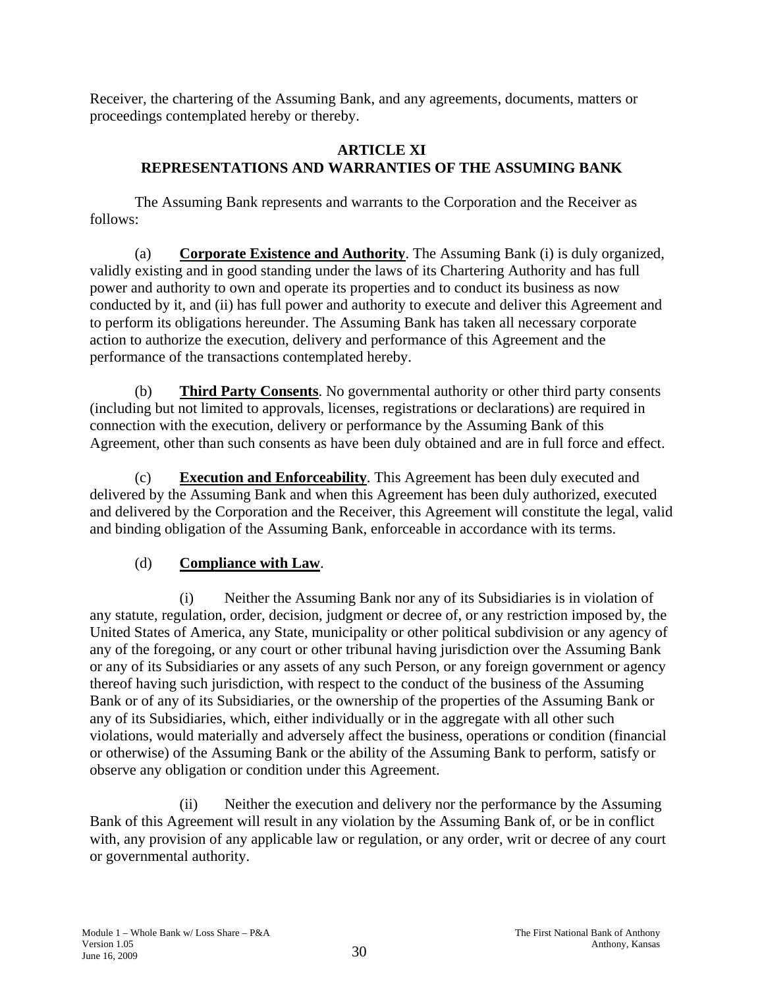Receiver, the chartering of the Assuming Bank, and any agreements, documents, matters or proceedings contemplated hereby or thereby.

#### **ARTICLE XI REPRESENTATIONS AND WARRANTIES OF THE ASSUMING BANK**

<span id="page-33-0"></span>The Assuming Bank represents and warrants to the Corporation and the Receiver as follows:

(a) **Corporate Existence and Authority**. The Assuming Bank (i) is duly organized, validly existing and in good standing under the laws of its Chartering Authority and has full power and authority to own and operate its properties and to conduct its business as now conducted by it, and (ii) has full power and authority to execute and deliver this Agreement and to perform its obligations hereunder. The Assuming Bank has taken all necessary corporate action to authorize the execution, delivery and performance of this Agreement and the performance of the transactions contemplated hereby.

(b) **Third Party Consents**. No governmental authority or other third party consents (including but not limited to approvals, licenses, registrations or declarations) are required in connection with the execution, delivery or performance by the Assuming Bank of this Agreement, other than such consents as have been duly obtained and are in full force and effect.

(c) **Execution and Enforceability**. This Agreement has been duly executed and delivered by the Assuming Bank and when this Agreement has been duly authorized, executed and delivered by the Corporation and the Receiver, this Agreement will constitute the legal, valid and binding obligation of the Assuming Bank, enforceable in accordance with its terms.

## (d) **Compliance with Law**.

(i) Neither the Assuming Bank nor any of its Subsidiaries is in violation of any statute, regulation, order, decision, judgment or decree of, or any restriction imposed by, the United States of America, any State, municipality or other political subdivision or any agency of any of the foregoing, or any court or other tribunal having jurisdiction over the Assuming Bank or any of its Subsidiaries or any assets of any such Person, or any foreign government or agency thereof having such jurisdiction, with respect to the conduct of the business of the Assuming Bank or of any of its Subsidiaries, or the ownership of the properties of the Assuming Bank or any of its Subsidiaries, which, either individually or in the aggregate with all other such violations, would materially and adversely affect the business, operations or condition (financial or otherwise) of the Assuming Bank or the ability of the Assuming Bank to perform, satisfy or observe any obligation or condition under this Agreement.

(ii) Neither the execution and delivery nor the performance by the Assuming Bank of this Agreement will result in any violation by the Assuming Bank of, or be in conflict with, any provision of any applicable law or regulation, or any order, writ or decree of any court or governmental authority.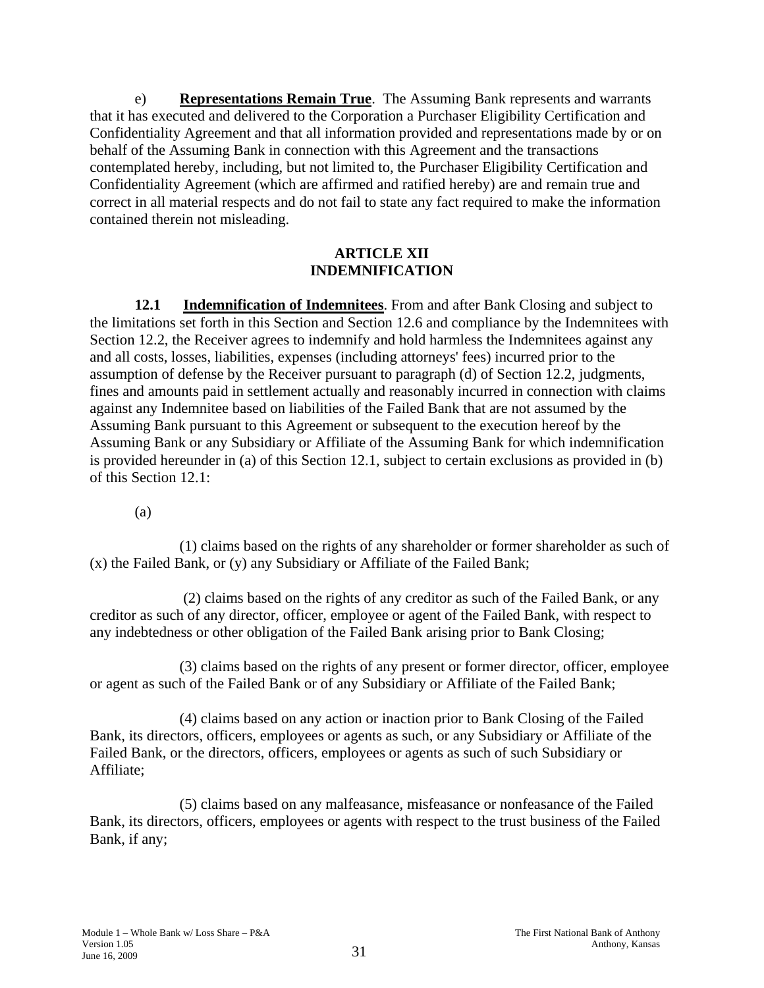e) **Representations Remain True**. The Assuming Bank represents and warrants that it has executed and delivered to the Corporation a Purchaser Eligibility Certification and Confidentiality Agreement and that all information provided and representations made by or on behalf of the Assuming Bank in connection with this Agreement and the transactions contemplated hereby, including, but not limited to, the Purchaser Eligibility Certification and Confidentiality Agreement (which are affirmed and ratified hereby) are and remain true and correct in all material respects and do not fail to state any fact required to make the information contained therein not misleading.

## **ARTICLE XII INDEMNIFICATION**

<span id="page-34-0"></span>**12.1 Indemnification of Indemnitees**. From and after Bank Closing and subject to the limitations set forth in this Section and Section 12.6 and compliance by the Indemnitees with Section 12.2, the Receiver agrees to indemnify and hold harmless the Indemnitees against any and all costs, losses, liabilities, expenses (including attorneys' fees) incurred prior to the assumption of defense by the Receiver pursuant to paragraph (d) of Section 12.2, judgments, fines and amounts paid in settlement actually and reasonably incurred in connection with claims against any Indemnitee based on liabilities of the Failed Bank that are not assumed by the Assuming Bank pursuant to this Agreement or subsequent to the execution hereof by the Assuming Bank or any Subsidiary or Affiliate of the Assuming Bank for which indemnification is provided hereunder in (a) of this Section 12.1, subject to certain exclusions as provided in (b) of this Section 12.1:

(a)

(1) claims based on the rights of any shareholder or former shareholder as such of (x) the Failed Bank, or (y) any Subsidiary or Affiliate of the Failed Bank;

(2) claims based on the rights of any creditor as such of the Failed Bank, or any creditor as such of any director, officer, employee or agent of the Failed Bank, with respect to any indebtedness or other obligation of the Failed Bank arising prior to Bank Closing;

(3) claims based on the rights of any present or former director, officer, employee or agent as such of the Failed Bank or of any Subsidiary or Affiliate of the Failed Bank;

(4) claims based on any action or inaction prior to Bank Closing of the Failed Bank, its directors, officers, employees or agents as such, or any Subsidiary or Affiliate of the Failed Bank, or the directors, officers, employees or agents as such of such Subsidiary or Affiliate;

(5) claims based on any malfeasance, misfeasance or nonfeasance of the Failed Bank, its directors, officers, employees or agents with respect to the trust business of the Failed Bank, if any;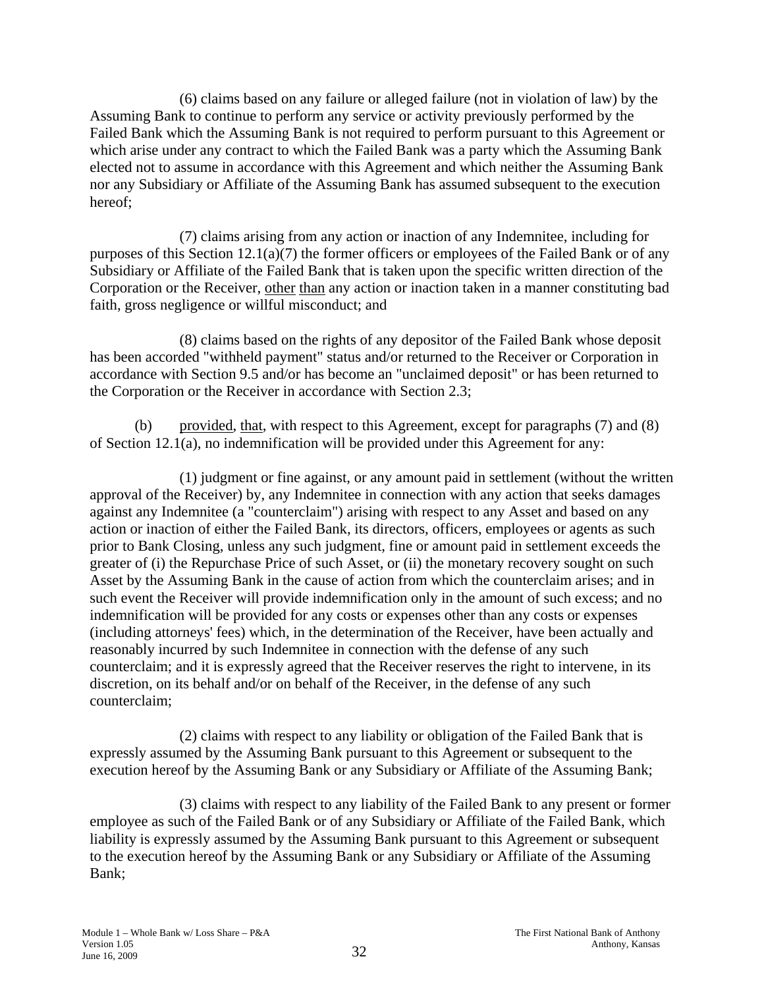(6) claims based on any failure or alleged failure (not in violation of law) by the Assuming Bank to continue to perform any service or activity previously performed by the Failed Bank which the Assuming Bank is not required to perform pursuant to this Agreement or which arise under any contract to which the Failed Bank was a party which the Assuming Bank elected not to assume in accordance with this Agreement and which neither the Assuming Bank nor any Subsidiary or Affiliate of the Assuming Bank has assumed subsequent to the execution hereof;

(7) claims arising from any action or inaction of any Indemnitee, including for purposes of this Section 12.1(a)(7) the former officers or employees of the Failed Bank or of any Subsidiary or Affiliate of the Failed Bank that is taken upon the specific written direction of the Corporation or the Receiver, other than any action or inaction taken in a manner constituting bad faith, gross negligence or willful misconduct; and

(8) claims based on the rights of any depositor of the Failed Bank whose deposit has been accorded "withheld payment" status and/or returned to the Receiver or Corporation in accordance with Section 9.5 and/or has become an "unclaimed deposit" or has been returned to the Corporation or the Receiver in accordance with Section 2.3;

(b) provided, that, with respect to this Agreement, except for paragraphs (7) and (8) of Section 12.1(a), no indemnification will be provided under this Agreement for any:

(1) judgment or fine against, or any amount paid in settlement (without the written approval of the Receiver) by, any Indemnitee in connection with any action that seeks damages against any Indemnitee (a "counterclaim") arising with respect to any Asset and based on any action or inaction of either the Failed Bank, its directors, officers, employees or agents as such prior to Bank Closing, unless any such judgment, fine or amount paid in settlement exceeds the greater of (i) the Repurchase Price of such Asset, or (ii) the monetary recovery sought on such Asset by the Assuming Bank in the cause of action from which the counterclaim arises; and in such event the Receiver will provide indemnification only in the amount of such excess; and no indemnification will be provided for any costs or expenses other than any costs or expenses (including attorneys' fees) which, in the determination of the Receiver, have been actually and reasonably incurred by such Indemnitee in connection with the defense of any such counterclaim; and it is expressly agreed that the Receiver reserves the right to intervene, in its discretion, on its behalf and/or on behalf of the Receiver, in the defense of any such counterclaim;

(2) claims with respect to any liability or obligation of the Failed Bank that is expressly assumed by the Assuming Bank pursuant to this Agreement or subsequent to the execution hereof by the Assuming Bank or any Subsidiary or Affiliate of the Assuming Bank;

(3) claims with respect to any liability of the Failed Bank to any present or former employee as such of the Failed Bank or of any Subsidiary or Affiliate of the Failed Bank, which liability is expressly assumed by the Assuming Bank pursuant to this Agreement or subsequent to the execution hereof by the Assuming Bank or any Subsidiary or Affiliate of the Assuming Bank;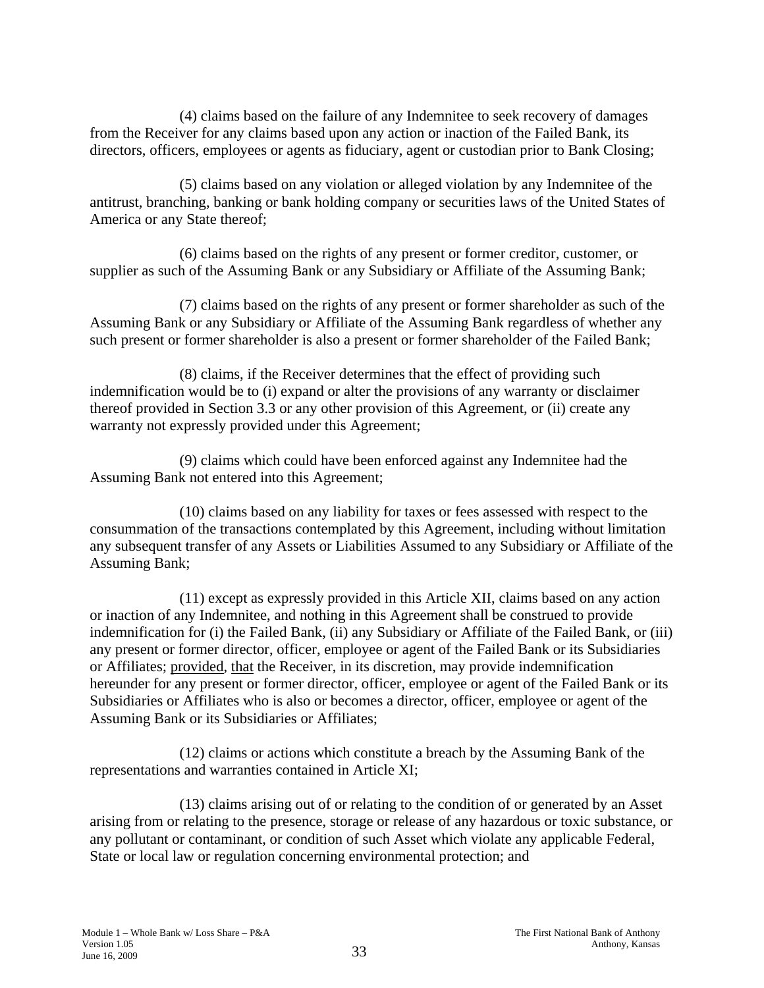(4) claims based on the failure of any Indemnitee to seek recovery of damages from the Receiver for any claims based upon any action or inaction of the Failed Bank, its directors, officers, employees or agents as fiduciary, agent or custodian prior to Bank Closing;

(5) claims based on any violation or alleged violation by any Indemnitee of the antitrust, branching, banking or bank holding company or securities laws of the United States of America or any State thereof;

(6) claims based on the rights of any present or former creditor, customer, or supplier as such of the Assuming Bank or any Subsidiary or Affiliate of the Assuming Bank;

(7) claims based on the rights of any present or former shareholder as such of the Assuming Bank or any Subsidiary or Affiliate of the Assuming Bank regardless of whether any such present or former shareholder is also a present or former shareholder of the Failed Bank;

(8) claims, if the Receiver determines that the effect of providing such indemnification would be to (i) expand or alter the provisions of any warranty or disclaimer thereof provided in Section 3.3 or any other provision of this Agreement, or (ii) create any warranty not expressly provided under this Agreement;

(9) claims which could have been enforced against any Indemnitee had the Assuming Bank not entered into this Agreement;

(10) claims based on any liability for taxes or fees assessed with respect to the consummation of the transactions contemplated by this Agreement, including without limitation any subsequent transfer of any Assets or Liabilities Assumed to any Subsidiary or Affiliate of the Assuming Bank;

(11) except as expressly provided in this Article XII, claims based on any action or inaction of any Indemnitee, and nothing in this Agreement shall be construed to provide indemnification for (i) the Failed Bank, (ii) any Subsidiary or Affiliate of the Failed Bank, or (iii) any present or former director, officer, employee or agent of the Failed Bank or its Subsidiaries or Affiliates; provided, that the Receiver, in its discretion, may provide indemnification hereunder for any present or former director, officer, employee or agent of the Failed Bank or its Subsidiaries or Affiliates who is also or becomes a director, officer, employee or agent of the Assuming Bank or its Subsidiaries or Affiliates;

(12) claims or actions which constitute a breach by the Assuming Bank of the representations and warranties contained in Article XI;

(13) claims arising out of or relating to the condition of or generated by an Asset arising from or relating to the presence, storage or release of any hazardous or toxic substance, or any pollutant or contaminant, or condition of such Asset which violate any applicable Federal, State or local law or regulation concerning environmental protection; and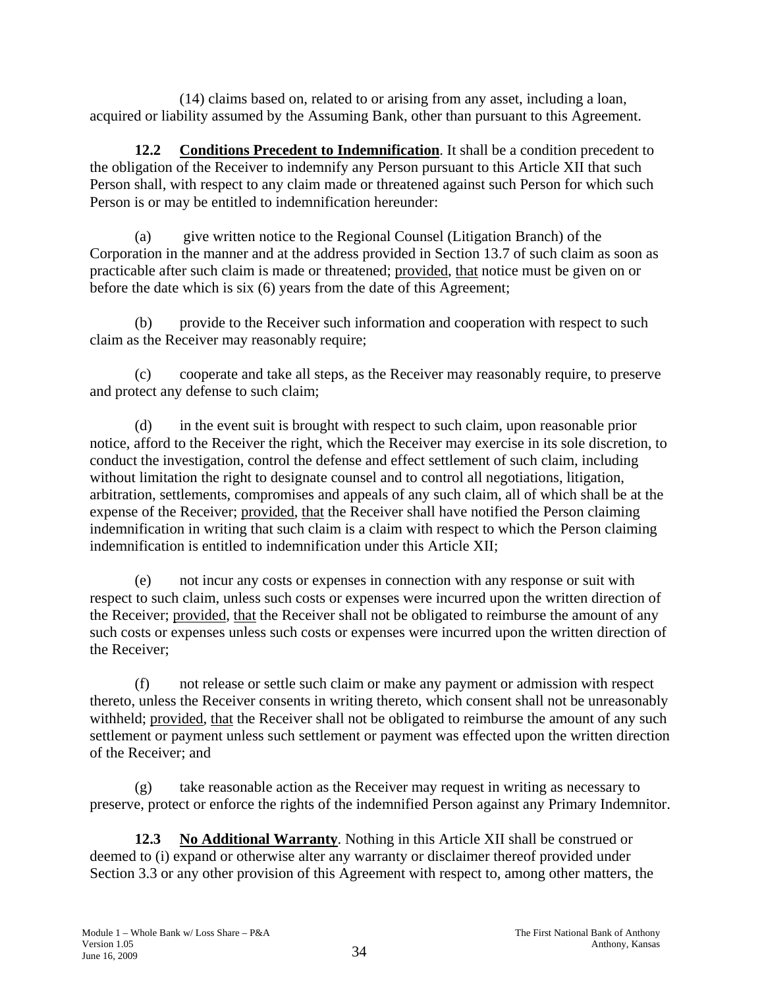(14) claims based on, related to or arising from any asset, including a loan, acquired or liability assumed by the Assuming Bank, other than pursuant to this Agreement.

**12.2 Conditions Precedent to Indemnification**. It shall be a condition precedent to the obligation of the Receiver to indemnify any Person pursuant to this Article XII that such Person shall, with respect to any claim made or threatened against such Person for which such Person is or may be entitled to indemnification hereunder:

(a) give written notice to the Regional Counsel (Litigation Branch) of the Corporation in the manner and at the address provided in Section 13.7 of such claim as soon as practicable after such claim is made or threatened; provided, that notice must be given on or before the date which is six (6) years from the date of this Agreement;

(b) provide to the Receiver such information and cooperation with respect to such claim as the Receiver may reasonably require;

(c) cooperate and take all steps, as the Receiver may reasonably require, to preserve and protect any defense to such claim;

(d) in the event suit is brought with respect to such claim, upon reasonable prior notice, afford to the Receiver the right, which the Receiver may exercise in its sole discretion, to conduct the investigation, control the defense and effect settlement of such claim, including without limitation the right to designate counsel and to control all negotiations, litigation, arbitration, settlements, compromises and appeals of any such claim, all of which shall be at the expense of the Receiver; provided, that the Receiver shall have notified the Person claiming indemnification in writing that such claim is a claim with respect to which the Person claiming indemnification is entitled to indemnification under this Article XII;

(e) not incur any costs or expenses in connection with any response or suit with respect to such claim, unless such costs or expenses were incurred upon the written direction of the Receiver; provided, that the Receiver shall not be obligated to reimburse the amount of any such costs or expenses unless such costs or expenses were incurred upon the written direction of the Receiver;

(f) not release or settle such claim or make any payment or admission with respect thereto, unless the Receiver consents in writing thereto, which consent shall not be unreasonably withheld; provided, that the Receiver shall not be obligated to reimburse the amount of any such settlement or payment unless such settlement or payment was effected upon the written direction of the Receiver; and

(g) take reasonable action as the Receiver may request in writing as necessary to preserve, protect or enforce the rights of the indemnified Person against any Primary Indemnitor.

**12.3 No Additional Warranty**. Nothing in this Article XII shall be construed or deemed to (i) expand or otherwise alter any warranty or disclaimer thereof provided under Section 3.3 or any other provision of this Agreement with respect to, among other matters, the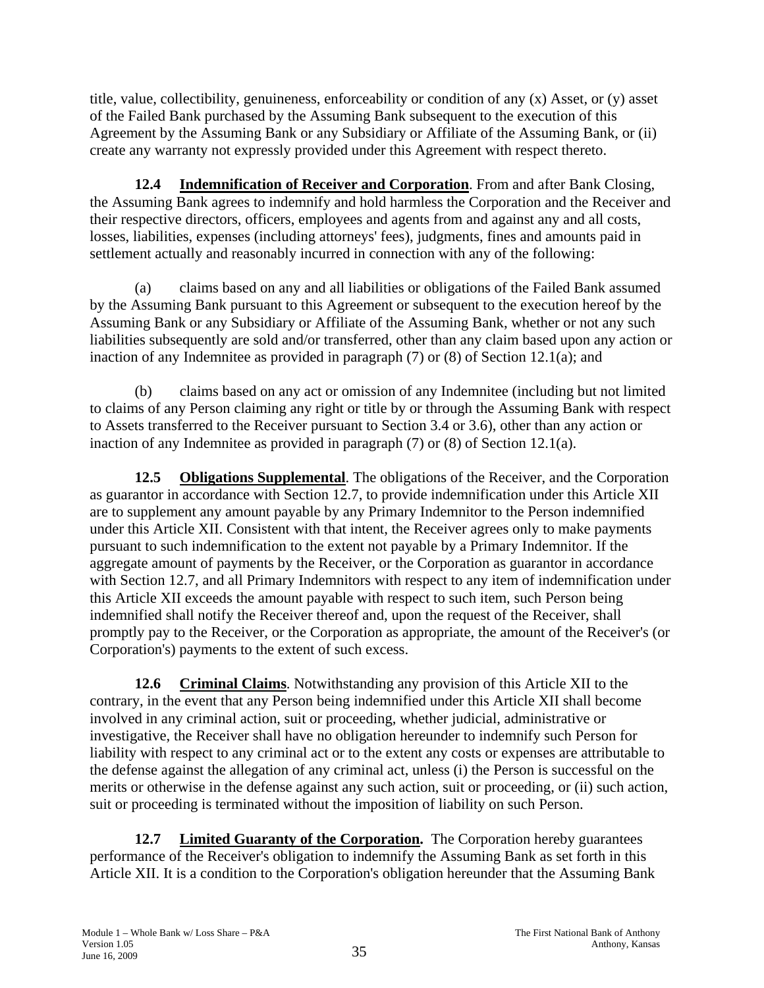title, value, collectibility, genuineness, enforceability or condition of any (x) Asset, or (y) asset of the Failed Bank purchased by the Assuming Bank subsequent to the execution of this Agreement by the Assuming Bank or any Subsidiary or Affiliate of the Assuming Bank, or (ii) create any warranty not expressly provided under this Agreement with respect thereto.

**12.4 Indemnification of Receiver and Corporation**. From and after Bank Closing, the Assuming Bank agrees to indemnify and hold harmless the Corporation and the Receiver and their respective directors, officers, employees and agents from and against any and all costs, losses, liabilities, expenses (including attorneys' fees), judgments, fines and amounts paid in settlement actually and reasonably incurred in connection with any of the following:

(a) claims based on any and all liabilities or obligations of the Failed Bank assumed by the Assuming Bank pursuant to this Agreement or subsequent to the execution hereof by the Assuming Bank or any Subsidiary or Affiliate of the Assuming Bank, whether or not any such liabilities subsequently are sold and/or transferred, other than any claim based upon any action or inaction of any Indemnitee as provided in paragraph (7) or (8) of Section 12.1(a); and

(b) claims based on any act or omission of any Indemnitee (including but not limited to claims of any Person claiming any right or title by or through the Assuming Bank with respect to Assets transferred to the Receiver pursuant to Section 3.4 or 3.6), other than any action or inaction of any Indemnitee as provided in paragraph (7) or (8) of Section 12.1(a).

**12.5 Obligations Supplemental**. The obligations of the Receiver, and the Corporation as guarantor in accordance with Section 12.7, to provide indemnification under this Article XII are to supplement any amount payable by any Primary Indemnitor to the Person indemnified under this Article XII. Consistent with that intent, the Receiver agrees only to make payments pursuant to such indemnification to the extent not payable by a Primary Indemnitor. If the aggregate amount of payments by the Receiver, or the Corporation as guarantor in accordance with Section 12.7, and all Primary Indemnitors with respect to any item of indemnification under this Article XII exceeds the amount payable with respect to such item, such Person being indemnified shall notify the Receiver thereof and, upon the request of the Receiver, shall promptly pay to the Receiver, or the Corporation as appropriate, the amount of the Receiver's (or Corporation's) payments to the extent of such excess.

**12.6 Criminal Claims**. Notwithstanding any provision of this Article XII to the contrary, in the event that any Person being indemnified under this Article XII shall become involved in any criminal action, suit or proceeding, whether judicial, administrative or investigative, the Receiver shall have no obligation hereunder to indemnify such Person for liability with respect to any criminal act or to the extent any costs or expenses are attributable to the defense against the allegation of any criminal act, unless (i) the Person is successful on the merits or otherwise in the defense against any such action, suit or proceeding, or (ii) such action, suit or proceeding is terminated without the imposition of liability on such Person.

**12.7 Limited Guaranty of the Corporation.** The Corporation hereby guarantees performance of the Receiver's obligation to indemnify the Assuming Bank as set forth in this Article XII. It is a condition to the Corporation's obligation hereunder that the Assuming Bank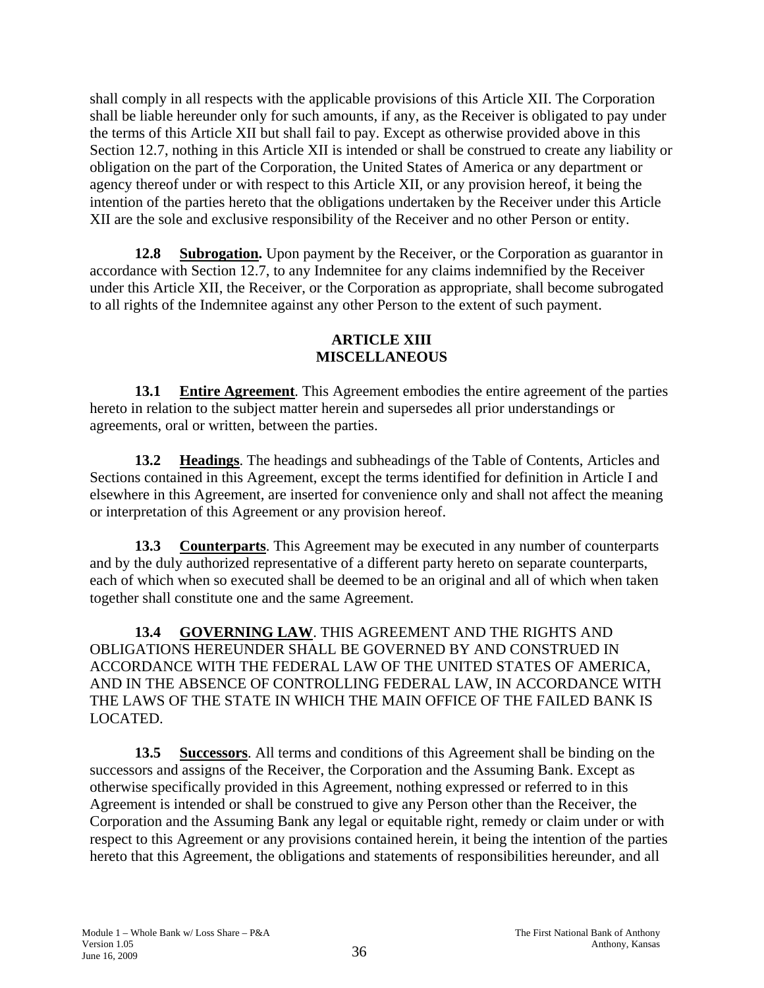shall comply in all respects with the applicable provisions of this Article XII. The Corporation shall be liable hereunder only for such amounts, if any, as the Receiver is obligated to pay under the terms of this Article XII but shall fail to pay. Except as otherwise provided above in this Section 12.7, nothing in this Article XII is intended or shall be construed to create any liability or obligation on the part of the Corporation, the United States of America or any department or agency thereof under or with respect to this Article XII, or any provision hereof, it being the intention of the parties hereto that the obligations undertaken by the Receiver under this Article XII are the sole and exclusive responsibility of the Receiver and no other Person or entity.

**12.8 Subrogation.** Upon payment by the Receiver, or the Corporation as guarantor in accordance with Section 12.7, to any Indemnitee for any claims indemnified by the Receiver under this Article XII, the Receiver, or the Corporation as appropriate, shall become subrogated to all rights of the Indemnitee against any other Person to the extent of such payment.

# **ARTICLE XIII MISCELLANEOUS**

**13.1 Entire Agreement**. This Agreement embodies the entire agreement of the parties hereto in relation to the subject matter herein and supersedes all prior understandings or agreements, oral or written, between the parties.

**13.2 Headings**. The headings and subheadings of the Table of Contents, Articles and Sections contained in this Agreement, except the terms identified for definition in Article I and elsewhere in this Agreement, are inserted for convenience only and shall not affect the meaning or interpretation of this Agreement or any provision hereof.

**13.3 Counterparts**. This Agreement may be executed in any number of counterparts and by the duly authorized representative of a different party hereto on separate counterparts, each of which when so executed shall be deemed to be an original and all of which when taken together shall constitute one and the same Agreement.

**13.4 GOVERNING LAW**. THIS AGREEMENT AND THE RIGHTS AND OBLIGATIONS HEREUNDER SHALL BE GOVERNED BY AND CONSTRUED IN ACCORDANCE WITH THE FEDERAL LAW OF THE UNITED STATES OF AMERICA, AND IN THE ABSENCE OF CONTROLLING FEDERAL LAW, IN ACCORDANCE WITH THE LAWS OF THE STATE IN WHICH THE MAIN OFFICE OF THE FAILED BANK IS LOCATED.

 **13.5 Successors**. All terms and conditions of this Agreement shall be binding on the successors and assigns of the Receiver, the Corporation and the Assuming Bank. Except as otherwise specifically provided in this Agreement, nothing expressed or referred to in this Agreement is intended or shall be construed to give any Person other than the Receiver, the Corporation and the Assuming Bank any legal or equitable right, remedy or claim under or with respect to this Agreement or any provisions contained herein, it being the intention of the parties hereto that this Agreement, the obligations and statements of responsibilities hereunder, and all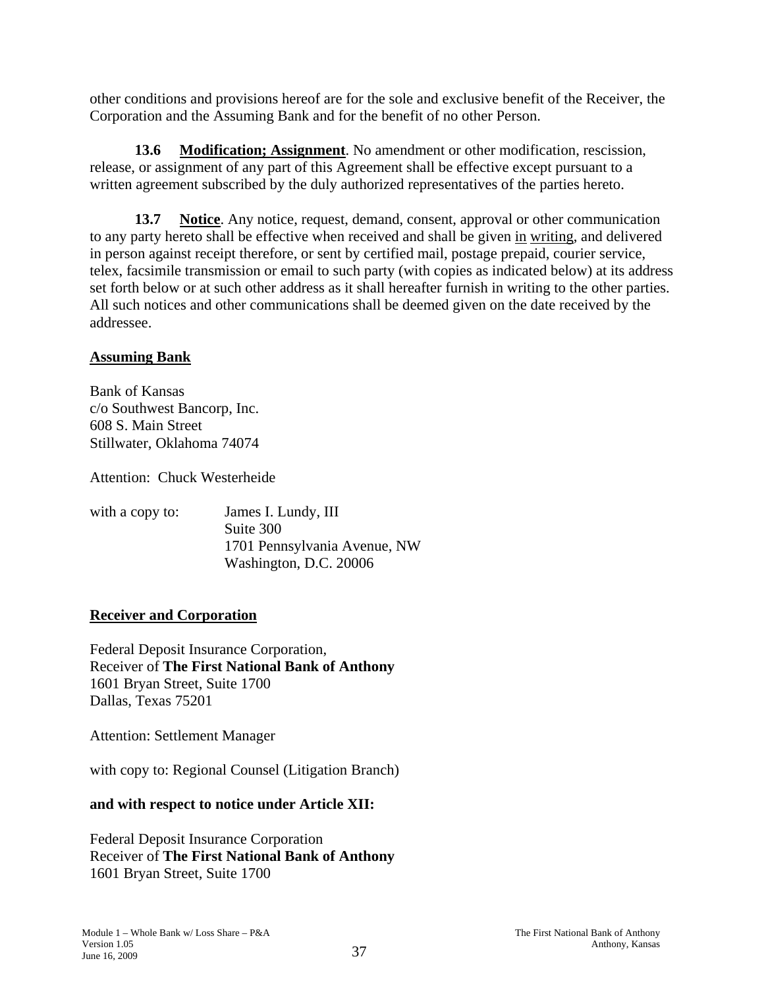other conditions and provisions hereof are for the sole and exclusive benefit of the Receiver, the Corporation and the Assuming Bank and for the benefit of no other Person.

**13.6 Modification; Assignment**. No amendment or other modification, rescission, release, or assignment of any part of this Agreement shall be effective except pursuant to a written agreement subscribed by the duly authorized representatives of the parties hereto.

**13.7** Notice. Any notice, request, demand, consent, approval or other communication to any party hereto shall be effective when received and shall be given in writing, and delivered in person against receipt therefore, or sent by certified mail, postage prepaid, courier service, telex, facsimile transmission or email to such party (with copies as indicated below) at its address set forth below or at such other address as it shall hereafter furnish in writing to the other parties. All such notices and other communications shall be deemed given on the date received by the addressee.

### **Assuming Bank**

Bank of Kansas c/o Southwest Bancorp, Inc. 608 S. Main Street Stillwater, Oklahoma 74074

Attention: Chuck Westerheide

| with a copy to: | James I. Lundy, III          |
|-----------------|------------------------------|
|                 | Suite 300                    |
|                 | 1701 Pennsylvania Avenue, NW |
|                 | Washington, D.C. 20006       |

### **Receiver and Corporation**

 Receiver of **The First National Bank of Anthony** Federal Deposit Insurance Corporation, 1601 Bryan Street, Suite 1700 Dallas, Texas 75201

Attention: Settlement Manager

with copy to: Regional Counsel (Litigation Branch)

### **and with respect to notice under Article XII:**

Federal Deposit Insurance Corporation Receiver of **The First National Bank of Anthony**  1601 Bryan Street, Suite 1700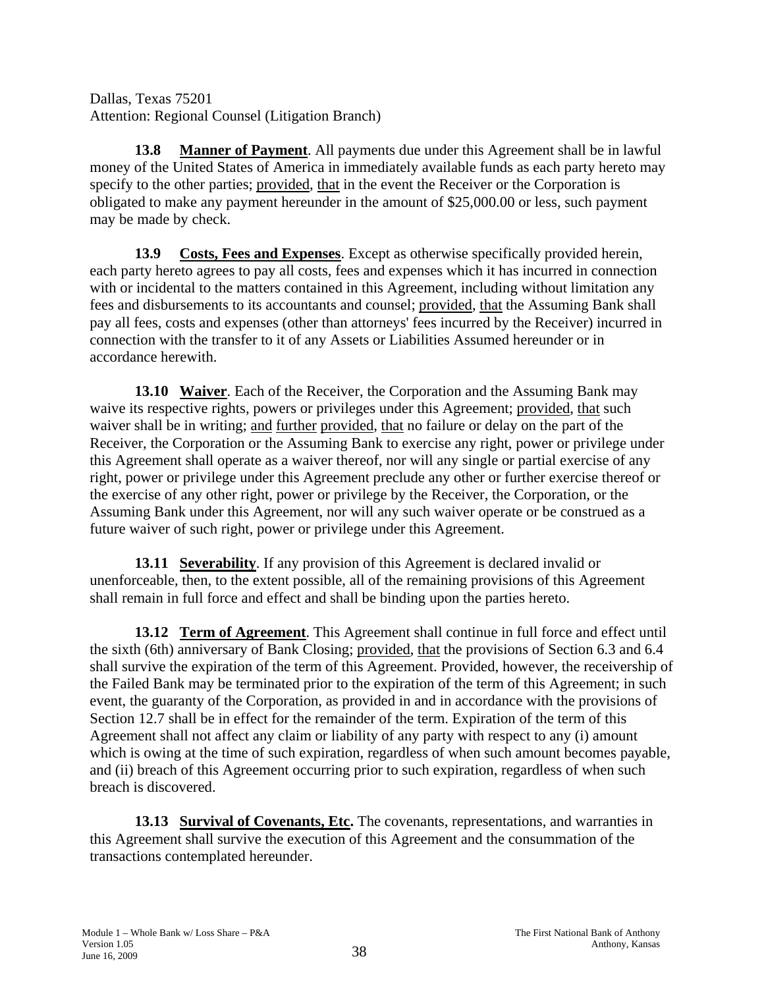Dallas, Texas 75201 Attention: Regional Counsel (Litigation Branch)

**13.8 Manner of Payment.** All payments due under this Agreement shall be in lawful money of the United States of America in immediately available funds as each party hereto may specify to the other parties; provided, that in the event the Receiver or the Corporation is obligated to make any payment hereunder in the amount of \$25,000.00 or less, such payment may be made by check.

**13.9 Costs, Fees and Expenses**. Except as otherwise specifically provided herein, each party hereto agrees to pay all costs, fees and expenses which it has incurred in connection with or incidental to the matters contained in this Agreement, including without limitation any fees and disbursements to its accountants and counsel; provided, that the Assuming Bank shall pay all fees, costs and expenses (other than attorneys' fees incurred by the Receiver) incurred in connection with the transfer to it of any Assets or Liabilities Assumed hereunder or in accordance herewith.

**13.10 Waiver**. Each of the Receiver, the Corporation and the Assuming Bank may waive its respective rights, powers or privileges under this Agreement; provided, that such waiver shall be in writing; and further provided, that no failure or delay on the part of the Receiver, the Corporation or the Assuming Bank to exercise any right, power or privilege under this Agreement shall operate as a waiver thereof, nor will any single or partial exercise of any right, power or privilege under this Agreement preclude any other or further exercise thereof or the exercise of any other right, power or privilege by the Receiver, the Corporation, or the Assuming Bank under this Agreement, nor will any such waiver operate or be construed as a future waiver of such right, power or privilege under this Agreement.

**13.11 Severability**. If any provision of this Agreement is declared invalid or unenforceable, then, to the extent possible, all of the remaining provisions of this Agreement shall remain in full force and effect and shall be binding upon the parties hereto.

**13.12 Term of Agreement**. This Agreement shall continue in full force and effect until the sixth (6th) anniversary of Bank Closing; provided, that the provisions of Section 6.3 and 6.4 shall survive the expiration of the term of this Agreement. Provided, however, the receivership of the Failed Bank may be terminated prior to the expiration of the term of this Agreement; in such event, the guaranty of the Corporation, as provided in and in accordance with the provisions of Section 12.7 shall be in effect for the remainder of the term. Expiration of the term of this Agreement shall not affect any claim or liability of any party with respect to any (i) amount which is owing at the time of such expiration, regardless of when such amount becomes payable, and (ii) breach of this Agreement occurring prior to such expiration, regardless of when such breach is discovered.

**13.13 Survival of Covenants, Etc.** The covenants, representations, and warranties in this Agreement shall survive the execution of this Agreement and the consummation of the transactions contemplated hereunder.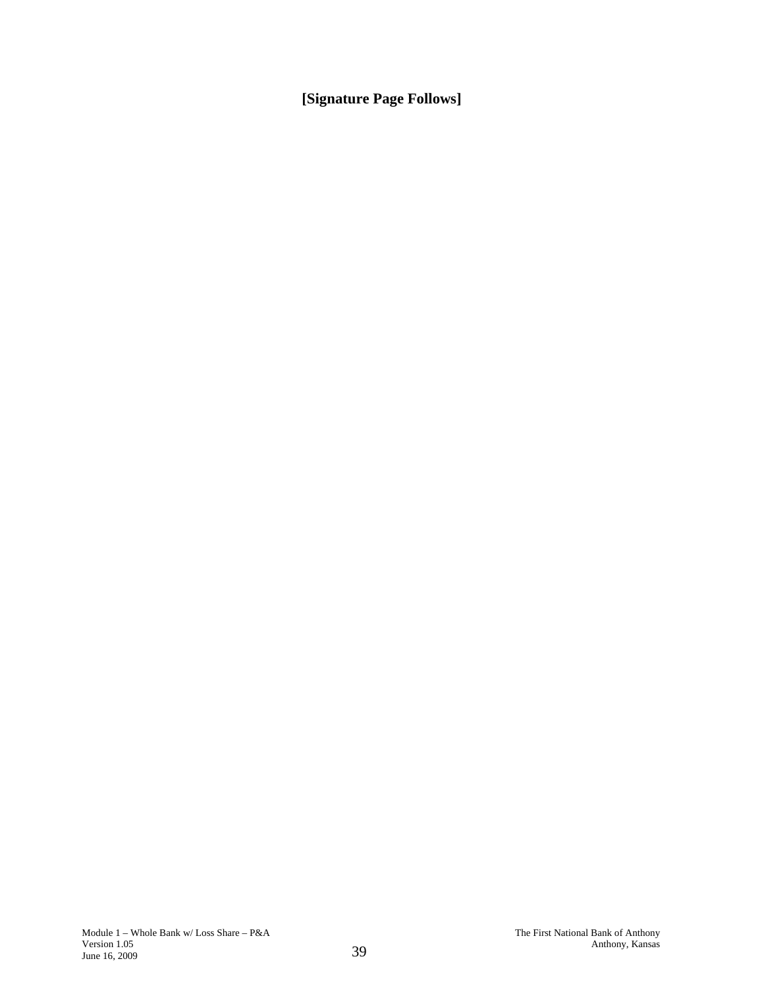**[Signature Page Follows]**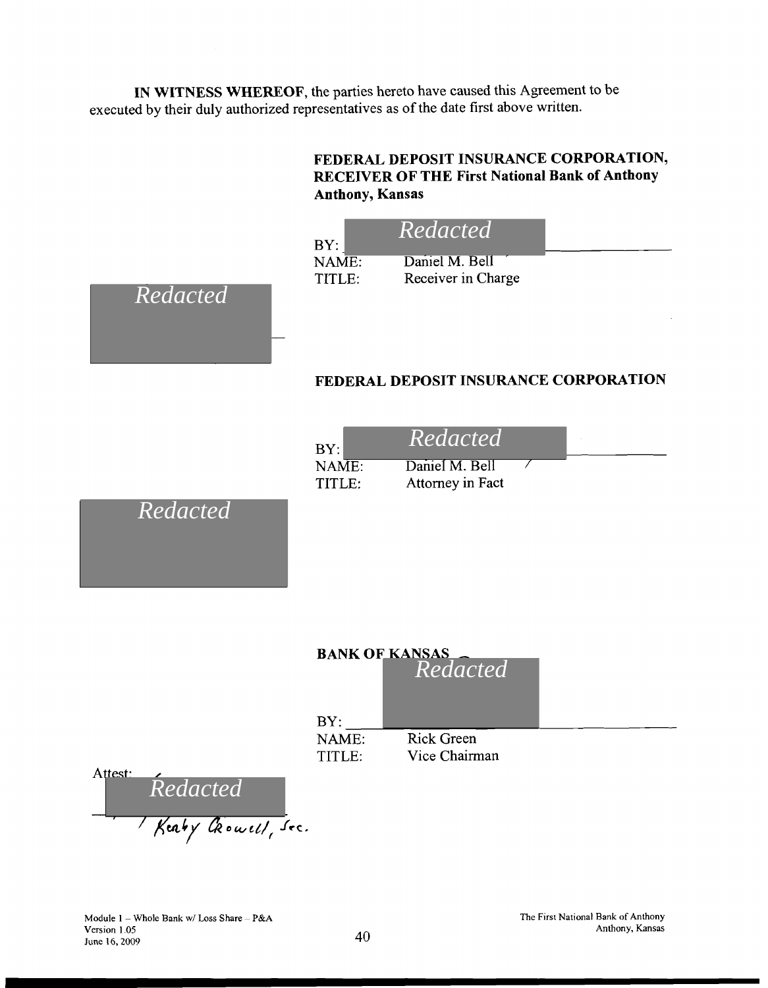**IN WITNESS WHEREOF,** the parties hereto have caused this Agreement to be executed by their duly authorized representatives as of the date first above written.

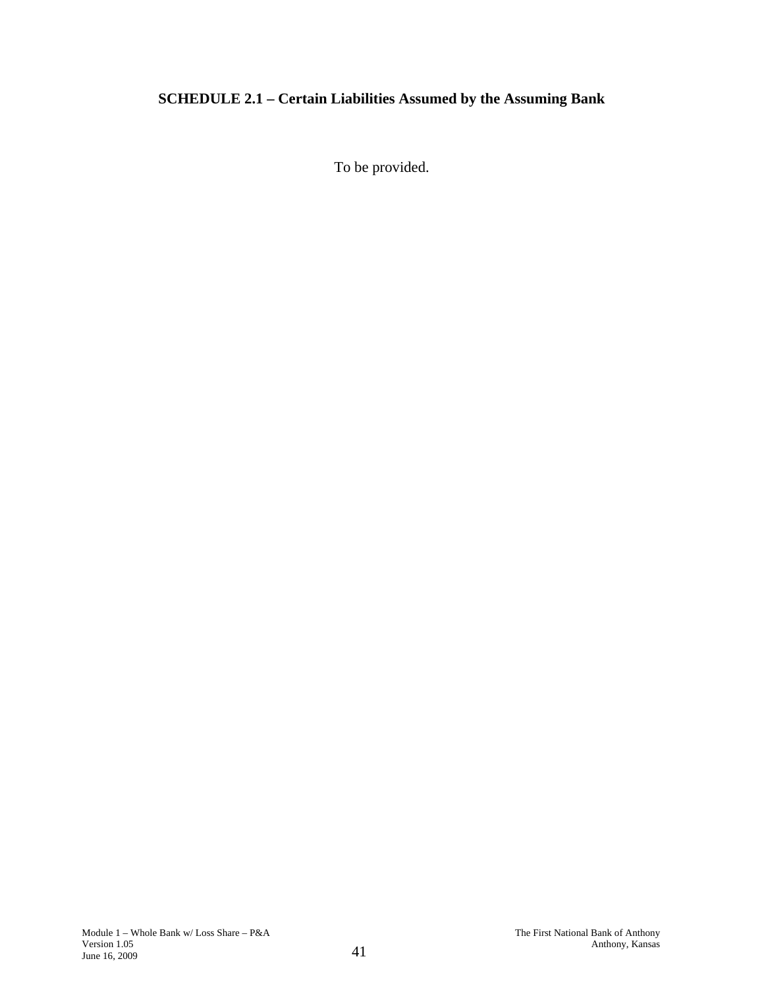# **SCHEDULE 2.1 – Certain Liabilities Assumed by the Assuming Bank**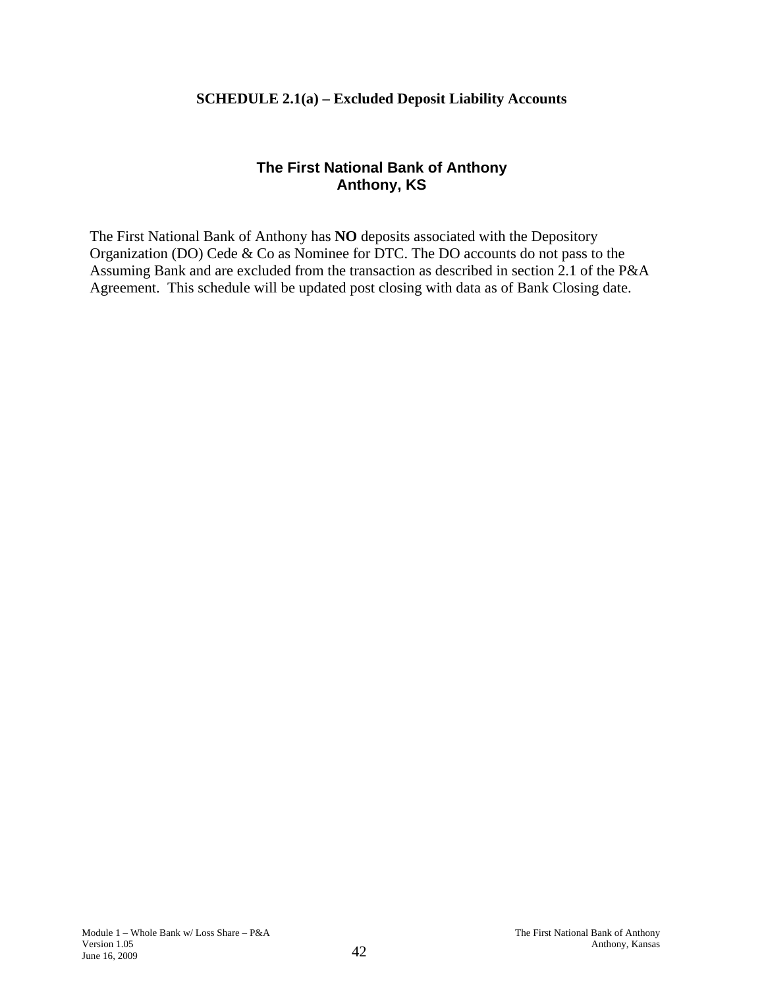### **SCHEDULE 2.1(a) – Excluded Deposit Liability Accounts**

# **The First National Bank of Anthony Anthony, KS**

The First National Bank of Anthony has **NO** deposits associated with the Depository Organization (DO) Cede & Co as Nominee for DTC. The DO accounts do not pass to the Assuming Bank and are excluded from the transaction as described in section 2.1 of the P&A Agreement. This schedule will be updated post closing with data as of Bank Closing date.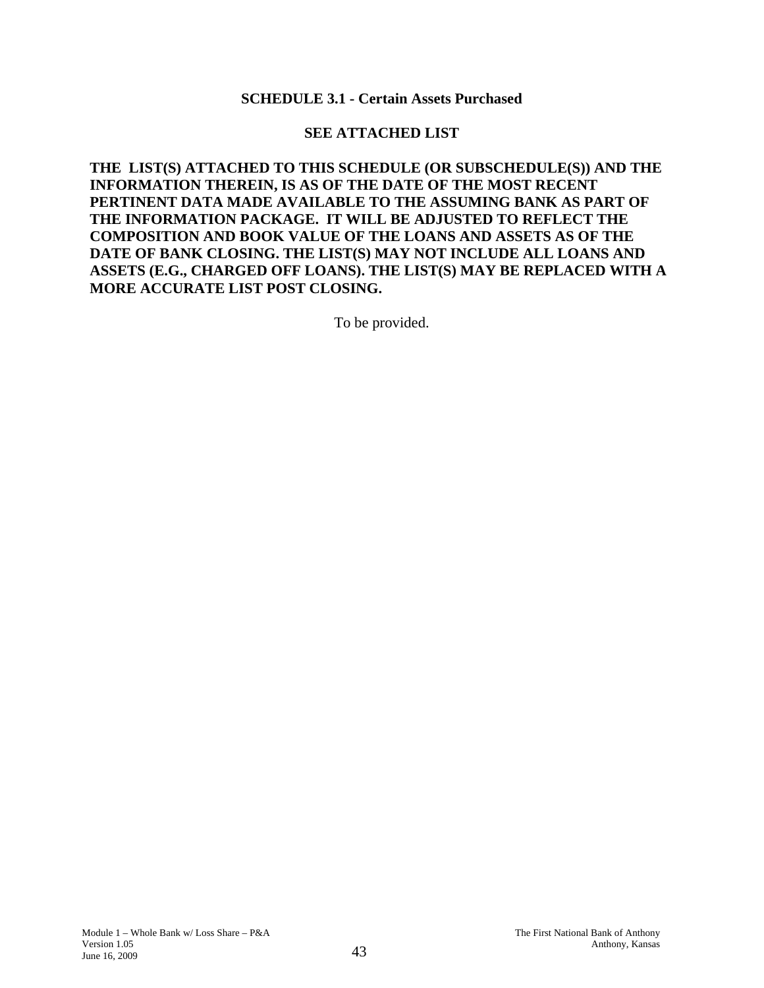#### **SCHEDULE 3.1 - Certain Assets Purchased**

#### **SEE ATTACHED LIST**

THE LIST(S) ATTACHED TO THIS SCHEDULE (OR SUBSCHEDULE(S)) AND THE **INFORMATION THEREIN, IS AS OF THE DATE OF THE MOST RECENT PERTINENT DATA MADE AVAILABLE TO THE ASSUMING BANK AS PART OF THE INFORMATION PACKAGE. IT WILL BE ADJUSTED TO REFLECT THE COMPOSITION AND BOOK VALUE OF THE LOANS AND ASSETS AS OF THE DATE OF BANK CLOSING. THE LIST(S) MAY NOT INCLUDE ALL LOANS AND ASSETS (E.G., CHARGED OFF LOANS). THE LIST(S) MAY BE REPLACED WITH A MORE ACCURATE LIST POST CLOSING.**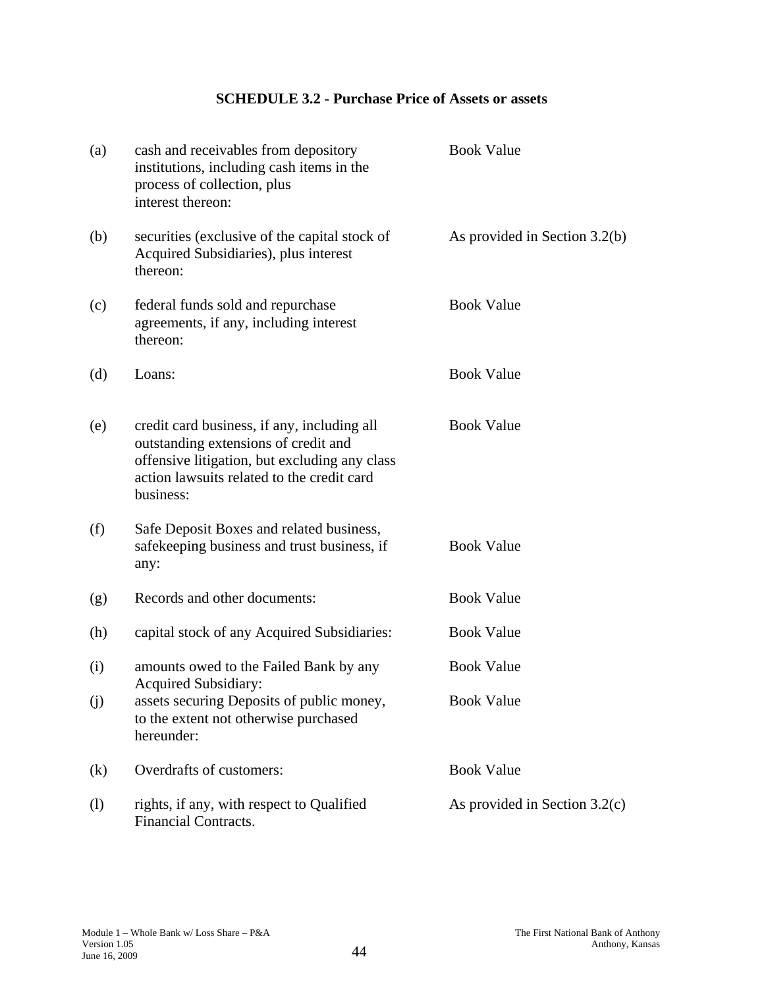# **SCHEDULE 3.2 - Purchase Price of Assets or assets**

| (a) | cash and receivables from depository<br>institutions, including cash items in the<br>process of collection, plus<br>interest thereon:                                                           | <b>Book Value</b>               |
|-----|-------------------------------------------------------------------------------------------------------------------------------------------------------------------------------------------------|---------------------------------|
| (b) | securities (exclusive of the capital stock of<br>Acquired Subsidiaries), plus interest<br>thereon:                                                                                              | As provided in Section $3.2(b)$ |
| (c) | federal funds sold and repurchase<br>agreements, if any, including interest<br>thereon:                                                                                                         | <b>Book Value</b>               |
| (d) | Loans:                                                                                                                                                                                          | <b>Book Value</b>               |
| (e) | credit card business, if any, including all<br>outstanding extensions of credit and<br>offensive litigation, but excluding any class<br>action lawsuits related to the credit card<br>business: | <b>Book Value</b>               |
| (f) | Safe Deposit Boxes and related business,<br>safekeeping business and trust business, if<br>any:                                                                                                 | <b>Book Value</b>               |
| (g) | Records and other documents:                                                                                                                                                                    | <b>Book Value</b>               |
| (h) | capital stock of any Acquired Subsidiaries:                                                                                                                                                     | <b>Book Value</b>               |
| (i) | amounts owed to the Failed Bank by any                                                                                                                                                          | <b>Book Value</b>               |
| (j) | <b>Acquired Subsidiary:</b><br>assets securing Deposits of public money,<br>to the extent not otherwise purchased<br>hereunder:                                                                 | <b>Book Value</b>               |
| (k) | Overdrafts of customers:                                                                                                                                                                        | <b>Book Value</b>               |
| (1) | rights, if any, with respect to Qualified<br>Financial Contracts.                                                                                                                               | As provided in Section $3.2(c)$ |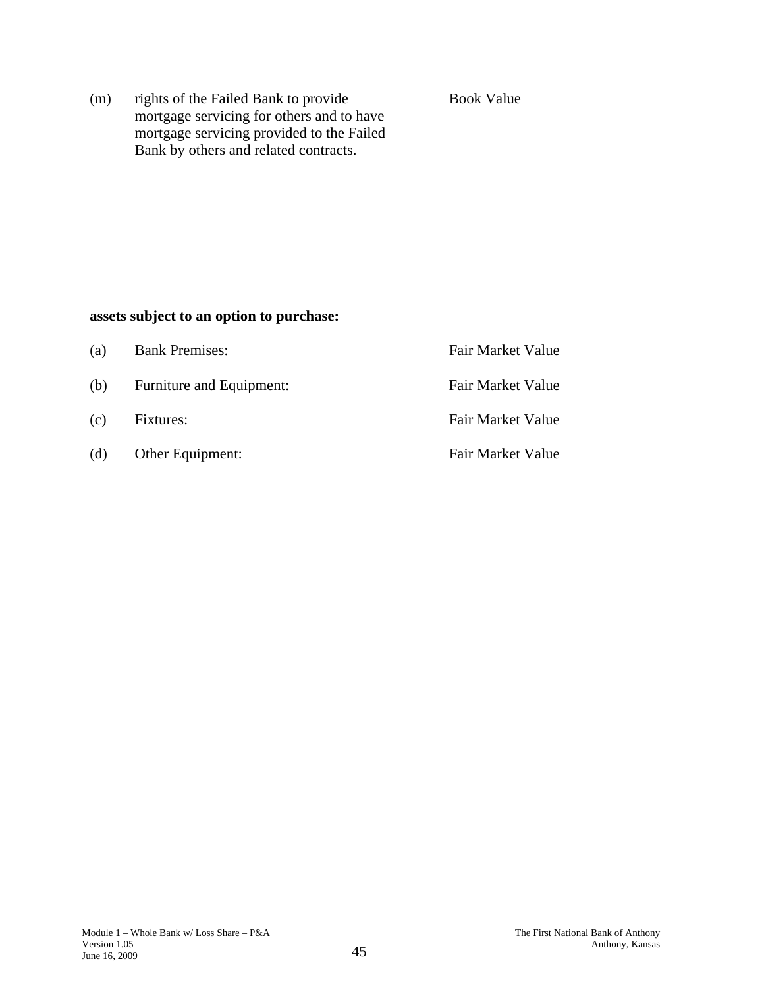(m) rights of the Failed Bank to provide Book Value mortgage servicing for others and to have mortgage servicing provided to the Failed Bank by others and related contracts.

#### **assets subject to an option to purchase:**

| (a) | <b>Bank Premises:</b>    | Fair Market Value        |
|-----|--------------------------|--------------------------|
| (b) | Furniture and Equipment: | <b>Fair Market Value</b> |
| (c) | Fixtures:                | <b>Fair Market Value</b> |
| (d) | Other Equipment:         | Fair Market Value        |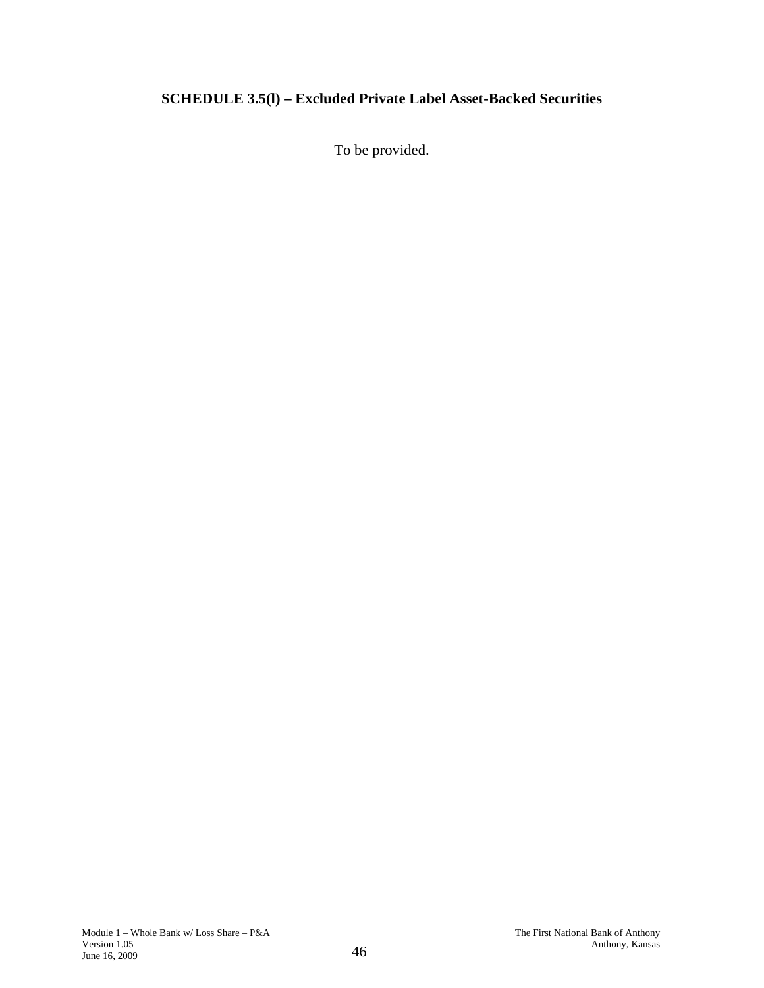# **SCHEDULE 3.5(l) – Excluded Private Label Asset-Backed Securities**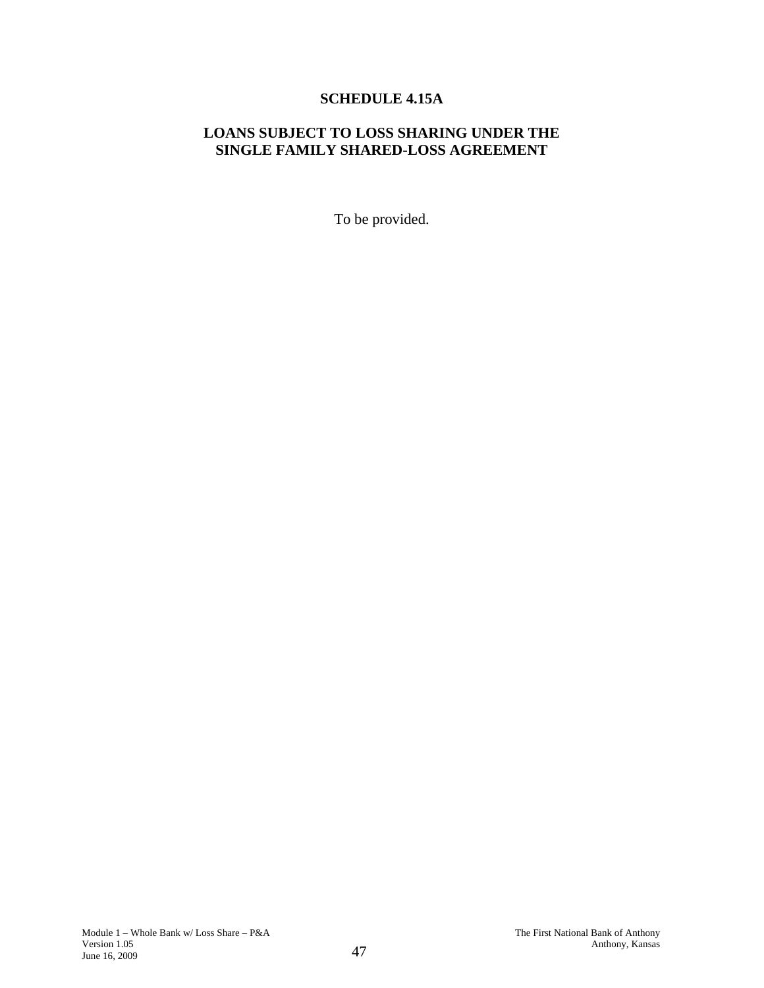# **SCHEDULE 4.15A**

## **LOANS SUBJECT TO LOSS SHARING UNDER THE SINGLE FAMILY SHARED-LOSS AGREEMENT**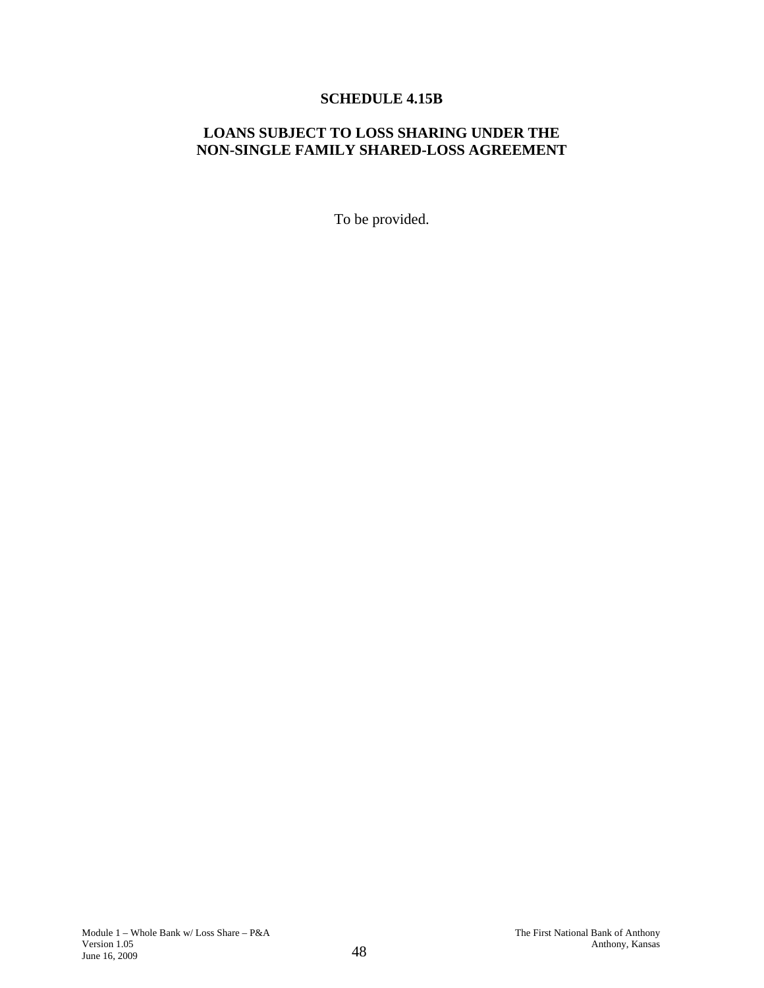# **SCHEDULE 4.15B**

## **LOANS SUBJECT TO LOSS SHARING UNDER THE NON-SINGLE FAMILY SHARED-LOSS AGREEMENT**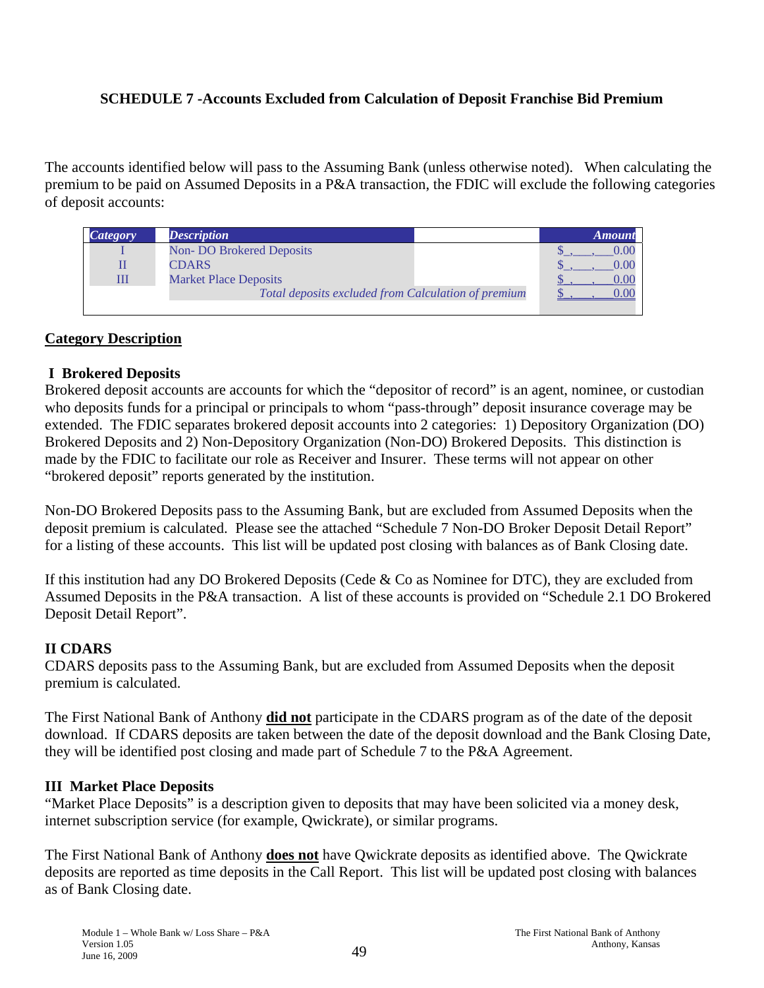## **SCHEDULE 7 -Accounts Excluded from Calculation of Deposit Franchise Bid Premium**

The accounts identified below will pass to the Assuming Bank (unless otherwise noted). When calculating the premium to be paid on Assumed Deposits in a P&A transaction, the FDIC will exclude the following categories of deposit accounts:

| <b>Category</b> | <b>Description</b>                                  | <b>Amount</b> |
|-----------------|-----------------------------------------------------|---------------|
|                 | <b>Non-DO Brokered Deposits</b>                     | 0.00          |
|                 | <b>CDARS</b>                                        | $0.00\,$      |
| Ш               | <b>Market Place Deposits</b>                        | 0.00          |
|                 | Total deposits excluded from Calculation of premium | 0.00          |
|                 |                                                     |               |

#### **Category Description**

#### **I Brokered Deposits**

Brokered deposit accounts are accounts for which the "depositor of record" is an agent, nominee, or custodian who deposits funds for a principal or principals to whom "pass-through" deposit insurance coverage may be extended. The FDIC separates brokered deposit accounts into 2 categories: 1) Depository Organization (DO) Brokered Deposits and 2) Non-Depository Organization (Non-DO) Brokered Deposits. This distinction is made by the FDIC to facilitate our role as Receiver and Insurer. These terms will not appear on other "brokered deposit" reports generated by the institution.

Non-DO Brokered Deposits pass to the Assuming Bank, but are excluded from Assumed Deposits when the deposit premium is calculated. Please see the attached "Schedule 7 Non-DO Broker Deposit Detail Report" for a listing of these accounts. This list will be updated post closing with balances as of Bank Closing date.

If this institution had any DO Brokered Deposits (Cede & Co as Nominee for DTC), they are excluded from Assumed Deposits in the P&A transaction. A list of these accounts is provided on "Schedule 2.1 DO Brokered Deposit Detail Report".

### **II CDARS**

CDARS deposits pass to the Assuming Bank, but are excluded from Assumed Deposits when the deposit premium is calculated.

The First National Bank of Anthony **did not** participate in the CDARS program as of the date of the deposit download. If CDARS deposits are taken between the date of the deposit download and the Bank Closing Date, they will be identified post closing and made part of Schedule 7 to the P&A Agreement.

#### **III Market Place Deposits**

"Market Place Deposits" is a description given to deposits that may have been solicited via a money desk, internet subscription service (for example, Qwickrate), or similar programs.

The First National Bank of Anthony **does not** have Qwickrate deposits as identified above. The Qwickrate deposits are reported as time deposits in the Call Report. This list will be updated post closing with balances as of Bank Closing date.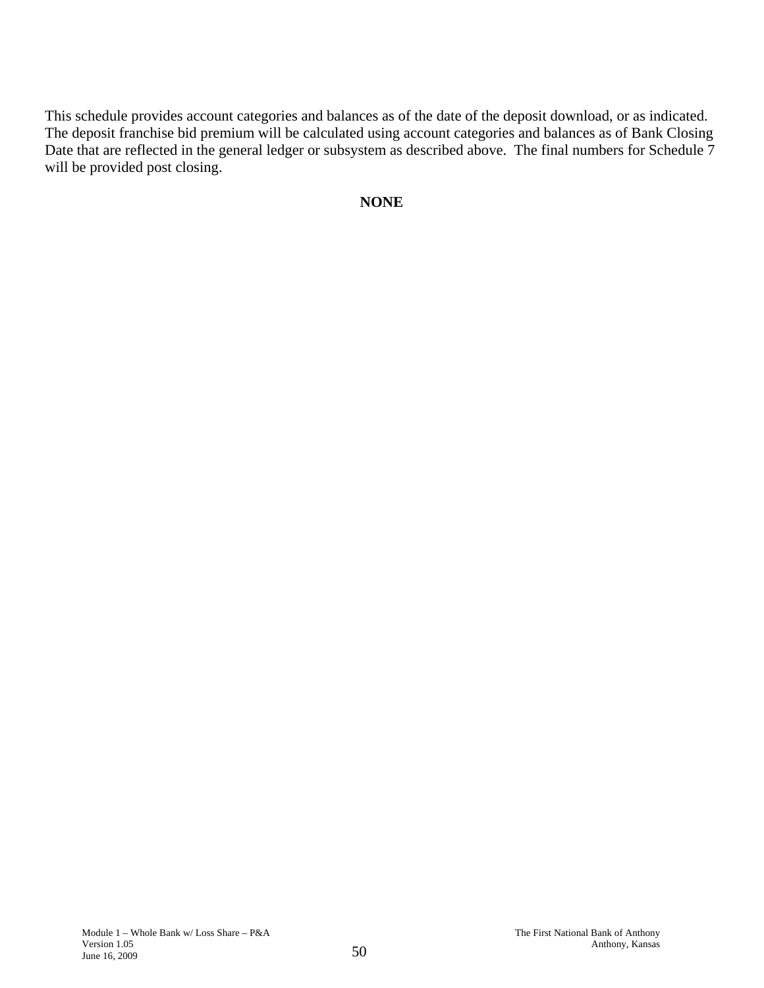This schedule provides account categories and balances as of the date of the deposit download, or as indicated. The deposit franchise bid premium will be calculated using account categories and balances as of Bank Closing Date that are reflected in the general ledger or subsystem as described above. The final numbers for Schedule 7 will be provided post closing.

**NONE**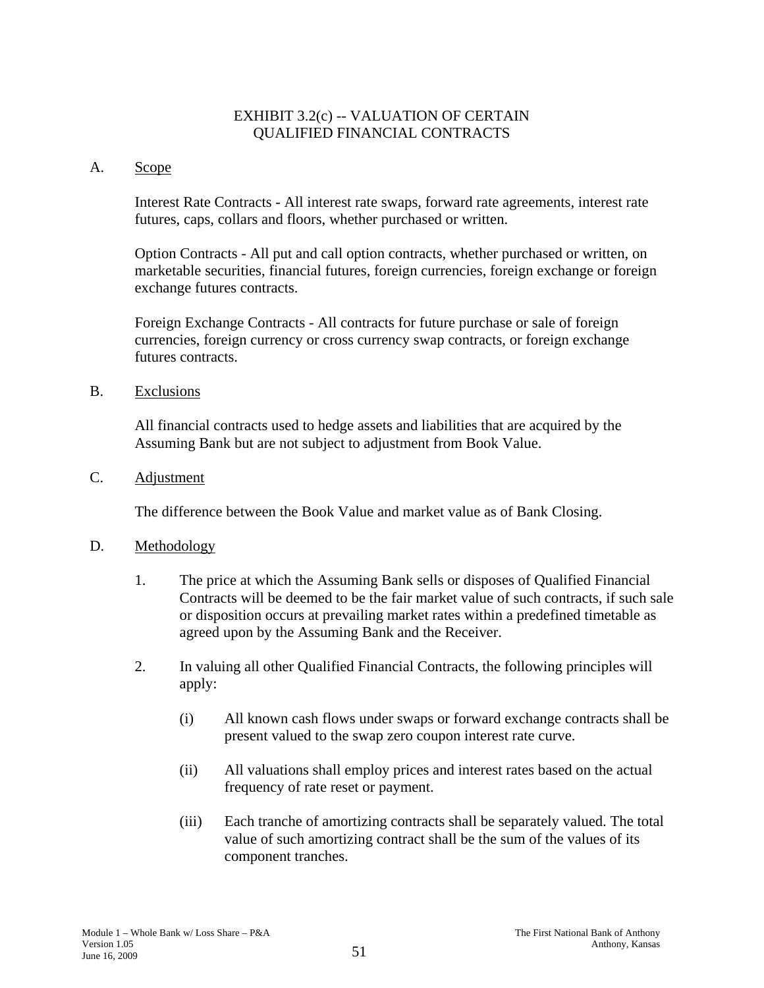### EXHIBIT 3.2(c) -- VALUATION OF CERTAIN QUALIFIED FINANCIAL CONTRACTS

#### A. Scope

Interest Rate Contracts - All interest rate swaps, forward rate agreements, interest rate futures, caps, collars and floors, whether purchased or written.

Option Contracts - All put and call option contracts, whether purchased or written, on marketable securities, financial futures, foreign currencies, foreign exchange or foreign exchange futures contracts.

Foreign Exchange Contracts - All contracts for future purchase or sale of foreign currencies, foreign currency or cross currency swap contracts, or foreign exchange futures contracts.

#### B. Exclusions

All financial contracts used to hedge assets and liabilities that are acquired by the Assuming Bank but are not subject to adjustment from Book Value.

#### C. Adjustment

The difference between the Book Value and market value as of Bank Closing.

### D. Methodology

- 1. The price at which the Assuming Bank sells or disposes of Qualified Financial Contracts will be deemed to be the fair market value of such contracts, if such sale or disposition occurs at prevailing market rates within a predefined timetable as agreed upon by the Assuming Bank and the Receiver.
- 2. In valuing all other Qualified Financial Contracts, the following principles will apply:
	- (i) All known cash flows under swaps or forward exchange contracts shall be present valued to the swap zero coupon interest rate curve.
	- (ii) All valuations shall employ prices and interest rates based on the actual frequency of rate reset or payment.
	- (iii) Each tranche of amortizing contracts shall be separately valued. The total value of such amortizing contract shall be the sum of the values of its component tranches.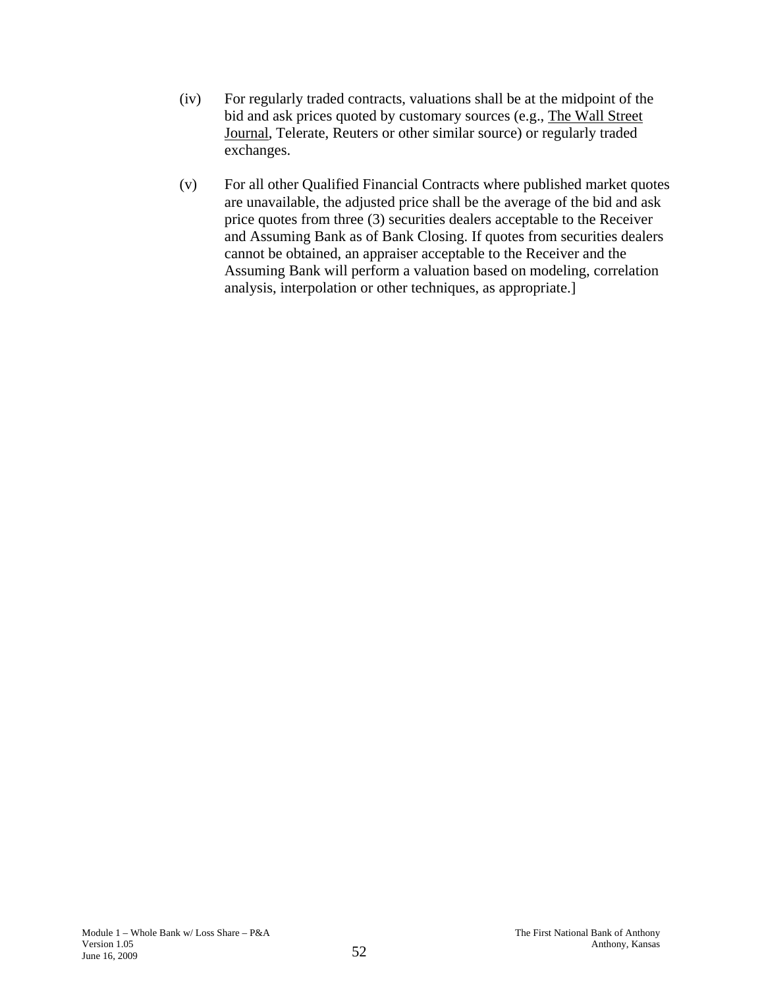- (iv) For regularly traded contracts, valuations shall be at the midpoint of the bid and ask prices quoted by customary sources (e.g., The Wall Street Journal, Telerate, Reuters or other similar source) or regularly traded exchanges.
- (v) For all other Qualified Financial Contracts where published market quotes are unavailable, the adjusted price shall be the average of the bid and ask price quotes from three (3) securities dealers acceptable to the Receiver and Assuming Bank as of Bank Closing. If quotes from securities dealers cannot be obtained, an appraiser acceptable to the Receiver and the Assuming Bank will perform a valuation based on modeling, correlation analysis, interpolation or other techniques, as appropriate.]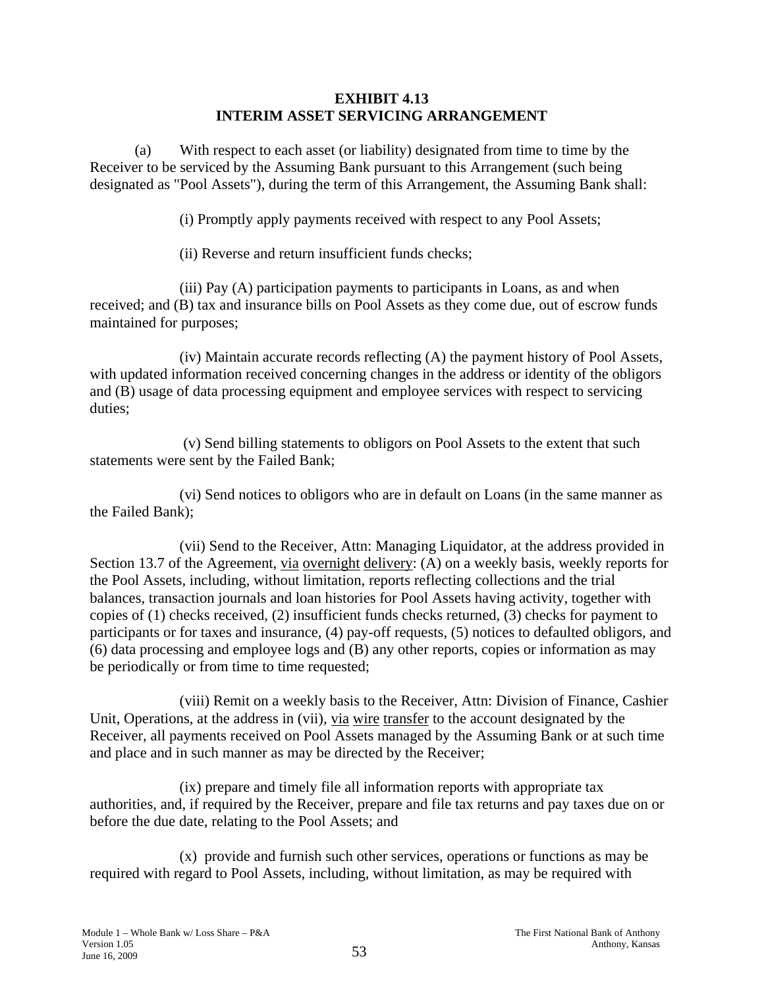#### **EXHIBIT 4.13 INTERIM ASSET SERVICING ARRANGEMENT**

(a) With respect to each asset (or liability) designated from time to time by the Receiver to be serviced by the Assuming Bank pursuant to this Arrangement (such being designated as "Pool Assets"), during the term of this Arrangement, the Assuming Bank shall:

(i) Promptly apply payments received with respect to any Pool Assets;

(ii) Reverse and return insufficient funds checks;

(iii) Pay (A) participation payments to participants in Loans, as and when received; and (B) tax and insurance bills on Pool Assets as they come due, out of escrow funds maintained for purposes;

(iv) Maintain accurate records reflecting (A) the payment history of Pool Assets, with updated information received concerning changes in the address or identity of the obligors and (B) usage of data processing equipment and employee services with respect to servicing duties;

 (v) Send billing statements to obligors on Pool Assets to the extent that such statements were sent by the Failed Bank;

(vi) Send notices to obligors who are in default on Loans (in the same manner as the Failed Bank);

(vii) Send to the Receiver, Attn: Managing Liquidator, at the address provided in Section 13.7 of the Agreement, via overnight delivery: (A) on a weekly basis, weekly reports for the Pool Assets, including, without limitation, reports reflecting collections and the trial balances, transaction journals and loan histories for Pool Assets having activity, together with copies of (1) checks received, (2) insufficient funds checks returned, (3) checks for payment to participants or for taxes and insurance, (4) pay-off requests, (5) notices to defaulted obligors, and (6) data processing and employee logs and (B) any other reports, copies or information as may be periodically or from time to time requested;

(viii) Remit on a weekly basis to the Receiver, Attn: Division of Finance, Cashier Unit, Operations, at the address in (vii), via wire transfer to the account designated by the Receiver, all payments received on Pool Assets managed by the Assuming Bank or at such time and place and in such manner as may be directed by the Receiver;

(ix) prepare and timely file all information reports with appropriate tax authorities, and, if required by the Receiver, prepare and file tax returns and pay taxes due on or before the due date, relating to the Pool Assets; and

(x) provide and furnish such other services, operations or functions as may be required with regard to Pool Assets, including, without limitation, as may be required with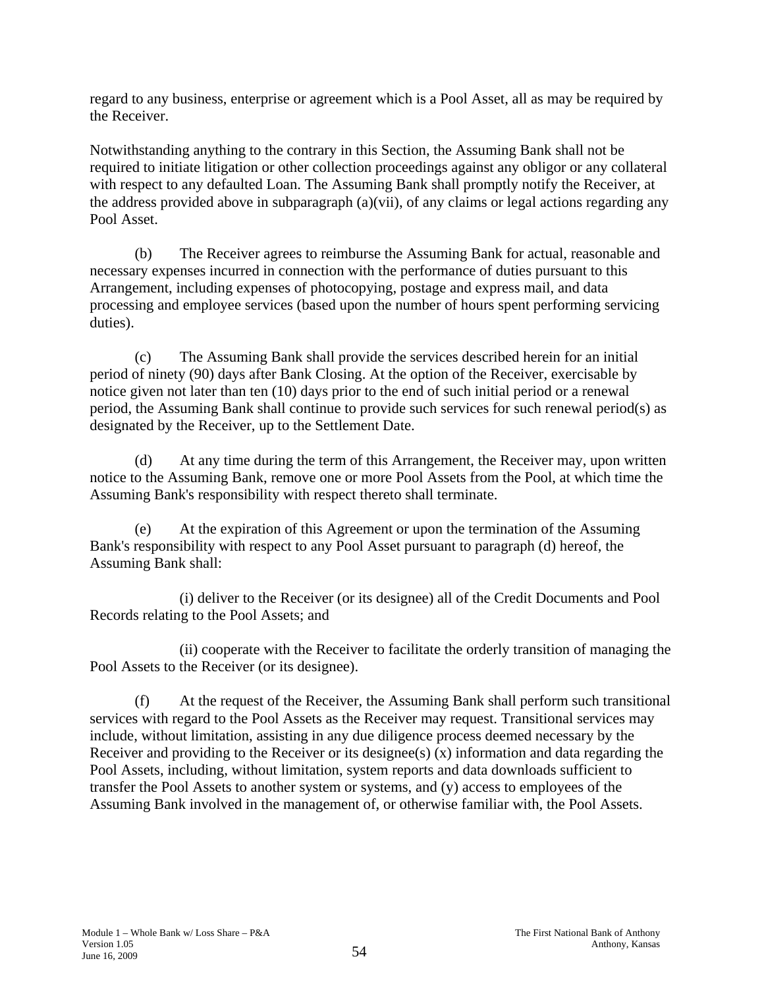regard to any business, enterprise or agreement which is a Pool Asset, all as may be required by the Receiver.

Notwithstanding anything to the contrary in this Section, the Assuming Bank shall not be required to initiate litigation or other collection proceedings against any obligor or any collateral with respect to any defaulted Loan. The Assuming Bank shall promptly notify the Receiver, at the address provided above in subparagraph (a)(vii), of any claims or legal actions regarding any Pool Asset.

(b) The Receiver agrees to reimburse the Assuming Bank for actual, reasonable and necessary expenses incurred in connection with the performance of duties pursuant to this Arrangement, including expenses of photocopying, postage and express mail, and data processing and employee services (based upon the number of hours spent performing servicing duties).

(c) The Assuming Bank shall provide the services described herein for an initial period of ninety (90) days after Bank Closing. At the option of the Receiver, exercisable by notice given not later than ten (10) days prior to the end of such initial period or a renewal period, the Assuming Bank shall continue to provide such services for such renewal period(s) as designated by the Receiver, up to the Settlement Date.

(d) At any time during the term of this Arrangement, the Receiver may, upon written notice to the Assuming Bank, remove one or more Pool Assets from the Pool, at which time the Assuming Bank's responsibility with respect thereto shall terminate.

(e) At the expiration of this Agreement or upon the termination of the Assuming Bank's responsibility with respect to any Pool Asset pursuant to paragraph (d) hereof, the Assuming Bank shall:

(i) deliver to the Receiver (or its designee) all of the Credit Documents and Pool Records relating to the Pool Assets; and

(ii) cooperate with the Receiver to facilitate the orderly transition of managing the Pool Assets to the Receiver (or its designee).

(f) At the request of the Receiver, the Assuming Bank shall perform such transitional services with regard to the Pool Assets as the Receiver may request. Transitional services may include, without limitation, assisting in any due diligence process deemed necessary by the Receiver and providing to the Receiver or its designee(s) (x) information and data regarding the Pool Assets, including, without limitation, system reports and data downloads sufficient to transfer the Pool Assets to another system or systems, and (y) access to employees of the Assuming Bank involved in the management of, or otherwise familiar with, the Pool Assets.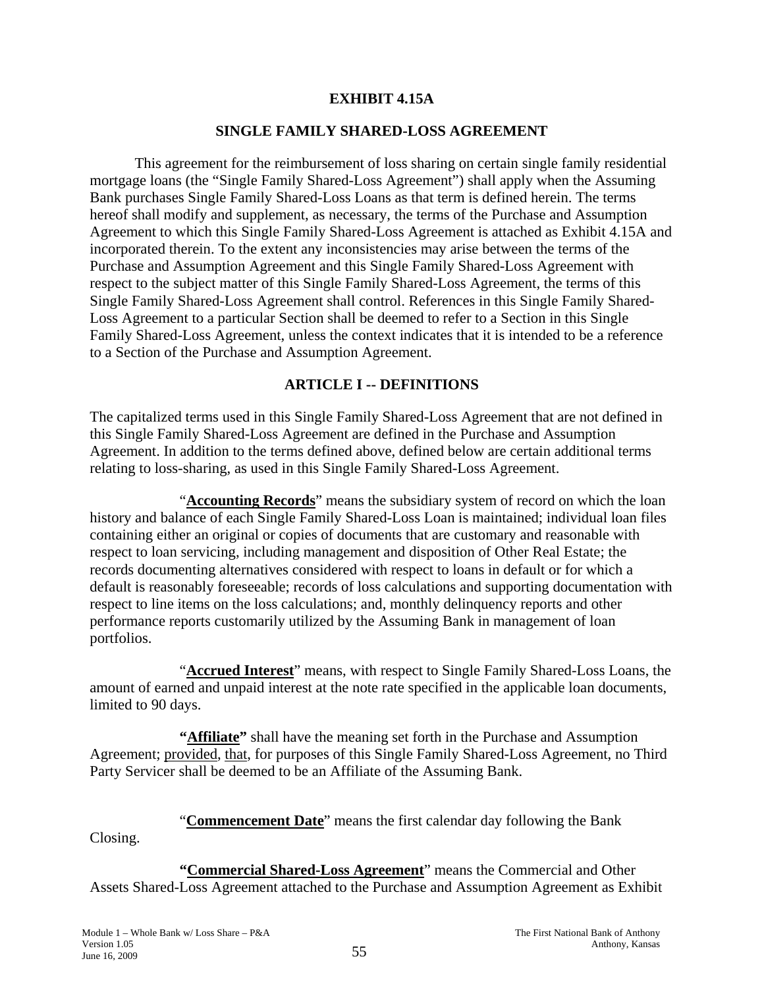#### **EXHIBIT 4.15A**

#### **SINGLE FAMILY SHARED-LOSS AGREEMENT**

This agreement for the reimbursement of loss sharing on certain single family residential mortgage loans (the "Single Family Shared-Loss Agreement") shall apply when the Assuming Bank purchases Single Family Shared-Loss Loans as that term is defined herein. The terms hereof shall modify and supplement, as necessary, the terms of the Purchase and Assumption Agreement to which this Single Family Shared-Loss Agreement is attached as Exhibit 4.15A and incorporated therein. To the extent any inconsistencies may arise between the terms of the Purchase and Assumption Agreement and this Single Family Shared-Loss Agreement with respect to the subject matter of this Single Family Shared-Loss Agreement, the terms of this Single Family Shared-Loss Agreement shall control. References in this Single Family Shared-Loss Agreement to a particular Section shall be deemed to refer to a Section in this Single Family Shared-Loss Agreement, unless the context indicates that it is intended to be a reference to a Section of the Purchase and Assumption Agreement.

#### **ARTICLE I -- DEFINITIONS**

The capitalized terms used in this Single Family Shared-Loss Agreement that are not defined in this Single Family Shared-Loss Agreement are defined in the Purchase and Assumption Agreement. In addition to the terms defined above, defined below are certain additional terms relating to loss-sharing, as used in this Single Family Shared-Loss Agreement.

"**Accounting Records**" means the subsidiary system of record on which the loan history and balance of each Single Family Shared-Loss Loan is maintained; individual loan files containing either an original or copies of documents that are customary and reasonable with respect to loan servicing, including management and disposition of Other Real Estate; the records documenting alternatives considered with respect to loans in default or for which a default is reasonably foreseeable; records of loss calculations and supporting documentation with respect to line items on the loss calculations; and, monthly delinquency reports and other performance reports customarily utilized by the Assuming Bank in management of loan portfolios.

"**Accrued Interest**" means, with respect to Single Family Shared-Loss Loans, the amount of earned and unpaid interest at the note rate specified in the applicable loan documents, limited to 90 days.

**"Affiliate"** shall have the meaning set forth in the Purchase and Assumption Agreement; provided, that, for purposes of this Single Family Shared-Loss Agreement, no Third Party Servicer shall be deemed to be an Affiliate of the Assuming Bank.

"**Commencement Date**" means the first calendar day following the Bank

Closing.

**"Commercial Shared-Loss Agreement**" means the Commercial and Other Assets Shared-Loss Agreement attached to the Purchase and Assumption Agreement as Exhibit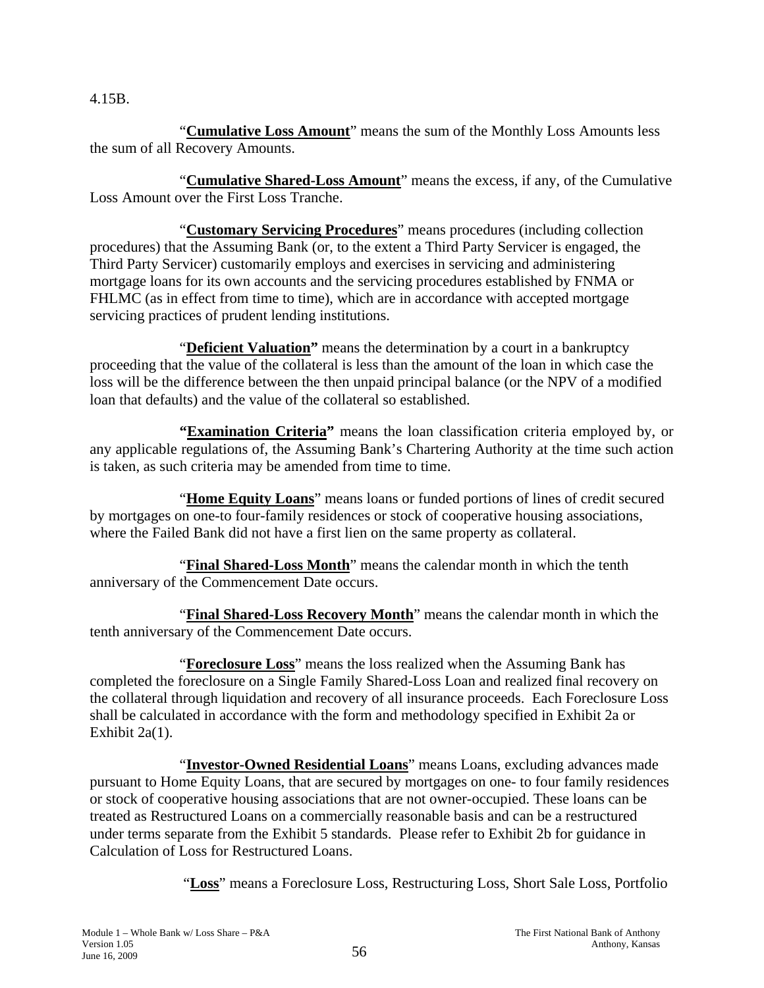4.15B.

"**Cumulative Loss Amount**" means the sum of the Monthly Loss Amounts less the sum of all Recovery Amounts.

"**Cumulative Shared-Loss Amount**" means the excess, if any, of the Cumulative Loss Amount over the First Loss Tranche.

"**Customary Servicing Procedures**" means procedures (including collection procedures) that the Assuming Bank (or, to the extent a Third Party Servicer is engaged, the Third Party Servicer) customarily employs and exercises in servicing and administering mortgage loans for its own accounts and the servicing procedures established by FNMA or FHLMC (as in effect from time to time), which are in accordance with accepted mortgage servicing practices of prudent lending institutions.

"**Deficient Valuation"** means the determination by a court in a bankruptcy proceeding that the value of the collateral is less than the amount of the loan in which case the loss will be the difference between the then unpaid principal balance (or the NPV of a modified loan that defaults) and the value of the collateral so established.

**"Examination Criteria"** means the loan classification criteria employed by, or any applicable regulations of, the Assuming Bank's Chartering Authority at the time such action is taken, as such criteria may be amended from time to time.

"**Home Equity Loans**" means loans or funded portions of lines of credit secured by mortgages on one-to four-family residences or stock of cooperative housing associations, where the Failed Bank did not have a first lien on the same property as collateral.

"**Final Shared-Loss Month**" means the calendar month in which the tenth anniversary of the Commencement Date occurs.

"**Final Shared-Loss Recovery Month**" means the calendar month in which the tenth anniversary of the Commencement Date occurs.

"**Foreclosure Loss**" means the loss realized when the Assuming Bank has completed the foreclosure on a Single Family Shared-Loss Loan and realized final recovery on the collateral through liquidation and recovery of all insurance proceeds. Each Foreclosure Loss shall be calculated in accordance with the form and methodology specified in Exhibit 2a or Exhibit 2a(1).

"**Investor-Owned Residential Loans**" means Loans, excluding advances made pursuant to Home Equity Loans, that are secured by mortgages on one- to four family residences or stock of cooperative housing associations that are not owner-occupied. These loans can be treated as Restructured Loans on a commercially reasonable basis and can be a restructured under terms separate from the Exhibit 5 standards. Please refer to Exhibit 2b for guidance in Calculation of Loss for Restructured Loans.

"**Loss**" means a Foreclosure Loss, Restructuring Loss, Short Sale Loss, Portfolio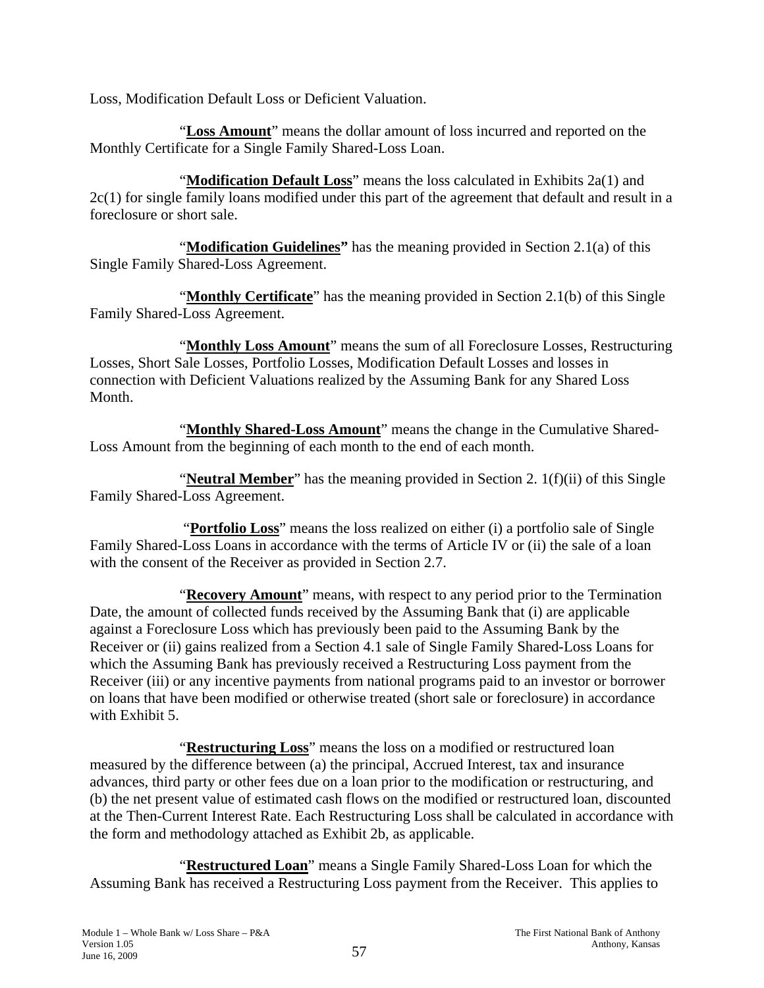Loss, Modification Default Loss or Deficient Valuation.

"**Loss Amount**" means the dollar amount of loss incurred and reported on the Monthly Certificate for a Single Family Shared-Loss Loan.

"**Modification Default Loss**" means the loss calculated in Exhibits 2a(1) and 2c(1) for single family loans modified under this part of the agreement that default and result in a foreclosure or short sale.

"**Modification Guidelines**" has the meaning provided in Section 2.1(a) of this Single Family Shared-Loss Agreement.

"**Monthly Certificate**" has the meaning provided in Section 2.1(b) of this Single Family Shared-Loss Agreement.

"**Monthly Loss Amount**" means the sum of all Foreclosure Losses, Restructuring Losses, Short Sale Losses, Portfolio Losses, Modification Default Losses and losses in connection with Deficient Valuations realized by the Assuming Bank for any Shared Loss Month.

"**Monthly Shared-Loss Amount**" means the change in the Cumulative Shared-Loss Amount from the beginning of each month to the end of each month.

**"Neutral Member**" has the meaning provided in Section 2. 1(f)(ii) of this Single Family Shared-Loss Agreement.

"**Portfolio Loss**" means the loss realized on either (i) a portfolio sale of Single Family Shared-Loss Loans in accordance with the terms of Article IV or (ii) the sale of a loan with the consent of the Receiver as provided in Section 2.7.

"**Recovery Amount**" means, with respect to any period prior to the Termination Date, the amount of collected funds received by the Assuming Bank that (i) are applicable against a Foreclosure Loss which has previously been paid to the Assuming Bank by the Receiver or (ii) gains realized from a Section 4.1 sale of Single Family Shared-Loss Loans for which the Assuming Bank has previously received a Restructuring Loss payment from the Receiver (iii) or any incentive payments from national programs paid to an investor or borrower on loans that have been modified or otherwise treated (short sale or foreclosure) in accordance with Exhibit 5.

"**Restructuring Loss**" means the loss on a modified or restructured loan measured by the difference between (a) the principal, Accrued Interest, tax and insurance advances, third party or other fees due on a loan prior to the modification or restructuring, and (b) the net present value of estimated cash flows on the modified or restructured loan, discounted at the Then-Current Interest Rate. Each Restructuring Loss shall be calculated in accordance with the form and methodology attached as Exhibit 2b, as applicable.

"**Restructured Loan**" means a Single Family Shared-Loss Loan for which the Assuming Bank has received a Restructuring Loss payment from the Receiver. This applies to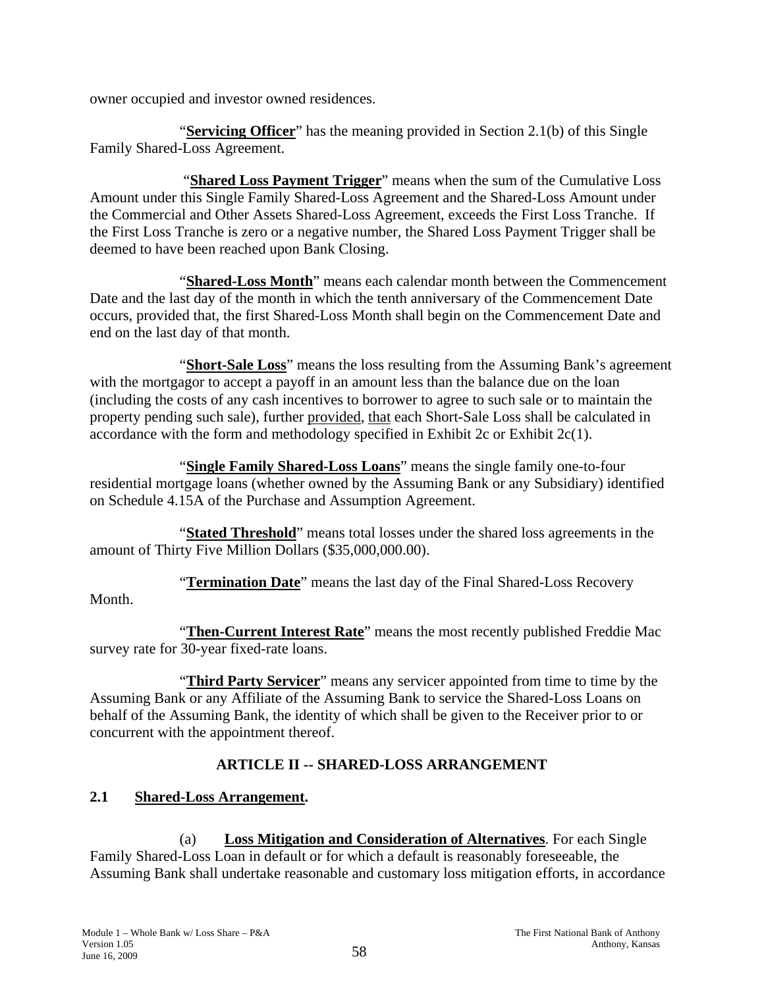owner occupied and investor owned residences.

**Servicing Officer**" has the meaning provided in Section 2.1(b) of this Single Family Shared-Loss Agreement.

"**Shared Loss Payment Trigger**" means when the sum of the Cumulative Loss Amount under this Single Family Shared-Loss Agreement and the Shared-Loss Amount under the Commercial and Other Assets Shared-Loss Agreement, exceeds the First Loss Tranche. If the First Loss Tranche is zero or a negative number, the Shared Loss Payment Trigger shall be deemed to have been reached upon Bank Closing.

"**Shared-Loss Month**" means each calendar month between the Commencement Date and the last day of the month in which the tenth anniversary of the Commencement Date occurs, provided that, the first Shared-Loss Month shall begin on the Commencement Date and end on the last day of that month.

"**Short-Sale Loss**" means the loss resulting from the Assuming Bank's agreement with the mortgagor to accept a payoff in an amount less than the balance due on the loan (including the costs of any cash incentives to borrower to agree to such sale or to maintain the property pending such sale), further provided, that each Short-Sale Loss shall be calculated in accordance with the form and methodology specified in Exhibit 2c or Exhibit  $2c(1)$ .

"**Single Family Shared-Loss Loans**" means the single family one-to-four residential mortgage loans (whether owned by the Assuming Bank or any Subsidiary) identified on Schedule 4.15A of the Purchase and Assumption Agreement.

"**Stated Threshold**" means total losses under the shared loss agreements in the amount of Thirty Five Million Dollars (\$35,000,000.00).

"**Termination Date**" means the last day of the Final Shared-Loss Recovery Month.

"**Then-Current Interest Rate**" means the most recently published Freddie Mac survey rate for 30-year fixed-rate loans.

"**Third Party Servicer**" means any servicer appointed from time to time by the Assuming Bank or any Affiliate of the Assuming Bank to service the Shared-Loss Loans on behalf of the Assuming Bank, the identity of which shall be given to the Receiver prior to or concurrent with the appointment thereof.

# **ARTICLE II -- SHARED-LOSS ARRANGEMENT**

# **2.1 Shared-Loss Arrangement.**

(a) **Loss Mitigation and Consideration of Alternatives**. For each Single Family Shared-Loss Loan in default or for which a default is reasonably foreseeable, the Assuming Bank shall undertake reasonable and customary loss mitigation efforts, in accordance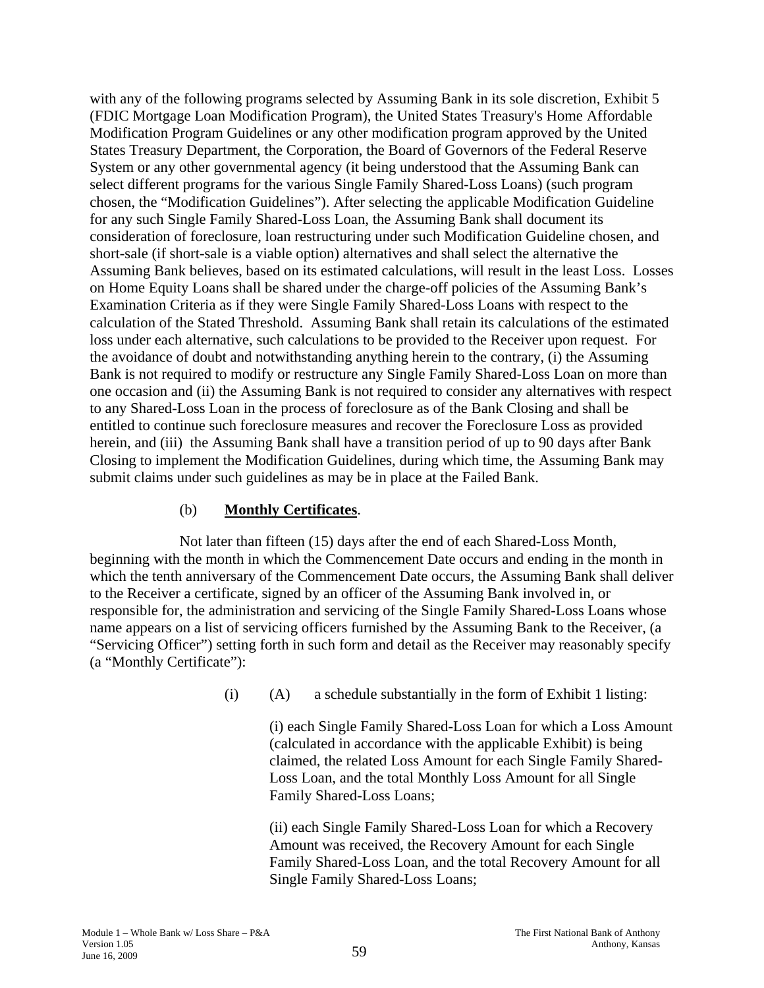with any of the following programs selected by Assuming Bank in its sole discretion, Exhibit 5 (FDIC Mortgage Loan Modification Program), the United States Treasury's Home Affordable Modification Program Guidelines or any other modification program approved by the United States Treasury Department, the Corporation, the Board of Governors of the Federal Reserve System or any other governmental agency (it being understood that the Assuming Bank can select different programs for the various Single Family Shared-Loss Loans) (such program chosen, the "Modification Guidelines"). After selecting the applicable Modification Guideline for any such Single Family Shared-Loss Loan, the Assuming Bank shall document its consideration of foreclosure, loan restructuring under such Modification Guideline chosen, and short-sale (if short-sale is a viable option) alternatives and shall select the alternative the Assuming Bank believes, based on its estimated calculations, will result in the least Loss. Losses on Home Equity Loans shall be shared under the charge-off policies of the Assuming Bank's Examination Criteria as if they were Single Family Shared-Loss Loans with respect to the calculation of the Stated Threshold. Assuming Bank shall retain its calculations of the estimated loss under each alternative, such calculations to be provided to the Receiver upon request. For the avoidance of doubt and notwithstanding anything herein to the contrary, (i) the Assuming Bank is not required to modify or restructure any Single Family Shared-Loss Loan on more than one occasion and (ii) the Assuming Bank is not required to consider any alternatives with respect to any Shared-Loss Loan in the process of foreclosure as of the Bank Closing and shall be entitled to continue such foreclosure measures and recover the Foreclosure Loss as provided herein, and (iii) the Assuming Bank shall have a transition period of up to 90 days after Bank Closing to implement the Modification Guidelines, during which time, the Assuming Bank may submit claims under such guidelines as may be in place at the Failed Bank.

### (b) **Monthly Certificates**.

Not later than fifteen (15) days after the end of each Shared-Loss Month, beginning with the month in which the Commencement Date occurs and ending in the month in which the tenth anniversary of the Commencement Date occurs, the Assuming Bank shall deliver to the Receiver a certificate, signed by an officer of the Assuming Bank involved in, or responsible for, the administration and servicing of the Single Family Shared-Loss Loans whose name appears on a list of servicing officers furnished by the Assuming Bank to the Receiver, (a "Servicing Officer") setting forth in such form and detail as the Receiver may reasonably specify (a "Monthly Certificate"):

 $(i)$  (A) a schedule substantially in the form of Exhibit 1 listing:

(i) each Single Family Shared-Loss Loan for which a Loss Amount (calculated in accordance with the applicable Exhibit) is being claimed, the related Loss Amount for each Single Family Shared-Loss Loan, and the total Monthly Loss Amount for all Single Family Shared-Loss Loans;

(ii) each Single Family Shared-Loss Loan for which a Recovery Amount was received, the Recovery Amount for each Single Family Shared-Loss Loan, and the total Recovery Amount for all Single Family Shared-Loss Loans;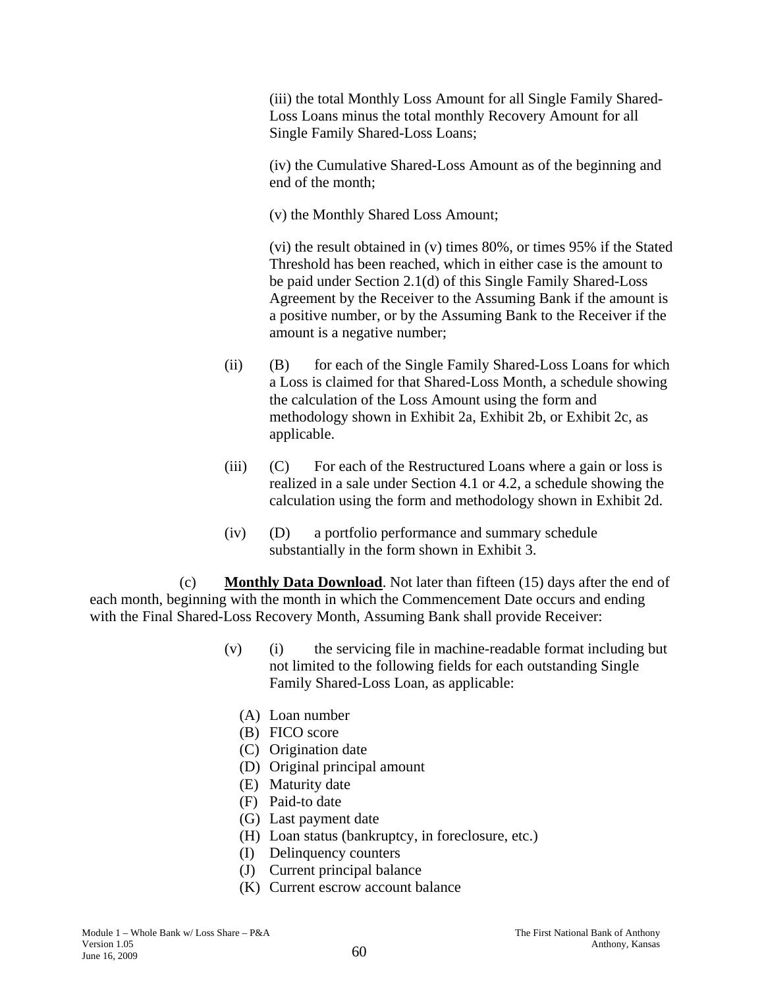(iii) the total Monthly Loss Amount for all Single Family Shared-Loss Loans minus the total monthly Recovery Amount for all Single Family Shared-Loss Loans;

(iv) the Cumulative Shared-Loss Amount as of the beginning and end of the month;

(v) the Monthly Shared Loss Amount;

(vi) the result obtained in (v) times 80%, or times 95% if the Stated Threshold has been reached, which in either case is the amount to be paid under Section 2.1(d) of this Single Family Shared-Loss Agreement by the Receiver to the Assuming Bank if the amount is a positive number, or by the Assuming Bank to the Receiver if the amount is a negative number;

- (ii) (B) for each of the Single Family Shared-Loss Loans for which a Loss is claimed for that Shared-Loss Month, a schedule showing the calculation of the Loss Amount using the form and methodology shown in Exhibit 2a, Exhibit 2b, or Exhibit 2c, as applicable.
- (iii) (C) For each of the Restructured Loans where a gain or loss is realized in a sale under Section 4.1 or 4.2, a schedule showing the calculation using the form and methodology shown in Exhibit 2d.
- (iv) (D) a portfolio performance and summary schedule substantially in the form shown in Exhibit 3.

(c) **Monthly Data Download**. Not later than fifteen (15) days after the end of each month, beginning with the month in which the Commencement Date occurs and ending with the Final Shared-Loss Recovery Month, Assuming Bank shall provide Receiver:

- $(v)$  (i) the servicing file in machine-readable format including but not limited to the following fields for each outstanding Single Family Shared-Loss Loan, as applicable:
	- (A) Loan number
	- (B) FICO score
	- (C) Origination date
	- (D) Original principal amount
	- (E) Maturity date
	- (F) Paid-to date
	- (G) Last payment date
	- (H) Loan status (bankruptcy, in foreclosure, etc.)
	- (I) Delinquency counters
	- (J) Current principal balance
	- (K) Current escrow account balance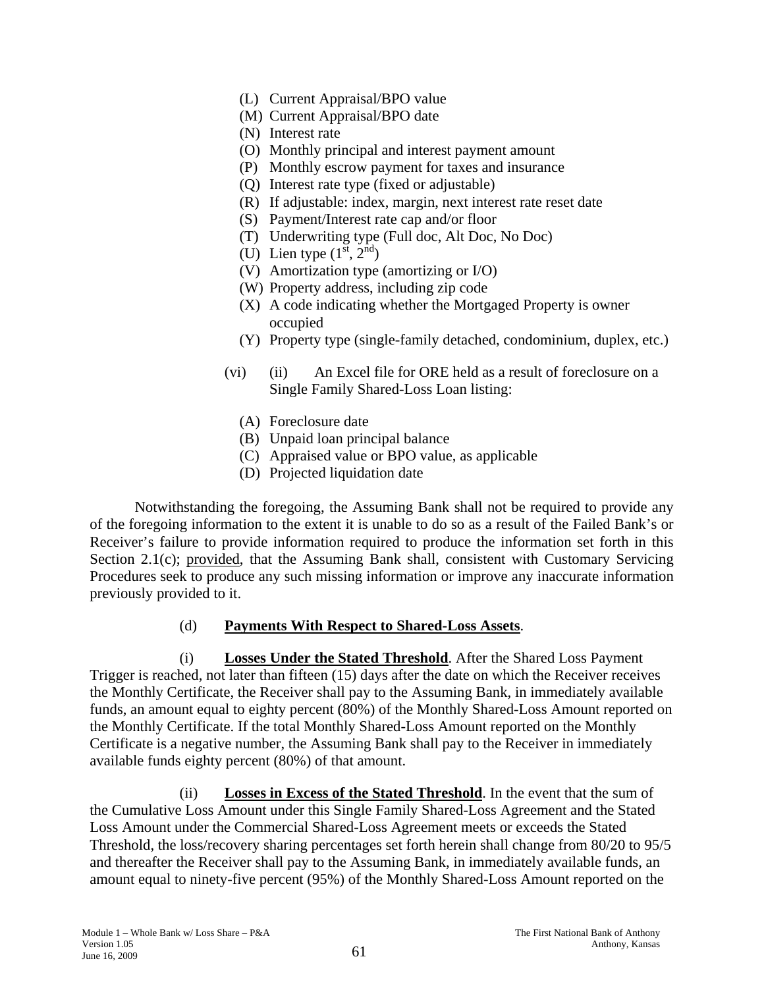- (L) Current Appraisal/BPO value
- (M) Current Appraisal/BPO date
- (N) Interest rate
- (O) Monthly principal and interest payment amount
- (P) Monthly escrow payment for taxes and insurance
- (Q) Interest rate type (fixed or adjustable)
- (R) If adjustable: index, margin, next interest rate reset date
- (S) Payment/Interest rate cap and/or floor
- (T) Underwriting type (Full doc, Alt Doc, No Doc)
- (U) Lien type  $(1<sup>st</sup>, 2<sup>nd</sup>)$
- (V) Amortization type (amortizing or I/O)
- (W) Property address, including zip code
- (X) A code indicating whether the Mortgaged Property is owner occupied
- (Y) Property type (single-family detached, condominium, duplex, etc.)
- (vi) (ii) An Excel file for ORE held as a result of foreclosure on a Single Family Shared-Loss Loan listing:
	- (A) Foreclosure date
	- (B) Unpaid loan principal balance
	- (C) Appraised value or BPO value, as applicable
	- (D) Projected liquidation date

Notwithstanding the foregoing, the Assuming Bank shall not be required to provide any of the foregoing information to the extent it is unable to do so as a result of the Failed Bank's or Receiver's failure to provide information required to produce the information set forth in this Section 2.1(c); provided, that the Assuming Bank shall, consistent with Customary Servicing Procedures seek to produce any such missing information or improve any inaccurate information previously provided to it.

### (d) **Payments With Respect to Shared-Loss Assets**.

(i) **Losses Under the Stated Threshold**. After the Shared Loss Payment Trigger is reached, not later than fifteen (15) days after the date on which the Receiver receives the Monthly Certificate, the Receiver shall pay to the Assuming Bank, in immediately available funds, an amount equal to eighty percent (80%) of the Monthly Shared-Loss Amount reported on the Monthly Certificate. If the total Monthly Shared-Loss Amount reported on the Monthly Certificate is a negative number, the Assuming Bank shall pay to the Receiver in immediately available funds eighty percent (80%) of that amount.

(ii) **Losses in Excess of the Stated Threshold**. In the event that the sum of the Cumulative Loss Amount under this Single Family Shared-Loss Agreement and the Stated Loss Amount under the Commercial Shared-Loss Agreement meets or exceeds the Stated Threshold, the loss/recovery sharing percentages set forth herein shall change from 80/20 to 95/5 and thereafter the Receiver shall pay to the Assuming Bank, in immediately available funds, an amount equal to ninety-five percent (95%) of the Monthly Shared-Loss Amount reported on the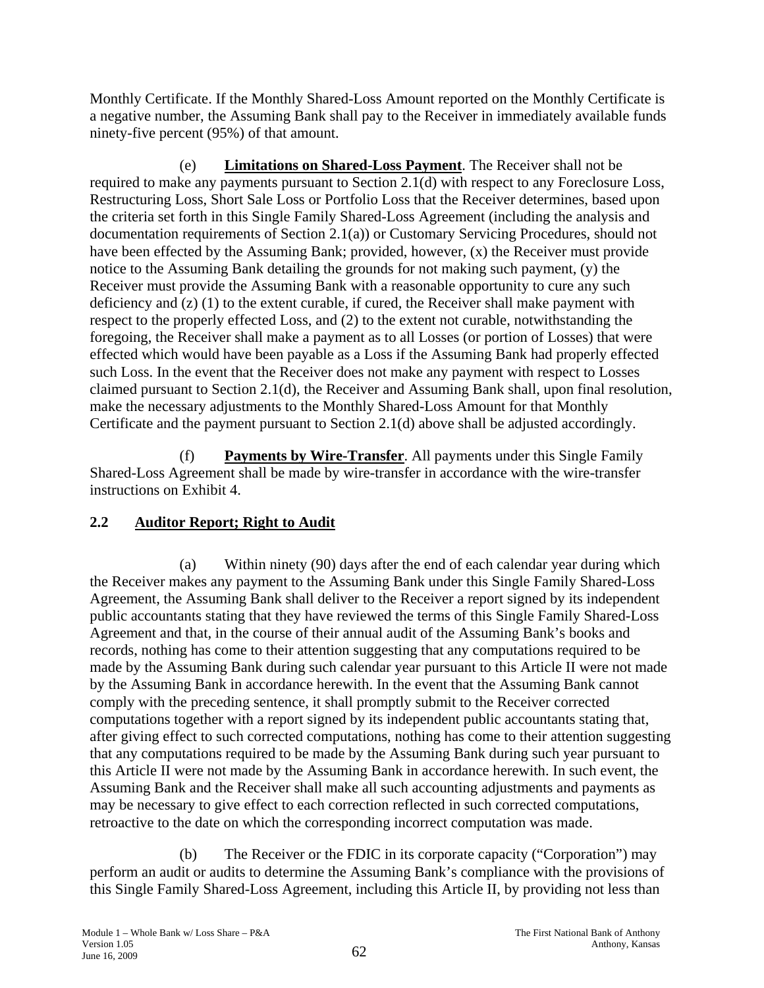Monthly Certificate. If the Monthly Shared-Loss Amount reported on the Monthly Certificate is a negative number, the Assuming Bank shall pay to the Receiver in immediately available funds ninety-five percent (95%) of that amount.

(e) **Limitations on Shared-Loss Payment**. The Receiver shall not be required to make any payments pursuant to Section 2.1(d) with respect to any Foreclosure Loss, Restructuring Loss, Short Sale Loss or Portfolio Loss that the Receiver determines, based upon the criteria set forth in this Single Family Shared-Loss Agreement (including the analysis and documentation requirements of Section 2.1(a)) or Customary Servicing Procedures, should not have been effected by the Assuming Bank; provided, however, (x) the Receiver must provide notice to the Assuming Bank detailing the grounds for not making such payment, (y) the Receiver must provide the Assuming Bank with a reasonable opportunity to cure any such deficiency and (z) (1) to the extent curable, if cured, the Receiver shall make payment with respect to the properly effected Loss, and (2) to the extent not curable, notwithstanding the foregoing, the Receiver shall make a payment as to all Losses (or portion of Losses) that were effected which would have been payable as a Loss if the Assuming Bank had properly effected such Loss. In the event that the Receiver does not make any payment with respect to Losses claimed pursuant to Section 2.1(d), the Receiver and Assuming Bank shall, upon final resolution, make the necessary adjustments to the Monthly Shared-Loss Amount for that Monthly Certificate and the payment pursuant to Section 2.1(d) above shall be adjusted accordingly.

(f) **Payments by Wire-Transfer**. All payments under this Single Family Shared-Loss Agreement shall be made by wire-transfer in accordance with the wire-transfer instructions on Exhibit 4.

# **2.2 Auditor Report; Right to Audit**

(a) Within ninety (90) days after the end of each calendar year during which the Receiver makes any payment to the Assuming Bank under this Single Family Shared-Loss Agreement, the Assuming Bank shall deliver to the Receiver a report signed by its independent public accountants stating that they have reviewed the terms of this Single Family Shared-Loss Agreement and that, in the course of their annual audit of the Assuming Bank's books and records, nothing has come to their attention suggesting that any computations required to be made by the Assuming Bank during such calendar year pursuant to this Article II were not made by the Assuming Bank in accordance herewith. In the event that the Assuming Bank cannot comply with the preceding sentence, it shall promptly submit to the Receiver corrected computations together with a report signed by its independent public accountants stating that, after giving effect to such corrected computations, nothing has come to their attention suggesting that any computations required to be made by the Assuming Bank during such year pursuant to this Article II were not made by the Assuming Bank in accordance herewith. In such event, the Assuming Bank and the Receiver shall make all such accounting adjustments and payments as may be necessary to give effect to each correction reflected in such corrected computations, retroactive to the date on which the corresponding incorrect computation was made.

(b) The Receiver or the FDIC in its corporate capacity ("Corporation") may perform an audit or audits to determine the Assuming Bank's compliance with the provisions of this Single Family Shared-Loss Agreement, including this Article II, by providing not less than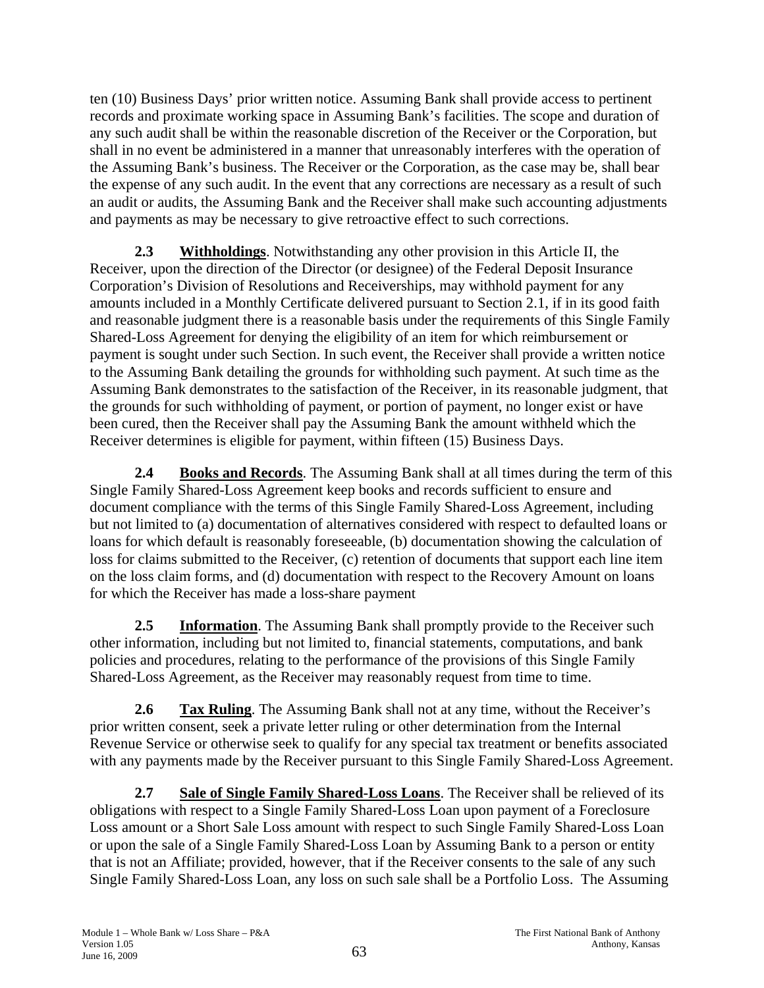ten (10) Business Days' prior written notice. Assuming Bank shall provide access to pertinent records and proximate working space in Assuming Bank's facilities. The scope and duration of any such audit shall be within the reasonable discretion of the Receiver or the Corporation, but shall in no event be administered in a manner that unreasonably interferes with the operation of the Assuming Bank's business. The Receiver or the Corporation, as the case may be, shall bear the expense of any such audit. In the event that any corrections are necessary as a result of such an audit or audits, the Assuming Bank and the Receiver shall make such accounting adjustments and payments as may be necessary to give retroactive effect to such corrections.

**2.3 Withholdings**. Notwithstanding any other provision in this Article II, the Receiver, upon the direction of the Director (or designee) of the Federal Deposit Insurance Corporation's Division of Resolutions and Receiverships, may withhold payment for any amounts included in a Monthly Certificate delivered pursuant to Section 2.1, if in its good faith and reasonable judgment there is a reasonable basis under the requirements of this Single Family Shared-Loss Agreement for denying the eligibility of an item for which reimbursement or payment is sought under such Section. In such event, the Receiver shall provide a written notice to the Assuming Bank detailing the grounds for withholding such payment. At such time as the Assuming Bank demonstrates to the satisfaction of the Receiver, in its reasonable judgment, that the grounds for such withholding of payment, or portion of payment, no longer exist or have been cured, then the Receiver shall pay the Assuming Bank the amount withheld which the Receiver determines is eligible for payment, within fifteen (15) Business Days.

**2.4 Books and Records**. The Assuming Bank shall at all times during the term of this Single Family Shared-Loss Agreement keep books and records sufficient to ensure and document compliance with the terms of this Single Family Shared-Loss Agreement, including but not limited to (a) documentation of alternatives considered with respect to defaulted loans or loans for which default is reasonably foreseeable, (b) documentation showing the calculation of loss for claims submitted to the Receiver, (c) retention of documents that support each line item on the loss claim forms, and (d) documentation with respect to the Recovery Amount on loans for which the Receiver has made a loss-share payment

**2.5 Information**. The Assuming Bank shall promptly provide to the Receiver such other information, including but not limited to, financial statements, computations, and bank policies and procedures, relating to the performance of the provisions of this Single Family Shared-Loss Agreement, as the Receiver may reasonably request from time to time.

**2.6 Tax Ruling**. The Assuming Bank shall not at any time, without the Receiver's prior written consent, seek a private letter ruling or other determination from the Internal Revenue Service or otherwise seek to qualify for any special tax treatment or benefits associated with any payments made by the Receiver pursuant to this Single Family Shared-Loss Agreement.

**2.7 Sale of Single Family Shared-Loss Loans**. The Receiver shall be relieved of its obligations with respect to a Single Family Shared-Loss Loan upon payment of a Foreclosure Loss amount or a Short Sale Loss amount with respect to such Single Family Shared-Loss Loan or upon the sale of a Single Family Shared-Loss Loan by Assuming Bank to a person or entity that is not an Affiliate; provided, however, that if the Receiver consents to the sale of any such Single Family Shared-Loss Loan, any loss on such sale shall be a Portfolio Loss. The Assuming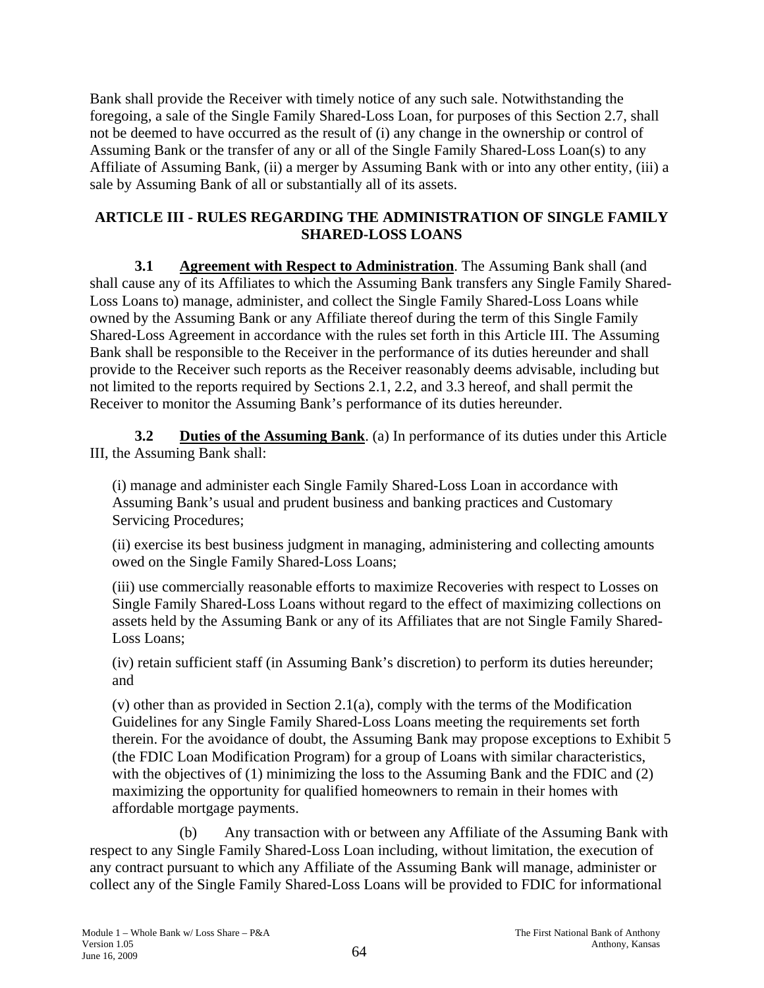Bank shall provide the Receiver with timely notice of any such sale. Notwithstanding the foregoing, a sale of the Single Family Shared-Loss Loan, for purposes of this Section 2.7, shall not be deemed to have occurred as the result of (i) any change in the ownership or control of Assuming Bank or the transfer of any or all of the Single Family Shared-Loss Loan(s) to any Affiliate of Assuming Bank, (ii) a merger by Assuming Bank with or into any other entity, (iii) a sale by Assuming Bank of all or substantially all of its assets.

## **ARTICLE III - RULES REGARDING THE ADMINISTRATION OF SINGLE FAMILY SHARED-LOSS LOANS**

**3.1 Agreement with Respect to Administration**. The Assuming Bank shall (and shall cause any of its Affiliates to which the Assuming Bank transfers any Single Family Shared-Loss Loans to) manage, administer, and collect the Single Family Shared-Loss Loans while owned by the Assuming Bank or any Affiliate thereof during the term of this Single Family Shared-Loss Agreement in accordance with the rules set forth in this Article III. The Assuming Bank shall be responsible to the Receiver in the performance of its duties hereunder and shall provide to the Receiver such reports as the Receiver reasonably deems advisable, including but not limited to the reports required by Sections 2.1, 2.2, and 3.3 hereof, and shall permit the Receiver to monitor the Assuming Bank's performance of its duties hereunder.

**3.2** Duties of the Assuming Bank. (a) In performance of its duties under this Article III, the Assuming Bank shall:

(i) manage and administer each Single Family Shared-Loss Loan in accordance with Assuming Bank's usual and prudent business and banking practices and Customary Servicing Procedures;

(ii) exercise its best business judgment in managing, administering and collecting amounts owed on the Single Family Shared-Loss Loans;

(iii) use commercially reasonable efforts to maximize Recoveries with respect to Losses on Single Family Shared-Loss Loans without regard to the effect of maximizing collections on assets held by the Assuming Bank or any of its Affiliates that are not Single Family Shared-Loss Loans;

(iv) retain sufficient staff (in Assuming Bank's discretion) to perform its duties hereunder; and

(v) other than as provided in Section 2.1(a), comply with the terms of the Modification Guidelines for any Single Family Shared-Loss Loans meeting the requirements set forth therein. For the avoidance of doubt, the Assuming Bank may propose exceptions to Exhibit 5 (the FDIC Loan Modification Program) for a group of Loans with similar characteristics, with the objectives of (1) minimizing the loss to the Assuming Bank and the FDIC and (2) maximizing the opportunity for qualified homeowners to remain in their homes with affordable mortgage payments.

(b) Any transaction with or between any Affiliate of the Assuming Bank with respect to any Single Family Shared-Loss Loan including, without limitation, the execution of any contract pursuant to which any Affiliate of the Assuming Bank will manage, administer or collect any of the Single Family Shared-Loss Loans will be provided to FDIC for informational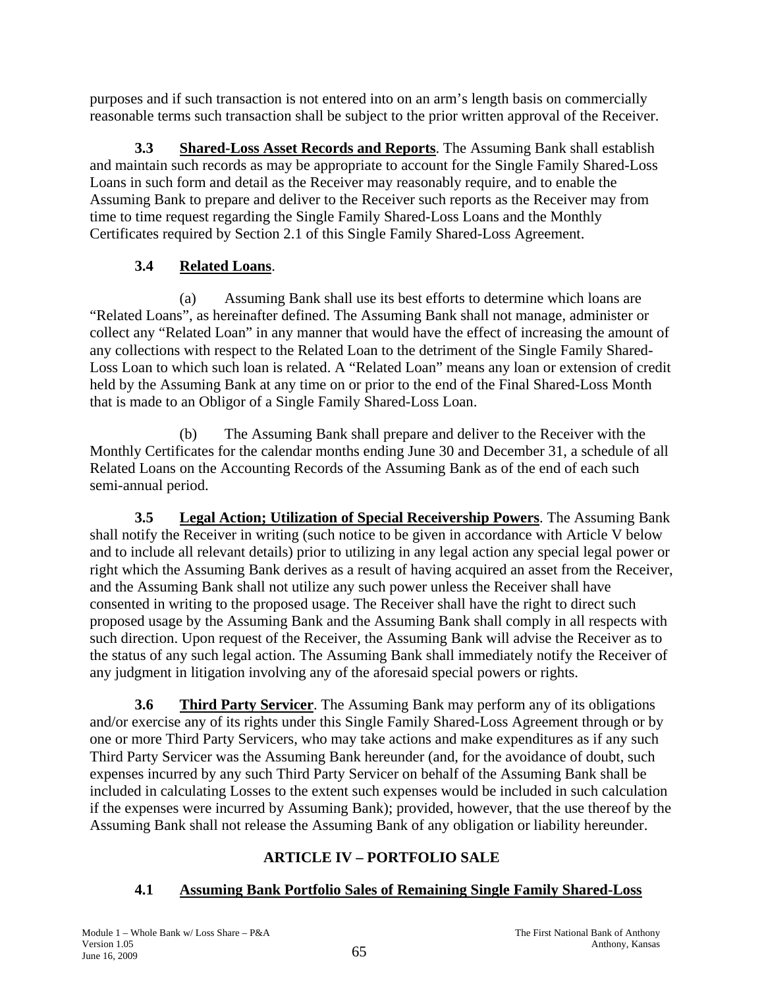purposes and if such transaction is not entered into on an arm's length basis on commercially reasonable terms such transaction shall be subject to the prior written approval of the Receiver.

**3.3 Shared-Loss Asset Records and Reports**. The Assuming Bank shall establish and maintain such records as may be appropriate to account for the Single Family Shared-Loss Loans in such form and detail as the Receiver may reasonably require, and to enable the Assuming Bank to prepare and deliver to the Receiver such reports as the Receiver may from time to time request regarding the Single Family Shared-Loss Loans and the Monthly Certificates required by Section 2.1 of this Single Family Shared-Loss Agreement.

# **3.4 Related Loans**.

(a) Assuming Bank shall use its best efforts to determine which loans are "Related Loans", as hereinafter defined. The Assuming Bank shall not manage, administer or collect any "Related Loan" in any manner that would have the effect of increasing the amount of any collections with respect to the Related Loan to the detriment of the Single Family Shared-Loss Loan to which such loan is related. A "Related Loan" means any loan or extension of credit held by the Assuming Bank at any time on or prior to the end of the Final Shared-Loss Month that is made to an Obligor of a Single Family Shared-Loss Loan.

(b) The Assuming Bank shall prepare and deliver to the Receiver with the Monthly Certificates for the calendar months ending June 30 and December 31, a schedule of all Related Loans on the Accounting Records of the Assuming Bank as of the end of each such semi-annual period.

**3.5 Legal Action; Utilization of Special Receivership Powers**. The Assuming Bank shall notify the Receiver in writing (such notice to be given in accordance with Article V below and to include all relevant details) prior to utilizing in any legal action any special legal power or right which the Assuming Bank derives as a result of having acquired an asset from the Receiver, and the Assuming Bank shall not utilize any such power unless the Receiver shall have consented in writing to the proposed usage. The Receiver shall have the right to direct such proposed usage by the Assuming Bank and the Assuming Bank shall comply in all respects with such direction. Upon request of the Receiver, the Assuming Bank will advise the Receiver as to the status of any such legal action. The Assuming Bank shall immediately notify the Receiver of any judgment in litigation involving any of the aforesaid special powers or rights.

**3.6** Third Party Servicer. The Assuming Bank may perform any of its obligations and/or exercise any of its rights under this Single Family Shared-Loss Agreement through or by one or more Third Party Servicers, who may take actions and make expenditures as if any such Third Party Servicer was the Assuming Bank hereunder (and, for the avoidance of doubt, such expenses incurred by any such Third Party Servicer on behalf of the Assuming Bank shall be included in calculating Losses to the extent such expenses would be included in such calculation if the expenses were incurred by Assuming Bank); provided, however, that the use thereof by the Assuming Bank shall not release the Assuming Bank of any obligation or liability hereunder.

# **ARTICLE IV – PORTFOLIO SALE**

# **4.1 Assuming Bank Portfolio Sales of Remaining Single Family Shared-Loss**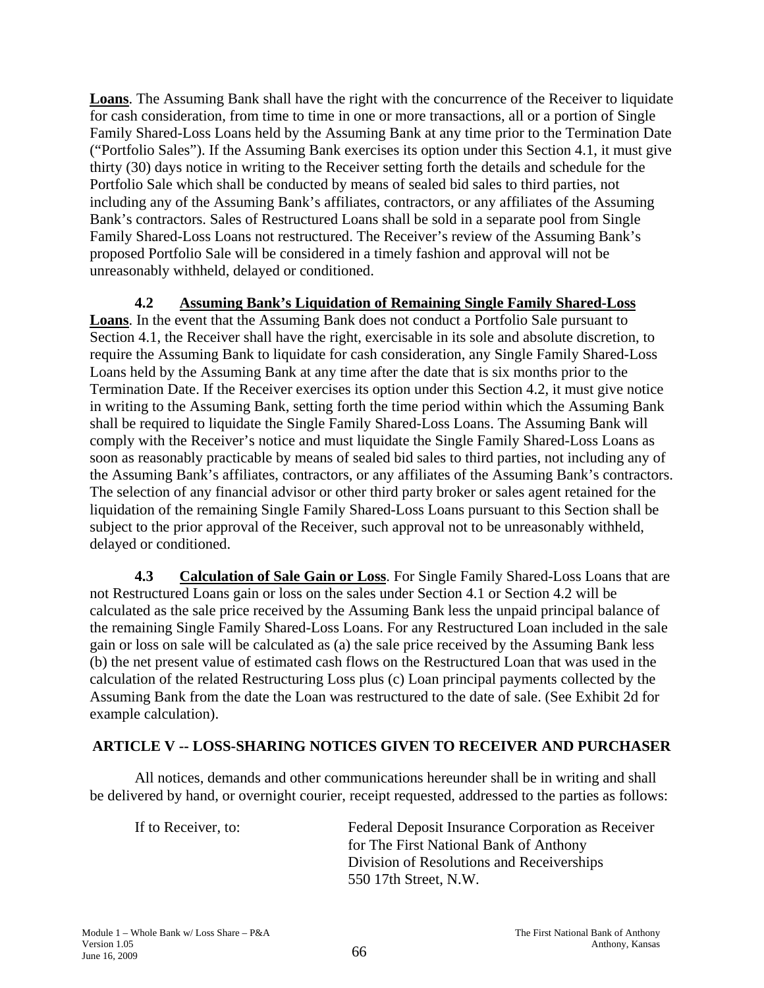**Loans**. The Assuming Bank shall have the right with the concurrence of the Receiver to liquidate for cash consideration, from time to time in one or more transactions, all or a portion of Single Family Shared-Loss Loans held by the Assuming Bank at any time prior to the Termination Date ("Portfolio Sales"). If the Assuming Bank exercises its option under this Section 4.1, it must give thirty (30) days notice in writing to the Receiver setting forth the details and schedule for the Portfolio Sale which shall be conducted by means of sealed bid sales to third parties, not including any of the Assuming Bank's affiliates, contractors, or any affiliates of the Assuming Bank's contractors. Sales of Restructured Loans shall be sold in a separate pool from Single Family Shared-Loss Loans not restructured. The Receiver's review of the Assuming Bank's proposed Portfolio Sale will be considered in a timely fashion and approval will not be unreasonably withheld, delayed or conditioned.

# **4.2 Assuming Bank's Liquidation of Remaining Single Family Shared-Loss**

**Loans**. In the event that the Assuming Bank does not conduct a Portfolio Sale pursuant to Section 4.1, the Receiver shall have the right, exercisable in its sole and absolute discretion, to require the Assuming Bank to liquidate for cash consideration, any Single Family Shared-Loss Loans held by the Assuming Bank at any time after the date that is six months prior to the Termination Date. If the Receiver exercises its option under this Section 4.2, it must give notice in writing to the Assuming Bank, setting forth the time period within which the Assuming Bank shall be required to liquidate the Single Family Shared-Loss Loans. The Assuming Bank will comply with the Receiver's notice and must liquidate the Single Family Shared-Loss Loans as soon as reasonably practicable by means of sealed bid sales to third parties, not including any of the Assuming Bank's affiliates, contractors, or any affiliates of the Assuming Bank's contractors. The selection of any financial advisor or other third party broker or sales agent retained for the liquidation of the remaining Single Family Shared-Loss Loans pursuant to this Section shall be subject to the prior approval of the Receiver, such approval not to be unreasonably withheld, delayed or conditioned.

**4.3 Calculation of Sale Gain or Loss**. For Single Family Shared-Loss Loans that are not Restructured Loans gain or loss on the sales under Section 4.1 or Section 4.2 will be calculated as the sale price received by the Assuming Bank less the unpaid principal balance of the remaining Single Family Shared-Loss Loans. For any Restructured Loan included in the sale gain or loss on sale will be calculated as (a) the sale price received by the Assuming Bank less (b) the net present value of estimated cash flows on the Restructured Loan that was used in the calculation of the related Restructuring Loss plus (c) Loan principal payments collected by the Assuming Bank from the date the Loan was restructured to the date of sale. (See Exhibit 2d for example calculation).

### **ARTICLE V -- LOSS-SHARING NOTICES GIVEN TO RECEIVER AND PURCHASER**

All notices, demands and other communications hereunder shall be in writing and shall be delivered by hand, or overnight courier, receipt requested, addressed to the parties as follows:

| If to Receiver, to: | Federal Deposit Insurance Corporation as Receiver |
|---------------------|---------------------------------------------------|
|                     | for The First National Bank of Anthony            |
|                     | Division of Resolutions and Receiverships         |
|                     | 550 17th Street, N.W.                             |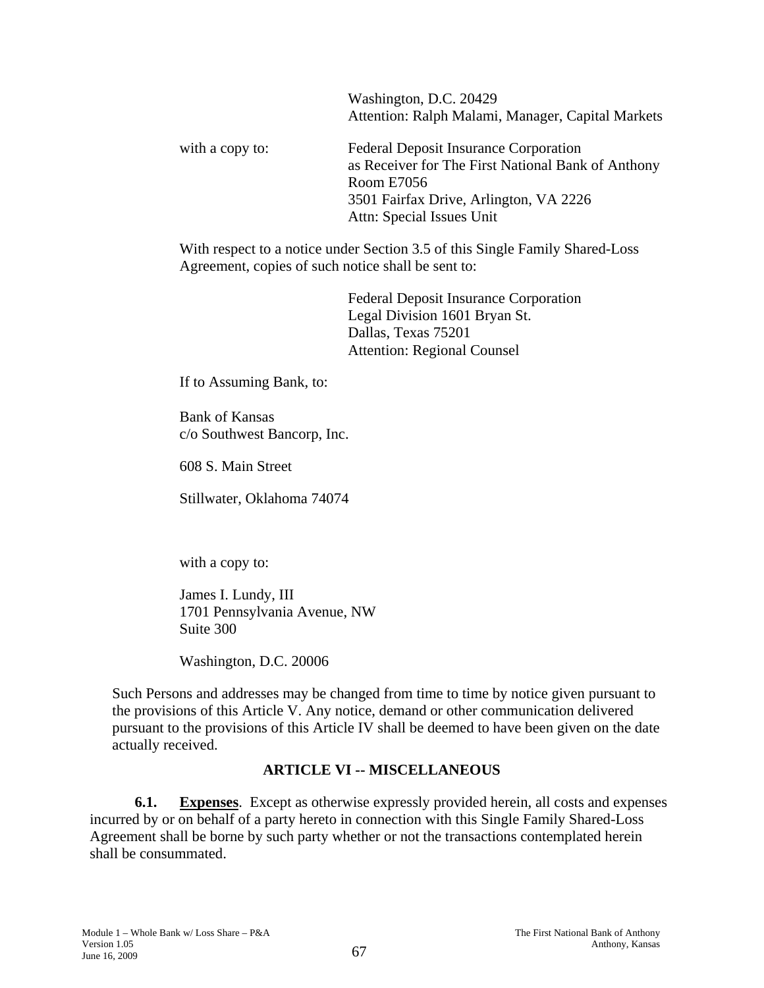|                 | Attention: Ralph Malami, Manager, Capital Markets  |
|-----------------|----------------------------------------------------|
| with a copy to: | <b>Federal Deposit Insurance Corporation</b>       |
|                 | as Receiver for The First National Bank of Anthony |
|                 | Room E7056                                         |
|                 | 3501 Fairfax Drive, Arlington, VA 2226             |
|                 | Attn: Special Issues Unit                          |

Washington, D.C. 20429

With respect to a notice under Section 3.5 of this Single Family Shared-Loss Agreement, copies of such notice shall be sent to:

> Federal Deposit Insurance Corporation Legal Division 1601 Bryan St. Dallas, Texas 75201 Attention: Regional Counsel

If to Assuming Bank, to:

Bank of Kansas c/o Southwest Bancorp, Inc.

608 S. Main Street

Stillwater, Oklahoma 74074

with a copy to:

James I. Lundy, III 1701 Pennsylvania Avenue, NW Suite 300

Washington, D.C. 20006

Such Persons and addresses may be changed from time to time by notice given pursuant to the provisions of this Article V. Any notice, demand or other communication delivered pursuant to the provisions of this Article IV shall be deemed to have been given on the date actually received.

#### **ARTICLE VI -- MISCELLANEOUS**

**6.1. Expenses**. Except as otherwise expressly provided herein, all costs and expenses incurred by or on behalf of a party hereto in connection with this Single Family Shared-Loss Agreement shall be borne by such party whether or not the transactions contemplated herein shall be consummated.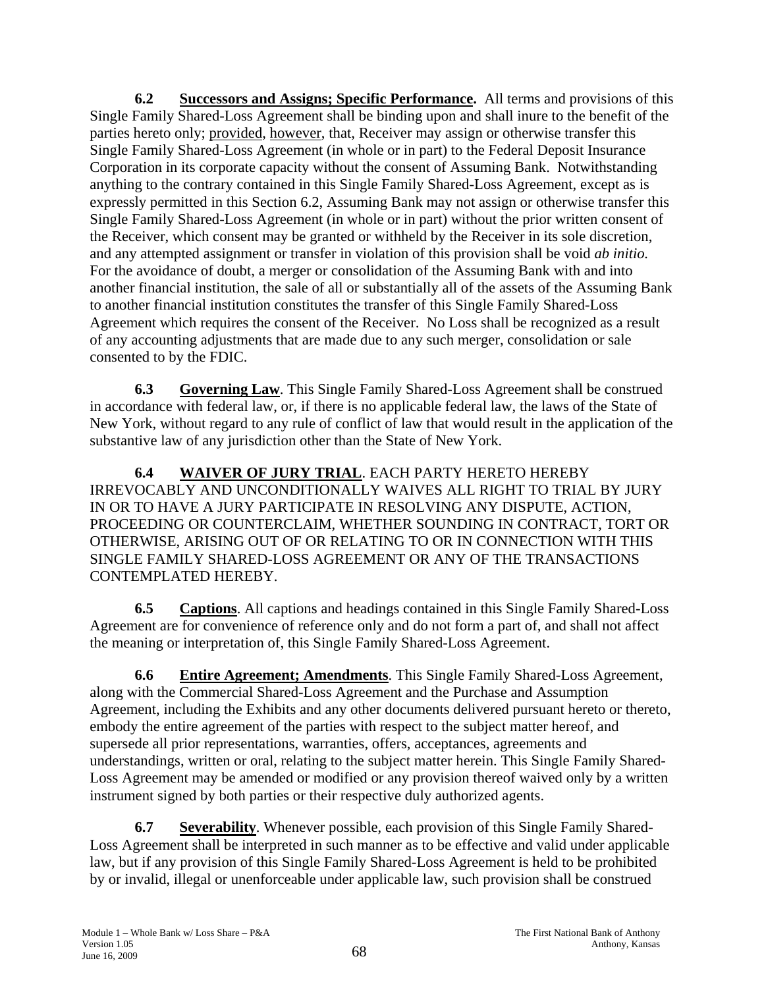**6.2 Successors and Assigns; Specific Performance.** All terms and provisions of this Single Family Shared-Loss Agreement shall be binding upon and shall inure to the benefit of the parties hereto only; provided, however, that, Receiver may assign or otherwise transfer this Single Family Shared-Loss Agreement (in whole or in part) to the Federal Deposit Insurance Corporation in its corporate capacity without the consent of Assuming Bank. Notwithstanding anything to the contrary contained in this Single Family Shared-Loss Agreement, except as is expressly permitted in this Section 6.2, Assuming Bank may not assign or otherwise transfer this Single Family Shared-Loss Agreement (in whole or in part) without the prior written consent of the Receiver, which consent may be granted or withheld by the Receiver in its sole discretion, and any attempted assignment or transfer in violation of this provision shall be void *ab initio.*  For the avoidance of doubt, a merger or consolidation of the Assuming Bank with and into another financial institution, the sale of all or substantially all of the assets of the Assuming Bank to another financial institution constitutes the transfer of this Single Family Shared-Loss Agreement which requires the consent of the Receiver. No Loss shall be recognized as a result of any accounting adjustments that are made due to any such merger, consolidation or sale consented to by the FDIC.

**6.3** Governing Law. This Single Family Shared-Loss Agreement shall be construed in accordance with federal law, or, if there is no applicable federal law, the laws of the State of New York, without regard to any rule of conflict of law that would result in the application of the substantive law of any jurisdiction other than the State of New York.

**6.4 WAIVER OF JURY TRIAL**. EACH PARTY HERETO HEREBY IRREVOCABLY AND UNCONDITIONALLY WAIVES ALL RIGHT TO TRIAL BY JURY IN OR TO HAVE A JURY PARTICIPATE IN RESOLVING ANY DISPUTE, ACTION, PROCEEDING OR COUNTERCLAIM, WHETHER SOUNDING IN CONTRACT, TORT OR OTHERWISE, ARISING OUT OF OR RELATING TO OR IN CONNECTION WITH THIS SINGLE FAMILY SHARED-LOSS AGREEMENT OR ANY OF THE TRANSACTIONS CONTEMPLATED HEREBY.

**6.5 Captions**. All captions and headings contained in this Single Family Shared-Loss Agreement are for convenience of reference only and do not form a part of, and shall not affect the meaning or interpretation of, this Single Family Shared-Loss Agreement.

**6.6 Entire Agreement; Amendments**. This Single Family Shared-Loss Agreement, along with the Commercial Shared-Loss Agreement and the Purchase and Assumption Agreement, including the Exhibits and any other documents delivered pursuant hereto or thereto, embody the entire agreement of the parties with respect to the subject matter hereof, and supersede all prior representations, warranties, offers, acceptances, agreements and understandings, written or oral, relating to the subject matter herein. This Single Family Shared-Loss Agreement may be amended or modified or any provision thereof waived only by a written instrument signed by both parties or their respective duly authorized agents.

**6.7 Severability**. Whenever possible, each provision of this Single Family Shared-Loss Agreement shall be interpreted in such manner as to be effective and valid under applicable law, but if any provision of this Single Family Shared-Loss Agreement is held to be prohibited by or invalid, illegal or unenforceable under applicable law, such provision shall be construed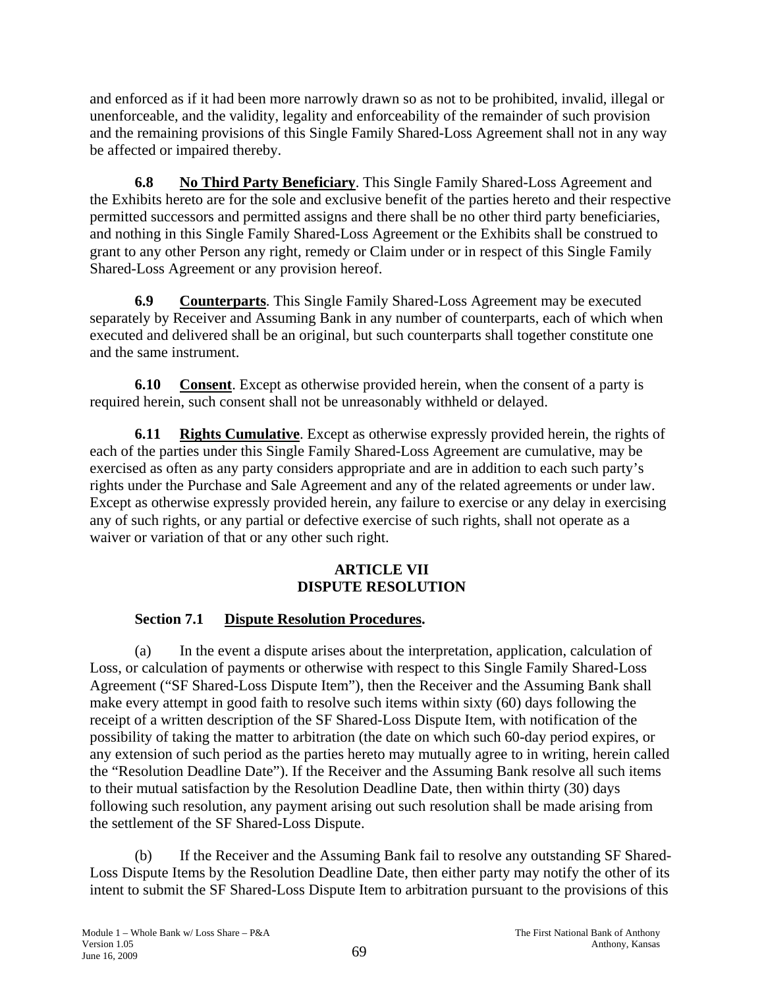and enforced as if it had been more narrowly drawn so as not to be prohibited, invalid, illegal or unenforceable, and the validity, legality and enforceability of the remainder of such provision and the remaining provisions of this Single Family Shared-Loss Agreement shall not in any way be affected or impaired thereby.

**6.8 No Third Party Beneficiary**. This Single Family Shared-Loss Agreement and the Exhibits hereto are for the sole and exclusive benefit of the parties hereto and their respective permitted successors and permitted assigns and there shall be no other third party beneficiaries, and nothing in this Single Family Shared-Loss Agreement or the Exhibits shall be construed to grant to any other Person any right, remedy or Claim under or in respect of this Single Family Shared-Loss Agreement or any provision hereof.

**6.9 Counterparts**. This Single Family Shared-Loss Agreement may be executed separately by Receiver and Assuming Bank in any number of counterparts, each of which when executed and delivered shall be an original, but such counterparts shall together constitute one and the same instrument.

**6.10 Consent**. Except as otherwise provided herein, when the consent of a party is required herein, such consent shall not be unreasonably withheld or delayed.

**6.11 Rights Cumulative.** Except as otherwise expressly provided herein, the rights of each of the parties under this Single Family Shared-Loss Agreement are cumulative, may be exercised as often as any party considers appropriate and are in addition to each such party's rights under the Purchase and Sale Agreement and any of the related agreements or under law. Except as otherwise expressly provided herein, any failure to exercise or any delay in exercising any of such rights, or any partial or defective exercise of such rights, shall not operate as a waiver or variation of that or any other such right.

## **ARTICLE VII DISPUTE RESOLUTION**

# **Section 7.1 Dispute Resolution Procedures.**

(a) In the event a dispute arises about the interpretation, application, calculation of Loss, or calculation of payments or otherwise with respect to this Single Family Shared-Loss Agreement ("SF Shared-Loss Dispute Item"), then the Receiver and the Assuming Bank shall make every attempt in good faith to resolve such items within sixty (60) days following the receipt of a written description of the SF Shared-Loss Dispute Item, with notification of the possibility of taking the matter to arbitration (the date on which such 60-day period expires, or any extension of such period as the parties hereto may mutually agree to in writing, herein called the "Resolution Deadline Date"). If the Receiver and the Assuming Bank resolve all such items to their mutual satisfaction by the Resolution Deadline Date, then within thirty (30) days following such resolution, any payment arising out such resolution shall be made arising from the settlement of the SF Shared-Loss Dispute.

(b) If the Receiver and the Assuming Bank fail to resolve any outstanding SF Shared-Loss Dispute Items by the Resolution Deadline Date, then either party may notify the other of its intent to submit the SF Shared-Loss Dispute Item to arbitration pursuant to the provisions of this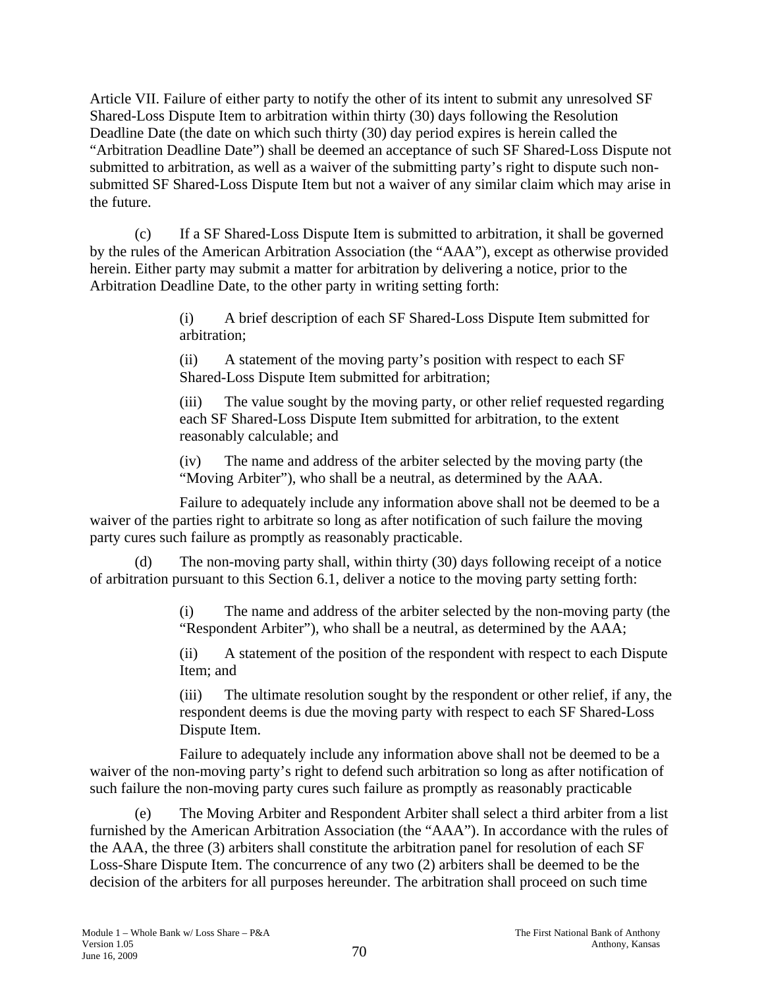Article VII. Failure of either party to notify the other of its intent to submit any unresolved SF Shared-Loss Dispute Item to arbitration within thirty (30) days following the Resolution Deadline Date (the date on which such thirty (30) day period expires is herein called the "Arbitration Deadline Date") shall be deemed an acceptance of such SF Shared-Loss Dispute not submitted to arbitration, as well as a waiver of the submitting party's right to dispute such nonsubmitted SF Shared-Loss Dispute Item but not a waiver of any similar claim which may arise in the future.

(c) If a SF Shared-Loss Dispute Item is submitted to arbitration, it shall be governed by the rules of the American Arbitration Association (the "AAA"), except as otherwise provided herein. Either party may submit a matter for arbitration by delivering a notice, prior to the Arbitration Deadline Date, to the other party in writing setting forth:

> (i) A brief description of each SF Shared-Loss Dispute Item submitted for arbitration;

(ii) A statement of the moving party's position with respect to each SF Shared-Loss Dispute Item submitted for arbitration;

(iii) The value sought by the moving party, or other relief requested regarding each SF Shared-Loss Dispute Item submitted for arbitration, to the extent reasonably calculable; and

(iv) The name and address of the arbiter selected by the moving party (the "Moving Arbiter"), who shall be a neutral, as determined by the AAA.

Failure to adequately include any information above shall not be deemed to be a waiver of the parties right to arbitrate so long as after notification of such failure the moving party cures such failure as promptly as reasonably practicable.

(d) The non-moving party shall, within thirty (30) days following receipt of a notice of arbitration pursuant to this Section 6.1, deliver a notice to the moving party setting forth:

> (i) The name and address of the arbiter selected by the non-moving party (the "Respondent Arbiter"), who shall be a neutral, as determined by the AAA;

> (ii) A statement of the position of the respondent with respect to each Dispute Item; and

> (iii) The ultimate resolution sought by the respondent or other relief, if any, the respondent deems is due the moving party with respect to each SF Shared-Loss Dispute Item.

Failure to adequately include any information above shall not be deemed to be a waiver of the non-moving party's right to defend such arbitration so long as after notification of such failure the non-moving party cures such failure as promptly as reasonably practicable

(e) The Moving Arbiter and Respondent Arbiter shall select a third arbiter from a list furnished by the American Arbitration Association (the "AAA"). In accordance with the rules of the AAA, the three (3) arbiters shall constitute the arbitration panel for resolution of each SF Loss-Share Dispute Item. The concurrence of any two (2) arbiters shall be deemed to be the decision of the arbiters for all purposes hereunder. The arbitration shall proceed on such time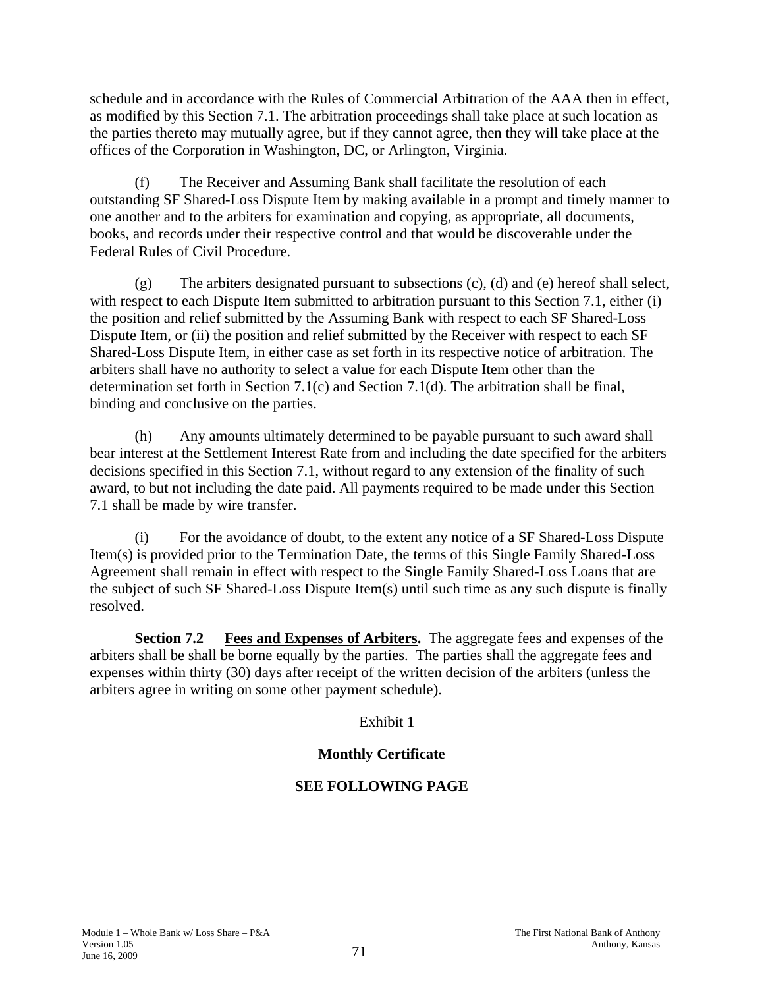schedule and in accordance with the Rules of Commercial Arbitration of the AAA then in effect, as modified by this Section 7.1. The arbitration proceedings shall take place at such location as the parties thereto may mutually agree, but if they cannot agree, then they will take place at the offices of the Corporation in Washington, DC, or Arlington, Virginia.

(f) The Receiver and Assuming Bank shall facilitate the resolution of each outstanding SF Shared-Loss Dispute Item by making available in a prompt and timely manner to one another and to the arbiters for examination and copying, as appropriate, all documents, books, and records under their respective control and that would be discoverable under the Federal Rules of Civil Procedure.

(g) The arbiters designated pursuant to subsections (c), (d) and (e) hereof shall select, with respect to each Dispute Item submitted to arbitration pursuant to this Section 7.1, either (i) the position and relief submitted by the Assuming Bank with respect to each SF Shared-Loss Dispute Item, or (ii) the position and relief submitted by the Receiver with respect to each SF Shared-Loss Dispute Item, in either case as set forth in its respective notice of arbitration. The arbiters shall have no authority to select a value for each Dispute Item other than the determination set forth in Section 7.1(c) and Section 7.1(d). The arbitration shall be final, binding and conclusive on the parties.

(h) Any amounts ultimately determined to be payable pursuant to such award shall bear interest at the Settlement Interest Rate from and including the date specified for the arbiters decisions specified in this Section 7.1, without regard to any extension of the finality of such award, to but not including the date paid. All payments required to be made under this Section 7.1 shall be made by wire transfer.

(i) For the avoidance of doubt, to the extent any notice of a SF Shared-Loss Dispute Item(s) is provided prior to the Termination Date, the terms of this Single Family Shared-Loss Agreement shall remain in effect with respect to the Single Family Shared-Loss Loans that are the subject of such SF Shared-Loss Dispute Item(s) until such time as any such dispute is finally resolved.

**Section 7.2 Fees and Expenses of Arbiters.** The aggregate fees and expenses of the arbiters shall be shall be borne equally by the parties. The parties shall the aggregate fees and expenses within thirty (30) days after receipt of the written decision of the arbiters (unless the arbiters agree in writing on some other payment schedule).

Exhibit 1

# **Monthly Certificate**

# **SEE FOLLOWING PAGE**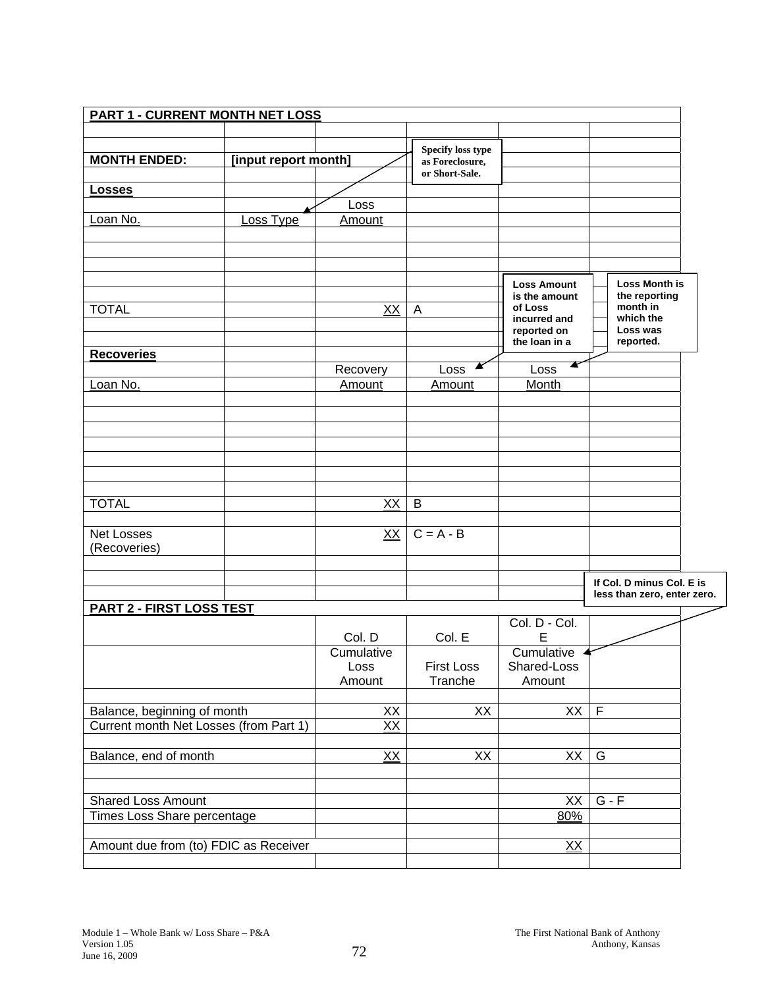| <b>PART 1 - CURRENT MONTH NET LOSS</b> |                      |                |                                   |                         |                             |
|----------------------------------------|----------------------|----------------|-----------------------------------|-------------------------|-----------------------------|
|                                        |                      |                |                                   |                         |                             |
|                                        |                      |                | <b>Specify loss type</b>          |                         |                             |
| <b>MONTH ENDED:</b>                    | [input report month] |                | as Foreclosure,<br>or Short-Sale. |                         |                             |
| <b>Losses</b>                          |                      |                |                                   |                         |                             |
|                                        |                      | Loss           |                                   |                         |                             |
| Loan No.                               | Loss Type            | Amount         |                                   |                         |                             |
|                                        |                      |                |                                   |                         |                             |
|                                        |                      |                |                                   |                         |                             |
|                                        |                      |                |                                   |                         |                             |
|                                        |                      |                |                                   | <b>Loss Amount</b>      | <b>Loss Month is</b>        |
|                                        |                      |                |                                   | is the amount           | the reporting               |
| <b>TOTAL</b>                           |                      | XX             | A                                 | of Loss<br>incurred and | month in<br>which the       |
|                                        |                      |                |                                   | reported on             | Loss was                    |
|                                        |                      |                |                                   | the loan in a           | reported.                   |
| <b>Recoveries</b>                      |                      |                |                                   | z                       |                             |
|                                        |                      | Recovery       | $Loss \nightharpoonup$            | Loss                    |                             |
| Loan No.                               |                      | Amount         | Amount                            | Month                   |                             |
|                                        |                      |                |                                   |                         |                             |
|                                        |                      |                |                                   |                         |                             |
|                                        |                      |                |                                   |                         |                             |
|                                        |                      |                |                                   |                         |                             |
|                                        |                      |                |                                   |                         |                             |
|                                        |                      |                |                                   |                         |                             |
| <b>TOTAL</b>                           |                      | XX             | B                                 |                         |                             |
|                                        |                      |                |                                   |                         |                             |
| <b>Net Losses</b>                      |                      | XX             | $C = A - B$                       |                         |                             |
| (Recoveries)                           |                      |                |                                   |                         |                             |
|                                        |                      |                |                                   |                         |                             |
|                                        |                      |                |                                   |                         | If Col. D minus Col. E is   |
|                                        |                      |                |                                   |                         | less than zero, enter zero. |
| <b>PART 2 - FIRST LOSS TEST</b>        |                      |                |                                   |                         |                             |
|                                        |                      |                |                                   | Col. D - Col.           |                             |
|                                        |                      | Col. D         | Col. E                            | E                       |                             |
|                                        |                      | Cumulative     | <b>First Loss</b>                 | Cumulative              |                             |
|                                        |                      | Loss<br>Amount | Tranche                           | Shared-Loss<br>Amount   |                             |
|                                        |                      |                |                                   |                         |                             |
| Balance, beginning of month            |                      | XX             | XX                                | XX                      | $\mathsf{F}$                |
| Current month Net Losses (from Part 1) |                      | XX             |                                   |                         |                             |
|                                        |                      |                |                                   |                         |                             |
| Balance, end of month                  |                      | XX             | XX                                | XX                      | G                           |
|                                        |                      |                |                                   |                         |                             |
|                                        |                      |                |                                   |                         |                             |
| <b>Shared Loss Amount</b>              |                      |                |                                   | XX                      | $G - F$                     |
| Times Loss Share percentage            |                      |                |                                   | 80%                     |                             |
|                                        |                      |                |                                   |                         |                             |
| Amount due from (to) FDIC as Receiver  |                      |                |                                   | <u>XX</u>               |                             |
|                                        |                      |                |                                   |                         |                             |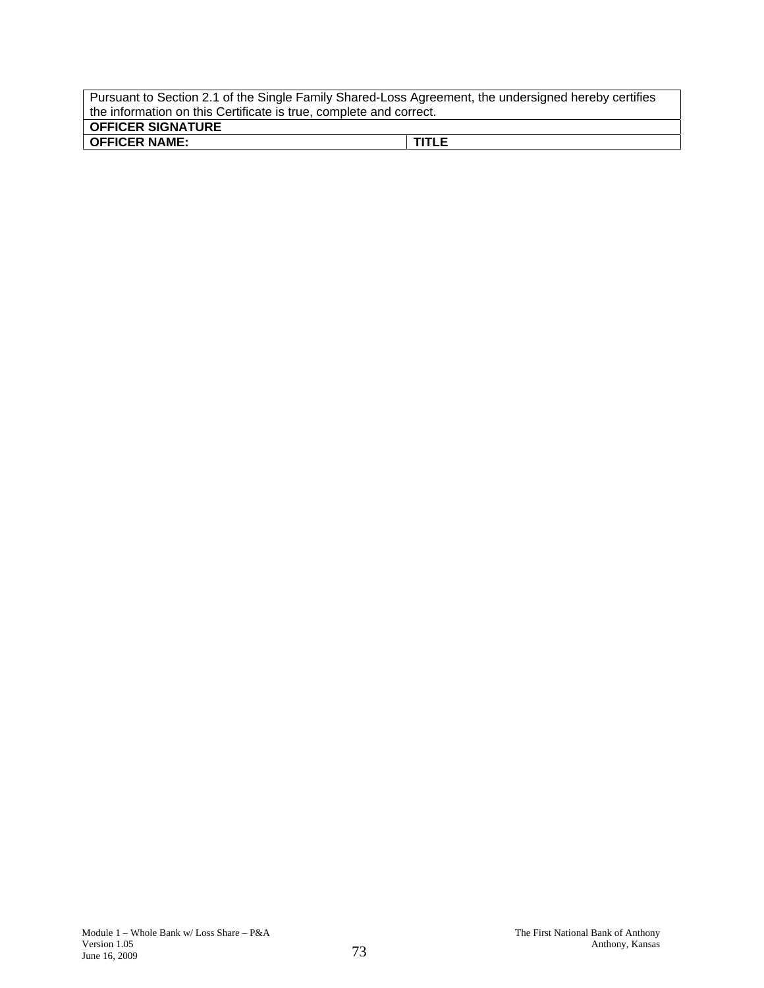| Pursuant to Section 2.1 of the Single Family Shared-Loss Agreement, the undersigned hereby certifies |  |  |  |  |
|------------------------------------------------------------------------------------------------------|--|--|--|--|
| the information on this Certificate is true, complete and correct.                                   |  |  |  |  |
| <b>OFFICER SIGNATURE</b>                                                                             |  |  |  |  |
| <b>TITLE</b><br><b>OFFICER NAME:</b>                                                                 |  |  |  |  |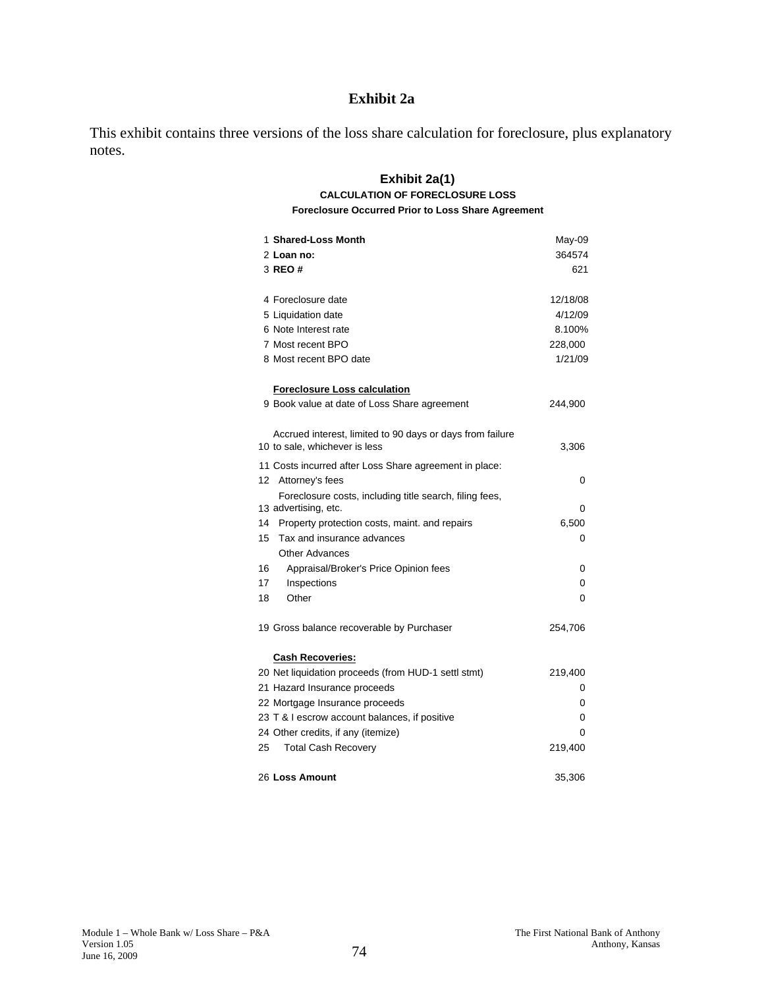### **Exhibit 2a**

This exhibit contains three versions of the loss share calculation for foreclosure, plus explanatory notes.

#### **Exhibit 2a(1) CALCULATION OF FORECLOSURE LOSS Foreclosure Occurred Prior to Loss Share Agreement**

|    | 1 Shared-Loss Month<br>2 Loan no:<br>3 REO #              | May-09<br>364574<br>621 |
|----|-----------------------------------------------------------|-------------------------|
|    | 4 Foreclosure date                                        | 12/18/08                |
|    | 5 Liquidation date                                        | 4/12/09                 |
|    | 6 Note Interest rate                                      | 8.100%                  |
|    | 7 Most recent BPO                                         | 228,000                 |
|    | 8 Most recent BPO date                                    | 1/21/09                 |
|    | <b>Foreclosure Loss calculation</b>                       |                         |
|    | 9 Book value at date of Loss Share agreement              | 244,900                 |
|    | Accrued interest, limited to 90 days or days from failure |                         |
|    | 10 to sale, whichever is less                             | 3,306                   |
|    | 11 Costs incurred after Loss Share agreement in place:    |                         |
| 12 | Attorney's fees                                           | 0                       |
|    | Foreclosure costs, including title search, filing fees,   |                         |
|    | 13 advertising, etc.                                      | 0                       |
| 14 | Property protection costs, maint. and repairs             | 6,500                   |
| 15 | Tax and insurance advances                                | 0                       |
|    | <b>Other Advances</b>                                     |                         |
| 16 | Appraisal/Broker's Price Opinion fees                     | 0                       |
| 17 | Inspections                                               | 0                       |
| 18 | Other                                                     | 0                       |
|    | 19 Gross balance recoverable by Purchaser                 | 254,706                 |
|    | <b>Cash Recoveries:</b>                                   |                         |
|    | 20 Net liquidation proceeds (from HUD-1 settl stmt)       | 219,400                 |
|    | 21 Hazard Insurance proceeds                              | 0                       |
|    | 22 Mortgage Insurance proceeds                            | 0                       |
|    | 23 T & I escrow account balances, if positive             | 0                       |
|    | 24 Other credits, if any (itemize)                        | 0                       |
| 25 | <b>Total Cash Recovery</b>                                | 219,400                 |
|    | 26 Loss Amount                                            | 35,306                  |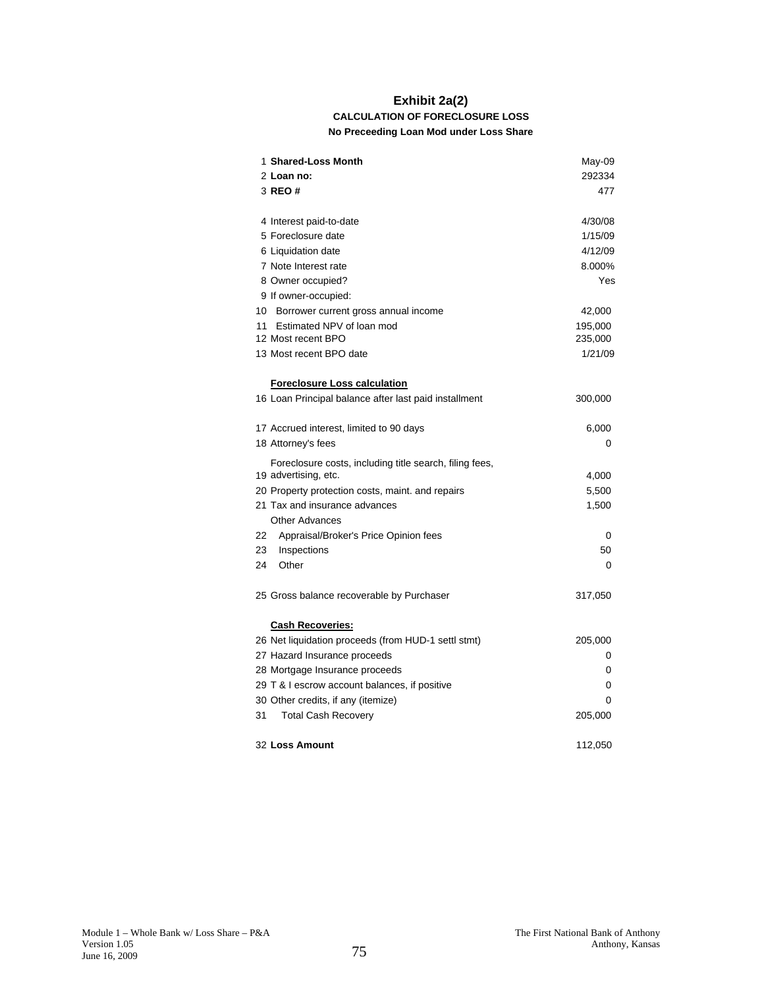#### **Exhibit 2a(2)**

#### **CALCULATION OF FORECLOSURE LOSS**

#### **No Preceeding Loan Mod under Loss Share**

| 1 Shared-Loss Month                                                             | May-09  |
|---------------------------------------------------------------------------------|---------|
| 2 Loan no:                                                                      | 292334  |
| 3 REO #                                                                         | 477     |
| 4 Interest paid-to-date                                                         | 4/30/08 |
| 5 Foreclosure date                                                              | 1/15/09 |
| 6 Liquidation date                                                              | 4/12/09 |
| 7 Note Interest rate                                                            | 8.000%  |
| 8 Owner occupied?                                                               | Yes     |
| 9 If owner-occupied:                                                            |         |
| 10<br>Borrower current gross annual income                                      | 42,000  |
| Estimated NPV of loan mod<br>11                                                 | 195,000 |
| 12 Most recent BPO                                                              | 235,000 |
| 13 Most recent BPO date                                                         | 1/21/09 |
| <b>Foreclosure Loss calculation</b>                                             |         |
| 16 Loan Principal balance after last paid installment                           | 300,000 |
| 17 Accrued interest, limited to 90 days                                         | 6,000   |
| 18 Attorney's fees                                                              | 0       |
| Foreclosure costs, including title search, filing fees,<br>19 advertising, etc. | 4,000   |
| 20 Property protection costs, maint. and repairs                                | 5,500   |
| 21 Tax and insurance advances                                                   | 1,500   |
| <b>Other Advances</b>                                                           |         |
| 22<br>Appraisal/Broker's Price Opinion fees                                     | 0       |
| 23<br>Inspections                                                               | 50      |
| 24<br>Other                                                                     | 0       |
| 25 Gross balance recoverable by Purchaser                                       | 317,050 |
| <b>Cash Recoveries:</b>                                                         |         |
| 26 Net liquidation proceeds (from HUD-1 settl stmt)                             | 205,000 |
| 27 Hazard Insurance proceeds                                                    | 0       |
| 28 Mortgage Insurance proceeds                                                  | 0       |
| 29 T & I escrow account balances, if positive                                   | 0       |
| 30 Other credits, if any (itemize)                                              | 0       |
| 31<br><b>Total Cash Recovery</b>                                                | 205,000 |
| 32 Loss Amount                                                                  | 112,050 |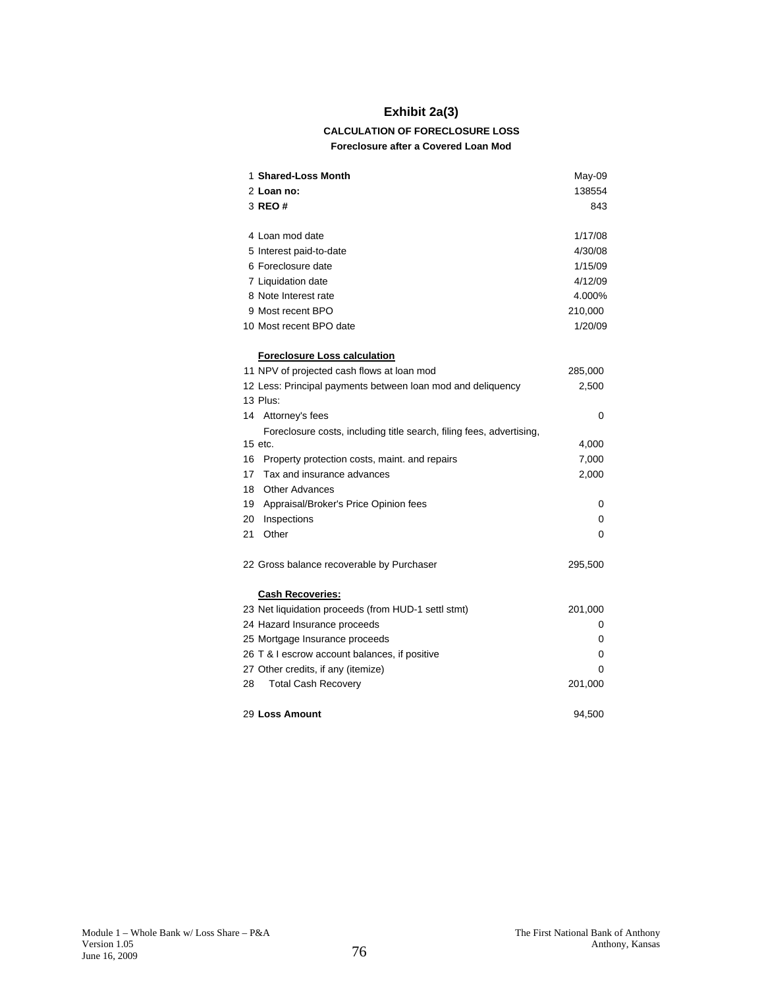## **Exhibit 2a(3)**

#### **CALCULATION OF FORECLOSURE LOSS Foreclosure after a Covered Loan Mod**

|    | 1 Shared-Loss Month                                                  | May-09  |
|----|----------------------------------------------------------------------|---------|
|    | 2 Loan no:                                                           | 138554  |
|    | 3 REO #                                                              | 843     |
|    |                                                                      |         |
|    | 4 Loan mod date                                                      | 1/17/08 |
|    | 5 Interest paid-to-date                                              | 4/30/08 |
|    | 6 Foreclosure date                                                   | 1/15/09 |
|    | 7 Liquidation date                                                   | 4/12/09 |
|    | 8 Note Interest rate                                                 | 4.000%  |
|    | 9 Most recent BPO                                                    | 210,000 |
|    | 10 Most recent BPO date                                              | 1/20/09 |
|    |                                                                      |         |
|    | <b>Foreclosure Loss calculation</b>                                  |         |
|    | 11 NPV of projected cash flows at loan mod                           | 285,000 |
|    | 12 Less: Principal payments between loan mod and deliquency          | 2,500   |
|    | 13 Plus:                                                             |         |
| 14 | Attorney's fees                                                      | 0       |
|    | Foreclosure costs, including title search, filing fees, advertising, |         |
|    | 15 etc.                                                              | 4,000   |
| 16 | Property protection costs, maint. and repairs                        | 7,000   |
| 17 | Tax and insurance advances                                           | 2,000   |
| 18 | <b>Other Advances</b>                                                |         |
| 19 | Appraisal/Broker's Price Opinion fees                                | 0       |
| 20 | Inspections                                                          | 0       |
| 21 | Other                                                                | 0       |
|    |                                                                      |         |
|    | 22 Gross balance recoverable by Purchaser                            | 295,500 |
|    |                                                                      |         |
|    | <b>Cash Recoveries:</b>                                              |         |
|    | 23 Net liquidation proceeds (from HUD-1 settl stmt)                  | 201,000 |
|    | 24 Hazard Insurance proceeds                                         | 0       |
|    | 25 Mortgage Insurance proceeds                                       | 0       |
|    | 26 T & I escrow account balances, if positive                        | 0       |
|    | 27 Other credits, if any (itemize)                                   | 0       |
| 28 | <b>Total Cash Recovery</b>                                           | 201,000 |
|    |                                                                      |         |
|    | 29 Loss Amount                                                       | 94,500  |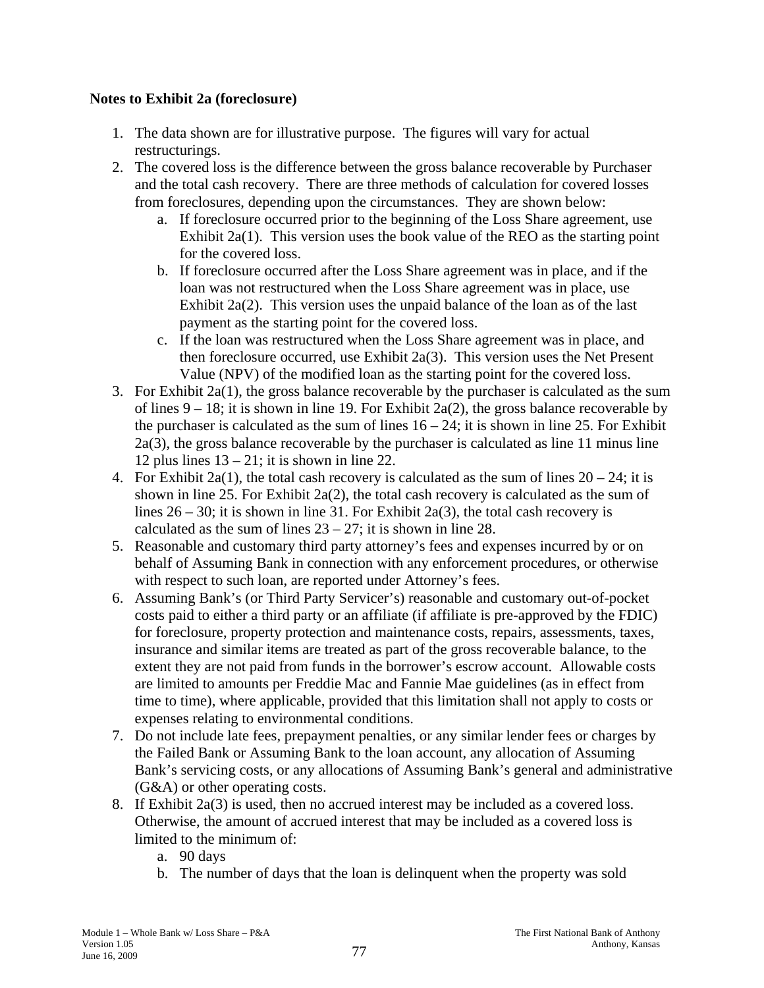## **Notes to Exhibit 2a (foreclosure)**

- 1. The data shown are for illustrative purpose. The figures will vary for actual restructurings.
- 2. The covered loss is the difference between the gross balance recoverable by Purchaser and the total cash recovery. There are three methods of calculation for covered losses from foreclosures, depending upon the circumstances. They are shown below:
	- a. If foreclosure occurred prior to the beginning of the Loss Share agreement, use Exhibit 2a(1). This version uses the book value of the REO as the starting point for the covered loss.
	- b. If foreclosure occurred after the Loss Share agreement was in place, and if the loan was not restructured when the Loss Share agreement was in place, use Exhibit 2a(2). This version uses the unpaid balance of the loan as of the last payment as the starting point for the covered loss.
	- c. If the loan was restructured when the Loss Share agreement was in place, and then foreclosure occurred, use Exhibit 2a(3). This version uses the Net Present Value (NPV) of the modified loan as the starting point for the covered loss.
- 3. For Exhibit  $2a(1)$ , the gross balance recoverable by the purchaser is calculated as the sum of lines  $9 - 18$ ; it is shown in line 19. For Exhibit 2a(2), the gross balance recoverable by the purchaser is calculated as the sum of lines  $16 - 24$ ; it is shown in line 25. For Exhibit 2a(3), the gross balance recoverable by the purchaser is calculated as line 11 minus line 12 plus lines  $13 - 21$ ; it is shown in line 22.
- 4. For Exhibit 2a(1), the total cash recovery is calculated as the sum of lines  $20 24$ ; it is shown in line 25. For Exhibit 2a(2), the total cash recovery is calculated as the sum of lines  $26 - 30$ ; it is shown in line 31. For Exhibit 2a(3), the total cash recovery is calculated as the sum of lines  $23 - 27$ ; it is shown in line 28.
- 5. Reasonable and customary third party attorney's fees and expenses incurred by or on behalf of Assuming Bank in connection with any enforcement procedures, or otherwise with respect to such loan, are reported under Attorney's fees.
- 6. Assuming Bank's (or Third Party Servicer's) reasonable and customary out-of-pocket costs paid to either a third party or an affiliate (if affiliate is pre-approved by the FDIC) for foreclosure, property protection and maintenance costs, repairs, assessments, taxes, insurance and similar items are treated as part of the gross recoverable balance, to the extent they are not paid from funds in the borrower's escrow account. Allowable costs are limited to amounts per Freddie Mac and Fannie Mae guidelines (as in effect from time to time), where applicable, provided that this limitation shall not apply to costs or expenses relating to environmental conditions.
- 7. Do not include late fees, prepayment penalties, or any similar lender fees or charges by the Failed Bank or Assuming Bank to the loan account, any allocation of Assuming Bank's servicing costs, or any allocations of Assuming Bank's general and administrative (G&A) or other operating costs.
- 8. If Exhibit  $2a(3)$  is used, then no accrued interest may be included as a covered loss. Otherwise, the amount of accrued interest that may be included as a covered loss is limited to the minimum of:
	- a. 90 days
	- b. The number of days that the loan is delinguent when the property was sold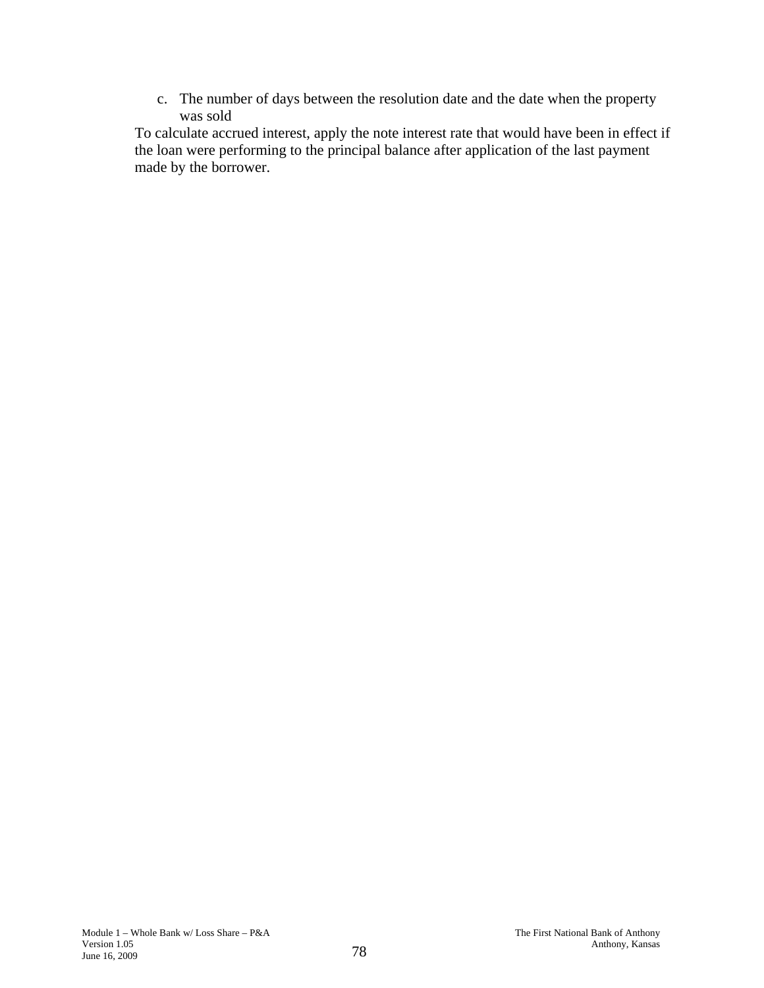c. The number of days between the resolution date and the date when the property was sold

To calculate accrued interest, apply the note interest rate that would have been in effect if the loan were performing to the principal balance after application of the last payment made by the borrower.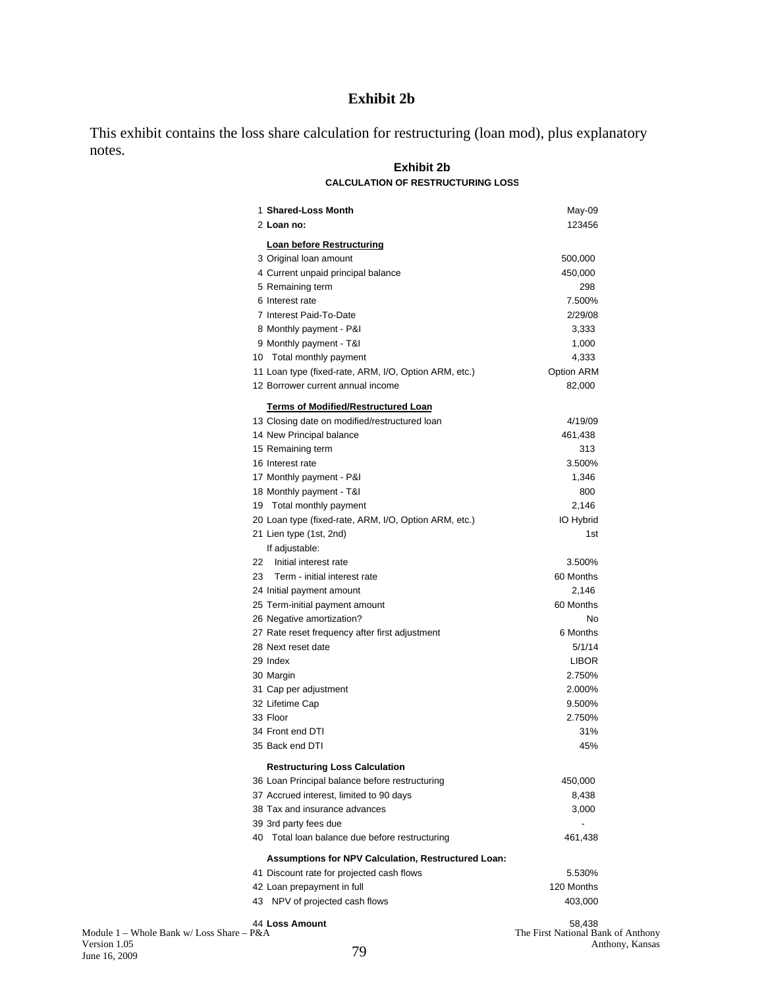# **Exhibit 2b**

This exhibit contains the loss share calculation for restructuring (loan mod), plus explanatory notes.

#### **Exhibit 2b CALCULATION OF RESTRUCTURING LOSS**

|                                           | 1 Shared-Loss Month                                   | May-09                                       |
|-------------------------------------------|-------------------------------------------------------|----------------------------------------------|
|                                           | 2 Loan no:                                            | 123456                                       |
|                                           | <b>Loan before Restructuring</b>                      |                                              |
|                                           | 3 Original loan amount                                | 500,000                                      |
|                                           | 4 Current unpaid principal balance                    | 450,000                                      |
|                                           | 5 Remaining term                                      | 298                                          |
|                                           | 6 Interest rate                                       | 7.500%                                       |
|                                           | 7 Interest Paid-To-Date                               | 2/29/08                                      |
|                                           | 8 Monthly payment - P&I                               | 3,333                                        |
|                                           | 9 Monthly payment - T&I                               | 1,000                                        |
|                                           | 10 Total monthly payment                              | 4,333                                        |
|                                           | 11 Loan type (fixed-rate, ARM, I/O, Option ARM, etc.) | <b>Option ARM</b>                            |
|                                           | 12 Borrower current annual income                     | 82,000                                       |
|                                           | <b>Terms of Modified/Restructured Loan</b>            |                                              |
|                                           | 13 Closing date on modified/restructured loan         | 4/19/09                                      |
|                                           | 14 New Principal balance                              | 461,438                                      |
|                                           | 15 Remaining term                                     | 313                                          |
|                                           | 16 Interest rate                                      | 3.500%                                       |
|                                           | 17 Monthly payment - P&I                              | 1,346                                        |
|                                           | 18 Monthly payment - T&I                              | 800                                          |
|                                           | 19 Total monthly payment                              | 2,146                                        |
|                                           | 20 Loan type (fixed-rate, ARM, I/O, Option ARM, etc.) | IO Hybrid                                    |
|                                           | 21 Lien type (1st, 2nd)                               | 1st                                          |
|                                           | If adjustable:                                        |                                              |
| 22                                        | Initial interest rate                                 | 3.500%                                       |
| 23                                        | Term - initial interest rate                          | 60 Months                                    |
|                                           | 24 Initial payment amount                             | 2,146                                        |
|                                           | 25 Term-initial payment amount                        | 60 Months                                    |
|                                           | 26 Negative amortization?                             | No                                           |
|                                           | 27 Rate reset frequency after first adjustment        | 6 Months                                     |
|                                           | 28 Next reset date                                    | 5/1/14                                       |
|                                           | 29 Index                                              | <b>LIBOR</b>                                 |
|                                           | 30 Margin                                             | 2.750%                                       |
|                                           | 31 Cap per adjustment                                 | 2.000%                                       |
|                                           | 32 Lifetime Cap                                       | 9.500%                                       |
|                                           | 33 Floor                                              | 2.750%                                       |
|                                           | 34 Front end DTI                                      | 31%                                          |
|                                           | 35 Back end DTI                                       | 45%                                          |
|                                           | <b>Restructuring Loss Calculation</b>                 |                                              |
|                                           | 36 Loan Principal balance before restructuring        | 450,000                                      |
|                                           | 37 Accrued interest, limited to 90 days               | 8,438                                        |
|                                           | 38 Tax and insurance advances                         | 3,000                                        |
|                                           | 39 3rd party fees due                                 |                                              |
|                                           | 40 Total loan balance due before restructuring        | 461,438                                      |
|                                           | Assumptions for NPV Calculation, Restructured Loan:   |                                              |
|                                           | 41 Discount rate for projected cash flows             | 5.530%                                       |
|                                           | 42 Loan prepayment in full                            | 120 Months                                   |
|                                           | 43 NPV of projected cash flows                        | 403,000                                      |
| Module 1 – Whole Bank w/ Loss Share – P&A | 44 Loss Amount                                        | 58,438<br>The First National Bank of Anthony |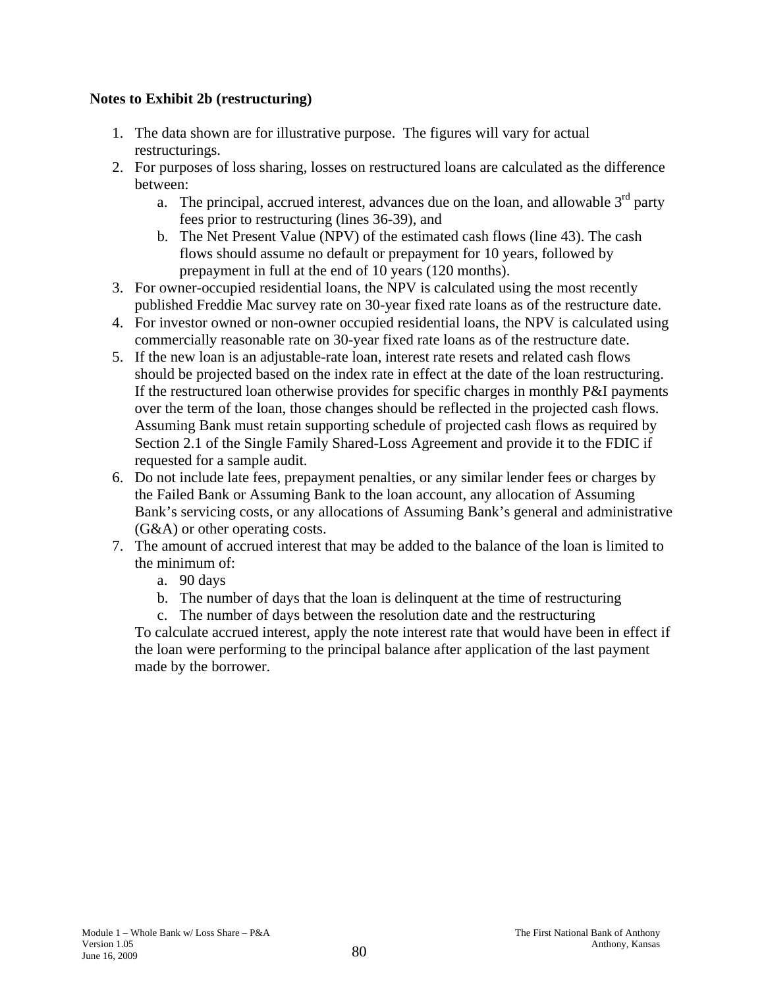### **Notes to Exhibit 2b (restructuring)**

- 1. The data shown are for illustrative purpose. The figures will vary for actual restructurings.
- 2. For purposes of loss sharing, losses on restructured loans are calculated as the difference between:
	- a. The principal, accrued interest, advances due on the loan, and allowable  $3<sup>rd</sup>$  party fees prior to restructuring (lines 36-39), and
	- b. The Net Present Value (NPV) of the estimated cash flows (line 43). The cash flows should assume no default or prepayment for 10 years, followed by prepayment in full at the end of 10 years (120 months).
- 3. For owner-occupied residential loans, the NPV is calculated using the most recently published Freddie Mac survey rate on 30-year fixed rate loans as of the restructure date.
- 4. For investor owned or non-owner occupied residential loans, the NPV is calculated using commercially reasonable rate on 30-year fixed rate loans as of the restructure date.
- 5. If the new loan is an adjustable-rate loan, interest rate resets and related cash flows should be projected based on the index rate in effect at the date of the loan restructuring. If the restructured loan otherwise provides for specific charges in monthly P&I payments over the term of the loan, those changes should be reflected in the projected cash flows. Assuming Bank must retain supporting schedule of projected cash flows as required by Section 2.1 of the Single Family Shared-Loss Agreement and provide it to the FDIC if requested for a sample audit.
- 6. Do not include late fees, prepayment penalties, or any similar lender fees or charges by the Failed Bank or Assuming Bank to the loan account, any allocation of Assuming Bank's servicing costs, or any allocations of Assuming Bank's general and administrative (G&A) or other operating costs.
- 7. The amount of accrued interest that may be added to the balance of the loan is limited to the minimum of:
	- a. 90 days
	- b. The number of days that the loan is delinquent at the time of restructuring

c. The number of days between the resolution date and the restructuring To calculate accrued interest, apply the note interest rate that would have been in effect if the loan were performing to the principal balance after application of the last payment made by the borrower.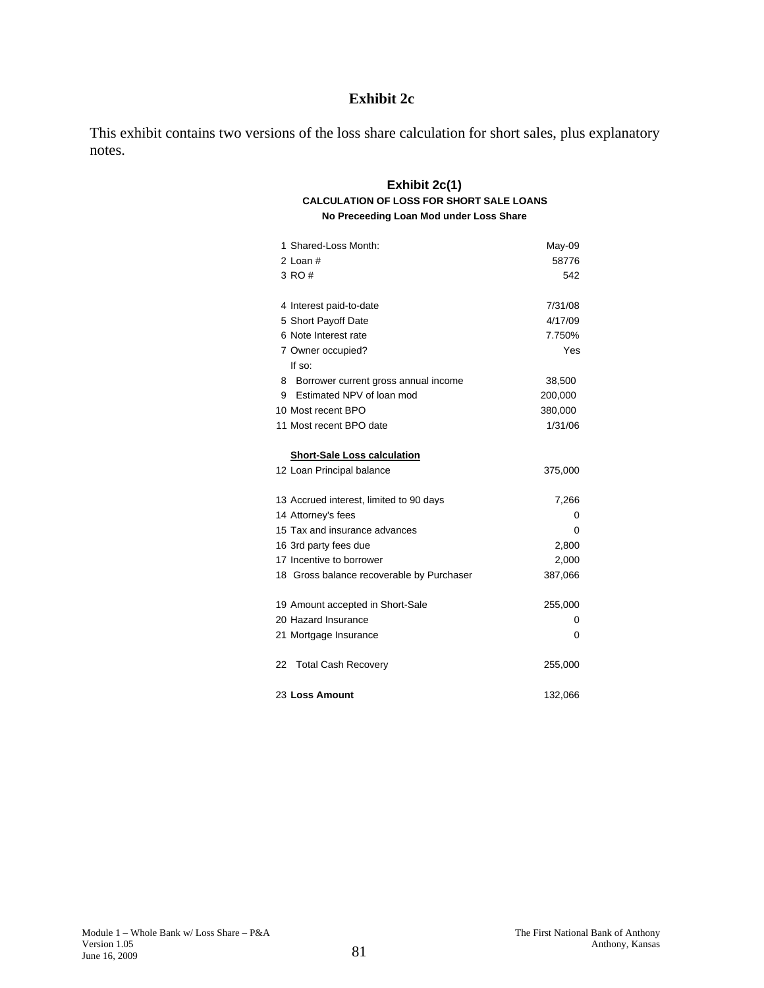### **Exhibit 2c**

This exhibit contains two versions of the loss share calculation for short sales, plus explanatory notes.

#### **Exhibit 2c(1) CALCULATION OF LOSS FOR SHORT SALE LOANS No Preceeding Loan Mod under Loss Share**

| 1 Shared-Loss Month:<br>2 Loan #<br>3 RO #                                                                                                                                                       | May-09<br>58776<br>542                       |
|--------------------------------------------------------------------------------------------------------------------------------------------------------------------------------------------------|----------------------------------------------|
| 4 Interest paid-to-date<br>5 Short Payoff Date                                                                                                                                                   | 7/31/08<br>4/17/09                           |
| 6 Note Interest rate<br>7 Owner occupied?<br>If so:                                                                                                                                              | 7.750%<br>Yes                                |
| Borrower current gross annual income<br>8<br>Estimated NPV of loan mod<br>9<br>10 Most recent BPO<br>11 Most recent BPO date                                                                     | 38,500<br>200,000<br>380,000<br>1/31/06      |
| <b>Short-Sale Loss calculation</b><br>12 Loan Principal balance                                                                                                                                  | 375,000                                      |
| 13 Accrued interest, limited to 90 days<br>14 Attorney's fees<br>15 Tax and insurance advances<br>16 3rd party fees due<br>17 Incentive to borrower<br>18 Gross balance recoverable by Purchaser | 7,266<br>0<br>0<br>2,800<br>2,000<br>387,066 |
| 19 Amount accepted in Short-Sale<br>20 Hazard Insurance<br>21 Mortgage Insurance                                                                                                                 | 255,000<br>0<br>0                            |
| 22 Total Cash Recovery                                                                                                                                                                           | 255,000                                      |
| 23 Loss Amount                                                                                                                                                                                   | 132,066                                      |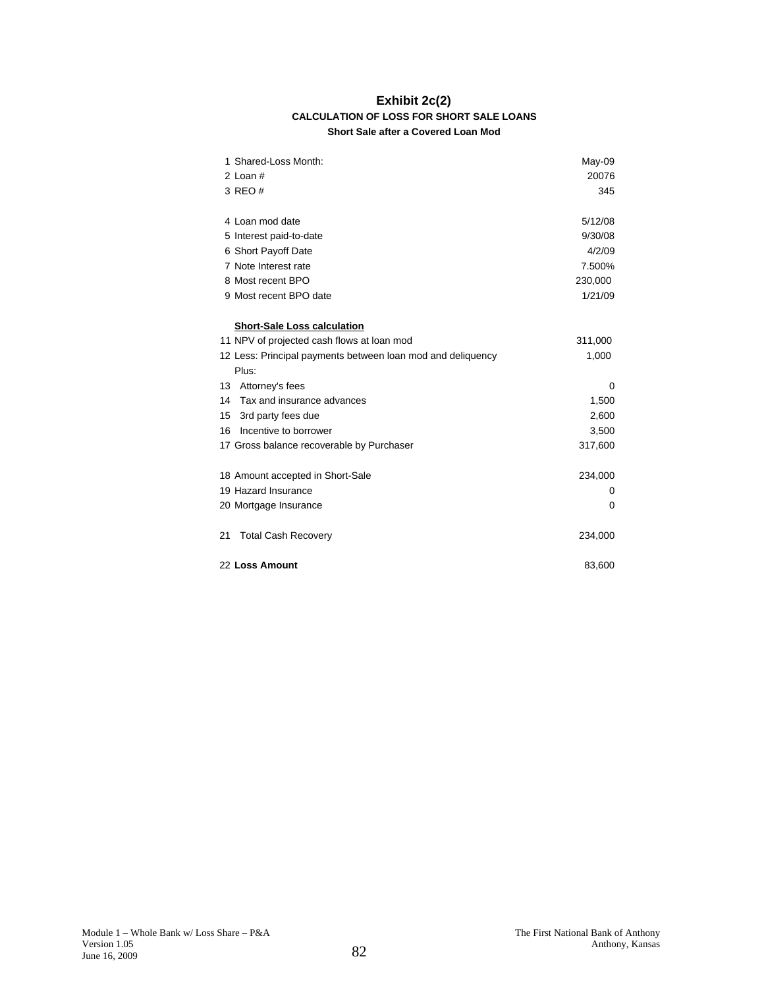#### **Exhibit 2c(2) CALCULATION OF LOSS FOR SHORT SALE LOANS Short Sale after a Covered Loan Mod**

| 1 Shared-Loss Month:                                        | May-09  |
|-------------------------------------------------------------|---------|
| 2 Loan $#$                                                  | 20076   |
| 3 REO #                                                     | 345     |
|                                                             |         |
| 4 Loan mod date                                             | 5/12/08 |
| 5 Interest paid-to-date                                     | 9/30/08 |
| 6 Short Payoff Date                                         | 4/2/09  |
| 7 Note Interest rate                                        | 7.500%  |
| 8 Most recent BPO                                           | 230,000 |
| 9 Most recent BPO date                                      | 1/21/09 |
|                                                             |         |
| <b>Short-Sale Loss calculation</b>                          |         |
| 11 NPV of projected cash flows at loan mod                  | 311,000 |
| 12 Less: Principal payments between loan mod and deliquency | 1,000   |
| Plus:                                                       |         |
| 13<br>Attorney's fees                                       | 0       |
| Tax and insurance advances<br>14                            | 1,500   |
| 15<br>3rd party fees due                                    | 2,600   |
| Incentive to borrower<br>16                                 | 3,500   |
| 17 Gross balance recoverable by Purchaser                   | 317,600 |
|                                                             |         |
| 18 Amount accepted in Short-Sale                            | 234,000 |
| 19 Hazard Insurance                                         | 0       |
| 20 Mortgage Insurance                                       | 0       |
|                                                             |         |
| <b>Total Cash Recovery</b><br>21                            | 234,000 |
|                                                             |         |
| 22 Loss Amount                                              | 83,600  |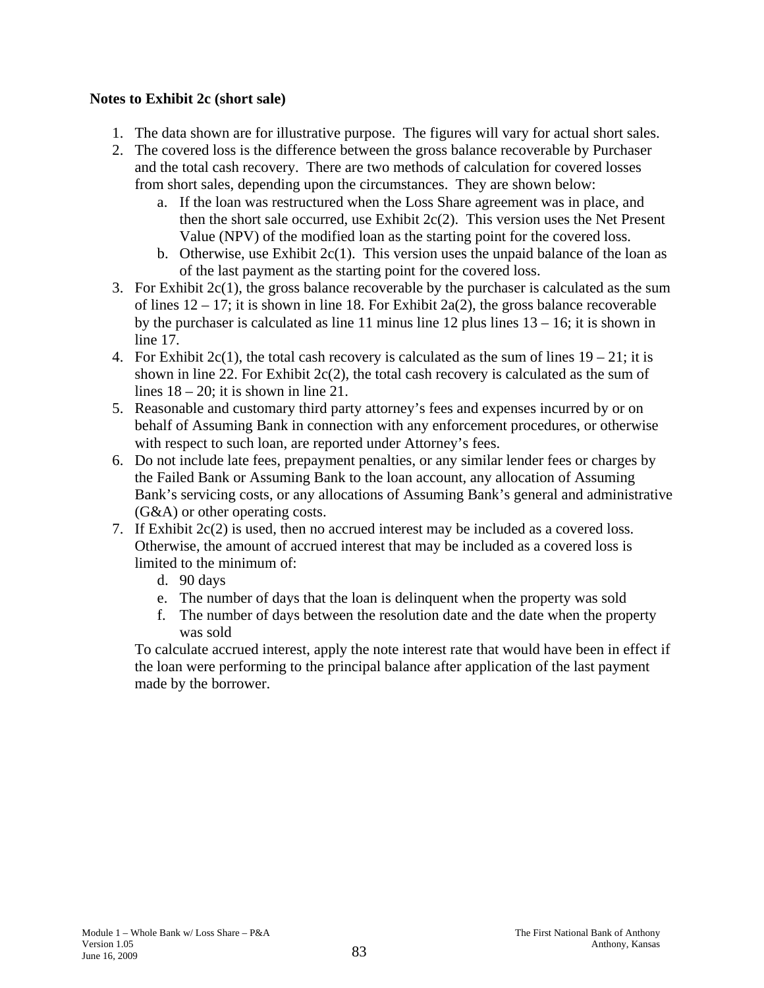## **Notes to Exhibit 2c (short sale)**

- 1. The data shown are for illustrative purpose. The figures will vary for actual short sales.
- 2. The covered loss is the difference between the gross balance recoverable by Purchaser and the total cash recovery. There are two methods of calculation for covered losses from short sales, depending upon the circumstances. They are shown below:
	- a. If the loan was restructured when the Loss Share agreement was in place, and then the short sale occurred, use Exhibit  $2c(2)$ . This version uses the Net Present Value (NPV) of the modified loan as the starting point for the covered loss.
	- b. Otherwise, use Exhibit  $2c(1)$ . This version uses the unpaid balance of the loan as of the last payment as the starting point for the covered loss.
- 3. For Exhibit  $2c(1)$ , the gross balance recoverable by the purchaser is calculated as the sum of lines  $12 - 17$ ; it is shown in line 18. For Exhibit 2a(2), the gross balance recoverable by the purchaser is calculated as line 11 minus line 12 plus lines 13 – 16; it is shown in line 17.
- 4. For Exhibit 2c(1), the total cash recovery is calculated as the sum of lines  $19 21$ ; it is shown in line 22. For Exhibit  $2c(2)$ , the total cash recovery is calculated as the sum of lines  $18 - 20$ ; it is shown in line 21.
- 5. Reasonable and customary third party attorney's fees and expenses incurred by or on behalf of Assuming Bank in connection with any enforcement procedures, or otherwise with respect to such loan, are reported under Attorney's fees.
- 6. Do not include late fees, prepayment penalties, or any similar lender fees or charges by the Failed Bank or Assuming Bank to the loan account, any allocation of Assuming Bank's servicing costs, or any allocations of Assuming Bank's general and administrative (G&A) or other operating costs.
- 7. If Exhibit  $2c(2)$  is used, then no accrued interest may be included as a covered loss. Otherwise, the amount of accrued interest that may be included as a covered loss is limited to the minimum of:
	- d. 90 days
	- e. The number of days that the loan is delinquent when the property was sold
	- f. The number of days between the resolution date and the date when the property was sold

To calculate accrued interest, apply the note interest rate that would have been in effect if the loan were performing to the principal balance after application of the last payment made by the borrower.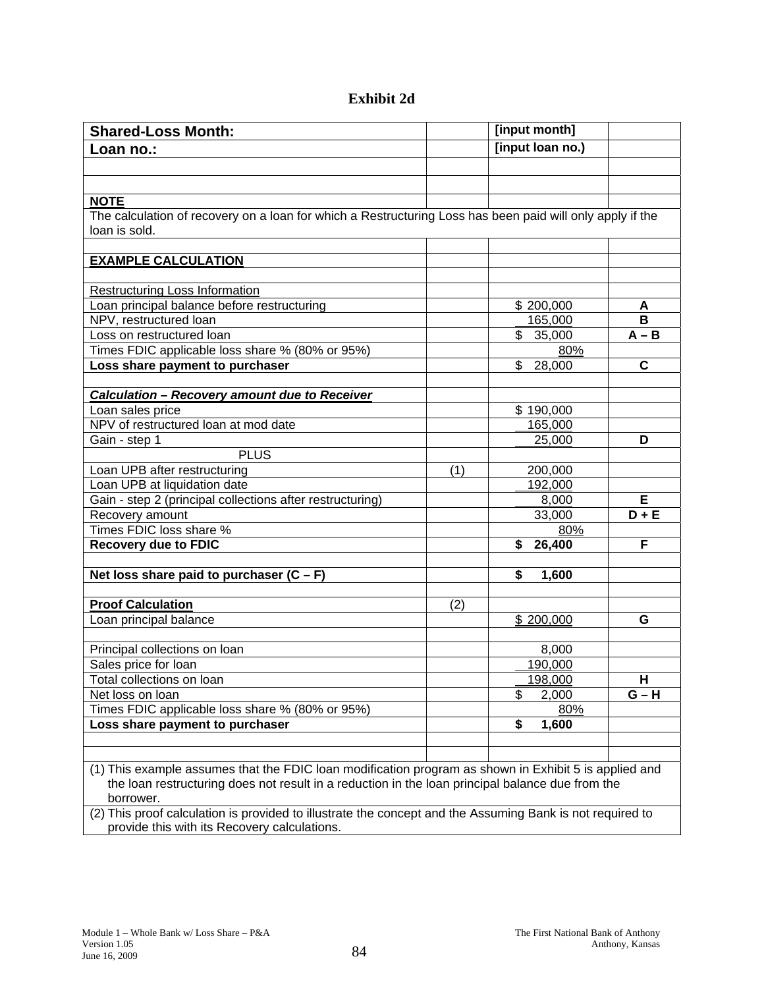# **Exhibit 2d**

| <b>Shared-Loss Month:</b>                                                                                 | [input month] |                  |         |
|-----------------------------------------------------------------------------------------------------------|---------------|------------------|---------|
| Loan no.:                                                                                                 |               | [input loan no.) |         |
|                                                                                                           |               |                  |         |
|                                                                                                           |               |                  |         |
| <b>NOTE</b>                                                                                               |               |                  |         |
| The calculation of recovery on a loan for which a Restructuring Loss has been paid will only apply if the |               |                  |         |
| loan is sold.                                                                                             |               |                  |         |
|                                                                                                           |               |                  |         |
| <b>EXAMPLE CALCULATION</b>                                                                                |               |                  |         |
|                                                                                                           |               |                  |         |
| <b>Restructuring Loss Information</b>                                                                     |               |                  |         |
| Loan principal balance before restructuring                                                               |               | \$200,000        | A       |
| NPV, restructured loan                                                                                    |               | 165,000          | в       |
| Loss on restructured loan                                                                                 |               | \$<br>35,000     | $A - B$ |
| Times FDIC applicable loss share % (80% or 95%)                                                           |               | 80%              |         |
| Loss share payment to purchaser                                                                           |               | \$28,000         | C       |
|                                                                                                           |               |                  |         |
| Calculation - Recovery amount due to Receiver                                                             |               |                  |         |
| Loan sales price                                                                                          |               | \$190,000        |         |
| NPV of restructured loan at mod date                                                                      |               | 165,000          |         |
| Gain - step 1                                                                                             |               | 25,000           | D       |
| <b>PLUS</b>                                                                                               |               |                  |         |
| Loan UPB after restructuring                                                                              | (1)           | 200,000          |         |
| Loan UPB at liquidation date                                                                              |               | 192,000          |         |
| Gain - step 2 (principal collections after restructuring)                                                 |               | 8,000            | Е       |
| Recovery amount                                                                                           |               | 33,000           | $D + E$ |
| Times FDIC loss share %                                                                                   |               | 80%              |         |
| <b>Recovery due to FDIC</b>                                                                               |               | 26,400<br>\$     | F       |
| Net loss share paid to purchaser $(C - F)$                                                                |               | 1,600<br>\$      |         |
|                                                                                                           |               |                  |         |
| <b>Proof Calculation</b>                                                                                  | (2)           |                  |         |
| Loan principal balance                                                                                    |               | \$200,000        | G       |
|                                                                                                           |               |                  |         |
| Principal collections on loan                                                                             |               | 8,000            |         |
| Sales price for loan                                                                                      |               | 190,000          |         |
| Total collections on loan                                                                                 |               | 198,000          | H       |
| Net loss on loan                                                                                          |               | \$<br>2,000      | $G - H$ |
| Times FDIC applicable loss share % (80% or 95%)                                                           |               | 80%              |         |
| Loss share payment to purchaser                                                                           |               | 1,600<br>\$      |         |
|                                                                                                           |               |                  |         |
|                                                                                                           |               |                  |         |
| (1) This example assumes that the FDIC loan modification program as shown in Exhibit 5 is applied and     |               |                  |         |
| the loan restructuring does not result in a reduction in the loan principal balance due from the          |               |                  |         |
| borrower.                                                                                                 |               |                  |         |
| (2) This proof calculation is provided to illustrate the concept and the Assuming Bank is not required to |               |                  |         |
| provide this with its Recovery calculations.                                                              |               |                  |         |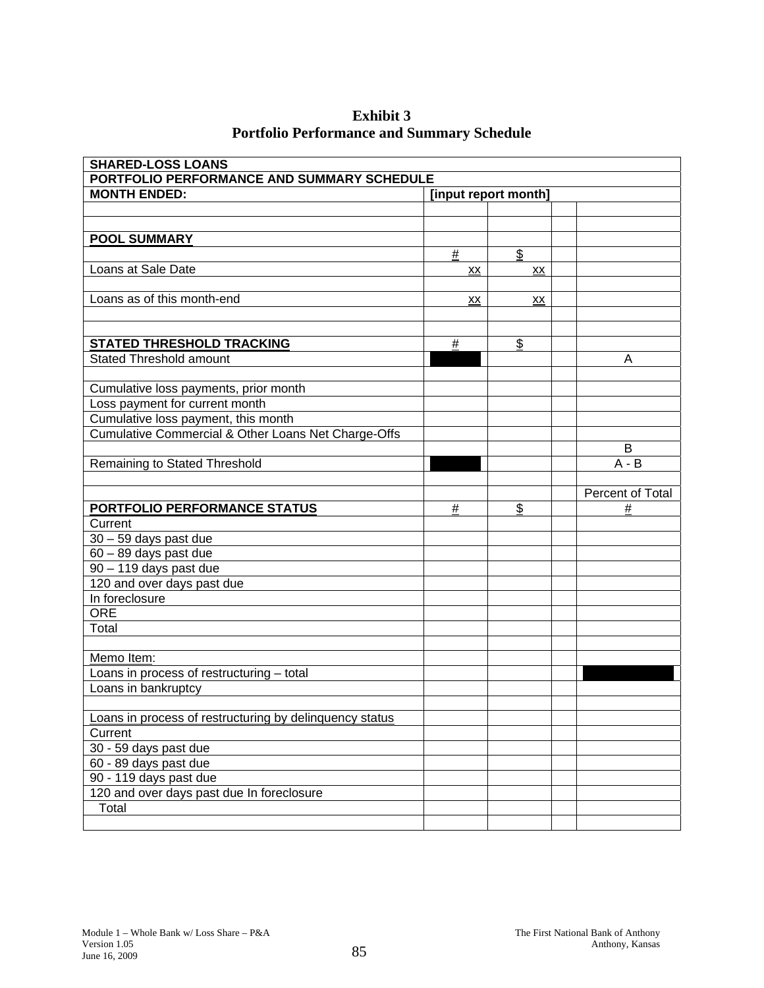| <b>SHARED-LOSS LOANS</b><br>PORTFOLIO PERFORMANCE AND SUMMARY SCHEDULE |      |                      |                  |  |  |
|------------------------------------------------------------------------|------|----------------------|------------------|--|--|
| <b>MONTH ENDED:</b>                                                    |      | [input report month] |                  |  |  |
|                                                                        |      |                      |                  |  |  |
|                                                                        |      |                      |                  |  |  |
| <b>POOL SUMMARY</b>                                                    |      |                      |                  |  |  |
|                                                                        | $\#$ | \$                   |                  |  |  |
| Loans at Sale Date                                                     | XX   | XX                   |                  |  |  |
|                                                                        |      |                      |                  |  |  |
| Loans as of this month-end                                             | XX   | XX                   |                  |  |  |
|                                                                        |      |                      |                  |  |  |
| <b>STATED THRESHOLD TRACKING</b>                                       | $\#$ | \$                   |                  |  |  |
| <b>Stated Threshold amount</b>                                         |      |                      | A                |  |  |
|                                                                        |      |                      |                  |  |  |
| Cumulative loss payments, prior month                                  |      |                      |                  |  |  |
| Loss payment for current month                                         |      |                      |                  |  |  |
| Cumulative loss payment, this month                                    |      |                      |                  |  |  |
| Cumulative Commercial & Other Loans Net Charge-Offs                    |      |                      |                  |  |  |
|                                                                        |      |                      | B                |  |  |
| Remaining to Stated Threshold                                          |      |                      | $A - B$          |  |  |
|                                                                        |      |                      |                  |  |  |
|                                                                        |      |                      | Percent of Total |  |  |
| <b>PORTFOLIO PERFORMANCE STATUS</b>                                    | $\#$ | \$                   | $\#$             |  |  |
| Current                                                                |      |                      |                  |  |  |
| $30 - 59$ days past due                                                |      |                      |                  |  |  |
| $60 - 89$ days past due                                                |      |                      |                  |  |  |
| $90 - 119$ days past due                                               |      |                      |                  |  |  |
| 120 and over days past due                                             |      |                      |                  |  |  |
| In foreclosure                                                         |      |                      |                  |  |  |
| <b>ORE</b>                                                             |      |                      |                  |  |  |
| Total                                                                  |      |                      |                  |  |  |
|                                                                        |      |                      |                  |  |  |
| Memo Item:                                                             |      |                      |                  |  |  |
| Loans in process of restructuring - total                              |      |                      |                  |  |  |
| Loans in bankruptcy                                                    |      |                      |                  |  |  |
|                                                                        |      |                      |                  |  |  |
| Loans in process of restructuring by delinquency status                |      |                      |                  |  |  |
| Current                                                                |      |                      |                  |  |  |
| 30 - 59 days past due                                                  |      |                      |                  |  |  |
| 60 - 89 days past due                                                  |      |                      |                  |  |  |
| 90 - 119 days past due                                                 |      |                      |                  |  |  |
| 120 and over days past due In foreclosure                              |      |                      |                  |  |  |
| Total                                                                  |      |                      |                  |  |  |

## **Exhibit 3 Portfolio Performance and Summary Schedule**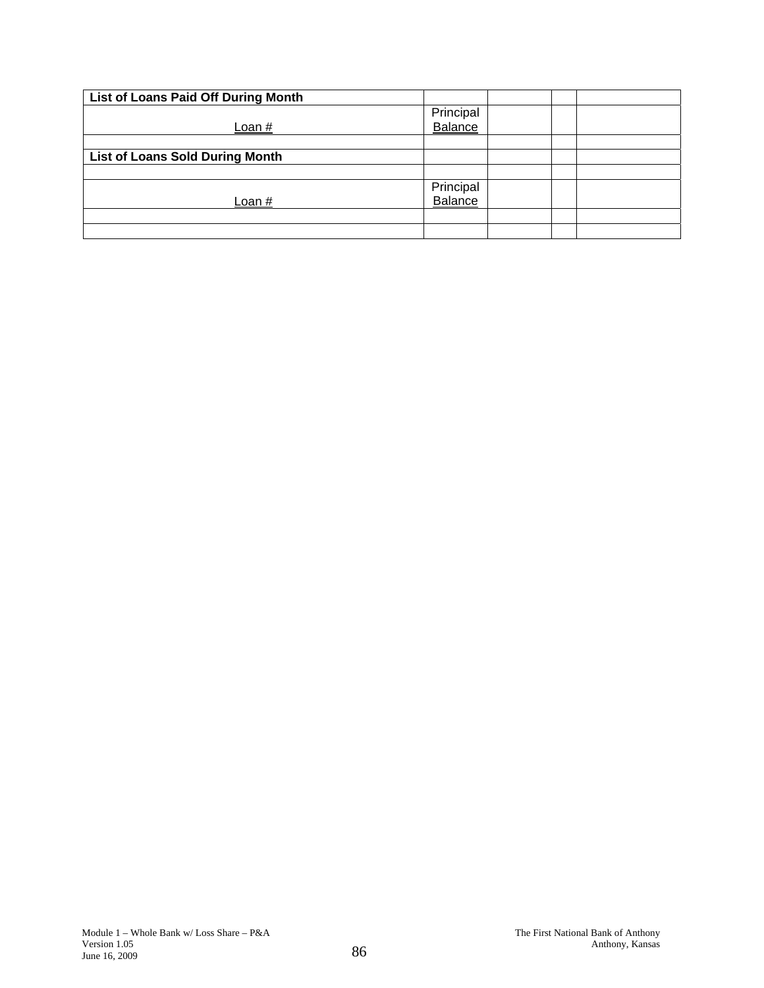| List of Loans Paid Off During Month    |                      |  |  |
|----------------------------------------|----------------------|--|--|
|                                        | Principal            |  |  |
| Loan #                                 | Balance              |  |  |
|                                        |                      |  |  |
| <b>List of Loans Sold During Month</b> |                      |  |  |
|                                        |                      |  |  |
|                                        | Principal<br>Balance |  |  |
| Loan #                                 |                      |  |  |
|                                        |                      |  |  |
|                                        |                      |  |  |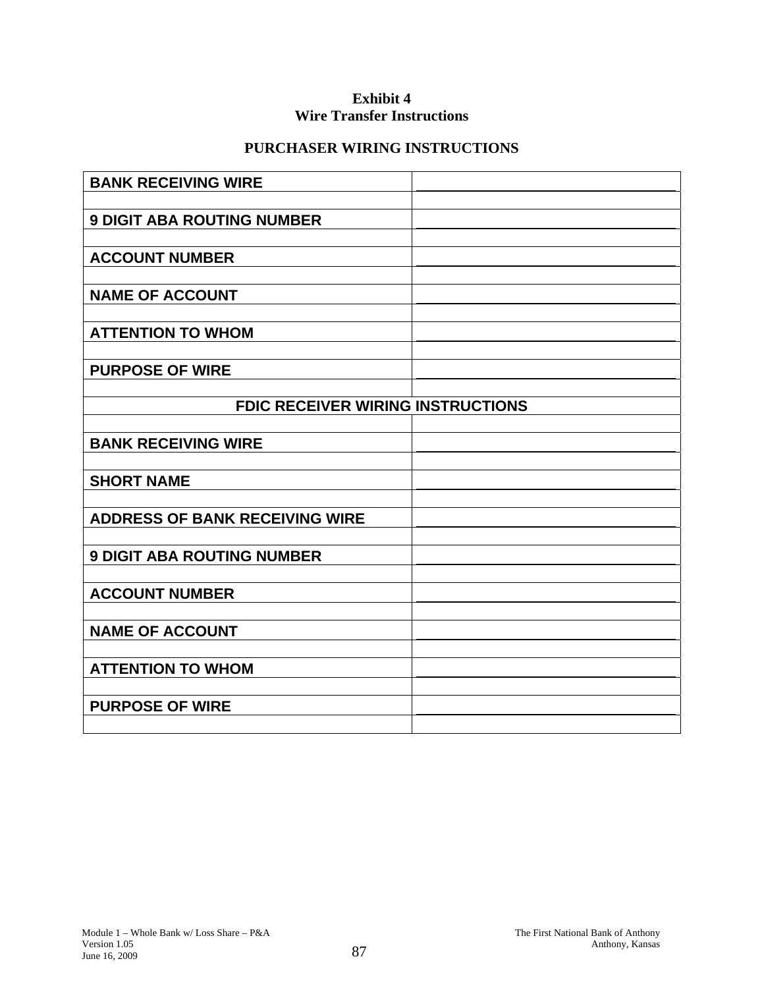## **Exhibit 4 Wire Transfer Instructions**

# **PURCHASER WIRING INSTRUCTIONS**

| <b>BANK RECEIVING WIRE</b>               |  |
|------------------------------------------|--|
|                                          |  |
| <b>9 DIGIT ABA ROUTING NUMBER</b>        |  |
|                                          |  |
| <b>ACCOUNT NUMBER</b>                    |  |
|                                          |  |
| <b>NAME OF ACCOUNT</b>                   |  |
|                                          |  |
| <b>ATTENTION TO WHOM</b>                 |  |
|                                          |  |
| <b>PURPOSE OF WIRE</b>                   |  |
| <b>FDIC RECEIVER WIRING INSTRUCTIONS</b> |  |
|                                          |  |
| <b>BANK RECEIVING WIRE</b>               |  |
|                                          |  |
| <b>SHORT NAME</b>                        |  |
|                                          |  |
| <b>ADDRESS OF BANK RECEIVING WIRE</b>    |  |
|                                          |  |
| <b>9 DIGIT ABA ROUTING NUMBER</b>        |  |
|                                          |  |
| <b>ACCOUNT NUMBER</b>                    |  |
|                                          |  |
| <b>NAME OF ACCOUNT</b>                   |  |
|                                          |  |
| <b>ATTENTION TO WHOM</b>                 |  |
|                                          |  |
| <b>PURPOSE OF WIRE</b>                   |  |
|                                          |  |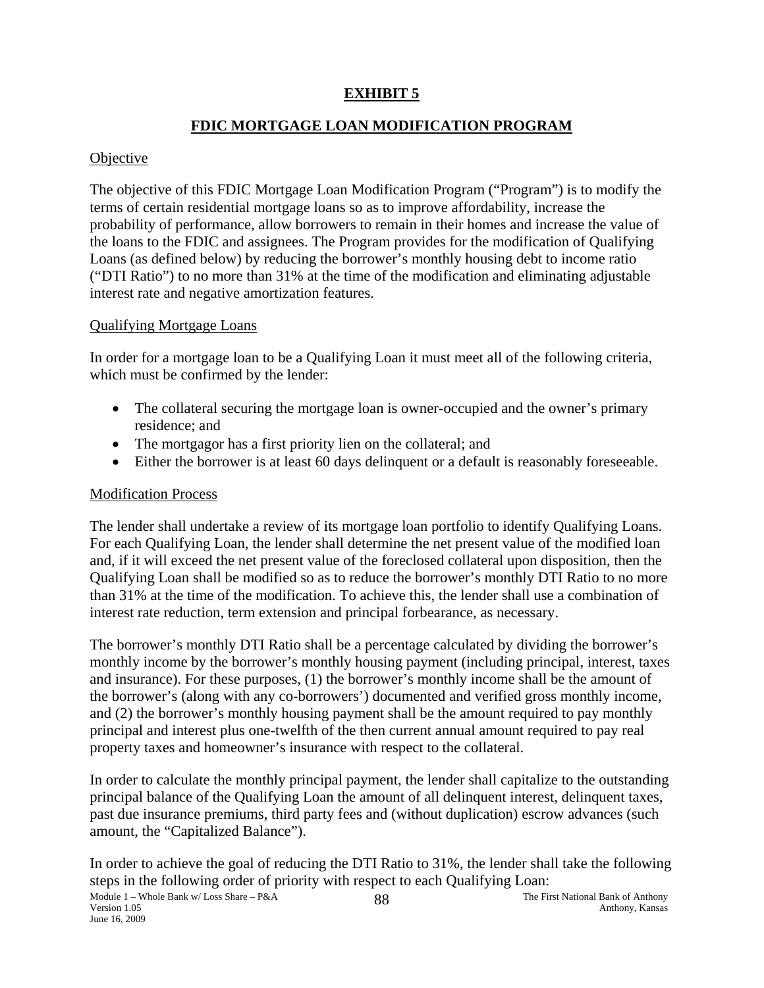# **EXHIBIT 5**

## **FDIC MORTGAGE LOAN MODIFICATION PROGRAM**

### **Objective**

The objective of this FDIC Mortgage Loan Modification Program ("Program") is to modify the terms of certain residential mortgage loans so as to improve affordability, increase the probability of performance, allow borrowers to remain in their homes and increase the value of the loans to the FDIC and assignees. The Program provides for the modification of Qualifying Loans (as defined below) by reducing the borrower's monthly housing debt to income ratio ("DTI Ratio") to no more than 31% at the time of the modification and eliminating adjustable interest rate and negative amortization features.

### Qualifying Mortgage Loans

In order for a mortgage loan to be a Qualifying Loan it must meet all of the following criteria, which must be confirmed by the lender:

- The collateral securing the mortgage loan is owner-occupied and the owner's primary residence; and
- The mortgagor has a first priority lien on the collateral; and
- Either the borrower is at least 60 days delinquent or a default is reasonably foreseeable.

### Modification Process

The lender shall undertake a review of its mortgage loan portfolio to identify Qualifying Loans. For each Qualifying Loan, the lender shall determine the net present value of the modified loan and, if it will exceed the net present value of the foreclosed collateral upon disposition, then the Qualifying Loan shall be modified so as to reduce the borrower's monthly DTI Ratio to no more than 31% at the time of the modification. To achieve this, the lender shall use a combination of interest rate reduction, term extension and principal forbearance, as necessary.

The borrower's monthly DTI Ratio shall be a percentage calculated by dividing the borrower's monthly income by the borrower's monthly housing payment (including principal, interest, taxes and insurance). For these purposes, (1) the borrower's monthly income shall be the amount of the borrower's (along with any co-borrowers') documented and verified gross monthly income, and (2) the borrower's monthly housing payment shall be the amount required to pay monthly principal and interest plus one-twelfth of the then current annual amount required to pay real property taxes and homeowner's insurance with respect to the collateral.

In order to calculate the monthly principal payment, the lender shall capitalize to the outstanding principal balance of the Qualifying Loan the amount of all delinquent interest, delinquent taxes, past due insurance premiums, third party fees and (without duplication) escrow advances (such amount, the "Capitalized Balance").

In order to achieve the goal of reducing the DTI Ratio to 31%, the lender shall take the following steps in the following order of priority with respect to each Qualifying Loan: Module 1 – Whole Bank w/ Loss Share – P&A Serversion 1.05 Anthony, Kansas Mersion 1.05 Anthony, Kansas Anthony, Kansas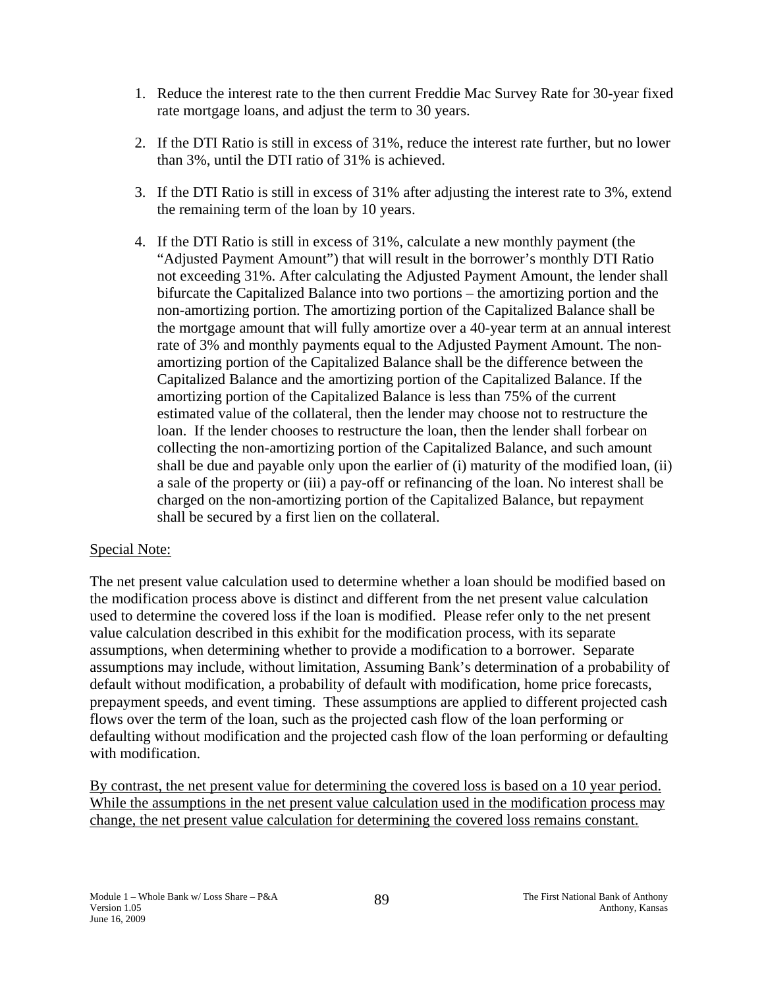- 1. Reduce the interest rate to the then current Freddie Mac Survey Rate for 30-year fixed rate mortgage loans, and adjust the term to 30 years.
- 2. If the DTI Ratio is still in excess of  $31\%$ , reduce the interest rate further, but no lower than 3%, until the DTI ratio of 31% is achieved.
- 3. If the DTI Ratio is still in excess of 31% after adjusting the interest rate to 3%, extend the remaining term of the loan by 10 years.
- 4. If the DTI Ratio is still in excess of 31%, calculate a new monthly payment (the "Adjusted Payment Amount") that will result in the borrower's monthly DTI Ratio not exceeding 31%. After calculating the Adjusted Payment Amount, the lender shall bifurcate the Capitalized Balance into two portions – the amortizing portion and the non-amortizing portion. The amortizing portion of the Capitalized Balance shall be the mortgage amount that will fully amortize over a 40-year term at an annual interest rate of 3% and monthly payments equal to the Adjusted Payment Amount. The nonamortizing portion of the Capitalized Balance shall be the difference between the Capitalized Balance and the amortizing portion of the Capitalized Balance. If the amortizing portion of the Capitalized Balance is less than 75% of the current estimated value of the collateral, then the lender may choose not to restructure the loan. If the lender chooses to restructure the loan, then the lender shall forbear on collecting the non-amortizing portion of the Capitalized Balance, and such amount shall be due and payable only upon the earlier of (i) maturity of the modified loan, (ii) a sale of the property or (iii) a pay-off or refinancing of the loan. No interest shall be charged on the non-amortizing portion of the Capitalized Balance, but repayment shall be secured by a first lien on the collateral.

## Special Note:

The net present value calculation used to determine whether a loan should be modified based on the modification process above is distinct and different from the net present value calculation used to determine the covered loss if the loan is modified. Please refer only to the net present value calculation described in this exhibit for the modification process, with its separate assumptions, when determining whether to provide a modification to a borrower. Separate assumptions may include, without limitation, Assuming Bank's determination of a probability of default without modification, a probability of default with modification, home price forecasts, prepayment speeds, and event timing. These assumptions are applied to different projected cash flows over the term of the loan, such as the projected cash flow of the loan performing or defaulting without modification and the projected cash flow of the loan performing or defaulting with modification.

change, the net present value calculation for determining the covered loss remains constant.<br>Module 1 – Whole Bank w/ Loss Share – P&A The First National Bank of Anthony, Kansas<br>Anthony, Kansas By contrast, the net present value for determining the covered loss is based on a 10 year period. While the assumptions in the net present value calculation used in the modification process may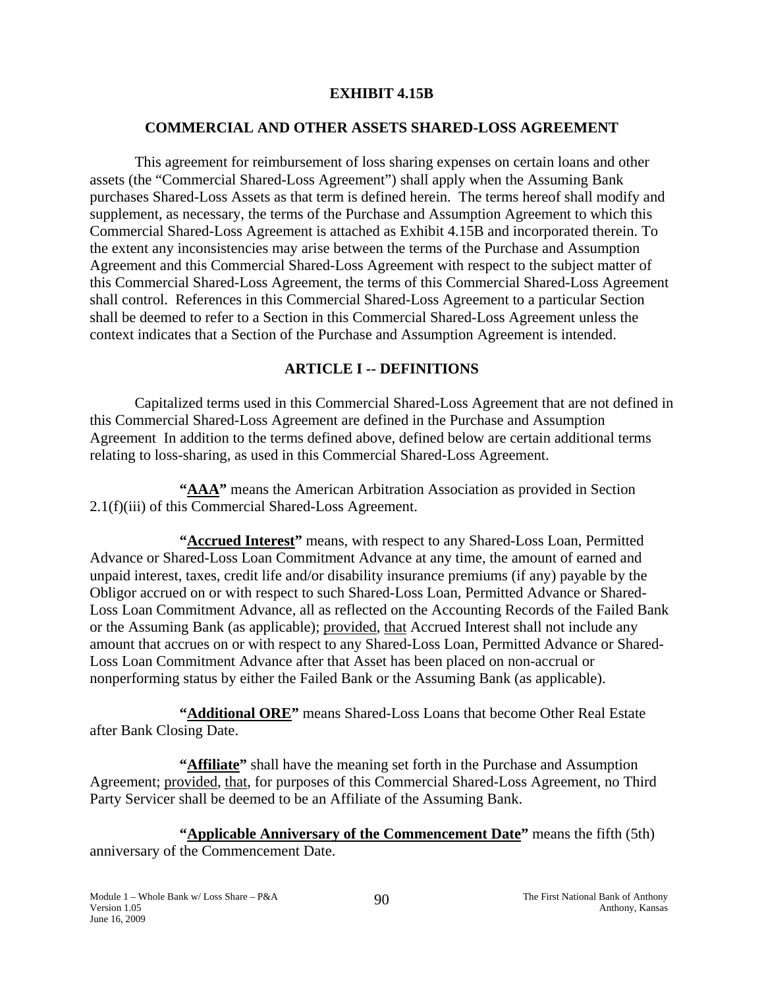### **EXHIBIT 4.15B**

#### **COMMERCIAL AND OTHER ASSETS SHARED-LOSS AGREEMENT**

This agreement for reimbursement of loss sharing expenses on certain loans and other assets (the "Commercial Shared-Loss Agreement") shall apply when the Assuming Bank purchases Shared-Loss Assets as that term is defined herein. The terms hereof shall modify and supplement, as necessary, the terms of the Purchase and Assumption Agreement to which this Commercial Shared-Loss Agreement is attached as Exhibit 4.15B and incorporated therein. To the extent any inconsistencies may arise between the terms of the Purchase and Assumption Agreement and this Commercial Shared-Loss Agreement with respect to the subject matter of this Commercial Shared-Loss Agreement, the terms of this Commercial Shared-Loss Agreement shall control. References in this Commercial Shared-Loss Agreement to a particular Section shall be deemed to refer to a Section in this Commercial Shared-Loss Agreement unless the context indicates that a Section of the Purchase and Assumption Agreement is intended.

### **ARTICLE I -- DEFINITIONS**

Capitalized terms used in this Commercial Shared-Loss Agreement that are not defined in this Commercial Shared-Loss Agreement are defined in the Purchase and Assumption Agreement In addition to the terms defined above, defined below are certain additional terms relating to loss-sharing, as used in this Commercial Shared-Loss Agreement.

**"AAA"** means the American Arbitration Association as provided in Section 2.1(f)(iii) of this Commercial Shared-Loss Agreement.

**"Accrued Interest"** means, with respect to any Shared-Loss Loan, Permitted Advance or Shared-Loss Loan Commitment Advance at any time, the amount of earned and unpaid interest, taxes, credit life and/or disability insurance premiums (if any) payable by the Obligor accrued on or with respect to such Shared-Loss Loan, Permitted Advance or Shared-Loss Loan Commitment Advance, all as reflected on the Accounting Records of the Failed Bank or the Assuming Bank (as applicable); provided, that Accrued Interest shall not include any amount that accrues on or with respect to any Shared-Loss Loan, Permitted Advance or Shared-Loss Loan Commitment Advance after that Asset has been placed on non-accrual or nonperforming status by either the Failed Bank or the Assuming Bank (as applicable).

**"Additional ORE"** means Shared-Loss Loans that become Other Real Estate after Bank Closing Date.

**"Affiliate"** shall have the meaning set forth in the Purchase and Assumption Agreement; provided, that, for purposes of this Commercial Shared-Loss Agreement, no Third Party Servicer shall be deemed to be an Affiliate of the Assuming Bank.

**Examplicable Anniversary of the Commencement Date"** means the fifth (5th) anniversary of the Commencement Date.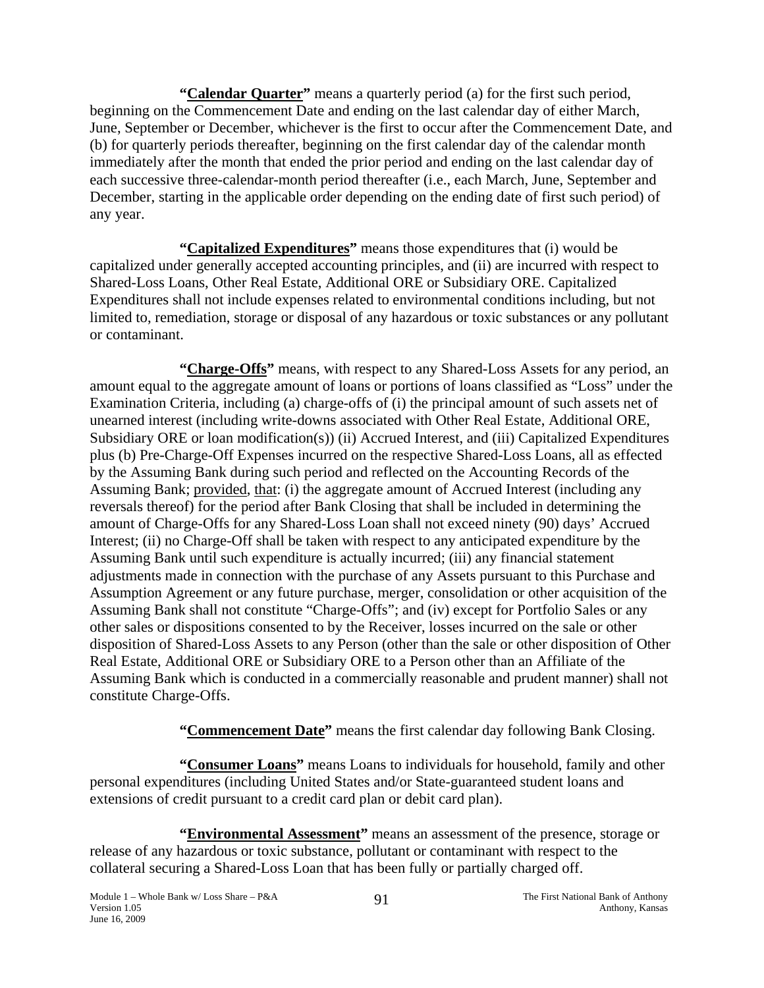**"Calendar Quarter"** means a quarterly period (a) for the first such period, beginning on the Commencement Date and ending on the last calendar day of either March, June, September or December, whichever is the first to occur after the Commencement Date, and (b) for quarterly periods thereafter, beginning on the first calendar day of the calendar month immediately after the month that ended the prior period and ending on the last calendar day of each successive three-calendar-month period thereafter (i.e., each March, June, September and December, starting in the applicable order depending on the ending date of first such period) of any year.

**"Capitalized Expenditures"** means those expenditures that (i) would be capitalized under generally accepted accounting principles, and (ii) are incurred with respect to Shared-Loss Loans, Other Real Estate, Additional ORE or Subsidiary ORE. Capitalized Expenditures shall not include expenses related to environmental conditions including, but not limited to, remediation, storage or disposal of any hazardous or toxic substances or any pollutant or contaminant.

**"Charge-Offs"** means, with respect to any Shared-Loss Assets for any period, an amount equal to the aggregate amount of loans or portions of loans classified as "Loss" under the Examination Criteria, including (a) charge-offs of (i) the principal amount of such assets net of unearned interest (including write-downs associated with Other Real Estate, Additional ORE, Subsidiary ORE or loan modification(s)) (ii) Accrued Interest, and (iii) Capitalized Expenditures plus (b) Pre-Charge-Off Expenses incurred on the respective Shared-Loss Loans, all as effected by the Assuming Bank during such period and reflected on the Accounting Records of the Assuming Bank; provided, that: (i) the aggregate amount of Accrued Interest (including any reversals thereof) for the period after Bank Closing that shall be included in determining the amount of Charge-Offs for any Shared-Loss Loan shall not exceed ninety (90) days' Accrued Interest; (ii) no Charge-Off shall be taken with respect to any anticipated expenditure by the Assuming Bank until such expenditure is actually incurred; (iii) any financial statement adjustments made in connection with the purchase of any Assets pursuant to this Purchase and Assumption Agreement or any future purchase, merger, consolidation or other acquisition of the Assuming Bank shall not constitute "Charge-Offs"; and (iv) except for Portfolio Sales or any other sales or dispositions consented to by the Receiver, losses incurred on the sale or other disposition of Shared-Loss Assets to any Person (other than the sale or other disposition of Other Real Estate, Additional ORE or Subsidiary ORE to a Person other than an Affiliate of the Assuming Bank which is conducted in a commercially reasonable and prudent manner) shall not constitute Charge-Offs.

**"Commencement Date"** means the first calendar day following Bank Closing.

**"Consumer Loans"** means Loans to individuals for household, family and other personal expenditures (including United States and/or State-guaranteed student loans and extensions of credit pursuant to a credit card plan or debit card plan).

**"Environmental Assessment"** means an assessment of the presence, storage or release of any hazardous or toxic substance, pollutant or contaminant with respect to the collateral securing a Shared-Loss Loan that has been fully or partially charged off.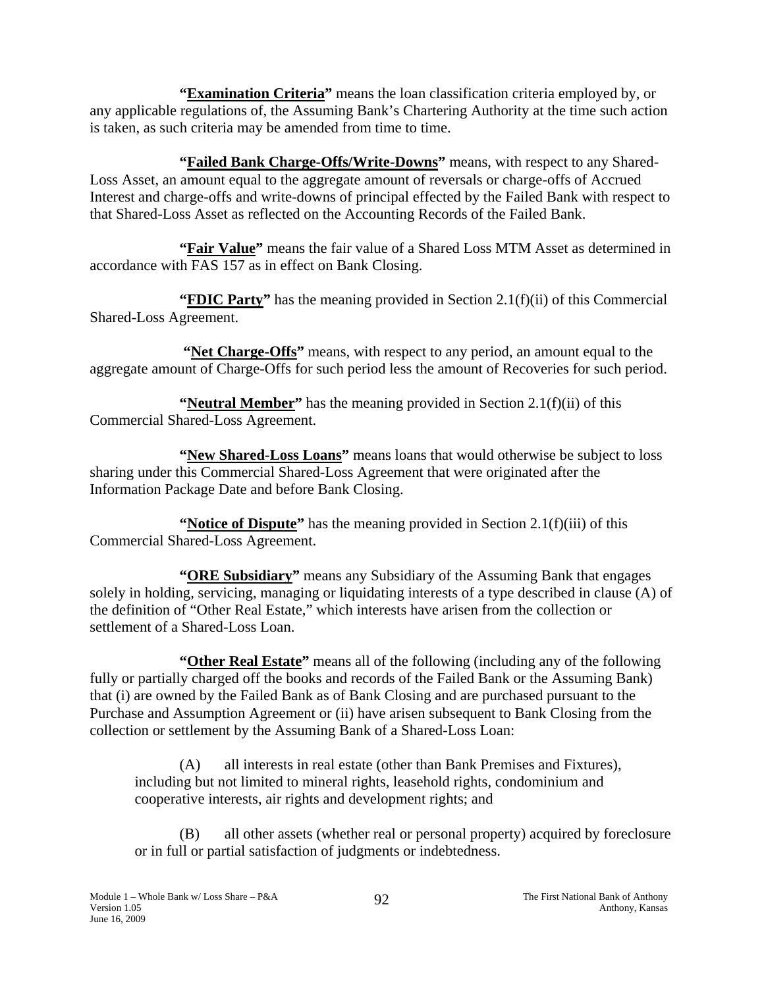**"Examination Criteria"** means the loan classification criteria employed by, or any applicable regulations of, the Assuming Bank's Chartering Authority at the time such action is taken, as such criteria may be amended from time to time.

**"Failed Bank Charge-Offs/Write-Downs"** means, with respect to any Shared-Loss Asset, an amount equal to the aggregate amount of reversals or charge-offs of Accrued Interest and charge-offs and write-downs of principal effected by the Failed Bank with respect to that Shared-Loss Asset as reflected on the Accounting Records of the Failed Bank.

**"Fair Value"** means the fair value of a Shared Loss MTM Asset as determined in accordance with FAS 157 as in effect on Bank Closing.

**"FDIC Party"** has the meaning provided in Section 2.1(f)(ii) of this Commercial Shared-Loss Agreement.

**"Net Charge-Offs"** means, with respect to any period, an amount equal to the aggregate amount of Charge-Offs for such period less the amount of Recoveries for such period.

 Commercial Shared-Loss Agreement. **"Neutral Member"** has the meaning provided in Section 2.1(f)(ii) of this

"New Shared-Loss Loans" means loans that would otherwise be subject to loss sharing under this Commercial Shared-Loss Agreement that were originated after the Information Package Date and before Bank Closing.

**"Notice of Dispute"** has the meaning provided in Section 2.1(f)(iii) of this Commercial Shared-Loss Agreement.

**"ORE Subsidiary"** means any Subsidiary of the Assuming Bank that engages solely in holding, servicing, managing or liquidating interests of a type described in clause (A) of the definition of "Other Real Estate," which interests have arisen from the collection or settlement of a Shared-Loss Loan.

**"Other Real Estate"** means all of the following (including any of the following fully or partially charged off the books and records of the Failed Bank or the Assuming Bank) that (i) are owned by the Failed Bank as of Bank Closing and are purchased pursuant to the Purchase and Assumption Agreement or (ii) have arisen subsequent to Bank Closing from the collection or settlement by the Assuming Bank of a Shared-Loss Loan:

(A) all interests in real estate (other than Bank Premises and Fixtures), including but not limited to mineral rights, leasehold rights, condominium and cooperative interests, air rights and development rights; and

(B) all other assets (whether real or personal property) acquired by foreclosure or in full or partial satisfaction of judgments or indebtedness.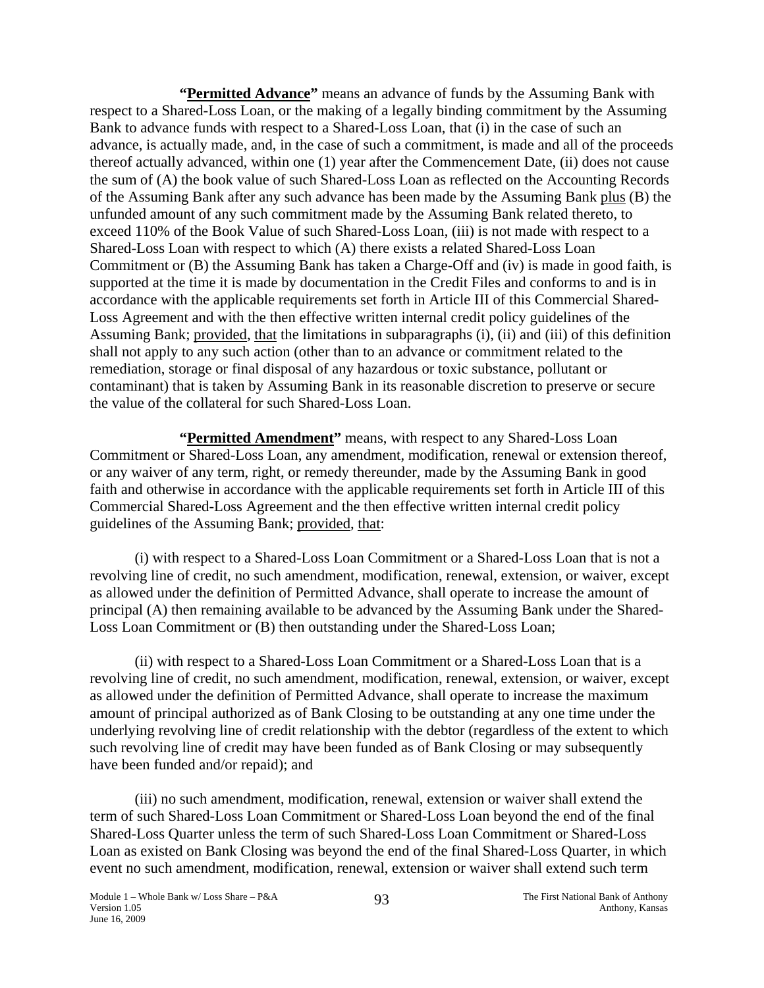**"Permitted Advance"** means an advance of funds by the Assuming Bank with respect to a Shared-Loss Loan, or the making of a legally binding commitment by the Assuming Bank to advance funds with respect to a Shared-Loss Loan, that (i) in the case of such an advance, is actually made, and, in the case of such a commitment, is made and all of the proceeds thereof actually advanced, within one (1) year after the Commencement Date, (ii) does not cause the sum of (A) the book value of such Shared-Loss Loan as reflected on the Accounting Records of the Assuming Bank after any such advance has been made by the Assuming Bank plus (B) the unfunded amount of any such commitment made by the Assuming Bank related thereto, to exceed 110% of the Book Value of such Shared-Loss Loan, (iii) is not made with respect to a Shared-Loss Loan with respect to which (A) there exists a related Shared-Loss Loan Commitment or (B) the Assuming Bank has taken a Charge-Off and (iv) is made in good faith, is supported at the time it is made by documentation in the Credit Files and conforms to and is in accordance with the applicable requirements set forth in Article III of this Commercial Shared-Loss Agreement and with the then effective written internal credit policy guidelines of the Assuming Bank; provided, that the limitations in subparagraphs (i), (ii) and (iii) of this definition shall not apply to any such action (other than to an advance or commitment related to the remediation, storage or final disposal of any hazardous or toxic substance, pollutant or contaminant) that is taken by Assuming Bank in its reasonable discretion to preserve or secure the value of the collateral for such Shared-Loss Loan.

**"Permitted Amendment"** means, with respect to any Shared-Loss Loan Commitment or Shared-Loss Loan, any amendment, modification, renewal or extension thereof, or any waiver of any term, right, or remedy thereunder, made by the Assuming Bank in good faith and otherwise in accordance with the applicable requirements set forth in Article III of this Commercial Shared-Loss Agreement and the then effective written internal credit policy guidelines of the Assuming Bank; provided, that:

(i) with respect to a Shared-Loss Loan Commitment or a Shared-Loss Loan that is not a revolving line of credit, no such amendment, modification, renewal, extension, or waiver, except as allowed under the definition of Permitted Advance, shall operate to increase the amount of principal (A) then remaining available to be advanced by the Assuming Bank under the Shared-Loss Loan Commitment or (B) then outstanding under the Shared-Loss Loan;

(ii) with respect to a Shared-Loss Loan Commitment or a Shared-Loss Loan that is a revolving line of credit, no such amendment, modification, renewal, extension, or waiver, except as allowed under the definition of Permitted Advance, shall operate to increase the maximum amount of principal authorized as of Bank Closing to be outstanding at any one time under the underlying revolving line of credit relationship with the debtor (regardless of the extent to which such revolving line of credit may have been funded as of Bank Closing or may subsequently have been funded and/or repaid); and

(iii) no such amendment, modification, renewal, extension or waiver shall extend the term of such Shared-Loss Loan Commitment or Shared-Loss Loan beyond the end of the final Shared-Loss Quarter unless the term of such Shared-Loss Loan Commitment or Shared-Loss Loan as existed on Bank Closing was beyond the end of the final Shared-Loss Quarter, in which event no such amendment, modification, renewal, extension or waiver shall extend such term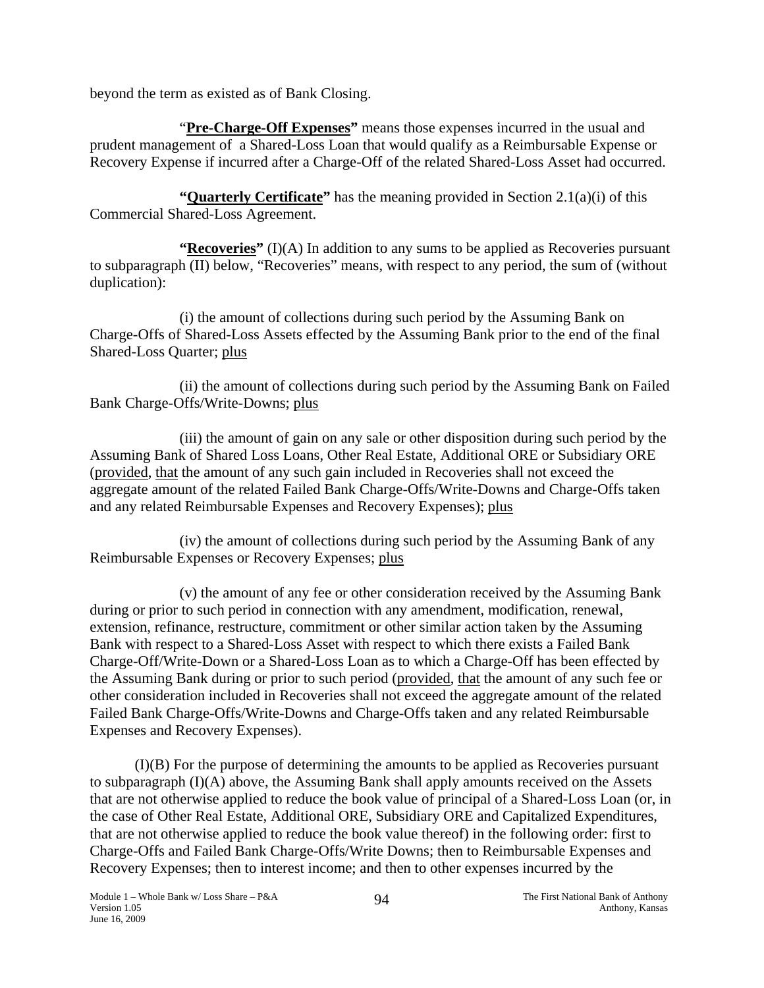beyond the term as existed as of Bank Closing.

"**Pre-Charge-Off Expenses"** means those expenses incurred in the usual and prudent management of a Shared-Loss Loan that would qualify as a Reimbursable Expense or Recovery Expense if incurred after a Charge-Off of the related Shared-Loss Asset had occurred.

**"Quarterly Certificate"** has the meaning provided in Section 2.1(a)(i) of this Commercial Shared-Loss Agreement.

**"Recoveries"** (I)(A) In addition to any sums to be applied as Recoveries pursuant to subparagraph (II) below, "Recoveries" means, with respect to any period, the sum of (without duplication):

**Shared-Loss Quarter; plus** (i) the amount of collections during such period by the Assuming Bank on Charge-Offs of Shared-Loss Assets effected by the Assuming Bank prior to the end of the final

(ii) the amount of collections during such period by the Assuming Bank on Failed Bank Charge-Offs/Write-Downs; plus

(iii) the amount of gain on any sale or other disposition during such period by the Assuming Bank of Shared Loss Loans, Other Real Estate, Additional ORE or Subsidiary ORE (provided, that the amount of any such gain included in Recoveries shall not exceed the aggregate amount of the related Failed Bank Charge-Offs/Write-Downs and Charge-Offs taken and any related Reimbursable Expenses and Recovery Expenses); plus

(iv) the amount of collections during such period by the Assuming Bank of any Reimbursable Expenses or Recovery Expenses; plus

(v) the amount of any fee or other consideration received by the Assuming Bank during or prior to such period in connection with any amendment, modification, renewal, extension, refinance, restructure, commitment or other similar action taken by the Assuming Bank with respect to a Shared-Loss Asset with respect to which there exists a Failed Bank Charge-Off/Write-Down or a Shared-Loss Loan as to which a Charge-Off has been effected by the Assuming Bank during or prior to such period (provided, that the amount of any such fee or other consideration included in Recoveries shall not exceed the aggregate amount of the related Failed Bank Charge-Offs/Write-Downs and Charge-Offs taken and any related Reimbursable Expenses and Recovery Expenses).

(I)(B) For the purpose of determining the amounts to be applied as Recoveries pursuant to subparagraph (I)(A) above, the Assuming Bank shall apply amounts received on the Assets that are not otherwise applied to reduce the book value of principal of a Shared-Loss Loan (or, in the case of Other Real Estate, Additional ORE, Subsidiary ORE and Capitalized Expenditures, that are not otherwise applied to reduce the book value thereof) in the following order: first to Charge-Offs and Failed Bank Charge-Offs/Write Downs; then to Reimbursable Expenses and Recovery Expenses; then to interest income; and then to other expenses incurred by the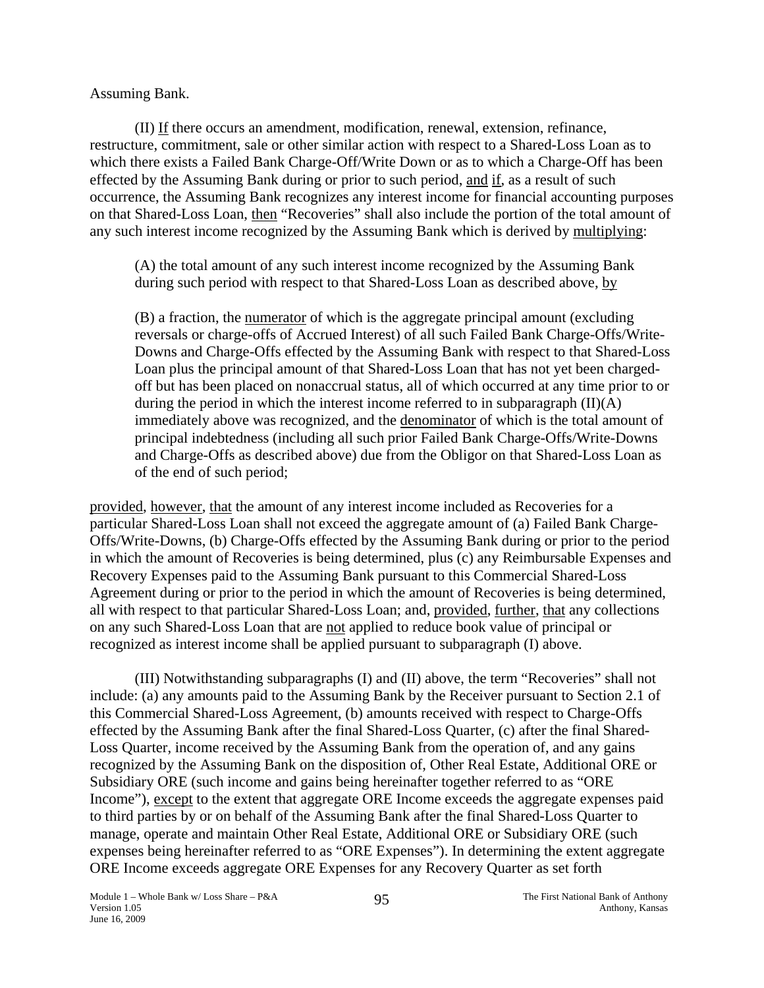Assuming Bank.

(II) If there occurs an amendment, modification, renewal, extension, refinance, restructure, commitment, sale or other similar action with respect to a Shared-Loss Loan as to which there exists a Failed Bank Charge-Off/Write Down or as to which a Charge-Off has been effected by the Assuming Bank during or prior to such period, and if, as a result of such occurrence, the Assuming Bank recognizes any interest income for financial accounting purposes on that Shared-Loss Loan, then "Recoveries" shall also include the portion of the total amount of any such interest income recognized by the Assuming Bank which is derived by multiplying:

(A) the total amount of any such interest income recognized by the Assuming Bank during such period with respect to that Shared-Loss Loan as described above, by

(B) a fraction, the numerator of which is the aggregate principal amount (excluding reversals or charge-offs of Accrued Interest) of all such Failed Bank Charge-Offs/Write-Downs and Charge-Offs effected by the Assuming Bank with respect to that Shared-Loss Loan plus the principal amount of that Shared-Loss Loan that has not yet been chargedoff but has been placed on nonaccrual status, all of which occurred at any time prior to or during the period in which the interest income referred to in subparagraph (II)(A) immediately above was recognized, and the denominator of which is the total amount of principal indebtedness (including all such prior Failed Bank Charge-Offs/Write-Downs and Charge-Offs as described above) due from the Obligor on that Shared-Loss Loan as of the end of such period;

provided, however, that the amount of any interest income included as Recoveries for a particular Shared-Loss Loan shall not exceed the aggregate amount of (a) Failed Bank Charge-Offs/Write-Downs, (b) Charge-Offs effected by the Assuming Bank during or prior to the period in which the amount of Recoveries is being determined, plus (c) any Reimbursable Expenses and Recovery Expenses paid to the Assuming Bank pursuant to this Commercial Shared-Loss Agreement during or prior to the period in which the amount of Recoveries is being determined, all with respect to that particular Shared-Loss Loan; and, provided, further, that any collections on any such Shared-Loss Loan that are not applied to reduce book value of principal or recognized as interest income shall be applied pursuant to subparagraph (I) above.

(III) Notwithstanding subparagraphs (I) and (II) above, the term "Recoveries" shall not include: (a) any amounts paid to the Assuming Bank by the Receiver pursuant to Section 2.1 of this Commercial Shared-Loss Agreement, (b) amounts received with respect to Charge-Offs effected by the Assuming Bank after the final Shared-Loss Quarter, (c) after the final Shared-Loss Quarter, income received by the Assuming Bank from the operation of, and any gains recognized by the Assuming Bank on the disposition of, Other Real Estate, Additional ORE or Subsidiary ORE (such income and gains being hereinafter together referred to as "ORE Income"), except to the extent that aggregate ORE Income exceeds the aggregate expenses paid to third parties by or on behalf of the Assuming Bank after the final Shared-Loss Quarter to manage, operate and maintain Other Real Estate, Additional ORE or Subsidiary ORE (such expenses being hereinafter referred to as "ORE Expenses"). In determining the extent aggregate ORE Income exceeds aggregate ORE Expenses for any Recovery Quarter as set forth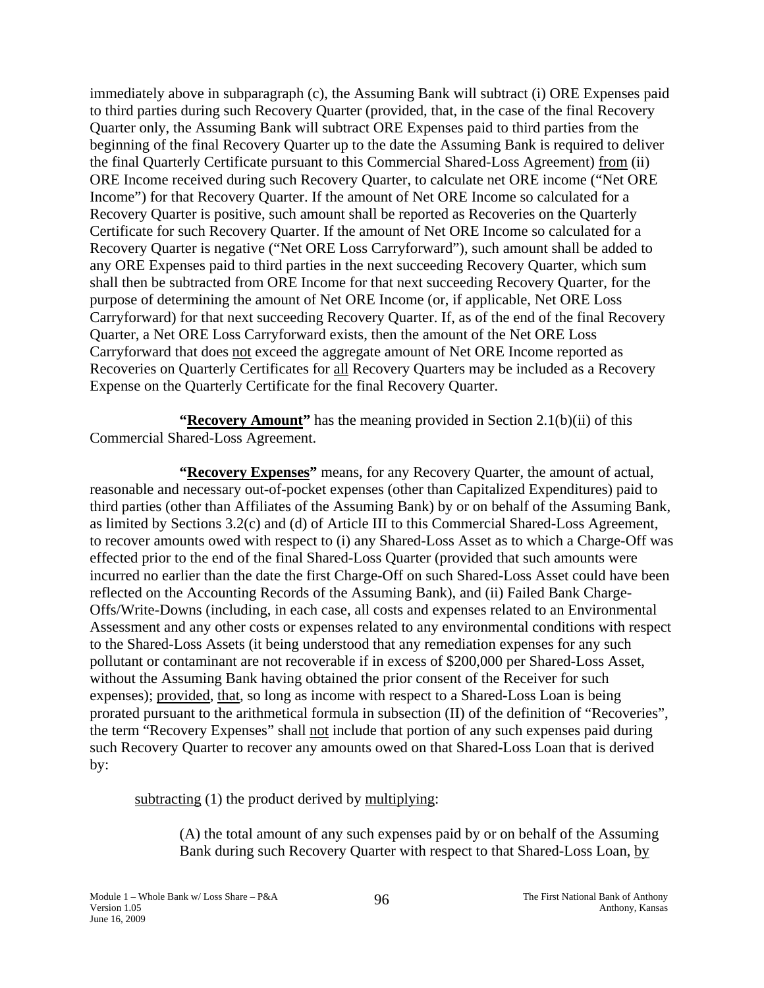immediately above in subparagraph (c), the Assuming Bank will subtract (i) ORE Expenses paid to third parties during such Recovery Quarter (provided, that, in the case of the final Recovery Quarter only, the Assuming Bank will subtract ORE Expenses paid to third parties from the beginning of the final Recovery Quarter up to the date the Assuming Bank is required to deliver the final Quarterly Certificate pursuant to this Commercial Shared-Loss Agreement) from (ii) ORE Income received during such Recovery Quarter, to calculate net ORE income ("Net ORE Income") for that Recovery Quarter. If the amount of Net ORE Income so calculated for a Recovery Quarter is positive, such amount shall be reported as Recoveries on the Quarterly Certificate for such Recovery Quarter. If the amount of Net ORE Income so calculated for a Recovery Quarter is negative ("Net ORE Loss Carryforward"), such amount shall be added to any ORE Expenses paid to third parties in the next succeeding Recovery Quarter, which sum shall then be subtracted from ORE Income for that next succeeding Recovery Quarter, for the purpose of determining the amount of Net ORE Income (or, if applicable, Net ORE Loss Carryforward) for that next succeeding Recovery Quarter. If, as of the end of the final Recovery Quarter, a Net ORE Loss Carryforward exists, then the amount of the Net ORE Loss Carryforward that does not exceed the aggregate amount of Net ORE Income reported as Recoveries on Quarterly Certificates for all Recovery Quarters may be included as a Recovery Expense on the Quarterly Certificate for the final Recovery Quarter.

**"Recovery Amount"** has the meaning provided in Section 2.1(b)(ii) of this Commercial Shared-Loss Agreement.

**"Recovery Expenses"** means, for any Recovery Quarter, the amount of actual, reasonable and necessary out-of-pocket expenses (other than Capitalized Expenditures) paid to third parties (other than Affiliates of the Assuming Bank) by or on behalf of the Assuming Bank, as limited by Sections 3.2(c) and (d) of Article III to this Commercial Shared-Loss Agreement, to recover amounts owed with respect to (i) any Shared-Loss Asset as to which a Charge-Off was effected prior to the end of the final Shared-Loss Quarter (provided that such amounts were incurred no earlier than the date the first Charge-Off on such Shared-Loss Asset could have been reflected on the Accounting Records of the Assuming Bank), and (ii) Failed Bank Charge-Offs/Write-Downs (including, in each case, all costs and expenses related to an Environmental Assessment and any other costs or expenses related to any environmental conditions with respect to the Shared-Loss Assets (it being understood that any remediation expenses for any such pollutant or contaminant are not recoverable if in excess of \$200,000 per Shared-Loss Asset, without the Assuming Bank having obtained the prior consent of the Receiver for such expenses); provided, that, so long as income with respect to a Shared-Loss Loan is being prorated pursuant to the arithmetical formula in subsection (II) of the definition of "Recoveries", the term "Recovery Expenses" shall not include that portion of any such expenses paid during such Recovery Quarter to recover any amounts owed on that Shared-Loss Loan that is derived by:

subtracting (1) the product derived by multiplying:

(A) the total amount of any such expenses paid by or on behalf of the Assuming Bank during such Recovery Quarter with respect to that Shared-Loss Loan, by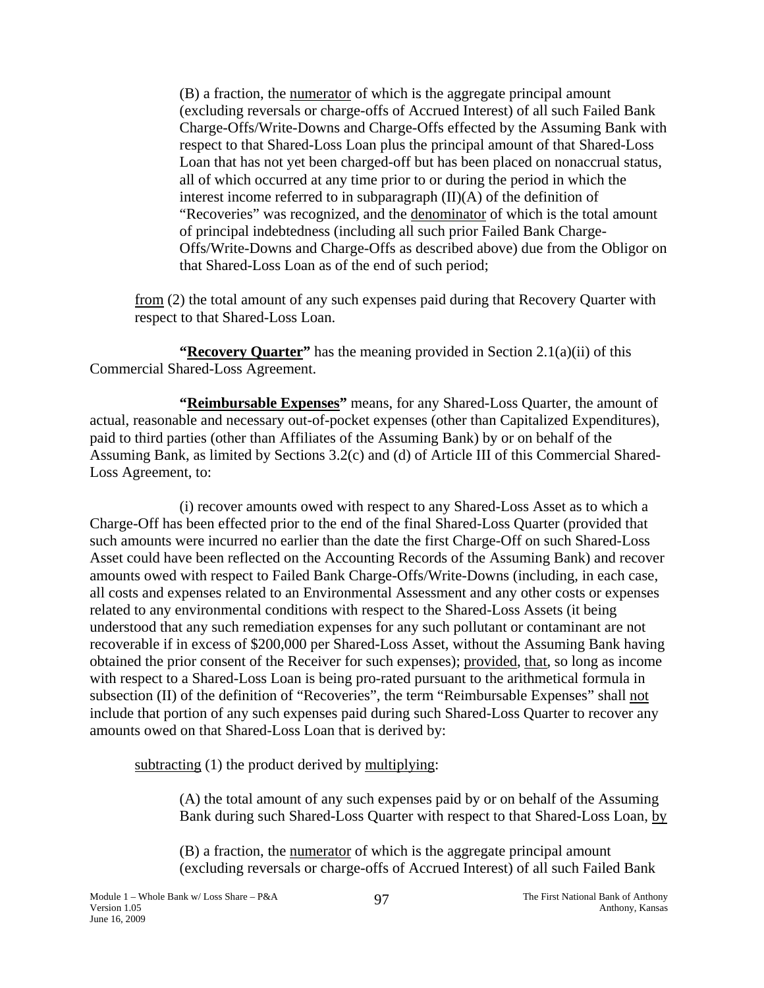(B) a fraction, the numerator of which is the aggregate principal amount (excluding reversals or charge-offs of Accrued Interest) of all such Failed Bank Charge-Offs/Write-Downs and Charge-Offs effected by the Assuming Bank with respect to that Shared-Loss Loan plus the principal amount of that Shared-Loss Loan that has not yet been charged-off but has been placed on nonaccrual status, all of which occurred at any time prior to or during the period in which the interest income referred to in subparagraph  $(II)(A)$  of the definition of "Recoveries" was recognized, and the denominator of which is the total amount of principal indebtedness (including all such prior Failed Bank Charge-Offs/Write-Downs and Charge-Offs as described above) due from the Obligor on that Shared-Loss Loan as of the end of such period;

from (2) the total amount of any such expenses paid during that Recovery Quarter with respect to that Shared-Loss Loan.

**"Recovery Quarter"** has the meaning provided in Section 2.1(a)(ii) of this Commercial Shared-Loss Agreement.

**"Reimbursable Expenses"** means, for any Shared-Loss Quarter, the amount of actual, reasonable and necessary out-of-pocket expenses (other than Capitalized Expenditures), paid to third parties (other than Affiliates of the Assuming Bank) by or on behalf of the Assuming Bank, as limited by Sections 3.2(c) and (d) of Article III of this Commercial Shared-Loss Agreement, to:

(i) recover amounts owed with respect to any Shared-Loss Asset as to which a Charge-Off has been effected prior to the end of the final Shared-Loss Quarter (provided that such amounts were incurred no earlier than the date the first Charge-Off on such Shared-Loss Asset could have been reflected on the Accounting Records of the Assuming Bank) and recover amounts owed with respect to Failed Bank Charge-Offs/Write-Downs (including, in each case, all costs and expenses related to an Environmental Assessment and any other costs or expenses related to any environmental conditions with respect to the Shared-Loss Assets (it being understood that any such remediation expenses for any such pollutant or contaminant are not recoverable if in excess of \$200,000 per Shared-Loss Asset, without the Assuming Bank having obtained the prior consent of the Receiver for such expenses); provided, that, so long as income with respect to a Shared-Loss Loan is being pro-rated pursuant to the arithmetical formula in subsection (II) of the definition of "Recoveries", the term "Reimbursable Expenses" shall not include that portion of any such expenses paid during such Shared-Loss Quarter to recover any amounts owed on that Shared-Loss Loan that is derived by:

subtracting (1) the product derived by multiplying:

(A) the total amount of any such expenses paid by or on behalf of the Assuming Bank during such Shared-Loss Quarter with respect to that Shared-Loss Loan, by

(B) a fraction, the numerator of which is the aggregate principal amount (excluding reversals or charge-offs of Accrued Interest) of all such Failed Bank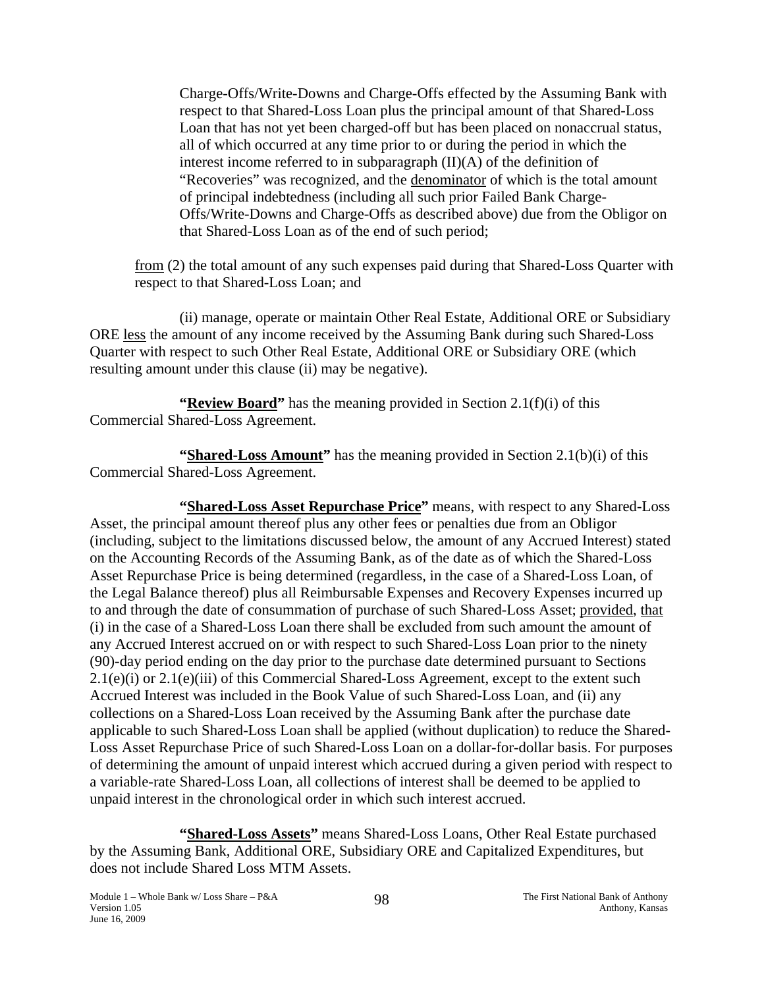Charge-Offs/Write-Downs and Charge-Offs effected by the Assuming Bank with respect to that Shared-Loss Loan plus the principal amount of that Shared-Loss Loan that has not yet been charged-off but has been placed on nonaccrual status, all of which occurred at any time prior to or during the period in which the interest income referred to in subparagraph  $(II)(A)$  of the definition of "Recoveries" was recognized, and the denominator of which is the total amount of principal indebtedness (including all such prior Failed Bank Charge-Offs/Write-Downs and Charge-Offs as described above) due from the Obligor on that Shared-Loss Loan as of the end of such period;

from (2) the total amount of any such expenses paid during that Shared-Loss Quarter with respect to that Shared-Loss Loan; and

(ii) manage, operate or maintain Other Real Estate, Additional ORE or Subsidiary ORE less the amount of any income received by the Assuming Bank during such Shared-Loss Quarter with respect to such Other Real Estate, Additional ORE or Subsidiary ORE (which resulting amount under this clause (ii) may be negative).

**"Review Board"** has the meaning provided in Section 2.1(f)(i) of this Commercial Shared-Loss Agreement.

**"Shared-Loss Amount"** has the meaning provided in Section 2.1(b)(i) of this Commercial Shared-Loss Agreement.

**"Shared-Loss Asset Repurchase Price"** means, with respect to any Shared-Loss Asset, the principal amount thereof plus any other fees or penalties due from an Obligor (including, subject to the limitations discussed below, the amount of any Accrued Interest) stated on the Accounting Records of the Assuming Bank, as of the date as of which the Shared-Loss Asset Repurchase Price is being determined (regardless, in the case of a Shared-Loss Loan, of the Legal Balance thereof) plus all Reimbursable Expenses and Recovery Expenses incurred up to and through the date of consummation of purchase of such Shared-Loss Asset; provided, that (i) in the case of a Shared-Loss Loan there shall be excluded from such amount the amount of any Accrued Interest accrued on or with respect to such Shared-Loss Loan prior to the ninety (90)-day period ending on the day prior to the purchase date determined pursuant to Sections 2.1(e)(i) or 2.1(e)(iii) of this Commercial Shared-Loss Agreement, except to the extent such Accrued Interest was included in the Book Value of such Shared-Loss Loan, and (ii) any collections on a Shared-Loss Loan received by the Assuming Bank after the purchase date applicable to such Shared-Loss Loan shall be applied (without duplication) to reduce the Shared-Loss Asset Repurchase Price of such Shared-Loss Loan on a dollar-for-dollar basis. For purposes of determining the amount of unpaid interest which accrued during a given period with respect to a variable-rate Shared-Loss Loan, all collections of interest shall be deemed to be applied to unpaid interest in the chronological order in which such interest accrued.

**"Shared-Loss Assets"** means Shared-Loss Loans, Other Real Estate purchased by the Assuming Bank, Additional ORE, Subsidiary ORE and Capitalized Expenditures, but does not include Shared Loss MTM Assets.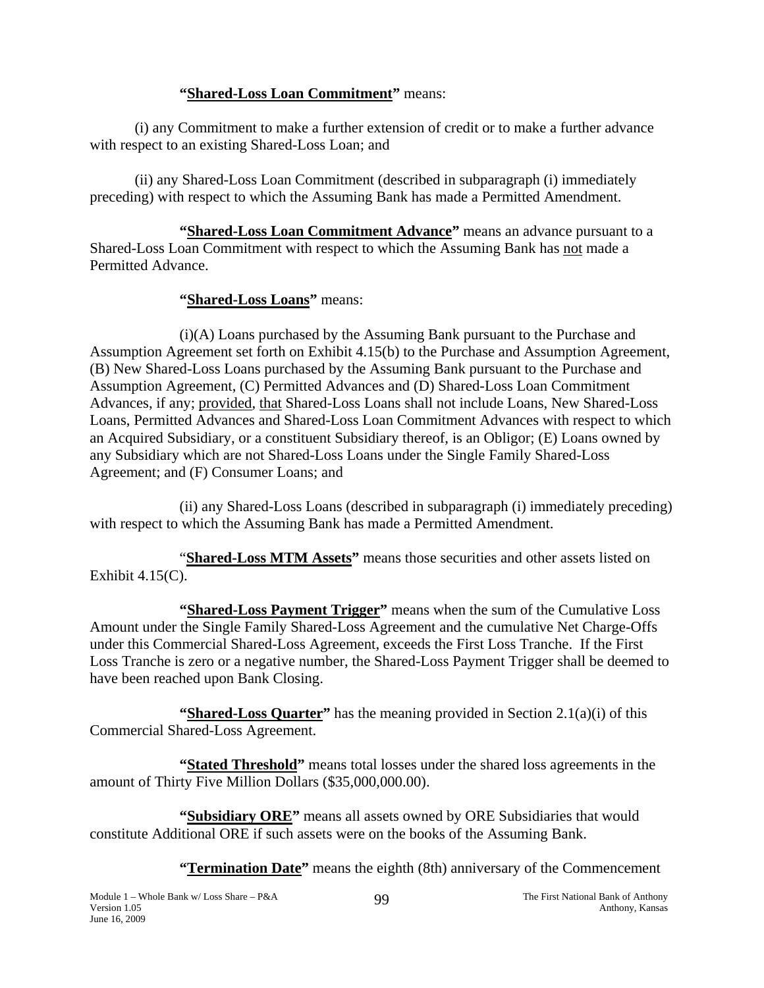## **"Shared-Loss Loan Commitment"** means:

(i) any Commitment to make a further extension of credit or to make a further advance with respect to an existing Shared-Loss Loan; and

(ii) any Shared-Loss Loan Commitment (described in subparagraph (i) immediately preceding) with respect to which the Assuming Bank has made a Permitted Amendment.

**"Shared-Loss Loan Commitment Advance"** means an advance pursuant to a Shared-Loss Loan Commitment with respect to which the Assuming Bank has not made a Permitted Advance.

## **"Shared-Loss Loans"** means:

(i)(A) Loans purchased by the Assuming Bank pursuant to the Purchase and Assumption Agreement set forth on Exhibit 4.15(b) to the Purchase and Assumption Agreement, (B) New Shared-Loss Loans purchased by the Assuming Bank pursuant to the Purchase and Assumption Agreement, (C) Permitted Advances and (D) Shared-Loss Loan Commitment Advances, if any; provided, that Shared-Loss Loans shall not include Loans, New Shared-Loss Loans, Permitted Advances and Shared-Loss Loan Commitment Advances with respect to which an Acquired Subsidiary, or a constituent Subsidiary thereof, is an Obligor; (E) Loans owned by any Subsidiary which are not Shared-Loss Loans under the Single Family Shared-Loss Agreement; and (F) Consumer Loans; and

(ii) any Shared-Loss Loans (described in subparagraph (i) immediately preceding) with respect to which the Assuming Bank has made a Permitted Amendment.

"**Shared-Loss MTM Assets"** means those securities and other assets listed on Exhibit  $4.15(C)$ .

**"Shared-Loss Payment Trigger"** means when the sum of the Cumulative Loss Amount under the Single Family Shared-Loss Agreement and the cumulative Net Charge-Offs under this Commercial Shared-Loss Agreement, exceeds the First Loss Tranche. If the First Loss Tranche is zero or a negative number, the Shared-Loss Payment Trigger shall be deemed to have been reached upon Bank Closing.

**"Shared-Loss Quarter"** has the meaning provided in Section 2.1(a)(i) of this Commercial Shared-Loss Agreement.

**"Stated Threshold"** means total losses under the shared loss agreements in the amount of Thirty Five Million Dollars (\$35,000,000.00).

"Subsidiary ORE" means all assets owned by ORE Subsidiaries that would constitute Additional ORE if such assets were on the books of the Assuming Bank.

**"Termination Date"** means the eighth (8th) anniversary of the Commencement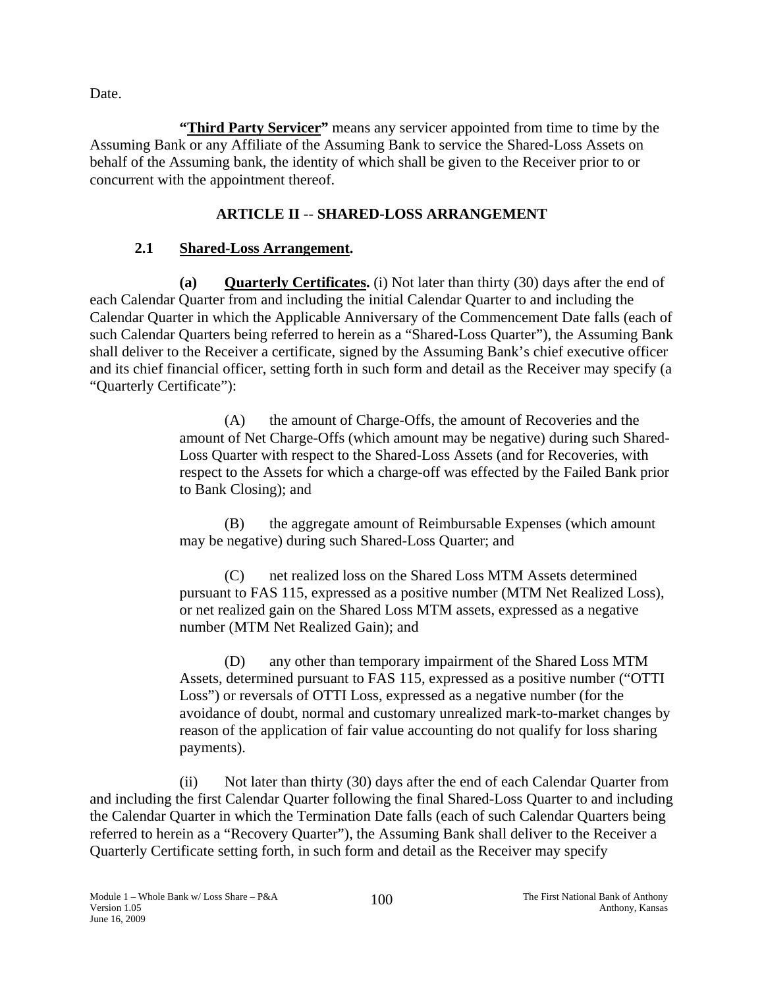Date.

**"Third Party Servicer"** means any servicer appointed from time to time by the Assuming Bank or any Affiliate of the Assuming Bank to service the Shared-Loss Assets on behalf of the Assuming bank, the identity of which shall be given to the Receiver prior to or concurrent with the appointment thereof.

# **ARTICLE II** -- **SHARED-LOSS ARRANGEMENT**

# **2.1 Shared-Loss Arrangement.**

**(a) Quarterly Certificates.** (i) Not later than thirty (30) days after the end of each Calendar Quarter from and including the initial Calendar Quarter to and including the Calendar Quarter in which the Applicable Anniversary of the Commencement Date falls (each of such Calendar Quarters being referred to herein as a "Shared-Loss Quarter"), the Assuming Bank shall deliver to the Receiver a certificate, signed by the Assuming Bank's chief executive officer and its chief financial officer, setting forth in such form and detail as the Receiver may specify (a "Quarterly Certificate"):

> (A) the amount of Charge-Offs, the amount of Recoveries and the amount of Net Charge-Offs (which amount may be negative) during such Shared-Loss Quarter with respect to the Shared-Loss Assets (and for Recoveries, with respect to the Assets for which a charge-off was effected by the Failed Bank prior to Bank Closing); and

(B) the aggregate amount of Reimbursable Expenses (which amount may be negative) during such Shared-Loss Quarter; and

(C) net realized loss on the Shared Loss MTM Assets determined pursuant to FAS 115, expressed as a positive number (MTM Net Realized Loss), or net realized gain on the Shared Loss MTM assets, expressed as a negative number (MTM Net Realized Gain); and

(D) any other than temporary impairment of the Shared Loss MTM Assets, determined pursuant to FAS 115, expressed as a positive number ("OTTI Loss") or reversals of OTTI Loss, expressed as a negative number (for the avoidance of doubt, normal and customary unrealized mark-to-market changes by reason of the application of fair value accounting do not qualify for loss sharing payments).

(ii) Not later than thirty (30) days after the end of each Calendar Quarter from and including the first Calendar Quarter following the final Shared-Loss Quarter to and including the Calendar Quarter in which the Termination Date falls (each of such Calendar Quarters being referred to herein as a "Recovery Quarter"), the Assuming Bank shall deliver to the Receiver a Quarterly Certificate setting forth, in such form and detail as the Receiver may specify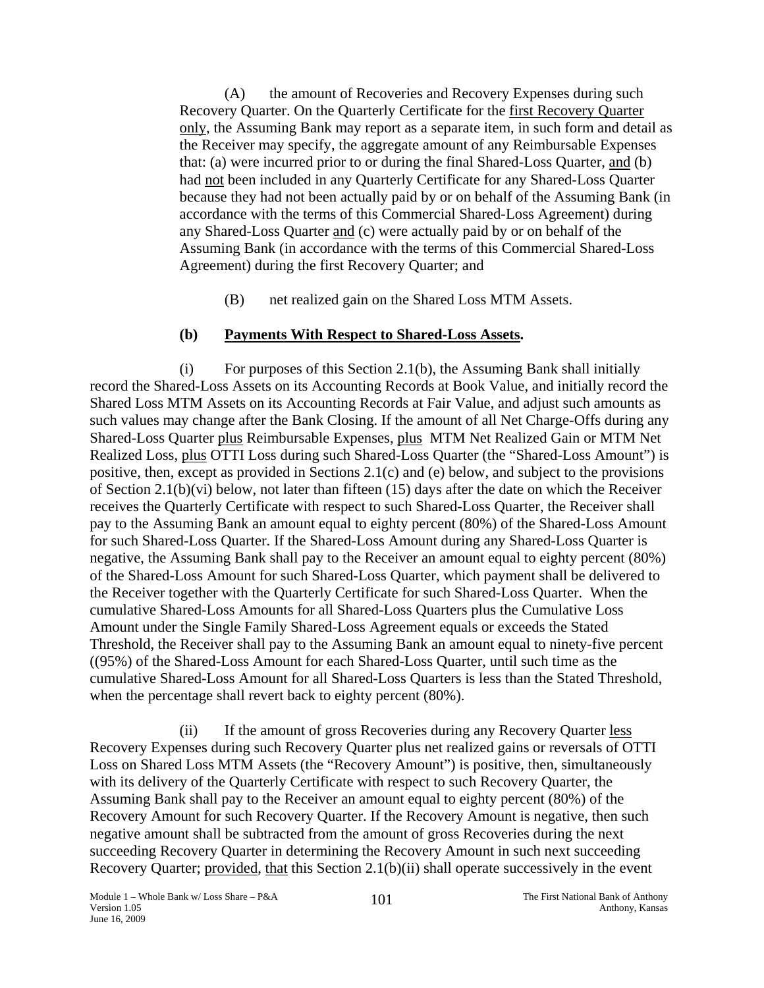(A) the amount of Recoveries and Recovery Expenses during such Recovery Quarter. On the Quarterly Certificate for the first Recovery Quarter only, the Assuming Bank may report as a separate item, in such form and detail as the Receiver may specify, the aggregate amount of any Reimbursable Expenses that: (a) were incurred prior to or during the final Shared-Loss Quarter, and (b) had not been included in any Quarterly Certificate for any Shared-Loss Quarter because they had not been actually paid by or on behalf of the Assuming Bank (in accordance with the terms of this Commercial Shared-Loss Agreement) during any Shared-Loss Quarter and (c) were actually paid by or on behalf of the Assuming Bank (in accordance with the terms of this Commercial Shared-Loss Agreement) during the first Recovery Quarter; and

(B) net realized gain on the Shared Loss MTM Assets.

## **(b) Payments With Respect to Shared-Loss Assets.**

(i) For purposes of this Section 2.1(b), the Assuming Bank shall initially record the Shared-Loss Assets on its Accounting Records at Book Value, and initially record the Shared Loss MTM Assets on its Accounting Records at Fair Value, and adjust such amounts as such values may change after the Bank Closing. If the amount of all Net Charge-Offs during any Shared-Loss Quarter plus Reimbursable Expenses, plus MTM Net Realized Gain or MTM Net Realized Loss, plus OTTI Loss during such Shared-Loss Quarter (the "Shared-Loss Amount") is positive, then, except as provided in Sections 2.1(c) and (e) below, and subject to the provisions of Section 2.1(b)(vi) below, not later than fifteen (15) days after the date on which the Receiver receives the Quarterly Certificate with respect to such Shared-Loss Quarter, the Receiver shall pay to the Assuming Bank an amount equal to eighty percent (80%) of the Shared-Loss Amount for such Shared-Loss Quarter. If the Shared-Loss Amount during any Shared-Loss Quarter is negative, the Assuming Bank shall pay to the Receiver an amount equal to eighty percent (80%) of the Shared-Loss Amount for such Shared-Loss Quarter, which payment shall be delivered to the Receiver together with the Quarterly Certificate for such Shared-Loss Quarter. When the cumulative Shared-Loss Amounts for all Shared-Loss Quarters plus the Cumulative Loss Amount under the Single Family Shared-Loss Agreement equals or exceeds the Stated Threshold, the Receiver shall pay to the Assuming Bank an amount equal to ninety-five percent ((95%) of the Shared-Loss Amount for each Shared-Loss Quarter, until such time as the cumulative Shared-Loss Amount for all Shared-Loss Quarters is less than the Stated Threshold, when the percentage shall revert back to eighty percent (80%).

(ii) If the amount of gross Recoveries during any Recovery Quarter less Recovery Expenses during such Recovery Quarter plus net realized gains or reversals of OTTI Loss on Shared Loss MTM Assets (the "Recovery Amount") is positive, then, simultaneously with its delivery of the Quarterly Certificate with respect to such Recovery Quarter, the Assuming Bank shall pay to the Receiver an amount equal to eighty percent (80%) of the Recovery Amount for such Recovery Quarter. If the Recovery Amount is negative, then such negative amount shall be subtracted from the amount of gross Recoveries during the next succeeding Recovery Quarter in determining the Recovery Amount in such next succeeding Recovery Quarter; provided, that this Section 2.1(b)(ii) shall operate successively in the event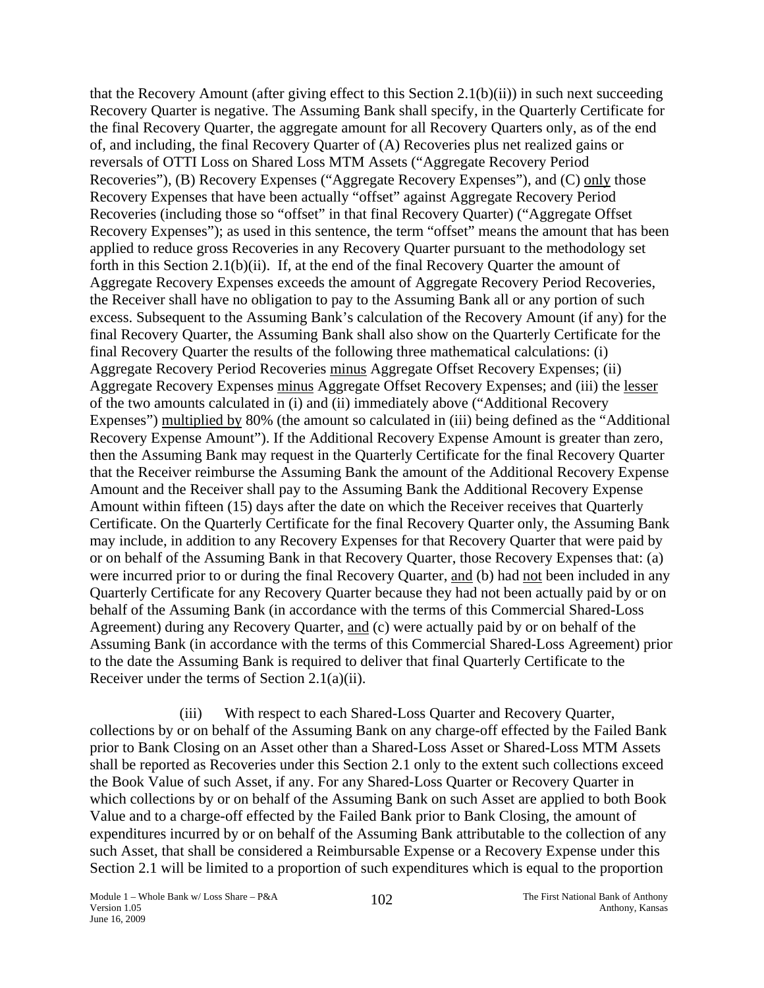that the Recovery Amount (after giving effect to this Section 2.1(b)(ii)) in such next succeeding Recovery Quarter is negative. The Assuming Bank shall specify, in the Quarterly Certificate for the final Recovery Quarter, the aggregate amount for all Recovery Quarters only, as of the end of, and including, the final Recovery Quarter of (A) Recoveries plus net realized gains or reversals of OTTI Loss on Shared Loss MTM Assets ("Aggregate Recovery Period Recoveries"), (B) Recovery Expenses ("Aggregate Recovery Expenses"), and (C) only those Recovery Expenses that have been actually "offset" against Aggregate Recovery Period Recoveries (including those so "offset" in that final Recovery Quarter) ("Aggregate Offset Recovery Expenses"); as used in this sentence, the term "offset" means the amount that has been applied to reduce gross Recoveries in any Recovery Quarter pursuant to the methodology set forth in this Section 2.1(b)(ii). If, at the end of the final Recovery Quarter the amount of Aggregate Recovery Expenses exceeds the amount of Aggregate Recovery Period Recoveries, the Receiver shall have no obligation to pay to the Assuming Bank all or any portion of such excess. Subsequent to the Assuming Bank's calculation of the Recovery Amount (if any) for the final Recovery Quarter, the Assuming Bank shall also show on the Quarterly Certificate for the final Recovery Quarter the results of the following three mathematical calculations: (i) Aggregate Recovery Period Recoveries minus Aggregate Offset Recovery Expenses; (ii) Aggregate Recovery Expenses minus Aggregate Offset Recovery Expenses; and (iii) the lesser of the two amounts calculated in (i) and (ii) immediately above ("Additional Recovery Expenses") multiplied by 80% (the amount so calculated in (iii) being defined as the "Additional Recovery Expense Amount"). If the Additional Recovery Expense Amount is greater than zero, then the Assuming Bank may request in the Quarterly Certificate for the final Recovery Quarter that the Receiver reimburse the Assuming Bank the amount of the Additional Recovery Expense Amount and the Receiver shall pay to the Assuming Bank the Additional Recovery Expense Amount within fifteen (15) days after the date on which the Receiver receives that Quarterly Certificate. On the Quarterly Certificate for the final Recovery Quarter only, the Assuming Bank may include, in addition to any Recovery Expenses for that Recovery Quarter that were paid by or on behalf of the Assuming Bank in that Recovery Quarter, those Recovery Expenses that: (a) were incurred prior to or during the final Recovery Quarter, and (b) had not been included in any Quarterly Certificate for any Recovery Quarter because they had not been actually paid by or on behalf of the Assuming Bank (in accordance with the terms of this Commercial Shared-Loss Agreement) during any Recovery Quarter, and (c) were actually paid by or on behalf of the Assuming Bank (in accordance with the terms of this Commercial Shared-Loss Agreement) prior to the date the Assuming Bank is required to deliver that final Quarterly Certificate to the Receiver under the terms of Section 2.1(a)(ii).

(iii) With respect to each Shared-Loss Quarter and Recovery Quarter, collections by or on behalf of the Assuming Bank on any charge-off effected by the Failed Bank prior to Bank Closing on an Asset other than a Shared-Loss Asset or Shared-Loss MTM Assets shall be reported as Recoveries under this Section 2.1 only to the extent such collections exceed the Book Value of such Asset, if any. For any Shared-Loss Quarter or Recovery Quarter in which collections by or on behalf of the Assuming Bank on such Asset are applied to both Book Value and to a charge-off effected by the Failed Bank prior to Bank Closing, the amount of expenditures incurred by or on behalf of the Assuming Bank attributable to the collection of any such Asset, that shall be considered a Reimbursable Expense or a Recovery Expense under this Section 2.1 will be limited to a proportion of such expenditures which is equal to the proportion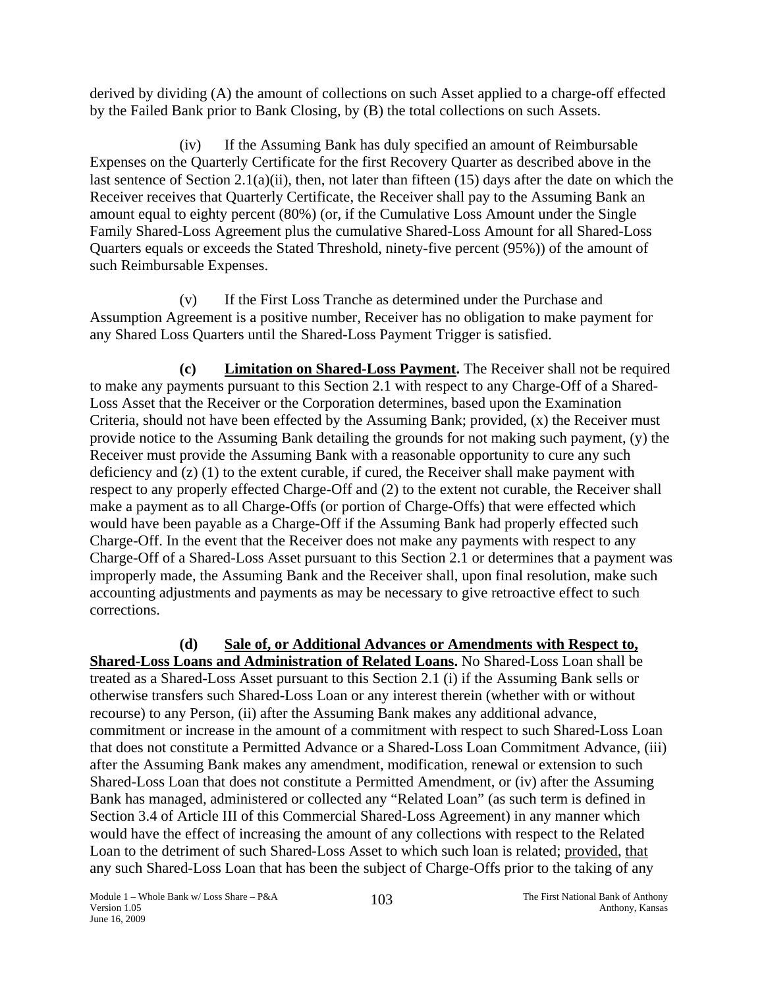derived by dividing (A) the amount of collections on such Asset applied to a charge-off effected by the Failed Bank prior to Bank Closing, by (B) the total collections on such Assets.

(iv) If the Assuming Bank has duly specified an amount of Reimbursable Expenses on the Quarterly Certificate for the first Recovery Quarter as described above in the last sentence of Section 2.1(a)(ii), then, not later than fifteen (15) days after the date on which the Receiver receives that Quarterly Certificate, the Receiver shall pay to the Assuming Bank an amount equal to eighty percent (80%) (or, if the Cumulative Loss Amount under the Single Family Shared-Loss Agreement plus the cumulative Shared-Loss Amount for all Shared-Loss Quarters equals or exceeds the Stated Threshold, ninety-five percent (95%)) of the amount of such Reimbursable Expenses.

(v) If the First Loss Tranche as determined under the Purchase and Assumption Agreement is a positive number, Receiver has no obligation to make payment for any Shared Loss Quarters until the Shared-Loss Payment Trigger is satisfied.

**(c) Limitation on Shared-Loss Payment.** The Receiver shall not be required to make any payments pursuant to this Section 2.1 with respect to any Charge-Off of a Shared-Loss Asset that the Receiver or the Corporation determines, based upon the Examination Criteria, should not have been effected by the Assuming Bank; provided, (x) the Receiver must provide notice to the Assuming Bank detailing the grounds for not making such payment, (y) the Receiver must provide the Assuming Bank with a reasonable opportunity to cure any such deficiency and (z) (1) to the extent curable, if cured, the Receiver shall make payment with respect to any properly effected Charge-Off and (2) to the extent not curable, the Receiver shall make a payment as to all Charge-Offs (or portion of Charge-Offs) that were effected which would have been payable as a Charge-Off if the Assuming Bank had properly effected such Charge-Off. In the event that the Receiver does not make any payments with respect to any Charge-Off of a Shared-Loss Asset pursuant to this Section 2.1 or determines that a payment was improperly made, the Assuming Bank and the Receiver shall, upon final resolution, make such accounting adjustments and payments as may be necessary to give retroactive effect to such corrections.

Loan to the detriment of such Shared-Loss Asset to which such loan is related; provided, that **(d) Sale of, or Additional Advances or Amendments with Respect to, Shared-Loss Loans and Administration of Related Loans.** No Shared-Loss Loan shall be treated as a Shared-Loss Asset pursuant to this Section 2.1 (i) if the Assuming Bank sells or otherwise transfers such Shared-Loss Loan or any interest therein (whether with or without recourse) to any Person, (ii) after the Assuming Bank makes any additional advance, commitment or increase in the amount of a commitment with respect to such Shared-Loss Loan that does not constitute a Permitted Advance or a Shared-Loss Loan Commitment Advance, (iii) after the Assuming Bank makes any amendment, modification, renewal or extension to such Shared-Loss Loan that does not constitute a Permitted Amendment, or (iv) after the Assuming Bank has managed, administered or collected any "Related Loan" (as such term is defined in Section 3.4 of Article III of this Commercial Shared-Loss Agreement) in any manner which would have the effect of increasing the amount of any collections with respect to the Related any such Shared-Loss Loan that has been the subject of Charge-Offs prior to the taking of any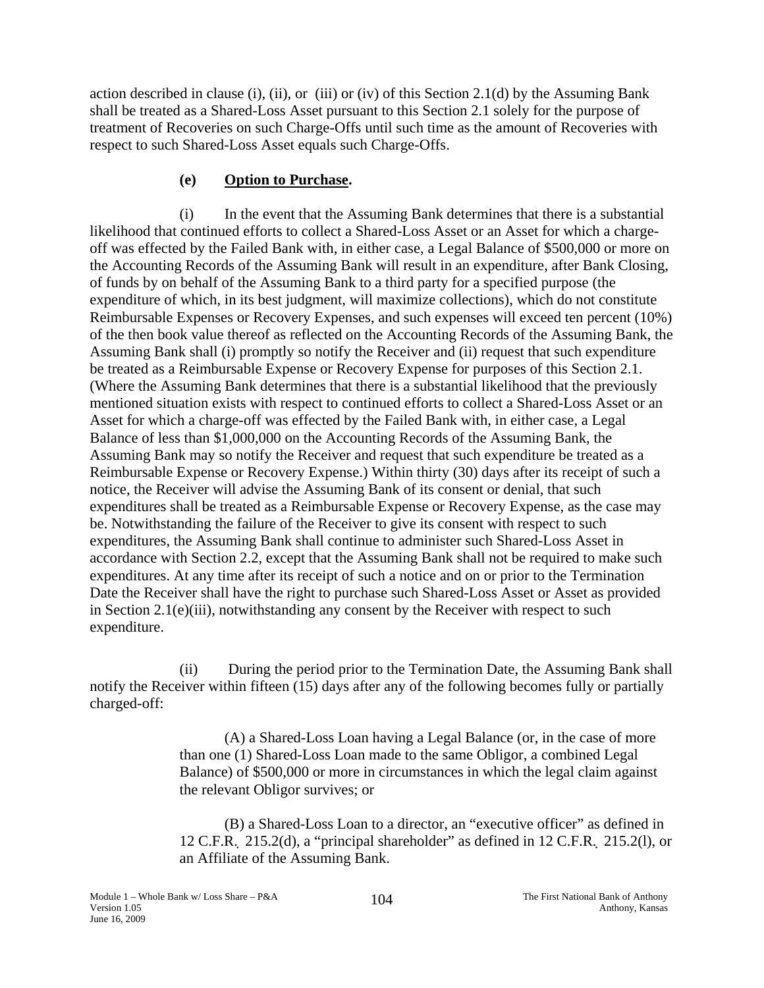action described in clause (i), (ii), or (iii) or (iv) of this Section 2.1(d) by the Assuming Bank shall be treated as a Shared-Loss Asset pursuant to this Section 2.1 solely for the purpose of treatment of Recoveries on such Charge-Offs until such time as the amount of Recoveries with respect to such Shared-Loss Asset equals such Charge-Offs.

## **(e) Option to Purchase.**

(i) In the event that the Assuming Bank determines that there is a substantial likelihood that continued efforts to collect a Shared-Loss Asset or an Asset for which a chargeoff was effected by the Failed Bank with, in either case, a Legal Balance of \$500,000 or more on the Accounting Records of the Assuming Bank will result in an expenditure, after Bank Closing, of funds by on behalf of the Assuming Bank to a third party for a specified purpose (the expenditure of which, in its best judgment, will maximize collections), which do not constitute Reimbursable Expenses or Recovery Expenses, and such expenses will exceed ten percent (10%) of the then book value thereof as reflected on the Accounting Records of the Assuming Bank, the Assuming Bank shall (i) promptly so notify the Receiver and (ii) request that such expenditure be treated as a Reimbursable Expense or Recovery Expense for purposes of this Section 2.1. (Where the Assuming Bank determines that there is a substantial likelihood that the previously mentioned situation exists with respect to continued efforts to collect a Shared-Loss Asset or an Asset for which a charge-off was effected by the Failed Bank with, in either case, a Legal Balance of less than \$1,000,000 on the Accounting Records of the Assuming Bank, the Assuming Bank may so notify the Receiver and request that such expenditure be treated as a Reimbursable Expense or Recovery Expense.) Within thirty (30) days after its receipt of such a notice, the Receiver will advise the Assuming Bank of its consent or denial, that such expenditures shall be treated as a Reimbursable Expense or Recovery Expense, as the case may be. Notwithstanding the failure of the Receiver to give its consent with respect to such expenditures, the Assuming Bank shall continue to administer such Shared-Loss Asset in accordance with Section 2.2, except that the Assuming Bank shall not be required to make such expenditures. At any time after its receipt of such a notice and on or prior to the Termination Date the Receiver shall have the right to purchase such Shared-Loss Asset or Asset as provided in Section 2.1(e)(iii), notwithstanding any consent by the Receiver with respect to such expenditure.

(ii) During the period prior to the Termination Date, the Assuming Bank shall notify the Receiver within fifteen (15) days after any of the following becomes fully or partially charged-off:

> (A) a Shared-Loss Loan having a Legal Balance (or, in the case of more than one (1) Shared-Loss Loan made to the same Obligor, a combined Legal Balance) of \$500,000 or more in circumstances in which the legal claim against the relevant Obligor survives; or

(B) a Shared-Loss Loan to a director, an "executive officer" as defined in 12 C.F.R. 215.2(d), a "principal shareholder" as defined in 12 C.F.R. 215.2(l), or an Affiliate of the Assuming Bank.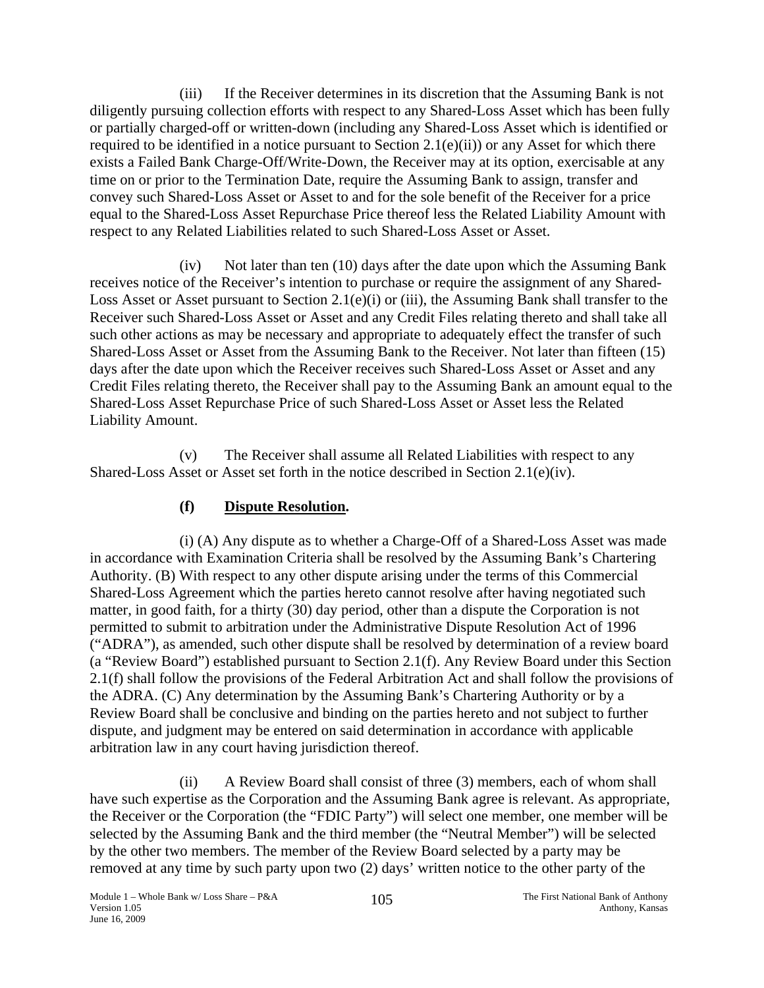(iii) If the Receiver determines in its discretion that the Assuming Bank is not diligently pursuing collection efforts with respect to any Shared-Loss Asset which has been fully or partially charged-off or written-down (including any Shared-Loss Asset which is identified or required to be identified in a notice pursuant to Section 2.1(e)(ii)) or any Asset for which there exists a Failed Bank Charge-Off/Write-Down, the Receiver may at its option, exercisable at any time on or prior to the Termination Date, require the Assuming Bank to assign, transfer and convey such Shared-Loss Asset or Asset to and for the sole benefit of the Receiver for a price equal to the Shared-Loss Asset Repurchase Price thereof less the Related Liability Amount with respect to any Related Liabilities related to such Shared-Loss Asset or Asset.

(iv) Not later than ten (10) days after the date upon which the Assuming Bank receives notice of the Receiver's intention to purchase or require the assignment of any Shared-Loss Asset or Asset pursuant to Section 2.1(e)(i) or (iii), the Assuming Bank shall transfer to the Receiver such Shared-Loss Asset or Asset and any Credit Files relating thereto and shall take all such other actions as may be necessary and appropriate to adequately effect the transfer of such Shared-Loss Asset or Asset from the Assuming Bank to the Receiver. Not later than fifteen (15) days after the date upon which the Receiver receives such Shared-Loss Asset or Asset and any Credit Files relating thereto, the Receiver shall pay to the Assuming Bank an amount equal to the Shared-Loss Asset Repurchase Price of such Shared-Loss Asset or Asset less the Related Liability Amount.

(v) The Receiver shall assume all Related Liabilities with respect to any Shared-Loss Asset or Asset set forth in the notice described in Section 2.1(e)(iv).

#### **(f) Dispute Resolution.**

(i) (A) Any dispute as to whether a Charge-Off of a Shared-Loss Asset was made in accordance with Examination Criteria shall be resolved by the Assuming Bank's Chartering Authority. (B) With respect to any other dispute arising under the terms of this Commercial Shared-Loss Agreement which the parties hereto cannot resolve after having negotiated such matter, in good faith, for a thirty (30) day period, other than a dispute the Corporation is not permitted to submit to arbitration under the Administrative Dispute Resolution Act of 1996 ("ADRA"), as amended, such other dispute shall be resolved by determination of a review board (a "Review Board") established pursuant to Section 2.1(f). Any Review Board under this Section 2.1(f) shall follow the provisions of the Federal Arbitration Act and shall follow the provisions of the ADRA. (C) Any determination by the Assuming Bank's Chartering Authority or by a Review Board shall be conclusive and binding on the parties hereto and not subject to further dispute, and judgment may be entered on said determination in accordance with applicable arbitration law in any court having jurisdiction thereof.

(ii) A Review Board shall consist of three (3) members, each of whom shall have such expertise as the Corporation and the Assuming Bank agree is relevant. As appropriate, the Receiver or the Corporation (the "FDIC Party") will select one member, one member will be selected by the Assuming Bank and the third member (the "Neutral Member") will be selected by the other two members. The member of the Review Board selected by a party may be removed at any time by such party upon two (2) days' written notice to the other party of the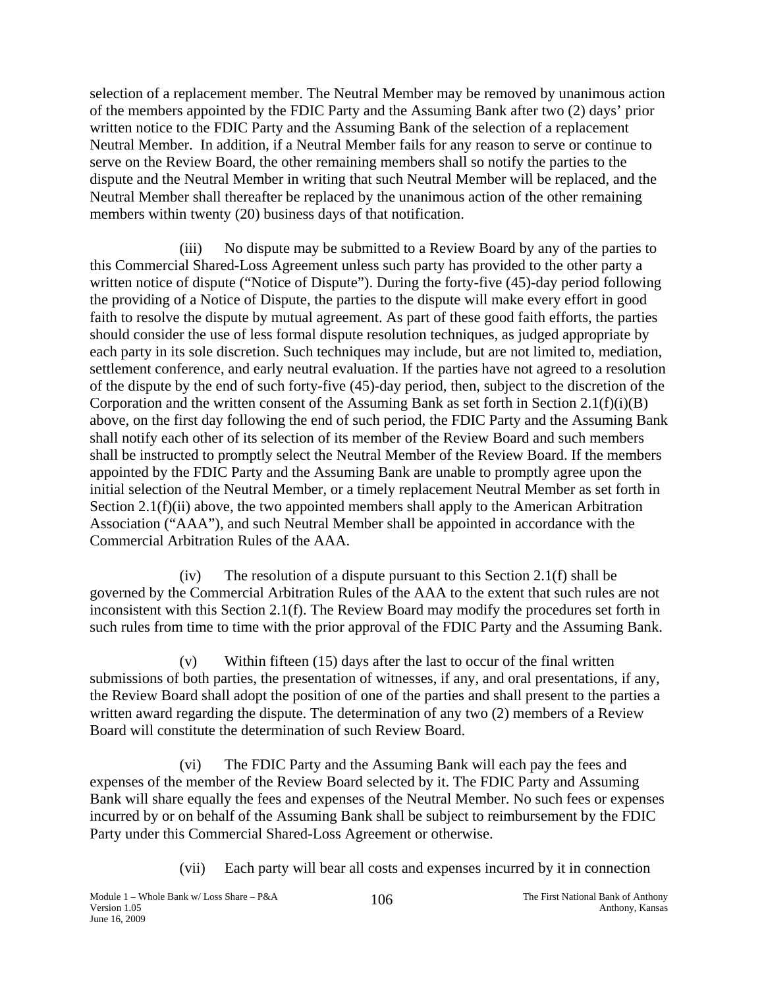selection of a replacement member. The Neutral Member may be removed by unanimous action of the members appointed by the FDIC Party and the Assuming Bank after two (2) days' prior written notice to the FDIC Party and the Assuming Bank of the selection of a replacement Neutral Member. In addition, if a Neutral Member fails for any reason to serve or continue to serve on the Review Board, the other remaining members shall so notify the parties to the dispute and the Neutral Member in writing that such Neutral Member will be replaced, and the Neutral Member shall thereafter be replaced by the unanimous action of the other remaining members within twenty (20) business days of that notification.

(iii) No dispute may be submitted to a Review Board by any of the parties to this Commercial Shared-Loss Agreement unless such party has provided to the other party a written notice of dispute ("Notice of Dispute"). During the forty-five (45)-day period following the providing of a Notice of Dispute, the parties to the dispute will make every effort in good faith to resolve the dispute by mutual agreement. As part of these good faith efforts, the parties should consider the use of less formal dispute resolution techniques, as judged appropriate by each party in its sole discretion. Such techniques may include, but are not limited to, mediation, settlement conference, and early neutral evaluation. If the parties have not agreed to a resolution of the dispute by the end of such forty-five (45)-day period, then, subject to the discretion of the Corporation and the written consent of the Assuming Bank as set forth in Section  $2.1(f)(i)(B)$ above, on the first day following the end of such period, the FDIC Party and the Assuming Bank shall notify each other of its selection of its member of the Review Board and such members shall be instructed to promptly select the Neutral Member of the Review Board. If the members appointed by the FDIC Party and the Assuming Bank are unable to promptly agree upon the initial selection of the Neutral Member, or a timely replacement Neutral Member as set forth in Section 2.1(f)(ii) above, the two appointed members shall apply to the American Arbitration Association ("AAA"), and such Neutral Member shall be appointed in accordance with the Commercial Arbitration Rules of the AAA.

(iv) The resolution of a dispute pursuant to this Section 2.1(f) shall be governed by the Commercial Arbitration Rules of the AAA to the extent that such rules are not inconsistent with this Section 2.1(f). The Review Board may modify the procedures set forth in such rules from time to time with the prior approval of the FDIC Party and the Assuming Bank.

(v) Within fifteen (15) days after the last to occur of the final written submissions of both parties, the presentation of witnesses, if any, and oral presentations, if any, the Review Board shall adopt the position of one of the parties and shall present to the parties a written award regarding the dispute. The determination of any two (2) members of a Review Board will constitute the determination of such Review Board.

(vi) The FDIC Party and the Assuming Bank will each pay the fees and expenses of the member of the Review Board selected by it. The FDIC Party and Assuming Bank will share equally the fees and expenses of the Neutral Member. No such fees or expenses incurred by or on behalf of the Assuming Bank shall be subject to reimbursement by the FDIC Party under this Commercial Shared-Loss Agreement or otherwise.

(vii) Each party will bear all costs and expenses incurred by it in connection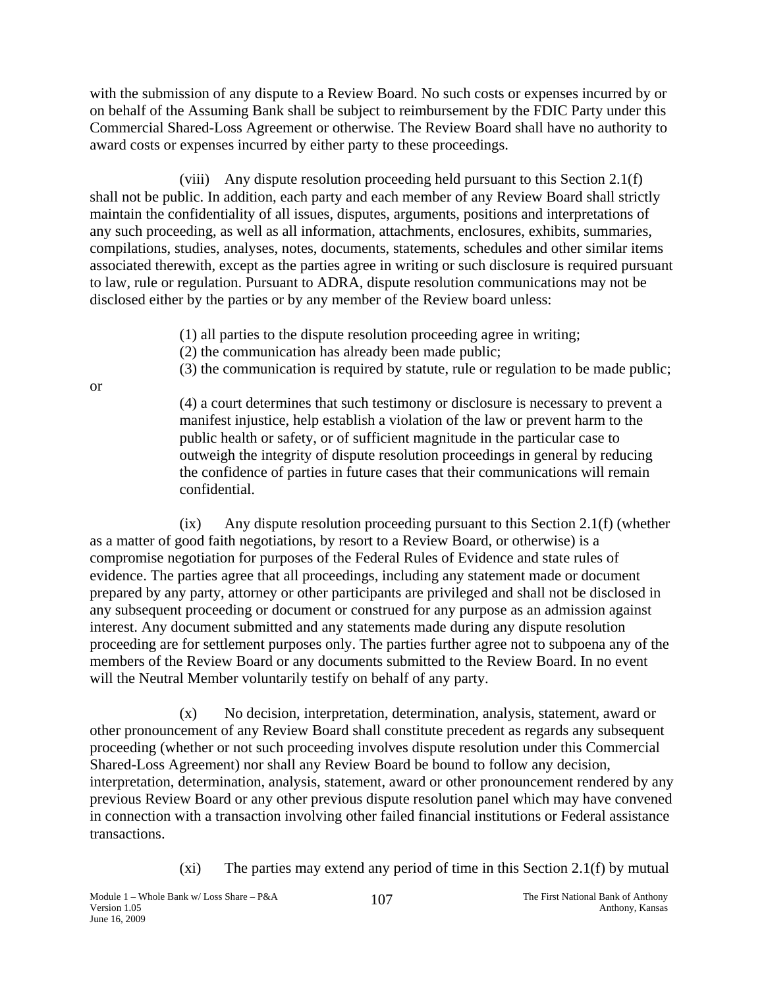with the submission of any dispute to a Review Board. No such costs or expenses incurred by or on behalf of the Assuming Bank shall be subject to reimbursement by the FDIC Party under this Commercial Shared-Loss Agreement or otherwise. The Review Board shall have no authority to award costs or expenses incurred by either party to these proceedings.

(viii) Any dispute resolution proceeding held pursuant to this Section 2.1(f) shall not be public. In addition, each party and each member of any Review Board shall strictly maintain the confidentiality of all issues, disputes, arguments, positions and interpretations of any such proceeding, as well as all information, attachments, enclosures, exhibits, summaries, compilations, studies, analyses, notes, documents, statements, schedules and other similar items associated therewith, except as the parties agree in writing or such disclosure is required pursuant to law, rule or regulation. Pursuant to ADRA, dispute resolution communications may not be disclosed either by the parties or by any member of the Review board unless:

(1) all parties to the dispute resolution proceeding agree in writing;

(2) the communication has already been made public;

(3) the communication is required by statute, rule or regulation to be made public;

(4) a court determines that such testimony or disclosure is necessary to prevent a manifest injustice, help establish a violation of the law or prevent harm to the public health or safety, or of sufficient magnitude in the particular case to outweigh the integrity of dispute resolution proceedings in general by reducing the confidence of parties in future cases that their communications will remain confidential.

 $(ix)$  Any dispute resolution proceeding pursuant to this Section 2.1(f) (whether as a matter of good faith negotiations, by resort to a Review Board, or otherwise) is a compromise negotiation for purposes of the Federal Rules of Evidence and state rules of evidence. The parties agree that all proceedings, including any statement made or document prepared by any party, attorney or other participants are privileged and shall not be disclosed in any subsequent proceeding or document or construed for any purpose as an admission against interest. Any document submitted and any statements made during any dispute resolution proceeding are for settlement purposes only. The parties further agree not to subpoena any of the members of the Review Board or any documents submitted to the Review Board. In no event will the Neutral Member voluntarily testify on behalf of any party.

(x) No decision, interpretation, determination, analysis, statement, award or other pronouncement of any Review Board shall constitute precedent as regards any subsequent proceeding (whether or not such proceeding involves dispute resolution under this Commercial Shared-Loss Agreement) nor shall any Review Board be bound to follow any decision, interpretation, determination, analysis, statement, award or other pronouncement rendered by any previous Review Board or any other previous dispute resolution panel which may have convened in connection with a transaction involving other failed financial institutions or Federal assistance transactions.

(xi) The parties may extend any period of time in this Section 2.1(f) by mutual

or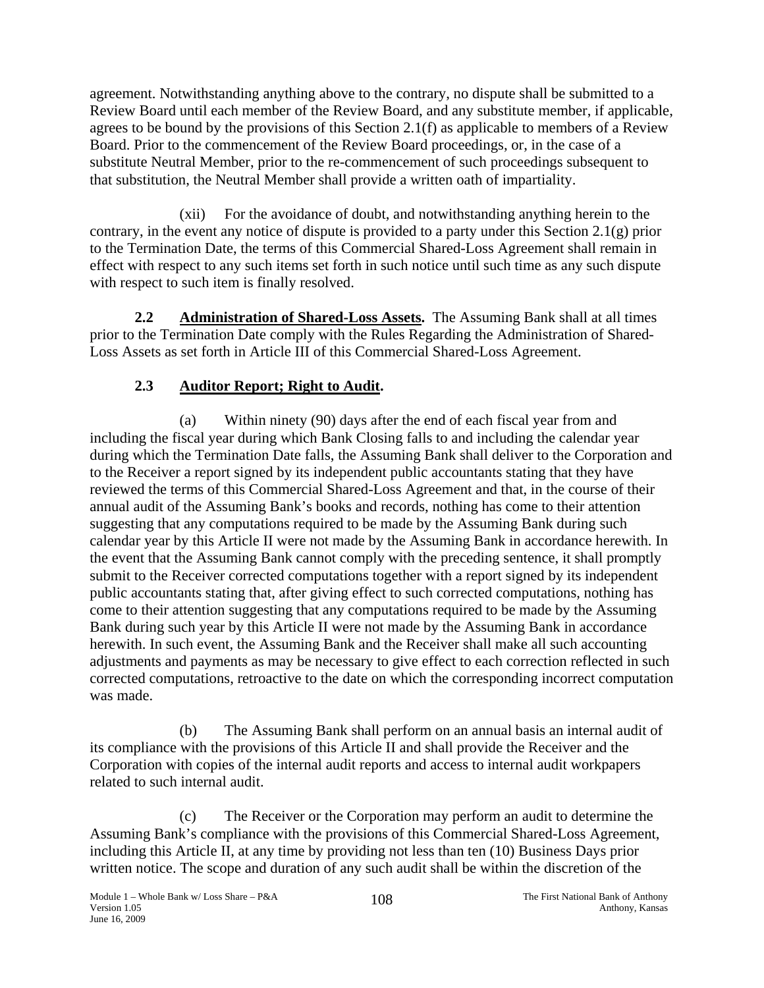agreement. Notwithstanding anything above to the contrary, no dispute shall be submitted to a Review Board until each member of the Review Board, and any substitute member, if applicable, agrees to be bound by the provisions of this Section 2.1(f) as applicable to members of a Review Board. Prior to the commencement of the Review Board proceedings, or, in the case of a substitute Neutral Member, prior to the re-commencement of such proceedings subsequent to that substitution, the Neutral Member shall provide a written oath of impartiality.

(xii) For the avoidance of doubt, and notwithstanding anything herein to the contrary, in the event any notice of dispute is provided to a party under this Section 2.1(g) prior to the Termination Date, the terms of this Commercial Shared-Loss Agreement shall remain in effect with respect to any such items set forth in such notice until such time as any such dispute with respect to such item is finally resolved.

**2.2 Administration of Shared-Loss Assets.** The Assuming Bank shall at all times prior to the Termination Date comply with the Rules Regarding the Administration of Shared-Loss Assets as set forth in Article III of this Commercial Shared-Loss Agreement.

# **2.3 Auditor Report; Right to Audit.**

(a) Within ninety (90) days after the end of each fiscal year from and including the fiscal year during which Bank Closing falls to and including the calendar year during which the Termination Date falls, the Assuming Bank shall deliver to the Corporation and to the Receiver a report signed by its independent public accountants stating that they have reviewed the terms of this Commercial Shared-Loss Agreement and that, in the course of their annual audit of the Assuming Bank's books and records, nothing has come to their attention suggesting that any computations required to be made by the Assuming Bank during such calendar year by this Article II were not made by the Assuming Bank in accordance herewith. In the event that the Assuming Bank cannot comply with the preceding sentence, it shall promptly submit to the Receiver corrected computations together with a report signed by its independent public accountants stating that, after giving effect to such corrected computations, nothing has come to their attention suggesting that any computations required to be made by the Assuming Bank during such year by this Article II were not made by the Assuming Bank in accordance herewith. In such event, the Assuming Bank and the Receiver shall make all such accounting adjustments and payments as may be necessary to give effect to each correction reflected in such corrected computations, retroactive to the date on which the corresponding incorrect computation was made.

(b) The Assuming Bank shall perform on an annual basis an internal audit of its compliance with the provisions of this Article II and shall provide the Receiver and the Corporation with copies of the internal audit reports and access to internal audit workpapers related to such internal audit.

(c) The Receiver or the Corporation may perform an audit to determine the Assuming Bank's compliance with the provisions of this Commercial Shared-Loss Agreement, including this Article II, at any time by providing not less than ten (10) Business Days prior written notice. The scope and duration of any such audit shall be within the discretion of the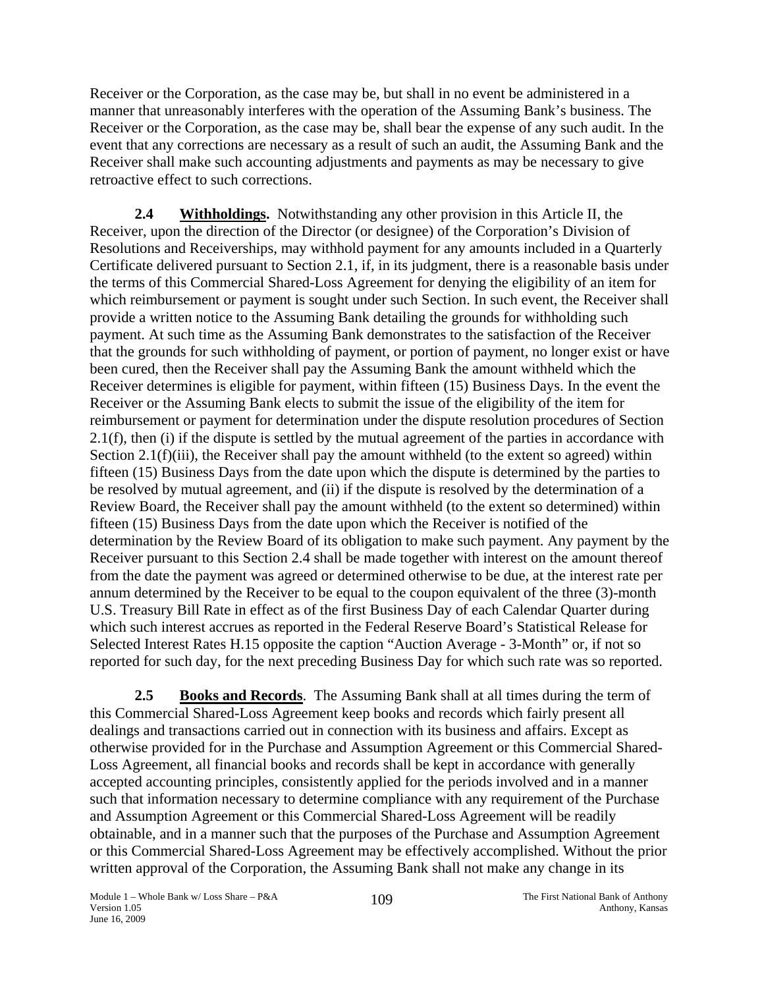Receiver or the Corporation, as the case may be, but shall in no event be administered in a manner that unreasonably interferes with the operation of the Assuming Bank's business. The Receiver or the Corporation, as the case may be, shall bear the expense of any such audit. In the event that any corrections are necessary as a result of such an audit, the Assuming Bank and the Receiver shall make such accounting adjustments and payments as may be necessary to give retroactive effect to such corrections.

**2.4 Withholdings.** Notwithstanding any other provision in this Article II, the Receiver, upon the direction of the Director (or designee) of the Corporation's Division of Resolutions and Receiverships, may withhold payment for any amounts included in a Quarterly Certificate delivered pursuant to Section 2.1, if, in its judgment, there is a reasonable basis under the terms of this Commercial Shared-Loss Agreement for denying the eligibility of an item for which reimbursement or payment is sought under such Section. In such event, the Receiver shall provide a written notice to the Assuming Bank detailing the grounds for withholding such payment. At such time as the Assuming Bank demonstrates to the satisfaction of the Receiver that the grounds for such withholding of payment, or portion of payment, no longer exist or have been cured, then the Receiver shall pay the Assuming Bank the amount withheld which the Receiver determines is eligible for payment, within fifteen (15) Business Days. In the event the Receiver or the Assuming Bank elects to submit the issue of the eligibility of the item for reimbursement or payment for determination under the dispute resolution procedures of Section 2.1(f), then (i) if the dispute is settled by the mutual agreement of the parties in accordance with Section 2.1(f)(iii), the Receiver shall pay the amount withheld (to the extent so agreed) within fifteen (15) Business Days from the date upon which the dispute is determined by the parties to be resolved by mutual agreement, and (ii) if the dispute is resolved by the determination of a Review Board, the Receiver shall pay the amount withheld (to the extent so determined) within fifteen (15) Business Days from the date upon which the Receiver is notified of the determination by the Review Board of its obligation to make such payment. Any payment by the Receiver pursuant to this Section 2.4 shall be made together with interest on the amount thereof from the date the payment was agreed or determined otherwise to be due, at the interest rate per annum determined by the Receiver to be equal to the coupon equivalent of the three (3)-month U.S. Treasury Bill Rate in effect as of the first Business Day of each Calendar Quarter during which such interest accrues as reported in the Federal Reserve Board's Statistical Release for Selected Interest Rates H.15 opposite the caption "Auction Average - 3-Month" or, if not so reported for such day, for the next preceding Business Day for which such rate was so reported.

**2.5 Books and Records**. The Assuming Bank shall at all times during the term of this Commercial Shared-Loss Agreement keep books and records which fairly present all dealings and transactions carried out in connection with its business and affairs. Except as otherwise provided for in the Purchase and Assumption Agreement or this Commercial Shared-Loss Agreement, all financial books and records shall be kept in accordance with generally accepted accounting principles, consistently applied for the periods involved and in a manner such that information necessary to determine compliance with any requirement of the Purchase and Assumption Agreement or this Commercial Shared-Loss Agreement will be readily obtainable, and in a manner such that the purposes of the Purchase and Assumption Agreement or this Commercial Shared-Loss Agreement may be effectively accomplished. Without the prior written approval of the Corporation, the Assuming Bank shall not make any change in its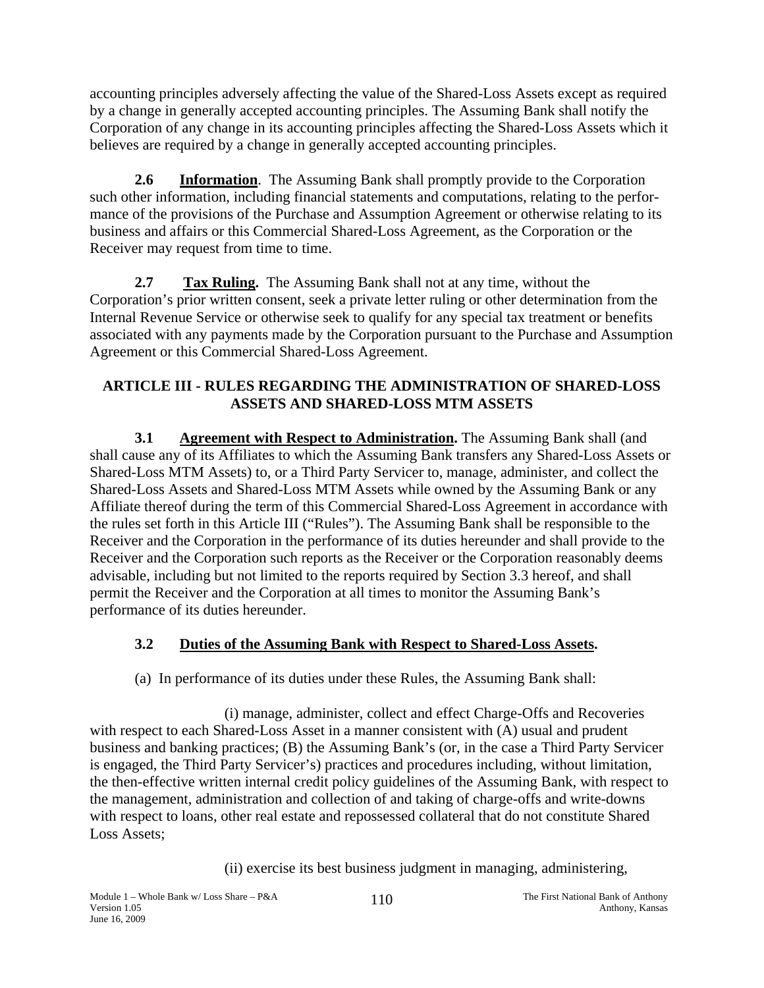accounting principles adversely affecting the value of the Shared-Loss Assets except as required by a change in generally accepted accounting principles. The Assuming Bank shall notify the Corporation of any change in its accounting principles affecting the Shared-Loss Assets which it believes are required by a change in generally accepted accounting principles.

**2.6 Information**. The Assuming Bank shall promptly provide to the Corporation such other information, including financial statements and computations, relating to the performance of the provisions of the Purchase and Assumption Agreement or otherwise relating to its business and affairs or this Commercial Shared-Loss Agreement, as the Corporation or the Receiver may request from time to time.

**2.7 Tax Ruling.** The Assuming Bank shall not at any time, without the Corporation's prior written consent, seek a private letter ruling or other determination from the Internal Revenue Service or otherwise seek to qualify for any special tax treatment or benefits associated with any payments made by the Corporation pursuant to the Purchase and Assumption Agreement or this Commercial Shared-Loss Agreement.

### **ARTICLE III - RULES REGARDING THE ADMINISTRATION OF SHARED-LOSS ASSETS AND SHARED-LOSS MTM ASSETS**

**3.1** Agreement with Respect to Administration. The Assuming Bank shall (and shall cause any of its Affiliates to which the Assuming Bank transfers any Shared-Loss Assets or Shared-Loss MTM Assets) to, or a Third Party Servicer to, manage, administer, and collect the Shared-Loss Assets and Shared-Loss MTM Assets while owned by the Assuming Bank or any Affiliate thereof during the term of this Commercial Shared-Loss Agreement in accordance with the rules set forth in this Article III ("Rules"). The Assuming Bank shall be responsible to the Receiver and the Corporation in the performance of its duties hereunder and shall provide to the Receiver and the Corporation such reports as the Receiver or the Corporation reasonably deems advisable, including but not limited to the reports required by Section 3.3 hereof, and shall permit the Receiver and the Corporation at all times to monitor the Assuming Bank's performance of its duties hereunder.

## **3.2 Duties of the Assuming Bank with Respect to Shared-Loss Assets.**

(a) In performance of its duties under these Rules, the Assuming Bank shall:

(i) manage, administer, collect and effect Charge-Offs and Recoveries with respect to each Shared-Loss Asset in a manner consistent with (A) usual and prudent business and banking practices; (B) the Assuming Bank's (or, in the case a Third Party Servicer is engaged, the Third Party Servicer's) practices and procedures including, without limitation, the then-effective written internal credit policy guidelines of the Assuming Bank, with respect to the management, administration and collection of and taking of charge-offs and write-downs with respect to loans, other real estate and repossessed collateral that do not constitute Shared Loss Assets;

(ii) exercise its best business judgment in managing, administering,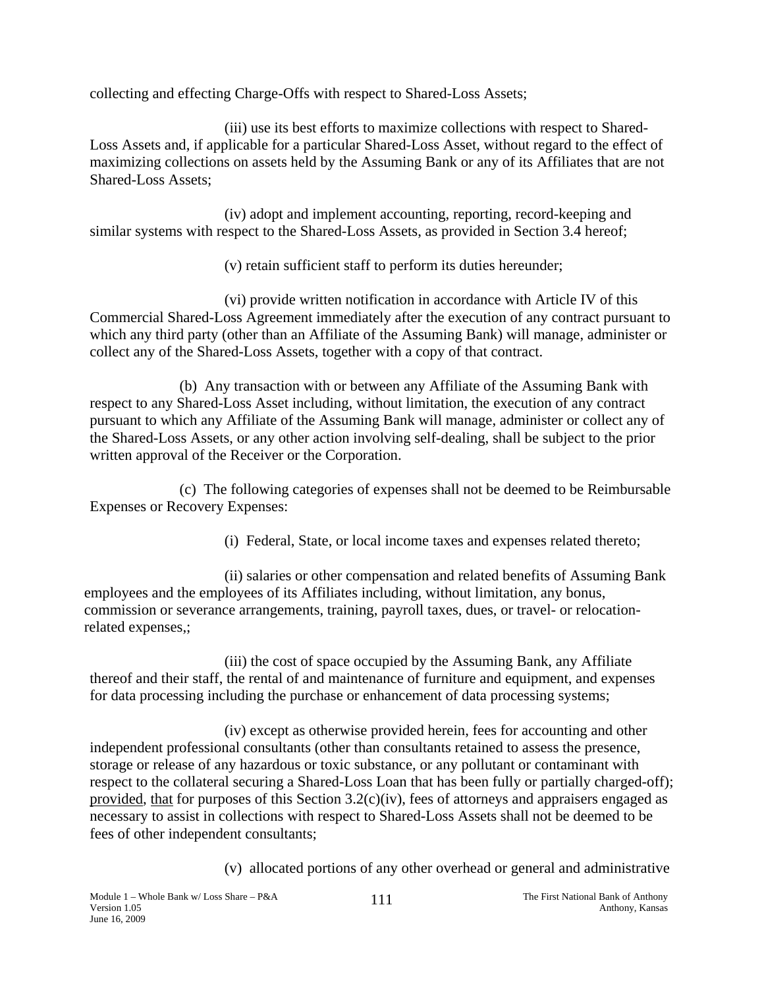collecting and effecting Charge-Offs with respect to Shared-Loss Assets;

(iii) use its best efforts to maximize collections with respect to Shared-Loss Assets and, if applicable for a particular Shared-Loss Asset, without regard to the effect of maximizing collections on assets held by the Assuming Bank or any of its Affiliates that are not Shared-Loss Assets;

(iv) adopt and implement accounting, reporting, record-keeping and similar systems with respect to the Shared-Loss Assets, as provided in Section 3.4 hereof;

(v) retain sufficient staff to perform its duties hereunder;

(vi) provide written notification in accordance with Article IV of this Commercial Shared-Loss Agreement immediately after the execution of any contract pursuant to which any third party (other than an Affiliate of the Assuming Bank) will manage, administer or collect any of the Shared-Loss Assets, together with a copy of that contract.

(b) Any transaction with or between any Affiliate of the Assuming Bank with respect to any Shared-Loss Asset including, without limitation, the execution of any contract pursuant to which any Affiliate of the Assuming Bank will manage, administer or collect any of the Shared-Loss Assets, or any other action involving self-dealing, shall be subject to the prior written approval of the Receiver or the Corporation.

(c) The following categories of expenses shall not be deemed to be Reimbursable Expenses or Recovery Expenses:

(i) Federal, State, or local income taxes and expenses related thereto;

(ii) salaries or other compensation and related benefits of Assuming Bank employees and the employees of its Affiliates including, without limitation, any bonus, commission or severance arrangements, training, payroll taxes, dues, or travel- or relocationrelated expenses,;

(iii) the cost of space occupied by the Assuming Bank, any Affiliate thereof and their staff, the rental of and maintenance of furniture and equipment, and expenses for data processing including the purchase or enhancement of data processing systems;

(iv) except as otherwise provided herein, fees for accounting and other independent professional consultants (other than consultants retained to assess the presence, storage or release of any hazardous or toxic substance, or any pollutant or contaminant with respect to the collateral securing a Shared-Loss Loan that has been fully or partially charged-off); provided, that for purposes of this Section 3.2(c)(iv), fees of attorneys and appraisers engaged as necessary to assist in collections with respect to Shared-Loss Assets shall not be deemed to be fees of other independent consultants;

(v) allocated portions of any other overhead or general and administrative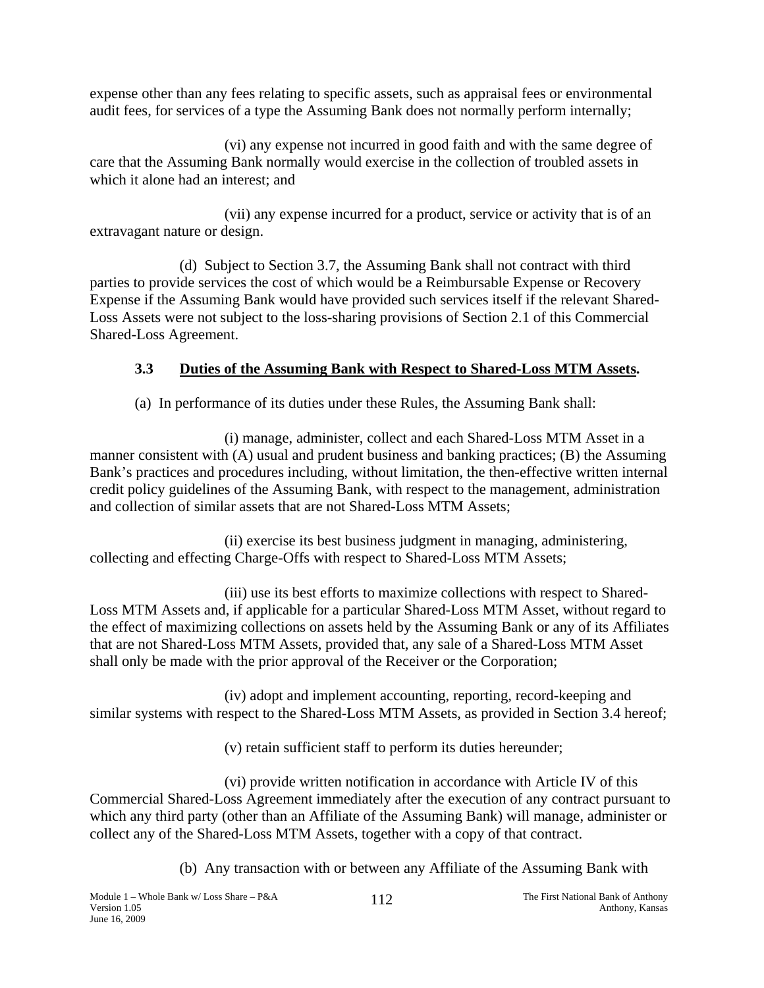expense other than any fees relating to specific assets, such as appraisal fees or environmental audit fees, for services of a type the Assuming Bank does not normally perform internally;

(vi) any expense not incurred in good faith and with the same degree of care that the Assuming Bank normally would exercise in the collection of troubled assets in which it alone had an interest; and

(vii) any expense incurred for a product, service or activity that is of an extravagant nature or design.

(d) Subject to Section 3.7, the Assuming Bank shall not contract with third parties to provide services the cost of which would be a Reimbursable Expense or Recovery Expense if the Assuming Bank would have provided such services itself if the relevant Shared-Loss Assets were not subject to the loss-sharing provisions of Section 2.1 of this Commercial Shared-Loss Agreement.

## **3.3 Duties of the Assuming Bank with Respect to Shared-Loss MTM Assets.**

(a) In performance of its duties under these Rules, the Assuming Bank shall:

(i) manage, administer, collect and each Shared-Loss MTM Asset in a manner consistent with (A) usual and prudent business and banking practices; (B) the Assuming Bank's practices and procedures including, without limitation, the then-effective written internal credit policy guidelines of the Assuming Bank, with respect to the management, administration and collection of similar assets that are not Shared-Loss MTM Assets;

(ii) exercise its best business judgment in managing, administering, collecting and effecting Charge-Offs with respect to Shared-Loss MTM Assets;

(iii) use its best efforts to maximize collections with respect to Shared-Loss MTM Assets and, if applicable for a particular Shared-Loss MTM Asset, without regard to the effect of maximizing collections on assets held by the Assuming Bank or any of its Affiliates that are not Shared-Loss MTM Assets, provided that, any sale of a Shared-Loss MTM Asset shall only be made with the prior approval of the Receiver or the Corporation;

(iv) adopt and implement accounting, reporting, record-keeping and similar systems with respect to the Shared-Loss MTM Assets, as provided in Section 3.4 hereof;

(v) retain sufficient staff to perform its duties hereunder;

(vi) provide written notification in accordance with Article IV of this Commercial Shared-Loss Agreement immediately after the execution of any contract pursuant to which any third party (other than an Affiliate of the Assuming Bank) will manage, administer or collect any of the Shared-Loss MTM Assets, together with a copy of that contract.

(b) Any transaction with or between any Affiliate of the Assuming Bank with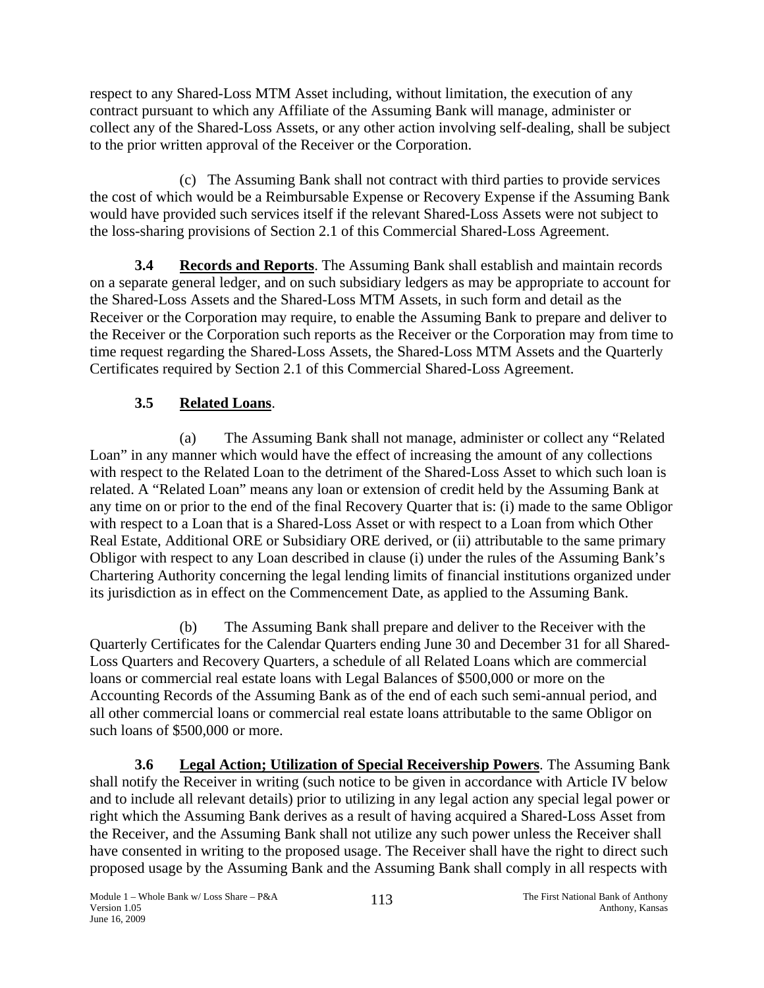respect to any Shared-Loss MTM Asset including, without limitation, the execution of any contract pursuant to which any Affiliate of the Assuming Bank will manage, administer or collect any of the Shared-Loss Assets, or any other action involving self-dealing, shall be subject to the prior written approval of the Receiver or the Corporation.

(c) The Assuming Bank shall not contract with third parties to provide services the cost of which would be a Reimbursable Expense or Recovery Expense if the Assuming Bank would have provided such services itself if the relevant Shared-Loss Assets were not subject to the loss-sharing provisions of Section 2.1 of this Commercial Shared-Loss Agreement.

**3.4 Records and Reports**. The Assuming Bank shall establish and maintain records on a separate general ledger, and on such subsidiary ledgers as may be appropriate to account for the Shared-Loss Assets and the Shared-Loss MTM Assets, in such form and detail as the Receiver or the Corporation may require, to enable the Assuming Bank to prepare and deliver to the Receiver or the Corporation such reports as the Receiver or the Corporation may from time to time request regarding the Shared-Loss Assets, the Shared-Loss MTM Assets and the Quarterly Certificates required by Section 2.1 of this Commercial Shared-Loss Agreement.

# **3.5 Related Loans**.

(a) The Assuming Bank shall not manage, administer or collect any "Related Loan" in any manner which would have the effect of increasing the amount of any collections with respect to the Related Loan to the detriment of the Shared-Loss Asset to which such loan is related. A "Related Loan" means any loan or extension of credit held by the Assuming Bank at any time on or prior to the end of the final Recovery Quarter that is: (i) made to the same Obligor with respect to a Loan that is a Shared-Loss Asset or with respect to a Loan from which Other Real Estate, Additional ORE or Subsidiary ORE derived, or (ii) attributable to the same primary Obligor with respect to any Loan described in clause (i) under the rules of the Assuming Bank's Chartering Authority concerning the legal lending limits of financial institutions organized under its jurisdiction as in effect on the Commencement Date, as applied to the Assuming Bank.

(b) The Assuming Bank shall prepare and deliver to the Receiver with the Quarterly Certificates for the Calendar Quarters ending June 30 and December 31 for all Shared-Loss Quarters and Recovery Quarters, a schedule of all Related Loans which are commercial loans or commercial real estate loans with Legal Balances of \$500,000 or more on the Accounting Records of the Assuming Bank as of the end of each such semi-annual period, and all other commercial loans or commercial real estate loans attributable to the same Obligor on such loans of \$500,000 or more.

**3.6 Legal Action; Utilization of Special Receivership Powers**. The Assuming Bank shall notify the Receiver in writing (such notice to be given in accordance with Article IV below and to include all relevant details) prior to utilizing in any legal action any special legal power or right which the Assuming Bank derives as a result of having acquired a Shared-Loss Asset from the Receiver, and the Assuming Bank shall not utilize any such power unless the Receiver shall have consented in writing to the proposed usage. The Receiver shall have the right to direct such proposed usage by the Assuming Bank and the Assuming Bank shall comply in all respects with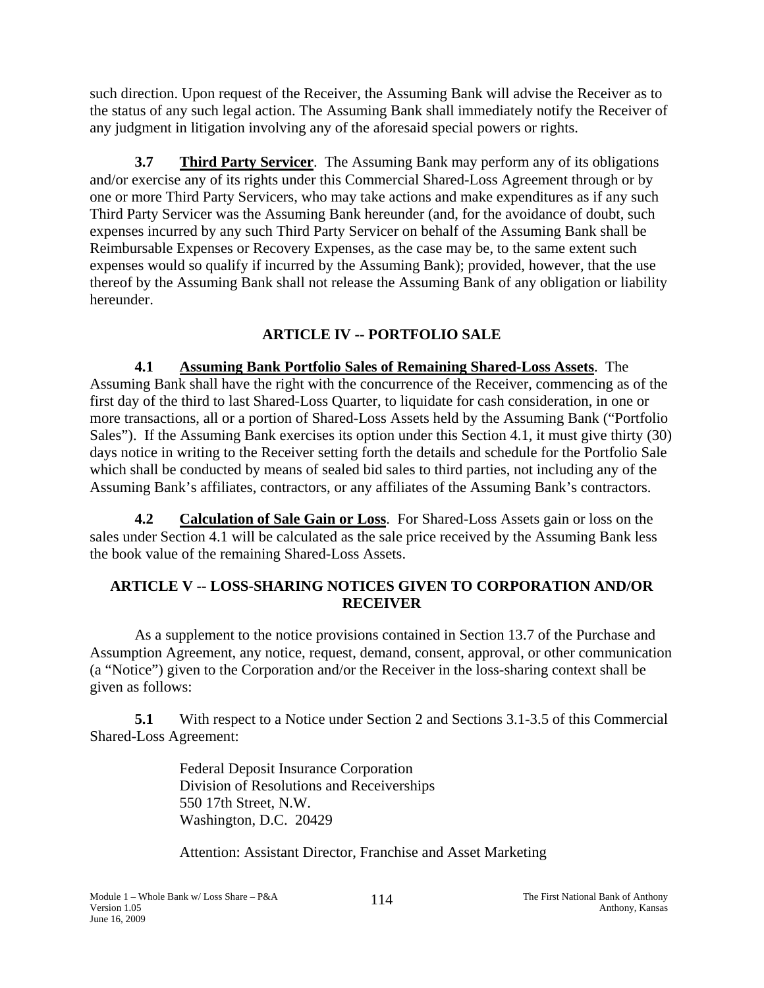such direction. Upon request of the Receiver, the Assuming Bank will advise the Receiver as to the status of any such legal action. The Assuming Bank shall immediately notify the Receiver of any judgment in litigation involving any of the aforesaid special powers or rights.

**3.7** Third Party Servicer. The Assuming Bank may perform any of its obligations and/or exercise any of its rights under this Commercial Shared-Loss Agreement through or by one or more Third Party Servicers, who may take actions and make expenditures as if any such Third Party Servicer was the Assuming Bank hereunder (and, for the avoidance of doubt, such expenses incurred by any such Third Party Servicer on behalf of the Assuming Bank shall be Reimbursable Expenses or Recovery Expenses, as the case may be, to the same extent such expenses would so qualify if incurred by the Assuming Bank); provided, however, that the use thereof by the Assuming Bank shall not release the Assuming Bank of any obligation or liability hereunder.

#### **ARTICLE IV -- PORTFOLIO SALE**

**4.1 Assuming Bank Portfolio Sales of Remaining Shared-Loss Assets**. The Assuming Bank shall have the right with the concurrence of the Receiver, commencing as of the first day of the third to last Shared-Loss Quarter, to liquidate for cash consideration, in one or more transactions, all or a portion of Shared-Loss Assets held by the Assuming Bank ("Portfolio Sales"). If the Assuming Bank exercises its option under this Section 4.1, it must give thirty (30) days notice in writing to the Receiver setting forth the details and schedule for the Portfolio Sale which shall be conducted by means of sealed bid sales to third parties, not including any of the Assuming Bank's affiliates, contractors, or any affiliates of the Assuming Bank's contractors.

**4.2 Calculation of Sale Gain or Loss**. For Shared-Loss Assets gain or loss on the sales under Section 4.1 will be calculated as the sale price received by the Assuming Bank less the book value of the remaining Shared-Loss Assets.

#### **ARTICLE V -- LOSS-SHARING NOTICES GIVEN TO CORPORATION AND/OR RECEIVER**

As a supplement to the notice provisions contained in Section 13.7 of the Purchase and Assumption Agreement, any notice, request, demand, consent, approval, or other communication (a "Notice") given to the Corporation and/or the Receiver in the loss-sharing context shall be given as follows:

**5.1** With respect to a Notice under Section 2 and Sections 3.1-3.5 of this Commercial Shared-Loss Agreement:

> Federal Deposit Insurance Corporation Division of Resolutions and Receiverships 550 17th Street, N.W. Washington, D.C. 20429

Attention: Assistant Director, Franchise and Asset Marketing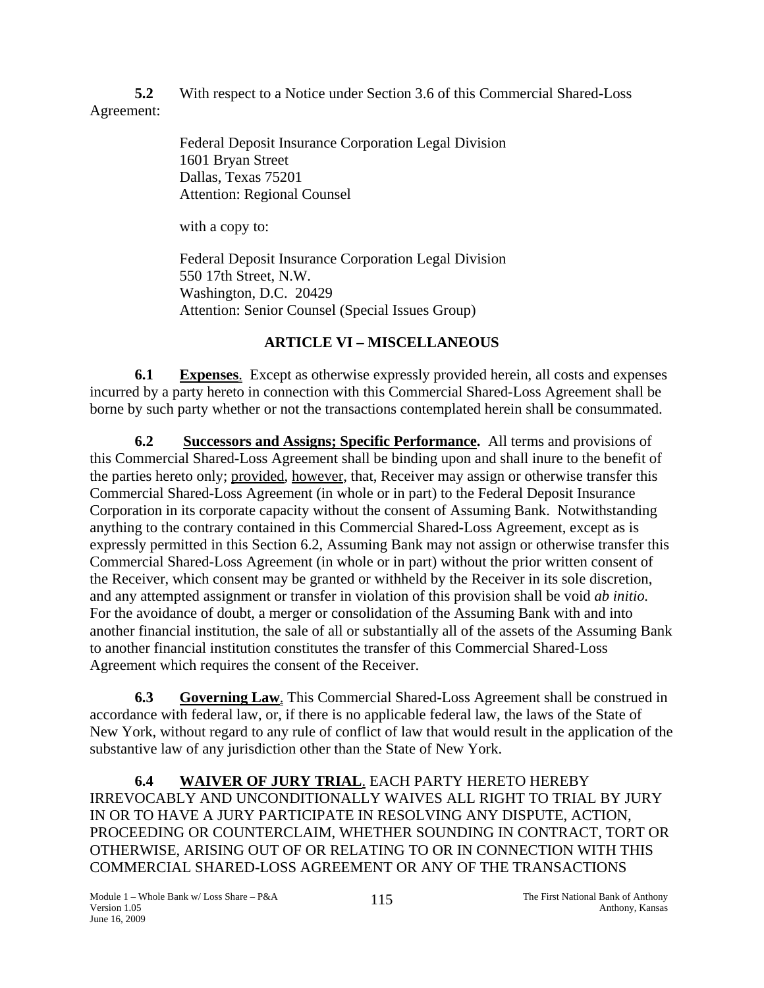**5.2** With respect to a Notice under Section 3.6 of this Commercial Shared-Loss Agreement:

> Federal Deposit Insurance Corporation Legal Division 1601 Bryan Street Dallas, Texas 75201 Attention: Regional Counsel

with a copy to:

Federal Deposit Insurance Corporation Legal Division 550 17th Street, N.W. Washington, D.C. 20429 Attention: Senior Counsel (Special Issues Group)

# **ARTICLE VI – MISCELLANEOUS**

**6.1 Expenses.** Except as otherwise expressly provided herein, all costs and expenses incurred by a party hereto in connection with this Commercial Shared-Loss Agreement shall be borne by such party whether or not the transactions contemplated herein shall be consummated.

**6.2** Successors and Assigns; Specific Performance. All terms and provisions of this Commercial Shared-Loss Agreement shall be binding upon and shall inure to the benefit of the parties hereto only; provided, however, that, Receiver may assign or otherwise transfer this Commercial Shared-Loss Agreement (in whole or in part) to the Federal Deposit Insurance Corporation in its corporate capacity without the consent of Assuming Bank. Notwithstanding anything to the contrary contained in this Commercial Shared-Loss Agreement, except as is expressly permitted in this Section 6.2, Assuming Bank may not assign or otherwise transfer this Commercial Shared-Loss Agreement (in whole or in part) without the prior written consent of the Receiver, which consent may be granted or withheld by the Receiver in its sole discretion, and any attempted assignment or transfer in violation of this provision shall be void *ab initio.*  For the avoidance of doubt, a merger or consolidation of the Assuming Bank with and into another financial institution, the sale of all or substantially all of the assets of the Assuming Bank to another financial institution constitutes the transfer of this Commercial Shared-Loss Agreement which requires the consent of the Receiver.

**6.3** Governing Law. This Commercial Shared-Loss Agreement shall be construed in accordance with federal law, or, if there is no applicable federal law, the laws of the State of New York, without regard to any rule of conflict of law that would result in the application of the substantive law of any jurisdiction other than the State of New York.

**6.4 WAIVER OF JURY TRIAL**. EACH PARTY HERETO HEREBY IRREVOCABLY AND UNCONDITIONALLY WAIVES ALL RIGHT TO TRIAL BY JURY IN OR TO HAVE A JURY PARTICIPATE IN RESOLVING ANY DISPUTE, ACTION, PROCEEDING OR COUNTERCLAIM, WHETHER SOUNDING IN CONTRACT, TORT OR OTHERWISE, ARISING OUT OF OR RELATING TO OR IN CONNECTION WITH THIS COMMERCIAL SHARED-LOSS AGREEMENT OR ANY OF THE TRANSACTIONS